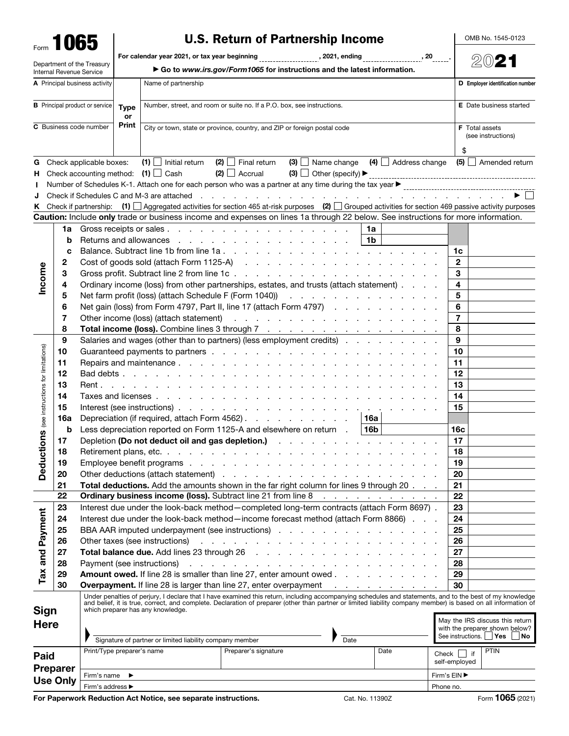| Form |  |  |
|------|--|--|

 $\overline{\phantom{a}}$ 

## U.S. Return of Partnership Income

OMB No. 1545-0123

|                                                                                                                                   |                 |                                                         |                   |                                                                                                                                                                                                                                                                                                                                                                 |                                                                                     |                                                             |         | , 20 |              |                         |                                                                   |
|-----------------------------------------------------------------------------------------------------------------------------------|-----------------|---------------------------------------------------------|-------------------|-----------------------------------------------------------------------------------------------------------------------------------------------------------------------------------------------------------------------------------------------------------------------------------------------------------------------------------------------------------------|-------------------------------------------------------------------------------------|-------------------------------------------------------------|---------|------|--------------|-------------------------|-------------------------------------------------------------------|
| Department of the Treasury<br>Go to www.irs.gov/Form1065 for instructions and the latest information.<br>Internal Revenue Service |                 |                                                         |                   |                                                                                                                                                                                                                                                                                                                                                                 |                                                                                     |                                                             |         |      |              |                         |                                                                   |
|                                                                                                                                   |                 | A Principal business activity                           |                   | Name of partnership                                                                                                                                                                                                                                                                                                                                             |                                                                                     |                                                             |         |      |              |                         | D Employer identification number                                  |
|                                                                                                                                   |                 |                                                         |                   |                                                                                                                                                                                                                                                                                                                                                                 |                                                                                     |                                                             |         |      |              |                         |                                                                   |
|                                                                                                                                   |                 | <b>B</b> Principal product or service                   | <b>Type</b><br>or | Number, street, and room or suite no. If a P.O. box, see instructions.                                                                                                                                                                                                                                                                                          |                                                                                     |                                                             |         |      |              |                         | <b>E</b> Date business started                                    |
|                                                                                                                                   |                 | C Business code number                                  | Print             | City or town, state or province, country, and ZIP or foreign postal code                                                                                                                                                                                                                                                                                        |                                                                                     |                                                             |         |      |              |                         | <b>F</b> Total assets                                             |
|                                                                                                                                   |                 |                                                         |                   |                                                                                                                                                                                                                                                                                                                                                                 |                                                                                     |                                                             |         |      |              |                         | (see instructions)                                                |
|                                                                                                                                   |                 |                                                         |                   |                                                                                                                                                                                                                                                                                                                                                                 |                                                                                     |                                                             |         |      |              | S                       |                                                                   |
| G                                                                                                                                 |                 | Check applicable boxes:                                 |                   | $(1)$   Initial return                                                                                                                                                                                                                                                                                                                                          | $(2)$   Final return                                                                | $(3)$ Name change $(4)$ Address change $(5)$ Amended return |         |      |              |                         |                                                                   |
| н                                                                                                                                 |                 |                                                         |                   | Check accounting method: $(1)$ $\Box$ Cash                                                                                                                                                                                                                                                                                                                      | $(2)$ $\Box$ Accrual                                                                | $(3)$ Other (specify) $\blacktriangleright$                 |         |      |              |                         |                                                                   |
|                                                                                                                                   |                 |                                                         |                   |                                                                                                                                                                                                                                                                                                                                                                 |                                                                                     |                                                             |         |      |              |                         |                                                                   |
| J                                                                                                                                 |                 |                                                         |                   | Check if Schedules C and M-3 are attached                                                                                                                                                                                                                                                                                                                       | and the contract of the contract of the contract of the contract of the contract of |                                                             |         |      |              |                         |                                                                   |
| Κ                                                                                                                                 |                 |                                                         |                   | Check if partnership: (1) $\Box$ Aggregated activities for section 465 at-risk purposes (2) $\Box$ Grouped activities for section 469 passive activity purposes                                                                                                                                                                                                 |                                                                                     |                                                             |         |      |              |                         |                                                                   |
|                                                                                                                                   |                 |                                                         |                   | Caution: Include only trade or business income and expenses on lines 1a through 22 below. See instructions for more information.                                                                                                                                                                                                                                |                                                                                     |                                                             |         |      |              |                         |                                                                   |
|                                                                                                                                   | 1a              |                                                         |                   |                                                                                                                                                                                                                                                                                                                                                                 |                                                                                     |                                                             | 1a      |      |              |                         |                                                                   |
|                                                                                                                                   | b               |                                                         |                   | Returns and allowances                                                                                                                                                                                                                                                                                                                                          |                                                                                     |                                                             | 1b      |      |              |                         |                                                                   |
|                                                                                                                                   | C               |                                                         |                   |                                                                                                                                                                                                                                                                                                                                                                 |                                                                                     |                                                             |         |      |              | 1c                      |                                                                   |
|                                                                                                                                   | 2               |                                                         |                   |                                                                                                                                                                                                                                                                                                                                                                 |                                                                                     |                                                             |         |      |              | $\mathbf{2}$            |                                                                   |
|                                                                                                                                   | 3               |                                                         |                   |                                                                                                                                                                                                                                                                                                                                                                 |                                                                                     |                                                             |         |      |              | 3                       |                                                                   |
| Income                                                                                                                            | 4               |                                                         |                   | Ordinary income (loss) from other partnerships, estates, and trusts (attach statement)                                                                                                                                                                                                                                                                          |                                                                                     |                                                             |         |      |              | 4                       |                                                                   |
|                                                                                                                                   | 5               |                                                         |                   | Net farm profit (loss) (attach Schedule F (Form 1040))                                                                                                                                                                                                                                                                                                          |                                                                                     | and a series of the contract of the contract of             |         |      |              | 5                       |                                                                   |
|                                                                                                                                   | 6               |                                                         |                   | Net gain (loss) from Form 4797, Part II, line 17 (attach Form 4797)                                                                                                                                                                                                                                                                                             |                                                                                     |                                                             |         |      |              | 6                       |                                                                   |
|                                                                                                                                   | 7               |                                                         |                   |                                                                                                                                                                                                                                                                                                                                                                 |                                                                                     |                                                             |         |      |              | $\overline{7}$          |                                                                   |
|                                                                                                                                   | 8               | Total income (loss). Combine lines 3 through 7 <u>.</u> |                   |                                                                                                                                                                                                                                                                                                                                                                 |                                                                                     |                                                             |         | 8    |              |                         |                                                                   |
|                                                                                                                                   | 9               |                                                         |                   | Salaries and wages (other than to partners) (less employment credits)                                                                                                                                                                                                                                                                                           |                                                                                     |                                                             |         |      |              | 9                       |                                                                   |
|                                                                                                                                   | 10              |                                                         |                   |                                                                                                                                                                                                                                                                                                                                                                 |                                                                                     |                                                             |         |      |              | 10                      |                                                                   |
|                                                                                                                                   | 11              |                                                         |                   |                                                                                                                                                                                                                                                                                                                                                                 |                                                                                     |                                                             |         |      |              | 11                      |                                                                   |
|                                                                                                                                   | 12              |                                                         |                   |                                                                                                                                                                                                                                                                                                                                                                 |                                                                                     |                                                             | 12      |      |              |                         |                                                                   |
|                                                                                                                                   | 13              |                                                         |                   |                                                                                                                                                                                                                                                                                                                                                                 |                                                                                     | 13                                                          |         |      |              |                         |                                                                   |
|                                                                                                                                   | 14              |                                                         |                   |                                                                                                                                                                                                                                                                                                                                                                 |                                                                                     |                                                             | 14      |      |              |                         |                                                                   |
|                                                                                                                                   | 15              |                                                         |                   |                                                                                                                                                                                                                                                                                                                                                                 |                                                                                     |                                                             | 15      |      |              |                         |                                                                   |
|                                                                                                                                   | 16a             |                                                         |                   | Depreciation (if required, attach Form 4562)                                                                                                                                                                                                                                                                                                                    |                                                                                     |                                                             | ∣ 16a l |      |              |                         |                                                                   |
| ductions (see instructions for limitations)                                                                                       | b               |                                                         |                   | Less depreciation reported on Form 1125-A and elsewhere on return $\blacksquare$ 16b                                                                                                                                                                                                                                                                            |                                                                                     |                                                             |         |      |              | 16c                     |                                                                   |
|                                                                                                                                   | 17              |                                                         |                   |                                                                                                                                                                                                                                                                                                                                                                 |                                                                                     |                                                             |         |      |              | 17                      |                                                                   |
|                                                                                                                                   | 18              |                                                         |                   |                                                                                                                                                                                                                                                                                                                                                                 |                                                                                     |                                                             |         |      |              | 18                      |                                                                   |
|                                                                                                                                   | 19              |                                                         |                   |                                                                                                                                                                                                                                                                                                                                                                 |                                                                                     |                                                             |         |      |              | 19                      |                                                                   |
| ق                                                                                                                                 | 20              |                                                         |                   |                                                                                                                                                                                                                                                                                                                                                                 |                                                                                     |                                                             |         |      |              | 20                      |                                                                   |
|                                                                                                                                   | 21              |                                                         |                   | Total deductions. Add the amounts shown in the far right column for lines 9 through 20                                                                                                                                                                                                                                                                          |                                                                                     |                                                             |         |      |              | 21                      |                                                                   |
|                                                                                                                                   | 22              |                                                         |                   | <b>Ordinary business income (loss).</b> Subtract line 21 from line 8 and a subset of the state of the state of the state of the state of the state of the state of the state of the state of the state of the state of the state of                                                                                                                             |                                                                                     |                                                             |         |      |              | 22                      |                                                                   |
|                                                                                                                                   | 23              |                                                         |                   | Interest due under the look-back method-completed long-term contracts (attach Form 8697).                                                                                                                                                                                                                                                                       |                                                                                     |                                                             |         |      |              | 23                      |                                                                   |
|                                                                                                                                   | 24              |                                                         |                   | Interest due under the look-back method-income forecast method (attach Form 8866).                                                                                                                                                                                                                                                                              |                                                                                     |                                                             |         |      |              | 24                      |                                                                   |
|                                                                                                                                   | 25              |                                                         |                   |                                                                                                                                                                                                                                                                                                                                                                 |                                                                                     |                                                             |         |      |              | 25                      |                                                                   |
|                                                                                                                                   | 26              |                                                         |                   | Other taxes (see instructions)                                                                                                                                                                                                                                                                                                                                  | and the contract of the contract of the contract of the contract of the contract of |                                                             |         |      |              | 26                      |                                                                   |
|                                                                                                                                   | 27              |                                                         |                   | Total balance due. Add lines 23 through 26 (a) and a subset of the state of the state of the state of the state of the state of the state of the state of the state of the state of the state of the state of the state of the                                                                                                                                  |                                                                                     |                                                             |         |      |              | 27                      |                                                                   |
| Tax and Payment                                                                                                                   | 28              |                                                         |                   | Payment (see instructions)                                                                                                                                                                                                                                                                                                                                      | and the contract of the contract of the contract of the contract of                 |                                                             |         |      |              | 28                      |                                                                   |
|                                                                                                                                   | 29              |                                                         |                   | Amount owed. If line 28 is smaller than line 27, enter amount owed.                                                                                                                                                                                                                                                                                             |                                                                                     |                                                             |         |      |              | 29                      |                                                                   |
|                                                                                                                                   | 30              |                                                         |                   | <b>Overpayment.</b> If line 28 is larger than line 27, enter overpayment                                                                                                                                                                                                                                                                                        |                                                                                     |                                                             |         |      |              | 30                      |                                                                   |
|                                                                                                                                   |                 |                                                         |                   | Under penalties of perjury, I declare that I have examined this return, including accompanying schedules and statements, and to the best of my knowledge<br>and belief, it is true, correct, and complete. Declaration of preparer (other than partner or limited liability company member) is based on all information of<br>which preparer has any knowledge. |                                                                                     |                                                             |         |      |              |                         |                                                                   |
| <b>Sign</b><br><b>Here</b>                                                                                                        |                 |                                                         |                   |                                                                                                                                                                                                                                                                                                                                                                 |                                                                                     |                                                             |         |      |              |                         | May the IRS discuss this return<br>with the preparer shown below? |
|                                                                                                                                   |                 |                                                         |                   | Signature of partner or limited liability company member                                                                                                                                                                                                                                                                                                        |                                                                                     | Date                                                        |         |      |              |                         | See instructions.   <b>Yes</b><br>∣No                             |
|                                                                                                                                   |                 | Print/Type preparer's name                              |                   |                                                                                                                                                                                                                                                                                                                                                                 | Preparer's signature                                                                |                                                             | Date    |      |              |                         | PTIN                                                              |
| Paid                                                                                                                              |                 |                                                         |                   |                                                                                                                                                                                                                                                                                                                                                                 |                                                                                     |                                                             |         |      | Check        | $ $ if<br>self-employed |                                                                   |
|                                                                                                                                   | <b>Preparer</b> |                                                         |                   |                                                                                                                                                                                                                                                                                                                                                                 |                                                                                     |                                                             |         |      | Firm's EIN ▶ |                         |                                                                   |
|                                                                                                                                   | <b>Use Only</b> | Firm's name $\blacktriangleright$                       |                   |                                                                                                                                                                                                                                                                                                                                                                 |                                                                                     |                                                             |         |      |              |                         |                                                                   |
|                                                                                                                                   |                 | Firm's address ▶                                        |                   |                                                                                                                                                                                                                                                                                                                                                                 |                                                                                     |                                                             |         |      | Phone no.    |                         |                                                                   |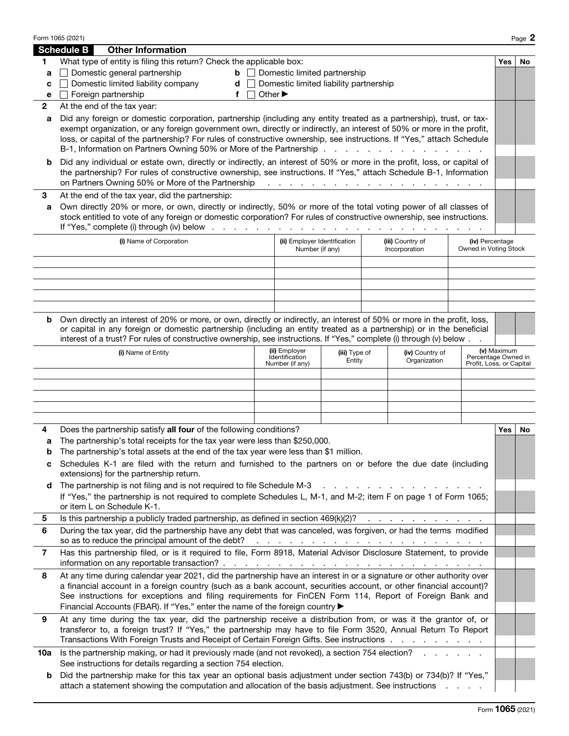|              | Form 1065 (2021)                                                                                                                                                                                         |                                                                                                                                               |          |  |                                                  |               |                                                                  |                       |                 |                                    | Page 2 |
|--------------|----------------------------------------------------------------------------------------------------------------------------------------------------------------------------------------------------------|-----------------------------------------------------------------------------------------------------------------------------------------------|----------|--|--------------------------------------------------|---------------|------------------------------------------------------------------|-----------------------|-----------------|------------------------------------|--------|
|              | <b>Schedule B</b>                                                                                                                                                                                        | <b>Other Information</b>                                                                                                                      |          |  |                                                  |               |                                                                  |                       |                 |                                    |        |
| 1            |                                                                                                                                                                                                          | What type of entity is filing this return? Check the applicable box:                                                                          |          |  |                                                  |               |                                                                  |                       |                 | Yes                                | No     |
| a            |                                                                                                                                                                                                          | Domestic general partnership                                                                                                                  |          |  | $\mathbf{b}$ $\Box$ Domestic limited partnership |               |                                                                  |                       |                 |                                    |        |
| c            |                                                                                                                                                                                                          | Domestic limited liability company                                                                                                            | $d \Box$ |  | Domestic limited liability partnership           |               |                                                                  |                       |                 |                                    |        |
| е            |                                                                                                                                                                                                          | Foreign partnership                                                                                                                           | f        |  | Other $\blacktriangleright$                      |               |                                                                  |                       |                 |                                    |        |
| $\mathbf{2}$ |                                                                                                                                                                                                          | At the end of the tax year:                                                                                                                   |          |  |                                                  |               |                                                                  |                       |                 |                                    |        |
| a            |                                                                                                                                                                                                          | Did any foreign or domestic corporation, partnership (including any entity treated as a partnership), trust, or tax-                          |          |  |                                                  |               |                                                                  |                       |                 |                                    |        |
|              |                                                                                                                                                                                                          | exempt organization, or any foreign government own, directly or indirectly, an interest of 50% or more in the profit,                         |          |  |                                                  |               |                                                                  |                       |                 |                                    |        |
|              |                                                                                                                                                                                                          | loss, or capital of the partnership? For rules of constructive ownership, see instructions. If "Yes," attach Schedule                         |          |  |                                                  |               |                                                                  |                       |                 |                                    |        |
|              |                                                                                                                                                                                                          | B-1, Information on Partners Owning 50% or More of the Partnership                                                                            |          |  |                                                  |               |                                                                  |                       |                 |                                    |        |
| b            |                                                                                                                                                                                                          | Did any individual or estate own, directly or indirectly, an interest of 50% or more in the profit, loss, or capital of                       |          |  |                                                  |               |                                                                  |                       |                 |                                    |        |
|              |                                                                                                                                                                                                          | the partnership? For rules of constructive ownership, see instructions. If "Yes," attach Schedule B-1, Information                            |          |  |                                                  |               |                                                                  |                       |                 |                                    |        |
|              |                                                                                                                                                                                                          | on Partners Owning 50% or More of the Partnership                                                                                             |          |  |                                                  |               | المتعاونة والمتعاونة والمتعاونة والمتعاونة والمتعاونة والمتعاونة |                       |                 |                                    |        |
| 3            |                                                                                                                                                                                                          | At the end of the tax year, did the partnership:                                                                                              |          |  |                                                  |               |                                                                  |                       |                 |                                    |        |
| a            |                                                                                                                                                                                                          | Own directly 20% or more, or own, directly or indirectly, 50% or more of the total voting power of all classes of                             |          |  |                                                  |               |                                                                  |                       |                 |                                    |        |
|              |                                                                                                                                                                                                          | stock entitled to vote of any foreign or domestic corporation? For rules of constructive ownership, see instructions.                         |          |  |                                                  |               |                                                                  |                       |                 |                                    |        |
|              |                                                                                                                                                                                                          | If "Yes," complete (i) through (iv) below $\ldots$ $\ldots$ $\ldots$ $\ldots$ $\ldots$ $\ldots$ $\ldots$ $\ldots$ $\ldots$ $\ldots$           |          |  |                                                  |               |                                                                  |                       |                 |                                    |        |
|              |                                                                                                                                                                                                          | (i) Name of Corporation                                                                                                                       |          |  | (ii) Employer Identification                     |               | (iii) Country of                                                 |                       | (iv) Percentage |                                    |        |
|              |                                                                                                                                                                                                          |                                                                                                                                               |          |  | Number (if any)                                  |               | Incorporation                                                    | Owned in Voting Stock |                 |                                    |        |
|              |                                                                                                                                                                                                          |                                                                                                                                               |          |  |                                                  |               |                                                                  |                       |                 |                                    |        |
|              |                                                                                                                                                                                                          |                                                                                                                                               |          |  |                                                  |               |                                                                  |                       |                 |                                    |        |
|              |                                                                                                                                                                                                          |                                                                                                                                               |          |  |                                                  |               |                                                                  |                       |                 |                                    |        |
|              |                                                                                                                                                                                                          |                                                                                                                                               |          |  |                                                  |               |                                                                  |                       |                 |                                    |        |
|              |                                                                                                                                                                                                          |                                                                                                                                               |          |  |                                                  |               |                                                                  |                       |                 |                                    |        |
|              |                                                                                                                                                                                                          | <b>b</b> Own directly an interest of 20% or more, or own, directly or indirectly, an interest of 50% or more in the profit, loss,             |          |  |                                                  |               |                                                                  |                       |                 |                                    |        |
|              |                                                                                                                                                                                                          | or capital in any foreign or domestic partnership (including an entity treated as a partnership) or in the beneficial                         |          |  |                                                  |               |                                                                  |                       |                 |                                    |        |
|              |                                                                                                                                                                                                          | interest of a trust? For rules of constructive ownership, see instructions. If "Yes," complete (i) through (v) below.                         |          |  |                                                  |               |                                                                  |                       |                 |                                    |        |
|              |                                                                                                                                                                                                          | (i) Name of Entity                                                                                                                            |          |  | (ii) Employer<br>Identification                  | (iii) Type of | (iv) Country of                                                  |                       |                 | (v) Maximum<br>Percentage Owned in |        |
|              |                                                                                                                                                                                                          |                                                                                                                                               |          |  | Number (if any)                                  | Entity        | Organization                                                     |                       |                 | Profit, Loss, or Capital           |        |
|              |                                                                                                                                                                                                          |                                                                                                                                               |          |  |                                                  |               |                                                                  |                       |                 |                                    |        |
|              |                                                                                                                                                                                                          |                                                                                                                                               |          |  |                                                  |               |                                                                  |                       |                 |                                    |        |
|              |                                                                                                                                                                                                          |                                                                                                                                               |          |  |                                                  |               |                                                                  |                       |                 |                                    |        |
|              |                                                                                                                                                                                                          |                                                                                                                                               |          |  |                                                  |               |                                                                  |                       |                 |                                    |        |
|              |                                                                                                                                                                                                          |                                                                                                                                               |          |  |                                                  |               |                                                                  |                       |                 |                                    |        |
| 4            |                                                                                                                                                                                                          | Does the partnership satisfy all four of the following conditions?                                                                            |          |  |                                                  |               |                                                                  |                       |                 | Yes                                | No     |
| а            |                                                                                                                                                                                                          | The partnership's total receipts for the tax year were less than \$250,000.                                                                   |          |  |                                                  |               |                                                                  |                       |                 |                                    |        |
|              |                                                                                                                                                                                                          | The partnership's total assets at the end of the tax year were less than \$1 million.                                                         |          |  |                                                  |               |                                                                  |                       |                 |                                    |        |
| с            |                                                                                                                                                                                                          | Schedules K-1 are filed with the return and furnished to the partners on or before the due date (including                                    |          |  |                                                  |               |                                                                  |                       |                 |                                    |        |
|              |                                                                                                                                                                                                          | extensions) for the partnership return.                                                                                                       |          |  |                                                  |               |                                                                  |                       |                 |                                    |        |
| d            |                                                                                                                                                                                                          | The partnership is not filing and is not required to file Schedule M-3                                                                        |          |  |                                                  |               |                                                                  |                       |                 |                                    |        |
|              |                                                                                                                                                                                                          | If "Yes," the partnership is not required to complete Schedules L, M-1, and M-2; item F on page 1 of Form 1065;<br>or item L on Schedule K-1. |          |  |                                                  |               |                                                                  |                       |                 |                                    |        |
| 5            |                                                                                                                                                                                                          |                                                                                                                                               |          |  |                                                  |               |                                                                  |                       |                 |                                    |        |
| 6            |                                                                                                                                                                                                          | During the tax year, did the partnership have any debt that was canceled, was forgiven, or had the terms modified                             |          |  |                                                  |               |                                                                  |                       |                 |                                    |        |
|              |                                                                                                                                                                                                          |                                                                                                                                               |          |  |                                                  |               |                                                                  |                       |                 |                                    |        |
| 7            |                                                                                                                                                                                                          | Has this partnership filed, or is it required to file, Form 8918, Material Advisor Disclosure Statement, to provide                           |          |  |                                                  |               |                                                                  |                       |                 |                                    |        |
|              |                                                                                                                                                                                                          |                                                                                                                                               |          |  |                                                  |               |                                                                  |                       |                 |                                    |        |
| 8            |                                                                                                                                                                                                          | At any time during calendar year 2021, did the partnership have an interest in or a signature or other authority over                         |          |  |                                                  |               |                                                                  |                       |                 |                                    |        |
|              |                                                                                                                                                                                                          | a financial account in a foreign country (such as a bank account, securities account, or other financial account)?                            |          |  |                                                  |               |                                                                  |                       |                 |                                    |        |
|              |                                                                                                                                                                                                          | See instructions for exceptions and filing requirements for FinCEN Form 114, Report of Foreign Bank and                                       |          |  |                                                  |               |                                                                  |                       |                 |                                    |        |
|              |                                                                                                                                                                                                          | Financial Accounts (FBAR). If "Yes," enter the name of the foreign country ▶                                                                  |          |  |                                                  |               |                                                                  |                       |                 |                                    |        |
| 9            |                                                                                                                                                                                                          | At any time during the tax year, did the partnership receive a distribution from, or was it the grantor of, or                                |          |  |                                                  |               |                                                                  |                       |                 |                                    |        |
|              |                                                                                                                                                                                                          |                                                                                                                                               |          |  |                                                  |               |                                                                  |                       |                 |                                    |        |
|              | transferor to, a foreign trust? If "Yes," the partnership may have to file Form 3520, Annual Return To Report<br>Transactions With Foreign Trusts and Receipt of Certain Foreign Gifts. See instructions |                                                                                                                                               |          |  |                                                  |               |                                                                  |                       |                 |                                    |        |
| 10a          |                                                                                                                                                                                                          | Is the partnership making, or had it previously made (and not revoked), a section 754 election?                                               |          |  |                                                  |               |                                                                  |                       |                 |                                    |        |
|              |                                                                                                                                                                                                          | See instructions for details regarding a section 754 election.                                                                                |          |  |                                                  |               |                                                                  |                       |                 |                                    |        |
| b            |                                                                                                                                                                                                          | Did the partnership make for this tax year an optional basis adjustment under section 743(b) or 734(b)? If "Yes,"                             |          |  |                                                  |               |                                                                  |                       |                 |                                    |        |
|              |                                                                                                                                                                                                          |                                                                                                                                               |          |  |                                                  |               |                                                                  |                       |                 |                                    |        |
|              | attach a statement showing the computation and allocation of the basis adjustment. See instructions                                                                                                      |                                                                                                                                               |          |  |                                                  |               |                                                                  |                       |                 |                                    |        |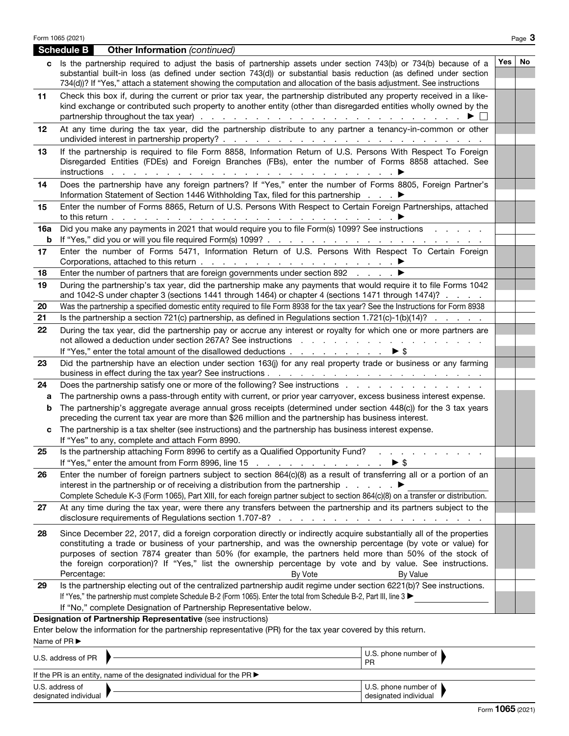|                                    | Form 1065 (2021)                                                                                                                                                                                                                                                                                                                                                                                                                                                                                     |                             |     | Page 3 |  |
|------------------------------------|------------------------------------------------------------------------------------------------------------------------------------------------------------------------------------------------------------------------------------------------------------------------------------------------------------------------------------------------------------------------------------------------------------------------------------------------------------------------------------------------------|-----------------------------|-----|--------|--|
|                                    | <b>Schedule B</b><br><b>Other Information (continued)</b>                                                                                                                                                                                                                                                                                                                                                                                                                                            |                             |     |        |  |
| c                                  | Is the partnership required to adjust the basis of partnership assets under section 743(b) or 734(b) because of a<br>substantial built-in loss (as defined under section 743(d)) or substantial basis reduction (as defined under section<br>734(d))? If "Yes," attach a statement showing the computation and allocation of the basis adjustment. See instructions                                                                                                                                  |                             | Yes | No     |  |
| 11                                 | Check this box if, during the current or prior tax year, the partnership distributed any property received in a like-<br>kind exchange or contributed such property to another entity (other than disregarded entities wholly owned by the<br>partnership throughout the tax year) $\ldots$ $\ldots$ $\ldots$ $\ldots$ $\ldots$ $\ldots$ $\ldots$ $\ldots$ $\blacktriangleright$                                                                                                                     |                             |     |        |  |
| 12                                 | At any time during the tax year, did the partnership distribute to any partner a tenancy-in-common or other                                                                                                                                                                                                                                                                                                                                                                                          |                             |     |        |  |
| 13                                 | If the partnership is required to file Form 8858, Information Return of U.S. Persons With Respect To Foreign<br>Disregarded Entities (FDEs) and Foreign Branches (FBs), enter the number of Forms 8858 attached. See                                                                                                                                                                                                                                                                                 |                             |     |        |  |
| 14                                 | Does the partnership have any foreign partners? If "Yes," enter the number of Forms 8805, Foreign Partner's<br>Information Statement of Section 1446 Withholding Tax, filed for this partnership ▶<br>Enter the number of Forms 8865, Return of U.S. Persons With Respect to Certain Foreign Partnerships, attached                                                                                                                                                                                  |                             |     |        |  |
| 15                                 |                                                                                                                                                                                                                                                                                                                                                                                                                                                                                                      |                             |     |        |  |
| 16a<br>b                           | Did you make any payments in 2021 that would require you to file Form(s) 1099? See instructions                                                                                                                                                                                                                                                                                                                                                                                                      |                             |     |        |  |
| 17                                 | Enter the number of Forms 5471, Information Return of U.S. Persons With Respect To Certain Foreign                                                                                                                                                                                                                                                                                                                                                                                                   |                             |     |        |  |
| 18                                 | Enter the number of partners that are foreign governments under section 892 $\ldots$ ,                                                                                                                                                                                                                                                                                                                                                                                                               |                             |     |        |  |
| 19                                 | During the partnership's tax year, did the partnership make any payments that would require it to file Forms 1042<br>and 1042-S under chapter 3 (sections 1441 through 1464) or chapter 4 (sections 1471 through 1474)?                                                                                                                                                                                                                                                                              |                             |     |        |  |
| 20                                 | Was the partnership a specified domestic entity required to file Form 8938 for the tax year? See the Instructions for Form 8938                                                                                                                                                                                                                                                                                                                                                                      |                             |     |        |  |
| 21                                 | Is the partnership a section 721(c) partnership, as defined in Regulations section $1.721(c) - 1(b)(14)?$                                                                                                                                                                                                                                                                                                                                                                                            |                             |     |        |  |
| 22                                 | During the tax year, did the partnership pay or accrue any interest or royalty for which one or more partners are<br>not allowed a deduction under section 267A? See instructions results and results are allowed a deduction under section 267A? See instructions results and results are all the set of the set of the set of the set of the set                                                                                                                                                   |                             |     |        |  |
|                                    | If "Yes," enter the total amount of the disallowed deductions $\ldots$ $\ldots$ $\ldots$ $\ldots$ $\ldots$                                                                                                                                                                                                                                                                                                                                                                                           |                             |     |        |  |
| 23                                 | Did the partnership have an election under section 163(j) for any real property trade or business or any farming                                                                                                                                                                                                                                                                                                                                                                                     |                             |     |        |  |
| 24                                 | Does the partnership satisfy one or more of the following? See instructions                                                                                                                                                                                                                                                                                                                                                                                                                          |                             |     |        |  |
| a<br>b                             | The partnership owns a pass-through entity with current, or prior year carryover, excess business interest expense.<br>The partnership's aggregate average annual gross receipts (determined under section 448(c)) for the 3 tax years                                                                                                                                                                                                                                                               |                             |     |        |  |
| c                                  | preceding the current tax year are more than \$26 million and the partnership has business interest.<br>The partnership is a tax shelter (see instructions) and the partnership has business interest expense.                                                                                                                                                                                                                                                                                       |                             |     |        |  |
|                                    | If "Yes" to any, complete and attach Form 8990.                                                                                                                                                                                                                                                                                                                                                                                                                                                      |                             |     |        |  |
| 25                                 | Is the partnership attaching Form 8996 to certify as a Qualified Opportunity Fund?<br>If "Yes," enter the amount from Form 8996, line $15 \ldots \ldots \ldots \ldots \ldots$                                                                                                                                                                                                                                                                                                                        | $\triangleright$ \$         |     |        |  |
| 26                                 | Enter the number of foreign partners subject to section 864(c)(8) as a result of transferring all or a portion of an<br>interest in the partnership or of receiving a distribution from the partnership                                                                                                                                                                                                                                                                                              |                             |     |        |  |
|                                    | Complete Schedule K-3 (Form 1065), Part XIII, for each foreign partner subject to section 864(c)(8) on a transfer or distribution.                                                                                                                                                                                                                                                                                                                                                                   |                             |     |        |  |
| 27                                 | At any time during the tax year, were there any transfers between the partnership and its partners subject to the                                                                                                                                                                                                                                                                                                                                                                                    |                             |     |        |  |
| 28                                 | Since December 22, 2017, did a foreign corporation directly or indirectly acquire substantially all of the properties<br>constituting a trade or business of your partnership, and was the ownership percentage (by vote or value) for<br>purposes of section 7874 greater than 50% (for example, the partners held more than 50% of the stock of<br>the foreign corporation)? If "Yes," list the ownership percentage by vote and by value. See instructions.<br>Percentage:<br>By Vote<br>By Value |                             |     |        |  |
| 29                                 | Is the partnership electing out of the centralized partnership audit regime under section 6221(b)? See instructions.<br>If "Yes," the partnership must complete Schedule B-2 (Form 1065). Enter the total from Schedule B-2, Part III, line 3<br>If "No," complete Designation of Partnership Representative below.                                                                                                                                                                                  |                             |     |        |  |
|                                    | Designation of Partnership Representative (see instructions)                                                                                                                                                                                                                                                                                                                                                                                                                                         |                             |     |        |  |
| Name of $PR$ $\blacktriangleright$ | Enter below the information for the partnership representative (PR) for the tax year covered by this return.                                                                                                                                                                                                                                                                                                                                                                                         |                             |     |        |  |
|                                    | U.S. address of PR                                                                                                                                                                                                                                                                                                                                                                                                                                                                                   | U.S. phone number of<br>PR. |     |        |  |
|                                    | If the PR is an entity, name of the designated individual for the PR ▶                                                                                                                                                                                                                                                                                                                                                                                                                               |                             |     |        |  |
|                                    | U.S. address of                                                                                                                                                                                                                                                                                                                                                                                                                                                                                      | U.S. phone number of        |     |        |  |
|                                    | designated individual                                                                                                                                                                                                                                                                                                                                                                                                                                                                                | designated individual       |     |        |  |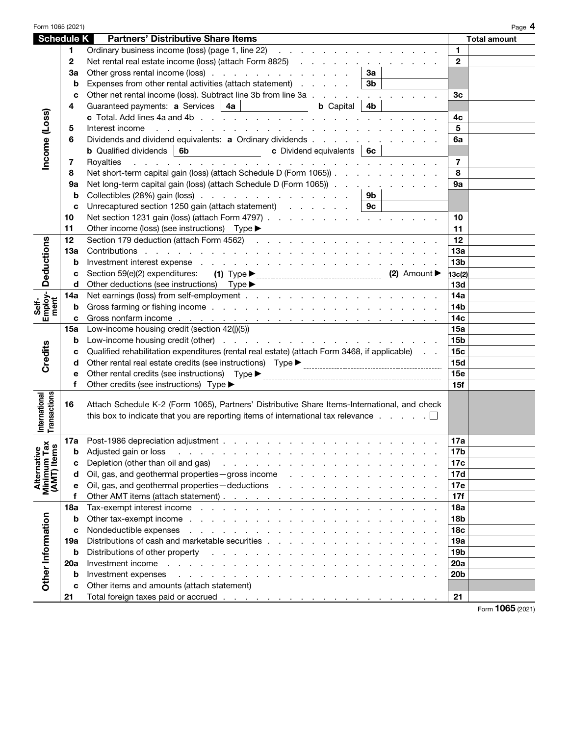|                                           | Form 1065 (2021)                             |                                                                                                                                                                                                                                                                                                                                                                                                             | Page 4              |  |  |  |  |  |
|-------------------------------------------|----------------------------------------------|-------------------------------------------------------------------------------------------------------------------------------------------------------------------------------------------------------------------------------------------------------------------------------------------------------------------------------------------------------------------------------------------------------------|---------------------|--|--|--|--|--|
| <b>Schedule K</b>                         |                                              | <b>Partners' Distributive Share Items</b>                                                                                                                                                                                                                                                                                                                                                                   | <b>Total amount</b> |  |  |  |  |  |
|                                           | 1                                            | Ordinary business income (loss) (page 1, line 22) (and a series of the series of the series of the series of the series of the series of the series of the series of the series of the series of the series of the series of t                                                                                                                                                                              | $\mathbf{1}$        |  |  |  |  |  |
|                                           | 2                                            | Net rental real estate income (loss) (attach Form 8825)                                                                                                                                                                                                                                                                                                                                                     | $\overline{2}$      |  |  |  |  |  |
|                                           | Other gross rental income (loss)<br>За<br>За |                                                                                                                                                                                                                                                                                                                                                                                                             |                     |  |  |  |  |  |
|                                           | b                                            | 3 <sub>b</sub><br>Expenses from other rental activities (attach statement)                                                                                                                                                                                                                                                                                                                                  |                     |  |  |  |  |  |
|                                           | c                                            | Other net rental income (loss). Subtract line 3b from line 3a                                                                                                                                                                                                                                                                                                                                               | Зc                  |  |  |  |  |  |
|                                           |                                              |                                                                                                                                                                                                                                                                                                                                                                                                             |                     |  |  |  |  |  |
|                                           |                                              | Guaranteed payments: a Services   4a  <br>4<br><b>b</b> Capital $\vert$ 4b<br>4c<br>Interest income<br>5<br>and a construction of the construction of the construction of the construction of the construction of the construction of the construction of the construction of the construction of the construction of the construction of<br>Dividends and dividend equivalents: a Ordinary dividends<br>6a |                     |  |  |  |  |  |
|                                           | 5                                            |                                                                                                                                                                                                                                                                                                                                                                                                             |                     |  |  |  |  |  |
|                                           | 6                                            |                                                                                                                                                                                                                                                                                                                                                                                                             |                     |  |  |  |  |  |
|                                           |                                              | <b>b</b> Qualified dividends <b>6b c</b> Dividend equivalents <b>6c</b>                                                                                                                                                                                                                                                                                                                                     |                     |  |  |  |  |  |
| Income (Loss)                             | 7                                            | Royalties<br>de la caractería de la caractería de la caractería de la caractería de la caractería                                                                                                                                                                                                                                                                                                           | $\overline{7}$      |  |  |  |  |  |
|                                           | 8                                            | Net short-term capital gain (loss) (attach Schedule D (Form 1065))                                                                                                                                                                                                                                                                                                                                          | 8                   |  |  |  |  |  |
|                                           | 9а                                           | Net long-term capital gain (loss) (attach Schedule D (Form 1065))                                                                                                                                                                                                                                                                                                                                           | 9а                  |  |  |  |  |  |
|                                           | b                                            | Collectibles (28%) gain (loss) 9b                                                                                                                                                                                                                                                                                                                                                                           |                     |  |  |  |  |  |
|                                           | c                                            | Unrecaptured section 1250 gain (attach statement) $\ldots$ $\ldots$ $\ldots$   9c                                                                                                                                                                                                                                                                                                                           |                     |  |  |  |  |  |
|                                           | 10                                           |                                                                                                                                                                                                                                                                                                                                                                                                             | 10                  |  |  |  |  |  |
|                                           | 11                                           | Other income (loss) (see instructions) Type ▶                                                                                                                                                                                                                                                                                                                                                               | 11                  |  |  |  |  |  |
|                                           | 12                                           | <u> 1980 - Johann Barbara, martin amerikan basar da</u>                                                                                                                                                                                                                                                                                                                                                     | 12                  |  |  |  |  |  |
|                                           | 13а                                          |                                                                                                                                                                                                                                                                                                                                                                                                             | 13a                 |  |  |  |  |  |
|                                           | b                                            | Investment interest expense response and contact the contact of the contact of the contact of the contact of the contact of the contact of the contact of the contact of the contact of the contact of the contact of the cont                                                                                                                                                                              | 13 <sub>b</sub>     |  |  |  |  |  |
|                                           | c                                            |                                                                                                                                                                                                                                                                                                                                                                                                             | 13c(2)              |  |  |  |  |  |
| <b>Deductions</b>                         | d                                            | Other deductions (see instructions) Type >                                                                                                                                                                                                                                                                                                                                                                  | 13d                 |  |  |  |  |  |
|                                           | 14a                                          |                                                                                                                                                                                                                                                                                                                                                                                                             | 14a                 |  |  |  |  |  |
| Self-<br>Employ-<br>ment                  | b                                            |                                                                                                                                                                                                                                                                                                                                                                                                             | 14 <sub>b</sub>     |  |  |  |  |  |
|                                           | c                                            |                                                                                                                                                                                                                                                                                                                                                                                                             | 14 <sub>c</sub>     |  |  |  |  |  |
|                                           | 15a                                          | Low-income housing credit (section 42(j)(5))                                                                                                                                                                                                                                                                                                                                                                | 15a                 |  |  |  |  |  |
|                                           | b                                            |                                                                                                                                                                                                                                                                                                                                                                                                             | 15 <sub>b</sub>     |  |  |  |  |  |
| Credits                                   | c                                            | 15 <sub>c</sub>                                                                                                                                                                                                                                                                                                                                                                                             |                     |  |  |  |  |  |
|                                           | d                                            | Qualified rehabilitation expenditures (rental real estate) (attach Form 3468, if applicable)<br><b>15d</b>                                                                                                                                                                                                                                                                                                  |                     |  |  |  |  |  |
|                                           | е                                            |                                                                                                                                                                                                                                                                                                                                                                                                             | 15e                 |  |  |  |  |  |
|                                           | f                                            |                                                                                                                                                                                                                                                                                                                                                                                                             | 15f                 |  |  |  |  |  |
|                                           |                                              | Other credits (see instructions) Type ▶                                                                                                                                                                                                                                                                                                                                                                     |                     |  |  |  |  |  |
| <b>Transactions</b><br>International      | 16                                           | Attach Schedule K-2 (Form 1065), Partners' Distributive Share Items-International, and check<br>this box to indicate that you are reporting items of international tax relevance $\ldots$ $\ldots$                                                                                                                                                                                                          |                     |  |  |  |  |  |
|                                           |                                              |                                                                                                                                                                                                                                                                                                                                                                                                             |                     |  |  |  |  |  |
|                                           |                                              |                                                                                                                                                                                                                                                                                                                                                                                                             | 17a                 |  |  |  |  |  |
| Alternative<br>Minimum Tax<br>(AMT) Items |                                              | 17a Post-1986 depreciation adjustment                                                                                                                                                                                                                                                                                                                                                                       |                     |  |  |  |  |  |
|                                           | b                                            | Adjusted gain or loss<br>the contract of the contract of the contract of the contract of                                                                                                                                                                                                                                                                                                                    | 17 <sub>b</sub>     |  |  |  |  |  |
|                                           | C                                            | Depletion (other than oil and gas)<br>and a series and a series and a series and a                                                                                                                                                                                                                                                                                                                          | 17c                 |  |  |  |  |  |
|                                           | d                                            |                                                                                                                                                                                                                                                                                                                                                                                                             | 17d                 |  |  |  |  |  |
|                                           | е                                            | Oil, gas, and geothermal properties - deductions results in the case of the contract of the contract of the contract of the contract of the contract of the contract of the contract of the contract of the contract of the co                                                                                                                                                                              | 17e                 |  |  |  |  |  |
|                                           | $\mathbf f$                                  |                                                                                                                                                                                                                                                                                                                                                                                                             | 17f                 |  |  |  |  |  |
|                                           | 18a                                          | Tax-exempt interest income enterprise and a series and a series and a series of the series of the series of the series of the series of the series of the series of the series of the series of the series of the series of th                                                                                                                                                                              | 18a                 |  |  |  |  |  |
|                                           | b                                            |                                                                                                                                                                                                                                                                                                                                                                                                             | <b>18b</b>          |  |  |  |  |  |
|                                           | c                                            | Nondeductible expenses                                                                                                                                                                                                                                                                                                                                                                                      | 18 <sub>c</sub>     |  |  |  |  |  |
|                                           | 19a                                          |                                                                                                                                                                                                                                                                                                                                                                                                             | 19a                 |  |  |  |  |  |
|                                           | b                                            | Distributions of other property resources and contact the contact of the property resources are a set of the contact of the contact of the contact of the contact of the contact of the contact of the contact of the contact                                                                                                                                                                               | 19 <sub>b</sub>     |  |  |  |  |  |
|                                           | 20a                                          | Investment income<br>the contract of the contract of the contract of the contract of the contract of the contract of                                                                                                                                                                                                                                                                                        | 20a                 |  |  |  |  |  |
| Other Information                         | b                                            | Investment expenses<br>and a series of the contract of the contract of the contract of the contract of                                                                                                                                                                                                                                                                                                      | 20 <sub>b</sub>     |  |  |  |  |  |
|                                           | C                                            | Other items and amounts (attach statement)                                                                                                                                                                                                                                                                                                                                                                  |                     |  |  |  |  |  |
|                                           | 21                                           |                                                                                                                                                                                                                                                                                                                                                                                                             | 21<br>$1065$ $0001$ |  |  |  |  |  |

Form 1065 (2021)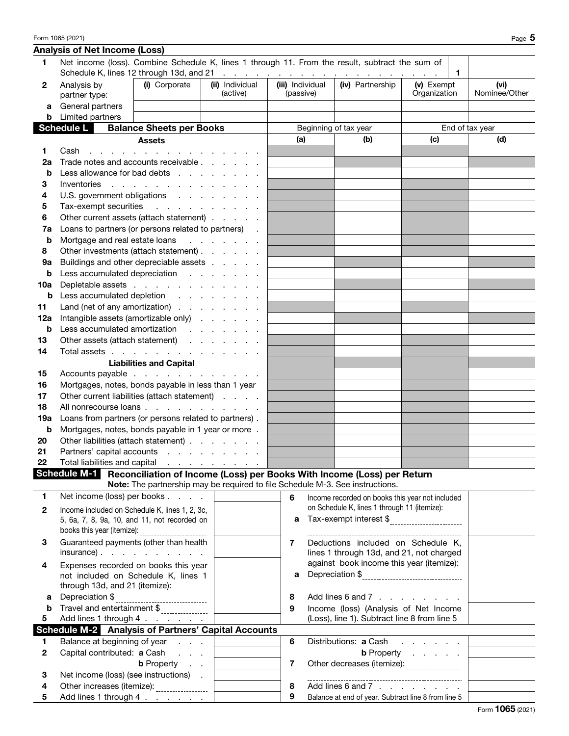|              | Form 1065 (2021)                                                                                |                                                                               |                             |                               |                       |                                              |                                                     | Page $5$              |
|--------------|-------------------------------------------------------------------------------------------------|-------------------------------------------------------------------------------|-----------------------------|-------------------------------|-----------------------|----------------------------------------------|-----------------------------------------------------|-----------------------|
|              | <b>Analysis of Net Income (Loss)</b>                                                            |                                                                               |                             |                               |                       |                                              |                                                     |                       |
| 1            | Net income (loss). Combine Schedule K, lines 1 through 11. From the result, subtract the sum of |                                                                               |                             |                               |                       |                                              | 1                                                   |                       |
| 2            | Analysis by<br>partner type:                                                                    | (i) Corporate                                                                 | (ii) Individual<br>(active) | (iii) Individual<br>(passive) |                       | (iv) Partnership                             | (v) Exempt<br>Organization                          | (vi)<br>Nominee/Other |
| a            | General partners                                                                                |                                                                               |                             |                               |                       |                                              |                                                     |                       |
| b            | Limited partners                                                                                |                                                                               |                             |                               |                       |                                              |                                                     |                       |
|              | <b>Schedule L</b>                                                                               | <b>Balance Sheets per Books</b>                                               |                             |                               | Beginning of tax year |                                              |                                                     | End of tax year       |
|              |                                                                                                 | <b>Assets</b>                                                                 |                             | (a)                           |                       | (b)                                          | (c)                                                 | (d)                   |
| 1            | Cash<br>$\sim$                                                                                  | and the company of the company of                                             |                             |                               |                       |                                              |                                                     |                       |
| 2a           | Trade notes and accounts receivable                                                             |                                                                               |                             |                               |                       |                                              |                                                     |                       |
| b            | Less allowance for bad debts                                                                    |                                                                               |                             |                               |                       |                                              |                                                     |                       |
| 3            | Inventories                                                                                     | the contract of the contract of                                               |                             |                               |                       |                                              |                                                     |                       |
| 4            | U.S. government obligations                                                                     | the company of the com-                                                       |                             |                               |                       |                                              |                                                     |                       |
| 5            | Tax-exempt securities                                                                           | and a straight and a straight                                                 |                             |                               |                       |                                              |                                                     |                       |
| 6            | Other current assets (attach statement)                                                         |                                                                               |                             |                               |                       |                                              |                                                     |                       |
| 7a           | Loans to partners (or persons related to partners)                                              |                                                                               |                             |                               |                       |                                              |                                                     |                       |
| b            | Mortgage and real estate loans                                                                  |                                                                               | and a state of the state of |                               |                       |                                              |                                                     |                       |
| 8            | Other investments (attach statement)                                                            |                                                                               |                             |                               |                       |                                              |                                                     |                       |
| 9а           | Buildings and other depreciable assets                                                          |                                                                               |                             |                               |                       |                                              |                                                     |                       |
| b            | Less accumulated depreciation                                                                   |                                                                               |                             |                               |                       |                                              |                                                     |                       |
|              |                                                                                                 |                                                                               | <b>Contractor</b>           |                               |                       |                                              |                                                     |                       |
| 10a          | Depletable assets                                                                               |                                                                               |                             |                               |                       |                                              |                                                     |                       |
| b            | Less accumulated depletion                                                                      |                                                                               |                             |                               |                       |                                              |                                                     |                       |
| 11           | Land (net of any amortization) $\ldots$ $\ldots$                                                |                                                                               |                             |                               |                       |                                              |                                                     |                       |
| 12a          | Intangible assets (amortizable only)                                                            |                                                                               |                             |                               |                       |                                              |                                                     |                       |
| b            | Less accumulated amortization                                                                   |                                                                               |                             |                               |                       |                                              |                                                     |                       |
| 13           | Other assets (attach statement)                                                                 |                                                                               |                             |                               |                       |                                              |                                                     |                       |
| 14           | Total assets                                                                                    |                                                                               |                             |                               |                       |                                              |                                                     |                       |
|              |                                                                                                 | <b>Liabilities and Capital</b>                                                |                             |                               |                       |                                              |                                                     |                       |
| 15           | Accounts payable                                                                                |                                                                               | <b>Contract Contract</b>    |                               |                       |                                              |                                                     |                       |
| 16           | Mortgages, notes, bonds payable in less than 1 year                                             |                                                                               |                             |                               |                       |                                              |                                                     |                       |
| 17           | Other current liabilities (attach statement)                                                    |                                                                               |                             |                               |                       |                                              |                                                     |                       |
| 18           | All nonrecourse loans                                                                           |                                                                               |                             |                               |                       |                                              |                                                     |                       |
| 19a          | Loans from partners (or persons related to partners).                                           |                                                                               |                             |                               |                       |                                              |                                                     |                       |
| b            | Mortgages, notes, bonds payable in 1 year or more.                                              |                                                                               |                             |                               |                       |                                              |                                                     |                       |
| 20           | Other liabilities (attach statement)                                                            |                                                                               |                             |                               |                       |                                              |                                                     |                       |
| 21           | Partners' capital accounts                                                                      |                                                                               |                             |                               |                       |                                              |                                                     |                       |
| 22           | Total liabilities and capital                                                                   |                                                                               |                             |                               |                       |                                              |                                                     |                       |
|              | Schedule M-1 Reconciliation of Income (Loss) per Books With Income (Loss) per Return            |                                                                               |                             |                               |                       |                                              |                                                     |                       |
|              |                                                                                                 | Note: The partnership may be required to file Schedule M-3. See instructions. |                             |                               |                       |                                              |                                                     |                       |
| 1            | Net income (loss) per books                                                                     |                                                                               |                             | 6                             |                       |                                              | Income recorded on books this year not included     |                       |
| $\mathbf{2}$ | Income included on Schedule K, lines 1, 2, 3c,                                                  |                                                                               |                             |                               |                       | on Schedule K, lines 1 through 11 (itemize): |                                                     |                       |
|              | 5, 6a, 7, 8, 9a, 10, and 11, not recorded on                                                    |                                                                               |                             | a                             |                       |                                              | Tax-exempt interest \$                              |                       |
|              |                                                                                                 |                                                                               |                             |                               |                       |                                              |                                                     |                       |
| 3            | Guaranteed payments (other than health                                                          |                                                                               |                             | 7                             |                       |                                              | Deductions included on Schedule K,                  |                       |
|              | $insurance)$ .                                                                                  |                                                                               |                             |                               |                       |                                              | lines 1 through 13d, and 21, not charged            |                       |
| 4            | Expenses recorded on books this year                                                            |                                                                               |                             |                               |                       |                                              | against book income this year (itemize):            |                       |
|              | not included on Schedule K, lines 1                                                             |                                                                               |                             | a                             |                       |                                              |                                                     |                       |
|              | through 13d, and 21 (itemize):                                                                  |                                                                               |                             |                               |                       |                                              |                                                     |                       |
| а            | Depreciation \$                                                                                 | ----------------------------                                                  |                             | 8                             |                       |                                              | Add lines $6$ and $7$                               |                       |
| b            | Travel and entertainment \$                                                                     | ----------------                                                              |                             | 9                             |                       |                                              | Income (loss) (Analysis of Net Income               |                       |
| 5            | Add lines 1 through 4                                                                           |                                                                               |                             |                               |                       |                                              | (Loss), line 1). Subtract line 8 from line 5        |                       |
|              | <b>Schedule M-2</b> Analysis of Partners' Capital Accounts                                      |                                                                               |                             |                               |                       |                                              |                                                     |                       |
| 1            | Balance at beginning of year                                                                    |                                                                               |                             | 6                             |                       |                                              | Distributions: a Cash                               |                       |
| $\mathbf{2}$ | Capital contributed: a Cash                                                                     |                                                                               |                             |                               |                       |                                              | <b>b</b> Property                                   |                       |
|              |                                                                                                 | <b>b</b> Property                                                             |                             | 7                             |                       |                                              | Other decreases (itemize): __________________       |                       |
| 3            | Net income (loss) (see instructions).                                                           |                                                                               |                             |                               |                       |                                              |                                                     |                       |
| 4            |                                                                                                 |                                                                               |                             | 8                             |                       |                                              | Add lines 6 and 7 $\ldots$ , $\ldots$               |                       |
| 5            | Add lines 1 through 4                                                                           |                                                                               |                             | 9                             |                       |                                              | Balance at end of year. Subtract line 8 from line 5 |                       |
|              |                                                                                                 |                                                                               |                             |                               |                       |                                              |                                                     |                       |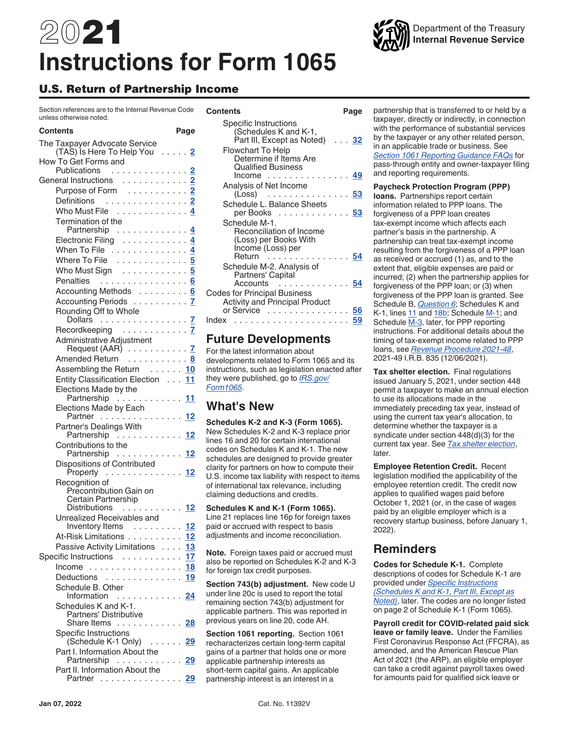# $2021$ **Instructions for Form 1065**

### U.S. Return of Partnership Income

Section references are to the Internal Revenue Code unless otherwise noted.

| Contents                                                   |                                                     | Page            |
|------------------------------------------------------------|-----------------------------------------------------|-----------------|
| The Taxpayer Advocate Service<br>(TAS) Is Here To Help You |                                                     | 2               |
| How To Get Forms and<br>Publications                       |                                                     | <u>2</u>        |
| General Instructions                                       |                                                     | $\overline{2}$  |
|                                                            |                                                     |                 |
| Purpose of Form 2                                          |                                                     |                 |
| Definitions 2                                              |                                                     |                 |
| Who Must File 4                                            |                                                     |                 |
| Termination of the                                         |                                                     |                 |
| Partnership 4                                              |                                                     |                 |
| Electronic Filing 4                                        |                                                     |                 |
| When To File $\dots\dots\dots\dots\dots4$                  |                                                     |                 |
| Where To File 5                                            |                                                     |                 |
| Who Must Sign 5                                            |                                                     |                 |
| Penalties  6                                               |                                                     |                 |
| Accounting Methods 6                                       |                                                     |                 |
|                                                            |                                                     |                 |
| Accounting Periods 7                                       |                                                     |                 |
| Rounding Off to Whole                                      |                                                     |                 |
| Dollars <u>7</u>                                           |                                                     |                 |
|                                                            |                                                     |                 |
| Administrative Adjustment                                  |                                                     |                 |
| Request (AAR) .......... <mark>7</mark>                    |                                                     |                 |
| Amended Return 8                                           |                                                     |                 |
| Assembling the Return  10                                  |                                                     |                 |
| Entity Classification Election 11                          |                                                     |                 |
|                                                            |                                                     |                 |
|                                                            |                                                     |                 |
| Elections Made by Each                                     |                                                     |                 |
| Partner 12                                                 |                                                     |                 |
|                                                            |                                                     |                 |
| Partner's Dealings With<br>Partnership  12                 |                                                     |                 |
|                                                            |                                                     |                 |
| Contributions to the<br>Partnership                        |                                                     |                 |
| Dispositions of Contributed                                |                                                     |                 |
| Property 12                                                |                                                     |                 |
| Recognition of                                             |                                                     |                 |
| Precontribution Gain on                                    |                                                     |                 |
|                                                            |                                                     |                 |
| Certain Partnership<br>Distributions <u>12</u>             |                                                     |                 |
| Unrealized Receivables and                                 |                                                     |                 |
| Inventory Items  12                                        |                                                     |                 |
| At-Risk Limitations                                        |                                                     | 12              |
| Passive Activity Limitations                               |                                                     | 13              |
|                                                            |                                                     |                 |
| Specific Instructions                                      |                                                     | 17              |
| $Income \ldots \ldots \ldots$                              | $\sim$ $\sim$                                       | 18              |
| Deductions                                                 |                                                     | <u>19</u><br>L. |
| Schedule B. Other                                          |                                                     |                 |
| Information                                                | and a straight and                                  | 24              |
| Schedules K and K-1.                                       |                                                     |                 |
| <b>Partners' Distributive</b>                              |                                                     |                 |
| Share Items                                                |                                                     | 28              |
| Specific Instructions                                      |                                                     |                 |
| (Schedule K-1 Only)                                        | $\sim$ 100 $\sim$ 100 $\sim$                        | <u>29</u>       |
| Part I. Information About the                              |                                                     |                 |
| Partnership                                                | $\mathcal{A}$ . The set of the set of $\mathcal{A}$ | 29              |
| Part II. Information About the                             |                                                     |                 |
| Partner                                                    |                                                     | 29              |

| Contents                                                                                          | Page         |
|---------------------------------------------------------------------------------------------------|--------------|
| Specific Instructions<br>(Schedules K and K-1,<br>Part III, Except as Noted) 32                   |              |
| Flowchart To Help<br>Determine if Items Are<br><b>Qualified Business</b><br>$income$              | . 49         |
| Analysis of Net Income<br>(Loss) <u>53</u>                                                        |              |
| Schedule L. Balance Sheets<br>per Books 53                                                        |              |
| Schedule M-1.<br>Reconciliation of Income<br>(Loss) per Books With<br>Income (Loss) per<br>Return |              |
| Schedule M-2. Analysis of<br>Partners' Capital<br>Accounts<br>.                                   | . 54<br>. 54 |
| Codes for Principal Business<br><b>Activity and Principal Product</b>                             |              |
| or Service<br>.<br>Index                                                                          | -56          |
|                                                                                                   |              |

### **Future Developments**

For the latest information about developments related to Form 1065 and its instructions, such as legislation enacted after they were published, go to *[IRS.gov/](https://www.irs.gov/form1065) [Form1065](https://www.irs.gov/form1065)*.

### **What's New**

**Schedules K-2 and K-3 (Form 1065).**  New Schedules K-2 and K-3 replace prior lines 16 and 20 for certain international codes on Schedules K and K-1. The new schedules are designed to provide greater clarity for partners on how to compute their U.S. income tax liability with respect to items of international tax relevance, including claiming deductions and credits.

**Schedules K and K-1 (Form 1065).**  Line 21 replaces line 16p for foreign taxes paid or accrued with respect to basis adjustments and income reconciliation.

**Note.** Foreign taxes paid or accrued must also be reported on Schedules K-2 and K-3 for foreign tax credit purposes.

**Section 743(b) adjustment.** New code U under line 20c is used to report the total remaining section 743(b) adjustment for applicable partners. This was reported in previous years on line 20, code AH.

**Section 1061 reporting.** Section 1061 recharacterizes certain long-term capital gains of a partner that holds one or more applicable partnership interests as short-term capital gains. An applicable partnership interest is an interest in a

partnership that is transferred to or held by a taxpayer, directly or indirectly, in connection with the performance of substantial services by the taxpayer or any other related person, in an applicable trade or business. See *[Section 1061 Reporting Guidance FAQs](https://www.irs.gov/businesses/partnerships/section-1061-reporting-guidance-faqs)* for pass-through entity and owner-taxpayer filing and reporting requirements.

**Paycheck Protection Program (PPP) loans.** Partnerships report certain information related to PPP loans. The forgiveness of a PPP loan creates tax-exempt income which affects each partner's basis in the partnership. A partnership can treat tax-exempt income resulting from the forgiveness of a PPP loan as received or accrued (1) as, and to the extent that, eligible expenses are paid or incurred; (2) when the partnership applies for forgiveness of the PPP loan; or (3) when forgiveness of the PPP loan is granted. See Schedule B, *Question 6*; Schedules K and K-1, lines 11 and 18b; Schedule M-1; and Schedule M-3, later, for PPP reporting

instructions. For additional details about the timing of tax-exempt income related to PPP loans, see *[Revenue Procedure 2021-48](https://www.irs.gov/pub/irs-drop/rp-21-48.pdf)*, 2021-49 I.R.B. 835 (12/06/2021).

**Tax shelter election.** Final regulations issued January 5, 2021, under section 448 permit a taxpayer to make an annual election to use its allocations made in the immediately preceding tax year, instead of using the current tax year's allocation, to determine whether the taxpayer is a syndicate under section 448(d)(3) for the current tax year. See *Tax shelter election*, later.

**Employee Retention Credit.** Recent legislation modified the applicability of the employee retention credit. The credit now applies to qualified wages paid before October 1, 2021 (or, in the case of wages paid by an eligible employer which is a recovery startup business, before January 1, 2022).

### **Reminders**

**Codes for Schedule K-1.** Complete descriptions of codes for Schedule K-1 are provided under *Specific Instructions (Schedules K and K-1, Part III, Except as Noted)*, later. The codes are no longer listed on page 2 of Schedule K-1 (Form 1065).

**Payroll credit for COVID-related paid sick leave or family leave.** Under the Families First Coronavirus Response Act (FFCRA), as amended, and the American Rescue Plan Act of 2021 (the ARP), an eligible employer can take a credit against payroll taxes owed for amounts paid for qualified sick leave or

### Department of the Treasury **Internal Revenue Service**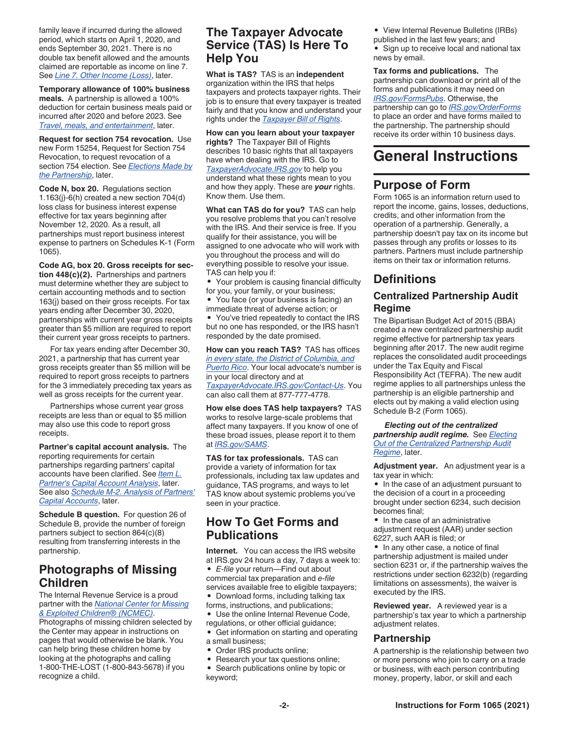family leave if incurred during the allowed period, which starts on April 1, 2020, and ends September 30, 2021. There is no double tax benefit allowed and the amounts claimed are reportable as income on line 7. See *Line 7. Other Income (Loss)*, later.

**Temporary allowance of 100% business meals.** A partnership is allowed a 100% deduction for certain business meals paid or incurred after 2020 and before 2023. See *Travel, meals, and entertainment*, later.

**Request for section 754 revocation.** Use new Form 15254, Request for Section 754 Revocation, to request revocation of a section 754 election. See *Elections Made by the Partnership*, later.

**Code N, box 20.** Regulations section 1.163(j)-6(h) created a new section 704(d) loss class for business interest expense effective for tax years beginning after November 12, 2020. As a result, all partnerships must report business interest expense to partners on Schedules K-1 (Form 1065).

**Code AG, box 20. Gross receipts for section 448(c)(2).** Partnerships and partners must determine whether they are subject to certain accounting methods and to section 163(j) based on their gross receipts. For tax years ending after December 30, 2020, partnerships with current year gross receipts greater than \$5 million are required to report their current year gross receipts to partners.

For tax years ending after December 30, 2021, a partnership that has current year gross receipts greater than \$5 million will be required to report gross receipts to partners for the 3 immediately preceding tax years as well as gross receipts for the current year.

Partnerships whose current year gross receipts are less than or equal to \$5 million may also use this code to report gross receipts.

**Partner's capital account analysis.** The reporting requirements for certain partnerships regarding partners' capital accounts have been clarified. See *Item L. Partner's Capital Account Analysis*, later. See also *Schedule M-2. Analysis of Partners' Capital Accounts*, later.

**Schedule B question.** For question 26 of Schedule B, provide the number of foreign partners subject to section 864(c)(8) resulting from transferring interests in the partnership.

### **Photographs of Missing Children**

The Internal Revenue Service is a proud partner with the *[National Center for Missing](https://www.missingkids.org) [& Exploited Children® \(NCMEC\)](https://www.missingkids.org)*.

Photographs of missing children selected by the Center may appear in instructions on pages that would otherwise be blank. You can help bring these children home by looking at the photographs and calling 1-800-THE-LOST (1-800-843-5678) if you recognize a child.

### **The Taxpayer Advocate Service (TAS) Is Here To Help You**

**What is TAS?** TAS is an **independent**  organization within the IRS that helps taxpayers and protects taxpayer rights. Their job is to ensure that every taxpayer is treated fairly and that you know and understand your rights under the *[Taxpayer Bill of Rights](https://www.taxpayeradvocate.irs.gov/get-help/taxpayer-rights/)*.

**How can you learn about your taxpayer rights?** The Taxpayer Bill of Rights describes 10 basic rights that all taxpayers have when dealing with the IRS. Go to *[TaxpayerAdvocate.IRS.gov](https://www.taxpayeradvocate.irs.gov)* to help you understand what these rights mean to you and how they apply. These are *your* rights. Know them. Use them.

**What can TAS do for you?** TAS can help you resolve problems that you can't resolve with the IRS. And their service is free. If you qualify for their assistance, you will be assigned to one advocate who will work with you throughout the process and will do everything possible to resolve your issue. TAS can help you if:

• Your problem is causing financial difficulty for you, your family, or your business;

• You face (or your business is facing) an immediate threat of adverse action; or

• You've tried repeatedly to contact the IRS but no one has responded, or the IRS hasn't responded by the date promised.

**How can you reach TAS?** TAS has offices *[in every state, the District of Columbia, and](https://www.irs.gov/Advocate/Local-Taxpayer-Advocate)  [Puerto Rico](https://www.irs.gov/Advocate/Local-Taxpayer-Advocate)*. Your local advocate's number is in your local directory and at *[TaxpayerAdvocate.IRS.gov/Contact-Us](https://www.taxpayeradvocate.irs.gov/contact-us)*. You can also call them at 877-777-4778.

**How else does TAS help taxpayers?** TAS works to resolve large-scale problems that affect many taxpayers. If you know of one of these broad issues, please report it to them at *[IRS.gov/SAMS](https://www.irs.gov/Advocate/Systemic-Advocacy-Management-System-SAMS)*.

**TAS for tax professionals.** TAS can provide a variety of information for tax professionals, including tax law updates and guidance, TAS programs, and ways to let TAS know about systemic problems you've seen in your practice.

### **How To Get Forms and Publications**

**Internet.** You can access the IRS website at IRS.gov 24 hours a day, 7 days a week to:

• *E-file* your return—Find out about commercial tax preparation and *e-file* 

services available free to eligible taxpayers; • Download forms, including talking tax

- forms, instructions, and publications; • Use the online Internal Revenue Code,
- regulations, or other official guidance; • Get information on starting and operating
- a small business;
- Order IRS products online;
- Research your tax questions online; • Search publications online by topic or keyword;
- View Internal Revenue Bulletins (IRBs)
- published in the last few years; and • Sign up to receive local and national tax news by email.

**Tax forms and publications.** The partnership can download or print all of the forms and publications it may need on *[IRS.gov/FormsPubs](https://www.irs.gov/formspubs)*. Otherwise, the partnership can go to *[IRS.gov/OrderForms](https://www.irs.gov/orderforms)*  to place an order and have forms mailed to the partnership. The partnership should receive its order within 10 business days.

## **General Instructions**

### **Purpose of Form**

Form 1065 is an information return used to report the income, gains, losses, deductions, credits, and other information from the operation of a partnership. Generally, a partnership doesn't pay tax on its income but passes through any profits or losses to its partners. Partners must include partnership items on their tax or information returns.

### **Definitions**

#### **Centralized Partnership Audit Regime**

The Bipartisan Budget Act of 2015 (BBA) created a new centralized partnership audit regime effective for partnership tax years beginning after 2017. The new audit regime replaces the consolidated audit proceedings under the Tax Equity and Fiscal Responsibility Act (TEFRA). The new audit regime applies to all partnerships unless the partnership is an eligible partnership and elects out by making a valid election using Schedule B-2 (Form 1065).

#### *Electing out of the centralized partnership audit regime.* See *Electing Out of the Centralized Partnership Audit Regime*, later.

**Adjustment year.** An adjustment year is a tax year in which:

• In the case of an adjustment pursuant to the decision of a court in a proceeding brought under section 6234, such decision becomes final;

• In the case of an administrative adjustment request (AAR) under section 6227, such AAR is filed; or

• In any other case, a notice of final partnership adjustment is mailed under section 6231 or, if the partnership waives the restrictions under section 6232(b) (regarding limitations on assessments), the waiver is executed by the IRS.

**Reviewed year.** A reviewed year is a partnership's tax year to which a partnership adjustment relates.

### **Partnership**

A partnership is the relationship between two or more persons who join to carry on a trade or business, with each person contributing money, property, labor, or skill and each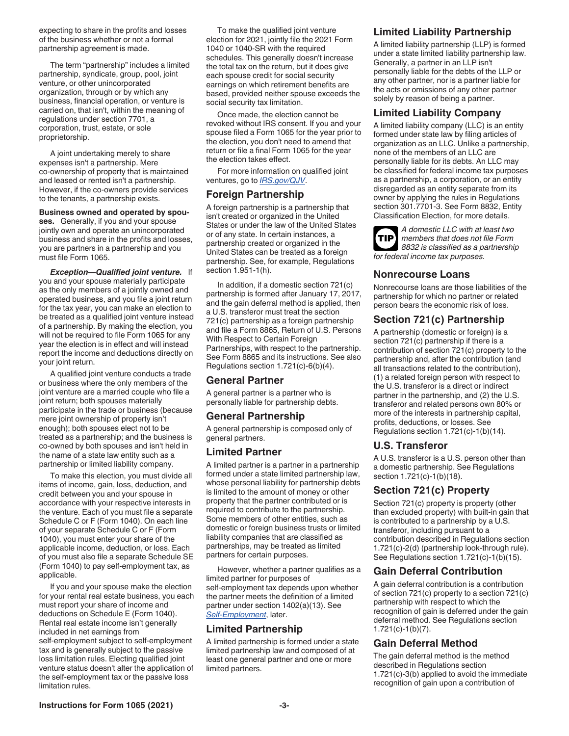expecting to share in the profits and losses of the business whether or not a formal partnership agreement is made.

The term "partnership" includes a limited partnership, syndicate, group, pool, joint venture, or other unincorporated organization, through or by which any business, financial operation, or venture is carried on, that isn't, within the meaning of regulations under section 7701, a corporation, trust, estate, or sole proprietorship.

A joint undertaking merely to share expenses isn't a partnership. Mere co-ownership of property that is maintained and leased or rented isn't a partnership. However, if the co-owners provide services to the tenants, a partnership exists.

**Business owned and operated by spouses.** Generally, if you and your spouse jointly own and operate an unincorporated business and share in the profits and losses, you are partners in a partnership and you must file Form 1065.

*Exception—Qualified joint venture.* If you and your spouse materially participate as the only members of a jointly owned and operated business, and you file a joint return for the tax year, you can make an election to be treated as a qualified joint venture instead of a partnership. By making the election, you will not be required to file Form 1065 for any year the election is in effect and will instead report the income and deductions directly on your joint return.

A qualified joint venture conducts a trade or business where the only members of the joint venture are a married couple who file a joint return; both spouses materially participate in the trade or business (because mere joint ownership of property isn't enough); both spouses elect not to be treated as a partnership; and the business is co-owned by both spouses and isn't held in the name of a state law entity such as a partnership or limited liability company.

To make this election, you must divide all items of income, gain, loss, deduction, and credit between you and your spouse in accordance with your respective interests in the venture. Each of you must file a separate Schedule C or F (Form 1040). On each line of your separate Schedule C or F (Form 1040), you must enter your share of the applicable income, deduction, or loss. Each of you must also file a separate Schedule SE (Form 1040) to pay self-employment tax, as applicable.

If you and your spouse make the election for your rental real estate business, you each must report your share of income and deductions on Schedule E (Form 1040). Rental real estate income isn't generally included in net earnings from self-employment subject to self-employment tax and is generally subject to the passive loss limitation rules. Electing qualified joint venture status doesn't alter the application of the self-employment tax or the passive loss limitation rules.

To make the qualified joint venture election for 2021, jointly file the 2021 Form 1040 or 1040-SR with the required schedules. This generally doesn't increase the total tax on the return, but it does give each spouse credit for social security earnings on which retirement benefits are based, provided neither spouse exceeds the social security tax limitation.

Once made, the election cannot be revoked without IRS consent. If you and your spouse filed a Form 1065 for the year prior to the election, you don't need to amend that return or file a final Form 1065 for the year the election takes effect.

For more information on qualified joint ventures, go to *[IRS.gov/QJV](https://www.irs.gov/QJV)*.

#### **Foreign Partnership**

A foreign partnership is a partnership that isn't created or organized in the United States or under the law of the United States or of any state. In certain instances, a partnership created or organized in the United States can be treated as a foreign partnership. See, for example, Regulations section 1.951-1(h).

In addition, if a domestic section 721(c) partnership is formed after January 17, 2017, and the gain deferral method is applied, then a U.S. transferor must treat the section 721(c) partnership as a foreign partnership and file a Form 8865, Return of U.S. Persons With Respect to Certain Foreign Partnerships, with respect to the partnership. See Form 8865 and its instructions. See also Regulations section 1.721(c)-6(b)(4).

#### **General Partner**

A general partner is a partner who is personally liable for partnership debts.

#### **General Partnership**

A general partnership is composed only of general partners.

#### **Limited Partner**

A limited partner is a partner in a partnership formed under a state limited partnership law, whose personal liability for partnership debts is limited to the amount of money or other property that the partner contributed or is required to contribute to the partnership. Some members of other entities, such as domestic or foreign business trusts or limited liability companies that are classified as partnerships, may be treated as limited partners for certain purposes.

However, whether a partner qualifies as a limited partner for purposes of self-employment tax depends upon whether the partner meets the definition of a limited partner under section 1402(a)(13). See *Self-Employment*, later.

#### **Limited Partnership**

A limited partnership is formed under a state limited partnership law and composed of at least one general partner and one or more limited partners.

### **Limited Liability Partnership**

A limited liability partnership (LLP) is formed under a state limited liability partnership law. Generally, a partner in an LLP isn't personally liable for the debts of the LLP or any other partner, nor is a partner liable for the acts or omissions of any other partner solely by reason of being a partner.

#### **Limited Liability Company**

A limited liability company (LLC) is an entity formed under state law by filing articles of organization as an LLC. Unlike a partnership, none of the members of an LLC are personally liable for its debts. An LLC may be classified for federal income tax purposes as a partnership, a corporation, or an entity disregarded as an entity separate from its owner by applying the rules in Regulations section 301.7701-3. See Form 8832, Entity Classification Election, for more details.

*A domestic LLC with at least two members that does not file Form 8832 is classified as a partnership for federal income tax purposes.* **TIP**

#### **Nonrecourse Loans**

Nonrecourse loans are those liabilities of the partnership for which no partner or related person bears the economic risk of loss.

#### **Section 721(c) Partnership**

A partnership (domestic or foreign) is a section 721(c) partnership if there is a contribution of section 721(c) property to the partnership and, after the contribution (and all transactions related to the contribution), (1) a related foreign person with respect to the U.S. transferor is a direct or indirect partner in the partnership, and (2) the U.S. transferor and related persons own 80% or more of the interests in partnership capital, profits, deductions, or losses. See Regulations section 1.721(c)-1(b)(14).

#### **U.S. Transferor**

A U.S. transferor is a U.S. person other than a domestic partnership. See Regulations section 1.721(c)-1(b)(18).

#### **Section 721(c) Property**

Section 721(c) property is property (other than excluded property) with built-in gain that is contributed to a partnership by a U.S. transferor, including pursuant to a contribution described in Regulations section 1.721(c)-2(d) (partnership look-through rule). See Regulations section 1.721(c)-1(b)(15).

#### **Gain Deferral Contribution**

A gain deferral contribution is a contribution of section 721(c) property to a section 721(c) partnership with respect to which the recognition of gain is deferred under the gain deferral method. See Regulations section 1.721(c)-1(b)(7).

#### **Gain Deferral Method**

The gain deferral method is the method described in Regulations section 1.721(c)-3(b) applied to avoid the immediate recognition of gain upon a contribution of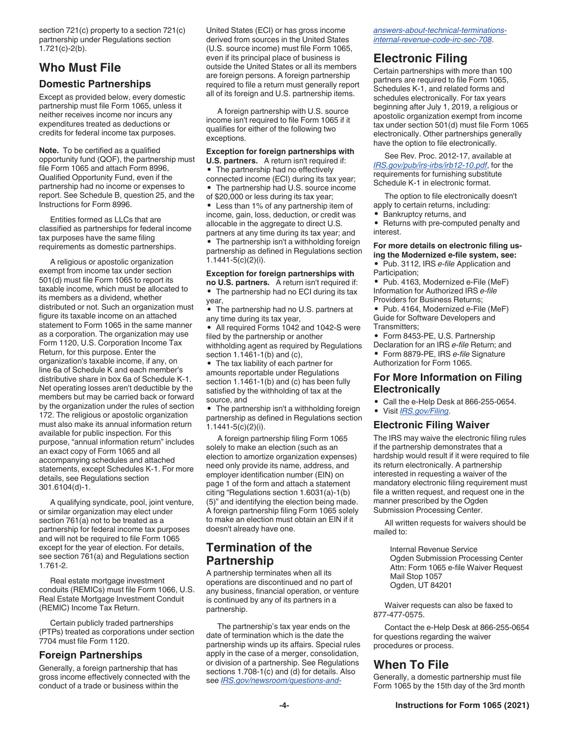section 721(c) property to a section 721(c) partnership under Regulations section 1.721(c)-2(b).

### **Who Must File**

#### **Domestic Partnerships**

Except as provided below, every domestic partnership must file Form 1065, unless it neither receives income nor incurs any expenditures treated as deductions or credits for federal income tax purposes.

**Note.** To be certified as a qualified opportunity fund (QOF), the partnership must file Form 1065 and attach Form 8996, Qualified Opportunity Fund, even if the partnership had no income or expenses to report. See Schedule B, question 25, and the Instructions for Form 8996.

Entities formed as LLCs that are classified as partnerships for federal income tax purposes have the same filing requirements as domestic partnerships.

A religious or apostolic organization exempt from income tax under section 501(d) must file Form 1065 to report its taxable income, which must be allocated to its members as a dividend, whether distributed or not. Such an organization must figure its taxable income on an attached statement to Form 1065 in the same manner as a corporation. The organization may use Form 1120, U.S. Corporation Income Tax Return, for this purpose. Enter the organization's taxable income, if any, on line 6a of Schedule K and each member's distributive share in box 6a of Schedule K-1. Net operating losses aren't deductible by the members but may be carried back or forward by the organization under the rules of section 172. The religious or apostolic organization must also make its annual information return available for public inspection. For this purpose, "annual information return" includes an exact copy of Form 1065 and all accompanying schedules and attached statements, except Schedules K-1. For more details, see Regulations section 301.6104(d)-1.

A qualifying syndicate, pool, joint venture, or similar organization may elect under section 761(a) not to be treated as a partnership for federal income tax purposes and will not be required to file Form 1065 except for the year of election. For details, see section 761(a) and Regulations section 1.761-2.

Real estate mortgage investment conduits (REMICs) must file Form 1066, U.S. Real Estate Mortgage Investment Conduit (REMIC) Income Tax Return.

Certain publicly traded partnerships (PTPs) treated as corporations under section 7704 must file Form 1120.

#### **Foreign Partnerships**

Generally, a foreign partnership that has gross income effectively connected with the conduct of a trade or business within the

United States (ECI) or has gross income derived from sources in the United States (U.S. source income) must file Form 1065, even if its principal place of business is outside the United States or all its members are foreign persons. A foreign partnership required to file a return must generally report all of its foreign and U.S. partnership items.

A foreign partnership with U.S. source income isn't required to file Form 1065 if it qualifies for either of the following two exceptions.

#### **Exception for foreign partnerships with**

**U.S. partners.** A return isn't required if: • The partnership had no effectively

connected income (ECI) during its tax year; • The partnership had U.S. source income

of \$20,000 or less during its tax year; • Less than 1% of any partnership item of income, gain, loss, deduction, or credit was allocable in the aggregate to direct U.S.

partners at any time during its tax year; and • The partnership isn't a withholding foreign partnership as defined in Regulations section 1.1441-5(c)(2)(i).

#### **Exception for foreign partnerships with no U.S. partners.** A return isn't required if:

• The partnership had no ECI during its tax year,

• The partnership had no U.S. partners at any time during its tax year,

• All required Forms 1042 and 1042-S were filed by the partnership or another withholding agent as required by Regulations section 1.1461-1(b) and (c),

• The tax liability of each partner for amounts reportable under Regulations section 1.1461-1(b) and (c) has been fully satisfied by the withholding of tax at the source, and

• The partnership isn't a withholding foreign partnership as defined in Regulations section  $1.1441 - 5(c)(2)(i)$ .

A foreign partnership filing Form 1065 solely to make an election (such as an election to amortize organization expenses) need only provide its name, address, and employer identification number (EIN) on page 1 of the form and attach a statement citing "Regulations section 1.6031(a)-1(b) (5)" and identifying the election being made. A foreign partnership filing Form 1065 solely to make an election must obtain an EIN if it doesn't already have one.

### **Termination of the Partnership**

A partnership terminates when all its operations are discontinued and no part of any business, financial operation, or venture is continued by any of its partners in a partnership.

The partnership's tax year ends on the date of termination which is the date the partnership winds up its affairs. Special rules apply in the case of a merger, consolidation, or division of a partnership. See Regulations sections 1.708-1(c) and (d) for details. Also see *[IRS.gov/newsroom/questions-and-](https://www.irs.gov/newsroom/questions-and-answers-about-technical-terminations-internal-revenue-code-irc-sec-708)* *[answers-about-technical-terminations](https://www.irs.gov/newsroom/questions-and-answers-about-technical-terminations-internal-revenue-code-irc-sec-708)[internal-revenue-code-irc-sec-708](https://www.irs.gov/newsroom/questions-and-answers-about-technical-terminations-internal-revenue-code-irc-sec-708)*.

### **Electronic Filing**

Certain partnerships with more than 100 partners are required to file Form 1065, Schedules K-1, and related forms and schedules electronically. For tax years beginning after July 1, 2019, a religious or apostolic organization exempt from income tax under section 501(d) must file Form 1065 electronically. Other partnerships generally have the option to file electronically.

See Rev. Proc. 2012-17, available at *[IRS.gov/pub/irs-irbs/irb12-10.pdf](https://www.irs.gov/pub/irs-irbs/irb12-10.pdf)*, for the requirements for furnishing substitute Schedule K-1 in electronic format.

The option to file electronically doesn't apply to certain returns, including:

• Bankruptcy returns, and

• Returns with pre-computed penalty and interest.

#### **For more details on electronic filing using the Modernized e-file system, see:**

• Pub. 3112, IRS *e-file* Application and Participation;

• Pub. 4163, Modernized e-File (MeF) Information for Authorized IRS *e-file*  Providers for Business Returns;

• Pub. 4164, Modernized e-File (MeF) Guide for Software Developers and Transmitters;

• Form 8453-PE, U.S. Partnership Declaration for an IRS *e-file* Return; and • Form 8879-PE, IRS *e-file* Signature Authorization for Form 1065.

### **For More Information on Filing Electronically**

• Call the e-Help Desk at 866-255-0654.

#### • Visit *[IRS.gov/Filing](https://www.irs.gov/filing)*.

#### **Electronic Filing Waiver**

The IRS may waive the electronic filing rules if the partnership demonstrates that a hardship would result if it were required to file its return electronically. A partnership interested in requesting a waiver of the mandatory electronic filing requirement must file a written request, and request one in the manner prescribed by the Ogden Submission Processing Center.

All written requests for waivers should be mailed to:

Internal Revenue Service Ogden Submission Processing Center Attn: Form 1065 e-file Waiver Request Mail Stop 1057 Ogden, UT 84201

Waiver requests can also be faxed to 877-477-0575.

Contact the e-Help Desk at 866-255-0654 for questions regarding the waiver procedures or process.

### **When To File**

Generally, a domestic partnership must file Form 1065 by the 15th day of the 3rd month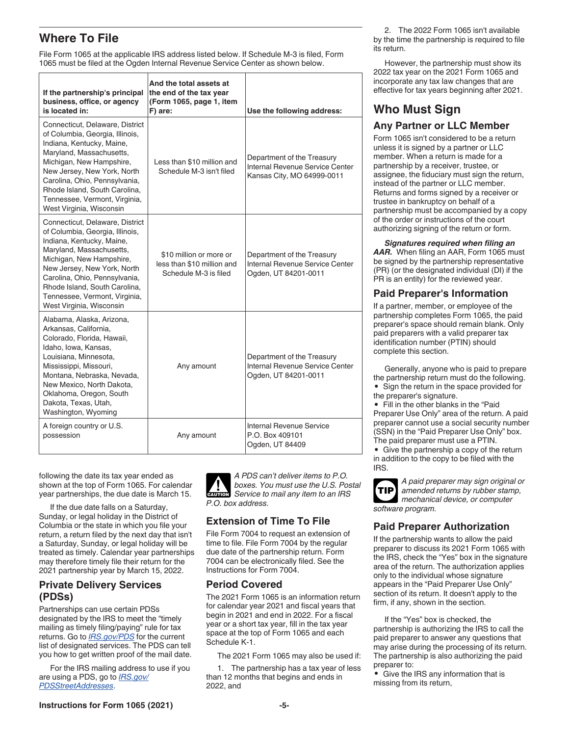### **Where To File**

File Form 1065 at the applicable IRS address listed below. If Schedule M-3 is filed, Form 1065 must be filed at the Ogden Internal Revenue Service Center as shown below.

| If the partnership's principal<br>business, office, or agency<br>is located in:                                                                                                                                                                                                                                       | And the total assets at<br>the end of the tax year<br>(Form 1065, page 1, item<br>F) are: | Use the following address:                                                                  |
|-----------------------------------------------------------------------------------------------------------------------------------------------------------------------------------------------------------------------------------------------------------------------------------------------------------------------|-------------------------------------------------------------------------------------------|---------------------------------------------------------------------------------------------|
| Connecticut, Delaware, District<br>of Columbia, Georgia, Illinois,<br>Indiana, Kentucky, Maine,<br>Maryland, Massachusetts,<br>Michigan, New Hampshire,<br>New Jersey, New York, North<br>Carolina, Ohio, Pennsylvania,<br>Rhode Island, South Carolina,<br>Tennessee, Vermont, Virginia,<br>West Virginia, Wisconsin | Less than \$10 million and<br>Schedule M-3 isn't filed                                    | Department of the Treasury<br>Internal Revenue Service Center<br>Kansas City, MO 64999-0011 |
| Connecticut, Delaware, District<br>of Columbia, Georgia, Illinois,<br>Indiana, Kentucky, Maine,<br>Maryland, Massachusetts,<br>Michigan, New Hampshire,<br>New Jersey, New York, North<br>Carolina, Ohio, Pennsylvania,<br>Rhode Island, South Carolina.<br>Tennessee, Vermont, Virginia,<br>West Virginia, Wisconsin | \$10 million or more or<br>less than \$10 million and<br>Schedule M-3 is filed            | Department of the Treasury<br>Internal Revenue Service Center<br>Ogden, UT 84201-0011       |
| Alabama, Alaska, Arizona,<br>Arkansas, California,<br>Colorado, Florida, Hawaii,<br>Idaho, Iowa, Kansas,<br>Louisiana, Minnesota,<br>Mississippi, Missouri,<br>Montana, Nebraska, Nevada,<br>New Mexico, North Dakota,<br>Oklahoma, Oregon, South<br>Dakota, Texas, Utah,<br>Washington, Wyoming                      | Any amount                                                                                | Department of the Treasury<br>Internal Revenue Service Center<br>Ogden, UT 84201-0011       |
| A foreign country or U.S.<br>possession                                                                                                                                                                                                                                                                               | Any amount                                                                                | <b>Internal Revenue Service</b><br>P.O. Box 409101<br>Ogden, UT 84409                       |

following the date its tax year ended as shown at the top of Form 1065. For calendar year partnerships, the due date is March 15.

If the due date falls on a Saturday, Sunday, or legal holiday in the District of Columbia or the state in which you file your return, a return filed by the next day that isn't a Saturday, Sunday, or legal holiday will be treated as timely. Calendar year partnerships may therefore timely file their return for the 2021 partnership year by March 15, 2022.

### **Private Delivery Services (PDSs)**

Partnerships can use certain PDSs designated by the IRS to meet the "timely mailing as timely filing/paying" rule for tax returns. Go to *[IRS.gov/PDS](https://www.irs.gov/filing/private-delivery-services-pds)* for the current list of designated services. The PDS can tell you how to get written proof of the mail date.

For the IRS mailing address to use if you are using a PDS, go to *[IRS.gov/](https://www.irs.gov/pdsstreetaddresses) [PDSStreetAddresses](https://www.irs.gov/pdsstreetaddresses)*.

*A PDS can't deliver items to P.O. boxes. You must use the U.S. Postal Service to mail any item to an IRS P.O. box address.* **CAUTION !**

### **Extension of Time To File**

File Form 7004 to request an extension of time to file. File Form 7004 by the regular due date of the partnership return. Form 7004 can be electronically filed. See the Instructions for Form 7004.

### **Period Covered**

The 2021 Form 1065 is an information return for calendar year 2021 and fiscal years that begin in 2021 and end in 2022. For a fiscal year or a short tax year, fill in the tax year space at the top of Form 1065 and each Schedule K-1.

The 2021 Form 1065 may also be used if:

1. The partnership has a tax year of less than 12 months that begins and ends in 2022, and

2. The 2022 Form 1065 isn't available by the time the partnership is required to file its return.

However, the partnership must show its 2022 tax year on the 2021 Form 1065 and incorporate any tax law changes that are effective for tax years beginning after 2021.

## **Who Must Sign Any Partner or LLC Member**

Form 1065 isn't considered to be a return unless it is signed by a partner or LLC member. When a return is made for a partnership by a receiver, trustee, or assignee, the fiduciary must sign the return, instead of the partner or LLC member. Returns and forms signed by a receiver or trustee in bankruptcy on behalf of a partnership must be accompanied by a copy of the order or instructions of the court authorizing signing of the return or form.

#### *Signatures required when filing an*

*AAR.* When filing an AAR, Form 1065 must be signed by the partnership representative (PR) (or the designated individual (DI) if the PR is an entity) for the reviewed year.

### **Paid Preparer's Information**

If a partner, member, or employee of the partnership completes Form 1065, the paid preparer's space should remain blank. Only paid preparers with a valid preparer tax identification number (PTIN) should complete this section.

Generally, anyone who is paid to prepare the partnership return must do the following.

• Sign the return in the space provided for the preparer's signature.

• Fill in the other blanks in the "Paid Preparer Use Only" area of the return. A paid preparer cannot use a social security number (SSN) in the "Paid Preparer Use Only" box. The paid preparer must use a PTIN.

• Give the partnership a copy of the return in addition to the copy to be filed with the IRS.



*A paid preparer may sign original or amended returns by rubber stamp, mechanical device, or computer software program.*

### **Paid Preparer Authorization**

If the partnership wants to allow the paid preparer to discuss its 2021 Form 1065 with the IRS, check the "Yes" box in the signature area of the return. The authorization applies only to the individual whose signature appears in the "Paid Preparer Use Only" section of its return. It doesn't apply to the firm, if any, shown in the section.

If the "Yes" box is checked, the partnership is authorizing the IRS to call the paid preparer to answer any questions that may arise during the processing of its return. The partnership is also authorizing the paid preparer to:

• Give the IRS any information that is missing from its return,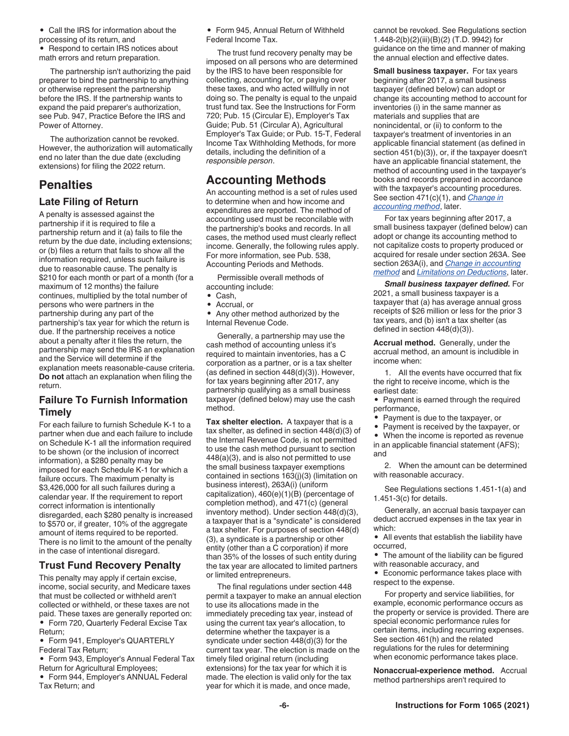- Call the IRS for information about the processing of its return, and
- Respond to certain IRS notices about math errors and return preparation.

The partnership isn't authorizing the paid preparer to bind the partnership to anything or otherwise represent the partnership before the IRS. If the partnership wants to expand the paid preparer's authorization, see Pub. 947, Practice Before the IRS and Power of Attorney.

The authorization cannot be revoked. However, the authorization will automatically end no later than the due date (excluding extensions) for filing the 2022 return.

# **Penalties**

### **Late Filing of Return**

A penalty is assessed against the partnership if it is required to file a partnership return and it (a) fails to file the return by the due date, including extensions; or (b) files a return that fails to show all the information required, unless such failure is due to reasonable cause. The penalty is \$210 for each month or part of a month (for a maximum of 12 months) the failure continues, multiplied by the total number of persons who were partners in the partnership during any part of the partnership's tax year for which the return is due. If the partnership receives a notice about a penalty after it files the return, the partnership may send the IRS an explanation and the Service will determine if the explanation meets reasonable-cause criteria. **Do not** attach an explanation when filing the return.

### **Failure To Furnish Information Timely**

For each failure to furnish Schedule K-1 to a partner when due and each failure to include on Schedule K-1 all the information required to be shown (or the inclusion of incorrect information), a \$280 penalty may be imposed for each Schedule K-1 for which a failure occurs. The maximum penalty is \$3,426,000 for all such failures during a calendar year. If the requirement to report correct information is intentionally disregarded, each \$280 penalty is increased to \$570 or, if greater, 10% of the aggregate amount of items required to be reported. There is no limit to the amount of the penalty in the case of intentional disregard.

#### **Trust Fund Recovery Penalty**

This penalty may apply if certain excise, income, social security, and Medicare taxes that must be collected or withheld aren't collected or withheld, or these taxes are not paid. These taxes are generally reported on: • Form 720, Quarterly Federal Excise Tax Return;

• Form 941, Employer's QUARTERLY Federal Tax Return;

• Form 943, Employer's Annual Federal Tax Return for Agricultural Employees;

• Form 944, Employer's ANNUAL Federal Tax Return; and

• Form 945, Annual Return of Withheld Federal Income Tax.

The trust fund recovery penalty may be imposed on all persons who are determined by the IRS to have been responsible for collecting, accounting for, or paying over these taxes, and who acted willfully in not doing so. The penalty is equal to the unpaid trust fund tax. See the Instructions for Form 720; Pub. 15 (Circular E), Employer's Tax Guide; Pub. 51 (Circular A), Agricultural Employer's Tax Guide; or Pub. 15-T, Federal Income Tax Withholding Methods, for more details, including the definition of a *responsible person*.

### **Accounting Methods**

An accounting method is a set of rules used to determine when and how income and expenditures are reported. The method of accounting used must be reconcilable with the partnership's books and records. In all cases, the method used must clearly reflect income. Generally, the following rules apply. For more information, see Pub. 538, Accounting Periods and Methods.

Permissible overall methods of accounting include:

- Cash,
- Accrual, or

• Any other method authorized by the Internal Revenue Code.

Generally, a partnership may use the cash method of accounting unless it's required to maintain inventories, has a C corporation as a partner, or is a tax shelter (as defined in section 448(d)(3)). However, for tax years beginning after 2017, any partnership qualifying as a small business taxpayer (defined below) may use the cash method.

**Tax shelter election.** A taxpayer that is a tax shelter, as defined in section 448(d)(3) of the Internal Revenue Code, is not permitted to use the cash method pursuant to section 448(a)(3), and is also not permitted to use the small business taxpayer exemptions contained in sections 163(j)(3) (limitation on business interest), 263A(i) (uniform capitalization), 460(e)(1)(B) (percentage of completion method), and 471(c) (general inventory method). Under section 448(d)(3), a taxpayer that is a "syndicate" is considered a tax shelter. For purposes of section 448(d) (3), a syndicate is a partnership or other entity (other than a C corporation) if more than 35% of the losses of such entity during the tax year are allocated to limited partners or limited entrepreneurs.

The final regulations under section 448 permit a taxpayer to make an annual election to use its allocations made in the immediately preceding tax year, instead of using the current tax year's allocation, to determine whether the taxpayer is a syndicate under section 448(d)(3) for the current tax year. The election is made on the timely filed original return (including extensions) for the tax year for which it is made. The election is valid only for the tax year for which it is made, and once made,

cannot be revoked. See Regulations section 1.448-2(b)(2)(iii)(B)(2) (T.D. 9942) for guidance on the time and manner of making the annual election and effective dates.

**Small business taxpayer.** For tax years beginning after 2017, a small business taxpayer (defined below) can adopt or change its accounting method to account for inventories (i) in the same manner as materials and supplies that are nonincidental, or (ii) to conform to the taxpayer's treatment of inventories in an applicable financial statement (as defined in section 451(b)(3)), or, if the taxpayer doesn't have an applicable financial statement, the method of accounting used in the taxpayer's books and records prepared in accordance with the taxpayer's accounting procedures. See section 471(c)(1), and *Change in accounting method*, later.

For tax years beginning after 2017, a small business taxpayer (defined below) can adopt or change its accounting method to not capitalize costs to property produced or acquired for resale under section 263A. See section 263A(i), and *Change in accounting method* and *Limitations on Deductions*, later.

*Small business taxpayer defined.* For 2021, a small business taxpayer is a taxpayer that (a) has average annual gross receipts of \$26 million or less for the prior 3 tax years, and (b) isn't a tax shelter (as defined in section 448(d)(3)).

**Accrual method.** Generally, under the accrual method, an amount is includible in income when:

1. All the events have occurred that fix the right to receive income, which is the earliest date:

• Payment is earned through the required performance,

- Payment is due to the taxpayer, or
- Payment is received by the taxpayer, or

• When the income is reported as revenue in an applicable financial statement (AFS); and

2. When the amount can be determined with reasonable accuracy.

See Regulations sections 1.451-1(a) and 1.451-3(c) for details.

Generally, an accrual basis taxpayer can deduct accrued expenses in the tax year in which:

• All events that establish the liability have occurred,

• The amount of the liability can be figured with reasonable accuracy, and

• Economic performance takes place with respect to the expense.

For property and service liabilities, for example, economic performance occurs as the property or service is provided. There are special economic performance rules for certain items, including recurring expenses. See section 461(h) and the related regulations for the rules for determining when economic performance takes place.

**Nonaccrual-experience method.** Accrual method partnerships aren't required to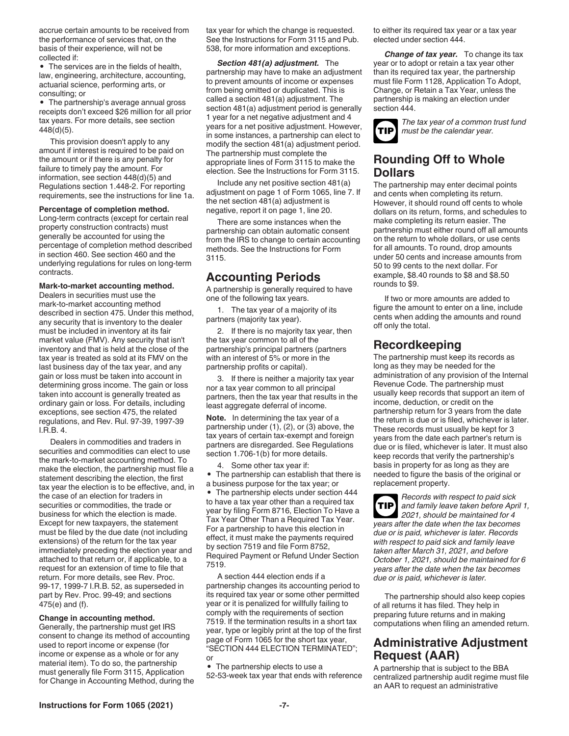accrue certain amounts to be received from the performance of services that, on the basis of their experience, will not be collected if:

• The services are in the fields of health, law, engineering, architecture, accounting, actuarial science, performing arts, or consulting; or

• The partnership's average annual gross receipts don't exceed \$26 million for all prior tax years. For more details, see section 448(d)(5).

This provision doesn't apply to any amount if interest is required to be paid on the amount or if there is any penalty for failure to timely pay the amount. For information, see section 448(d)(5) and Regulations section 1.448-2. For reporting requirements, see the instructions for line 1a.

#### **Percentage of completion method.**

Long-term contracts (except for certain real property construction contracts) must generally be accounted for using the percentage of completion method described in section 460. See section 460 and the underlying regulations for rules on long-term contracts.

#### **Mark-to-market accounting method.**

Dealers in securities must use the mark-to-market accounting method described in section 475. Under this method, any security that is inventory to the dealer must be included in inventory at its fair market value (FMV). Any security that isn't inventory and that is held at the close of the tax year is treated as sold at its FMV on the last business day of the tax year, and any gain or loss must be taken into account in determining gross income. The gain or loss taken into account is generally treated as ordinary gain or loss. For details, including exceptions, see section 475, the related regulations, and Rev. Rul. 97-39, 1997-39  $IRB4$ 

Dealers in commodities and traders in securities and commodities can elect to use the mark-to-market accounting method. To make the election, the partnership must file a statement describing the election, the first tax year the election is to be effective, and, in the case of an election for traders in securities or commodities, the trade or business for which the election is made. Except for new taxpayers, the statement must be filed by the due date (not including extensions) of the return for the tax year immediately preceding the election year and attached to that return or, if applicable, to a request for an extension of time to file that return. For more details, see Rev. Proc. 99-17, 1999-7 I.R.B. 52, as superseded in part by Rev. Proc. 99-49; and sections 475(e) and (f).

#### **Change in accounting method.**

Generally, the partnership must get IRS consent to change its method of accounting used to report income or expense (for income or expense as a whole or for any material item). To do so, the partnership must generally file Form 3115, Application for Change in Accounting Method, during the tax year for which the change is requested. See the Instructions for Form 3115 and Pub. 538, for more information and exceptions.

*Section 481(a) adjustment.* The partnership may have to make an adjustment to prevent amounts of income or expenses from being omitted or duplicated. This is called a section 481(a) adjustment. The section 481(a) adjustment period is generally 1 year for a net negative adjustment and 4 years for a net positive adjustment. However, in some instances, a partnership can elect to modify the section 481(a) adjustment period. The partnership must complete the appropriate lines of Form 3115 to make the election. See the Instructions for Form 3115.

Include any net positive section 481(a) adjustment on page 1 of Form 1065, line 7. If the net section 481(a) adjustment is negative, report it on page 1, line 20.

There are some instances when the partnership can obtain automatic consent from the IRS to change to certain accounting methods. See the Instructions for Form 3115.

#### **Accounting Periods**

A partnership is generally required to have one of the following tax years.

1. The tax year of a majority of its partners (majority tax year).

2. If there is no majority tax year, then the tax year common to all of the partnership's principal partners (partners with an interest of 5% or more in the partnership profits or capital).

3. If there is neither a majority tax year nor a tax year common to all principal partners, then the tax year that results in the least aggregate deferral of income.

**Note.** In determining the tax year of a partnership under (1), (2), or (3) above, the tax years of certain tax-exempt and foreign partners are disregarded. See Regulations section 1.706-1(b) for more details.

4. Some other tax year if: • The partnership can establish that there is a business purpose for the tax year; or

• The partnership elects under section 444 to have a tax year other than a required tax year by filing Form 8716, Election To Have a Tax Year Other Than a Required Tax Year. For a partnership to have this election in effect, it must make the payments required by section 7519 and file Form 8752, Required Payment or Refund Under Section 7519.

A section 444 election ends if a partnership changes its accounting period to its required tax year or some other permitted year or it is penalized for willfully failing to comply with the requirements of section 7519. If the termination results in a short tax year, type or legibly print at the top of the first page of Form 1065 for the short tax year, "SECTION 444 ELECTION TERMINATED"; or

The partnership elects to use a

52-53-week tax year that ends with reference

to either its required tax year or a tax year elected under section 444.

**Change of tax year.** To change its tax year or to adopt or retain a tax year other than its required tax year, the partnership must file Form 1128, Application To Adopt, Change, or Retain a Tax Year, unless the partnership is making an election under section 444.



*The tax year of a common trust fund must be the calendar year.*

### **Rounding Off to Whole Dollars**

The partnership may enter decimal points and cents when completing its return. However, it should round off cents to whole dollars on its return, forms, and schedules to make completing its return easier. The partnership must either round off all amounts on the return to whole dollars, or use cents for all amounts. To round, drop amounts under 50 cents and increase amounts from 50 to 99 cents to the next dollar. For example, \$8.40 rounds to \$8 and \$8.50 rounds to \$9.

If two or more amounts are added to figure the amount to enter on a line, include cents when adding the amounts and round off only the total.

#### **Recordkeeping**

The partnership must keep its records as long as they may be needed for the administration of any provision of the Internal Revenue Code. The partnership must usually keep records that support an item of income, deduction, or credit on the partnership return for 3 years from the date the return is due or is filed, whichever is later. These records must usually be kept for 3 years from the date each partner's return is due or is filed, whichever is later. It must also keep records that verify the partnership's basis in property for as long as they are needed to figure the basis of the original or replacement property.

*Records with respect to paid sick and family leave taken before April 1, 2021, should be maintained for 4 years after the date when the tax becomes due or is paid, whichever is later. Records with respect to paid sick and family leave taken after March 31, 2021, and before October 1, 2021, should be maintained for 6 years after the date when the tax becomes due or is paid, whichever is later.* **TIP**

The partnership should also keep copies of all returns it has filed. They help in preparing future returns and in making computations when filing an amended return.

### **Administrative Adjustment Request (AAR)**

A partnership that is subject to the BBA centralized partnership audit regime must file an AAR to request an administrative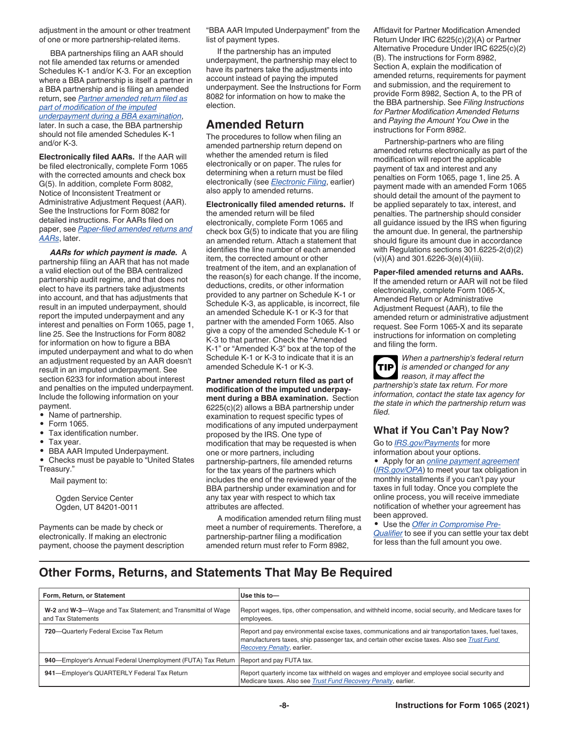adjustment in the amount or other treatment of one or more partnership-related items.

BBA partnerships filing an AAR should not file amended tax returns or amended Schedules K-1 and/or K-3. For an exception where a BBA partnership is itself a partner in a BBA partnership and is filing an amended return, see *Partner amended return filed as part of modification of the imputed underpayment during a BBA examination*, later. In such a case, the BBA partnership should not file amended Schedules K-1 and/or K-3.

**Electronically filed AARs.** If the AAR will be filed electronically, complete Form 1065 with the corrected amounts and check box G(5). In addition, complete Form 8082, Notice of Inconsistent Treatment or Administrative Adjustment Request (AAR). See the Instructions for Form 8082 for detailed instructions. For AARs filed on paper, see *Paper-filed amended returns and AARs*, later.

*AARs for which payment is made.* A partnership filing an AAR that has not made a valid election out of the BBA centralized partnership audit regime, and that does not elect to have its partners take adjustments into account, and that has adjustments that result in an imputed underpayment, should report the imputed underpayment and any interest and penalties on Form 1065, page 1, line 25. See the Instructions for Form 8082 for information on how to figure a BBA imputed underpayment and what to do when an adjustment requested by an AAR doesn't result in an imputed underpayment. See section 6233 for information about interest and penalties on the imputed underpayment. Include the following information on your payment.

- Name of partnership.
- Form 1065.
- Tax identification number.
- Tax year.
- BBA AAR Imputed Underpayment.

• Checks must be payable to "United States Treasury."

Mail payment to:

Ogden Service Center Ogden, UT 84201-0011

Payments can be made by check or electronically. If making an electronic payment, choose the payment description

"BBA AAR Imputed Underpayment" from the list of payment types.

If the partnership has an imputed underpayment, the partnership may elect to have its partners take the adjustments into account instead of paying the imputed underpayment. See the Instructions for Form 8082 for information on how to make the election.

#### **Amended Return**

The procedures to follow when filing an amended partnership return depend on whether the amended return is filed electronically or on paper. The rules for determining when a return must be filed electronically (see *Electronic Filing*, earlier) also apply to amended returns.

**Electronically filed amended returns.** If the amended return will be filed electronically, complete Form 1065 and check box G(5) to indicate that you are filing an amended return. Attach a statement that identifies the line number of each amended item, the corrected amount or other treatment of the item, and an explanation of the reason(s) for each change. If the income, deductions, credits, or other information provided to any partner on Schedule K-1 or Schedule K-3, as applicable, is incorrect, file an amended Schedule K-1 or K-3 for that partner with the amended Form 1065. Also give a copy of the amended Schedule K-1 or K-3 to that partner. Check the "Amended K-1" or "Amended K-3" box at the top of the Schedule K-1 or K-3 to indicate that it is an amended Schedule K-1 or K-3.

**Partner amended return filed as part of modification of the imputed underpayment during a BBA examination.** Section 6225(c)(2) allows a BBA partnership under examination to request specific types of modifications of any imputed underpayment proposed by the IRS. One type of modification that may be requested is when one or more partners, including partnership-partners, file amended returns for the tax years of the partners which includes the end of the reviewed year of the BBA partnership under examination and for any tax year with respect to which tax attributes are affected.

A modification amended return filing must meet a number of requirements. Therefore, a partnership-partner filing a modification amended return must refer to Form 8982,

Affidavit for Partner Modification Amended Return Under IRC 6225(c)(2)(A) or Partner Alternative Procedure Under IRC 6225(c)(2) (B). The instructions for Form 8982, Section A, explain the modification of amended returns, requirements for payment and submission, and the requirement to provide Form 8982, Section A, to the PR of the BBA partnership. See *Filing Instructions for Partner Modification Amended Returns*  and *Paying the Amount You Owe* in the instructions for Form 8982.

Partnership-partners who are filing amended returns electronically as part of the modification will report the applicable payment of tax and interest and any penalties on Form 1065, page 1, line 25. A payment made with an amended Form 1065 should detail the amount of the payment to be applied separately to tax, interest, and penalties. The partnership should consider all guidance issued by the IRS when figuring the amount due. In general, the partnership should figure its amount due in accordance with Regulations sections 301.6225-2(d)(2) (vi)(A) and 301.6226-3(e)(4)(iii).

**Paper-filed amended returns and AARs.**  If the amended return or AAR will not be filed electronically, complete Form 1065-X, Amended Return or Administrative Adjustment Request (AAR), to file the amended return or administrative adjustment request. See Form 1065-X and its separate instructions for information on completing and filing the form.

*When a partnership's federal return is amended or changed for any reason, it may affect the partnership's state tax return. For more information, contact the state tax agency for the state in which the partnership return was filed.* **TIP**

#### **What if You Can't Pay Now?**

Go to *[IRS.gov/Payments](https://www.irs.gov/payments)* for more information about your options.

• Apply for an *[online payment agreement](https://www.irs.gov/opa)*  (*[IRS.gov/OPA](https://www.irs.gov/opa)*) to meet your tax obligation in monthly installments if you can't pay your taxes in full today. Once you complete the online process, you will receive immediate notification of whether your agreement has been approved.

• Use the *[Offer in Compromise Pre-](https://irs.treasury.gov/oic_pre_qualifier)[Qualifier](https://irs.treasury.gov/oic_pre_qualifier)* to see if you can settle your tax debt for less than the full amount you owe.

### **Other Forms, Returns, and Statements That May Be Required**

| Form, Return, or Statement                                                              | Use this to-                                                                                                                                                                                                                      |
|-----------------------------------------------------------------------------------------|-----------------------------------------------------------------------------------------------------------------------------------------------------------------------------------------------------------------------------------|
| W-2 and W-3-Wage and Tax Statement; and Transmittal of Wage<br>and Tax Statements       | Report wages, tips, other compensation, and withheld income, social security, and Medicare taxes for<br>employees.                                                                                                                |
| 720-Quarterly Federal Excise Tax Return                                                 | Report and pay environmental excise taxes, communications and air transportation taxes, fuel taxes,<br>manufacturers taxes, ship passenger tax, and certain other excise taxes. Also see Trust Fund<br>Recovery Penalty, earlier. |
| 940—Employer's Annual Federal Unemployment (FUTA) Tax Return   Report and pay FUTA tax. |                                                                                                                                                                                                                                   |
| 941-Employer's QUARTERLY Federal Tax Return                                             | Report quarterly income tax withheld on wages and employer and employee social security and<br>Medicare taxes. Also see Trust Fund Recovery Penalty, earlier.                                                                     |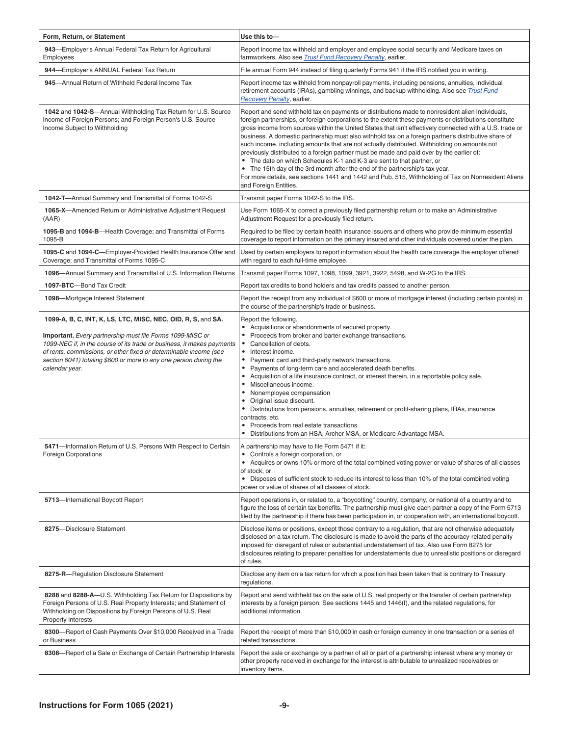| Form, Return, or Statement                                                                                                                                                                                                                                                                                                                                      | Use this to—                                                                                                                                                                                                                                                                                                                                                                                                                                                                                                                                                                                                                                                                                                                                                                                                                                                                                                          |
|-----------------------------------------------------------------------------------------------------------------------------------------------------------------------------------------------------------------------------------------------------------------------------------------------------------------------------------------------------------------|-----------------------------------------------------------------------------------------------------------------------------------------------------------------------------------------------------------------------------------------------------------------------------------------------------------------------------------------------------------------------------------------------------------------------------------------------------------------------------------------------------------------------------------------------------------------------------------------------------------------------------------------------------------------------------------------------------------------------------------------------------------------------------------------------------------------------------------------------------------------------------------------------------------------------|
| 943-Employer's Annual Federal Tax Return for Agricultural<br>Employees                                                                                                                                                                                                                                                                                          | Report income tax withheld and employer and employee social security and Medicare taxes on<br>farmworkers. Also see <i>Trust Fund Recovery Penalty</i> , earlier.                                                                                                                                                                                                                                                                                                                                                                                                                                                                                                                                                                                                                                                                                                                                                     |
| 944-Employer's ANNUAL Federal Tax Return                                                                                                                                                                                                                                                                                                                        | File annual Form 944 instead of filing quarterly Forms 941 if the IRS notified you in writing.                                                                                                                                                                                                                                                                                                                                                                                                                                                                                                                                                                                                                                                                                                                                                                                                                        |
| 945-Annual Return of Withheld Federal Income Tax                                                                                                                                                                                                                                                                                                                | Report income tax withheld from nonpayroll payments, including pensions, annuities, individual<br>retirement accounts (IRAs), gambling winnings, and backup withholding. Also see Trust Fund<br>Recovery Penalty, earlier.                                                                                                                                                                                                                                                                                                                                                                                                                                                                                                                                                                                                                                                                                            |
| 1042 and 1042-S-Annual Withholding Tax Return for U.S. Source<br>Income of Foreign Persons; and Foreign Person's U.S. Source<br>Income Subject to Withholding                                                                                                                                                                                                   | Report and send withheld tax on payments or distributions made to nonresident alien individuals,<br>foreign partnerships, or foreign corporations to the extent these payments or distributions constitute<br>gross income from sources within the United States that isn't effectively connected with a U.S. trade or<br>business. A domestic partnership must also withhold tax on a foreign partner's distributive share of<br>such income, including amounts that are not actually distributed. Withholding on amounts not<br>previously distributed to a foreign partner must be made and paid over by the earlier of:<br>• The date on which Schedules K-1 and K-3 are sent to that partner, or<br>• The 15th day of the 3rd month after the end of the partnership's tax year.<br>For more details, see sections 1441 and 1442 and Pub. 515, Withholding of Tax on Nonresident Aliens<br>and Foreign Entities. |
| 1042-T-Annual Summary and Transmittal of Forms 1042-S                                                                                                                                                                                                                                                                                                           | Transmit paper Forms 1042-S to the IRS.                                                                                                                                                                                                                                                                                                                                                                                                                                                                                                                                                                                                                                                                                                                                                                                                                                                                               |
| 1065-X-Amended Return or Administrative Adjustment Request<br>(AAR)                                                                                                                                                                                                                                                                                             | Use Form 1065-X to correct a previously filed partnership return or to make an Administrative<br>Adjustment Request for a previously filed return.                                                                                                                                                                                                                                                                                                                                                                                                                                                                                                                                                                                                                                                                                                                                                                    |
| 1095-B and 1094-B-Health Coverage; and Transmittal of Forms<br>1095-B                                                                                                                                                                                                                                                                                           | Required to be filed by certain health insurance issuers and others who provide minimum essential<br>coverage to report information on the primary insured and other individuals covered under the plan.                                                                                                                                                                                                                                                                                                                                                                                                                                                                                                                                                                                                                                                                                                              |
| 1095-C and 1094-C-Employer-Provided Health Insurance Offer and<br>Coverage; and Transmittal of Forms 1095-C                                                                                                                                                                                                                                                     | Used by certain employers to report information about the health care coverage the employer offered<br>with regard to each full-time employee.                                                                                                                                                                                                                                                                                                                                                                                                                                                                                                                                                                                                                                                                                                                                                                        |
| 1096-Annual Summary and Transmittal of U.S. Information Returns                                                                                                                                                                                                                                                                                                 | Transmit paper Forms 1097, 1098, 1099, 3921, 3922, 5498, and W-2G to the IRS.                                                                                                                                                                                                                                                                                                                                                                                                                                                                                                                                                                                                                                                                                                                                                                                                                                         |
| 1097-BTC-Bond Tax Credit                                                                                                                                                                                                                                                                                                                                        | Report tax credits to bond holders and tax credits passed to another person.                                                                                                                                                                                                                                                                                                                                                                                                                                                                                                                                                                                                                                                                                                                                                                                                                                          |
| 1098-Mortgage Interest Statement                                                                                                                                                                                                                                                                                                                                | Report the receipt from any individual of \$600 or more of mortgage interest (including certain points) in<br>the course of the partnership's trade or business.                                                                                                                                                                                                                                                                                                                                                                                                                                                                                                                                                                                                                                                                                                                                                      |
| 1099-A, B, C, INT, K, LS, LTC, MISC, NEC, OID, R, S, and SA.<br>Important. Every partnership must file Forms 1099-MISC or<br>1099-NEC if, in the course of its trade or business, it makes payments<br>of rents, commissions, or other fixed or determinable income (see<br>section 6041) totaling \$600 or more to any one person during the<br>calendar year. | Report the following.<br>• Acquisitions or abandonments of secured property.<br>Proceeds from broker and barter exchange transactions.<br>$\bullet$<br>Cancellation of debts.<br>$\bullet$<br>$\bullet$<br>Interest income.<br>Payment card and third-party network transactions.<br>Payments of long-term care and accelerated death benefits.<br>$\bullet$<br>Acquisition of a life insurance contract, or interest therein, in a reportable policy sale.<br>Miscellaneous income.<br>$\bullet$<br>Nonemployee compensation<br>Original issue discount.<br>$\bullet$<br>• Distributions from pensions, annuities, retirement or profit-sharing plans, IRAs, insurance<br>contracts, etc.<br>• Proceeds from real estate transactions.<br>• Distributions from an HSA, Archer MSA, or Medicare Advantage MSA.                                                                                                        |
| 5471-Information Return of U.S. Persons With Respect to Certain<br><b>Foreign Corporations</b>                                                                                                                                                                                                                                                                  | A partnership may have to file Form 5471 if it:<br>• Controls a foreign corporation, or<br>• Acquires or owns 10% or more of the total combined voting power or value of shares of all classes<br>of stock, or<br>• Disposes of sufficient stock to reduce its interest to less than 10% of the total combined voting<br>power or value of shares of all classes of stock.                                                                                                                                                                                                                                                                                                                                                                                                                                                                                                                                            |
| 5713-International Boycott Report                                                                                                                                                                                                                                                                                                                               | Report operations in, or related to, a "boycotting" country, company, or national of a country and to<br>figure the loss of certain tax benefits. The partnership must give each partner a copy of the Form 5713<br>filed by the partnership if there has been participation in, or cooperation with, an international boycott.                                                                                                                                                                                                                                                                                                                                                                                                                                                                                                                                                                                       |
| 8275-Disclosure Statement                                                                                                                                                                                                                                                                                                                                       | Disclose items or positions, except those contrary to a regulation, that are not otherwise adequately<br>disclosed on a tax return. The disclosure is made to avoid the parts of the accuracy-related penalty<br>imposed for disregard of rules or substantial understatement of tax. Also use Form 8275 for<br>disclosures relating to preparer penalties for understatements due to unrealistic positions or disregard<br>of rules.                                                                                                                                                                                                                                                                                                                                                                                                                                                                                 |
| 8275-R-Regulation Disclosure Statement                                                                                                                                                                                                                                                                                                                          | Disclose any item on a tax return for which a position has been taken that is contrary to Treasury<br>regulations.                                                                                                                                                                                                                                                                                                                                                                                                                                                                                                                                                                                                                                                                                                                                                                                                    |
| 8288 and 8288-A-U.S. Withholding Tax Return for Dispositions by<br>Foreign Persons of U.S. Real Property Interests; and Statement of<br>Withholding on Dispositions by Foreign Persons of U.S. Real<br><b>Property Interests</b>                                                                                                                                | Report and send withheld tax on the sale of U.S. real property or the transfer of certain partnership<br>interests by a foreign person. See sections 1445 and 1446(f), and the related regulations, for<br>additional information.                                                                                                                                                                                                                                                                                                                                                                                                                                                                                                                                                                                                                                                                                    |
| 8300-Report of Cash Payments Over \$10,000 Received in a Trade<br>or Business                                                                                                                                                                                                                                                                                   | Report the receipt of more than \$10,000 in cash or foreign currency in one transaction or a series of<br>related transactions.                                                                                                                                                                                                                                                                                                                                                                                                                                                                                                                                                                                                                                                                                                                                                                                       |
| 8308-Report of a Sale or Exchange of Certain Partnership Interests                                                                                                                                                                                                                                                                                              | Report the sale or exchange by a partner of all or part of a partnership interest where any money or<br>other property received in exchange for the interest is attributable to unrealized receivables or<br>inventory items.                                                                                                                                                                                                                                                                                                                                                                                                                                                                                                                                                                                                                                                                                         |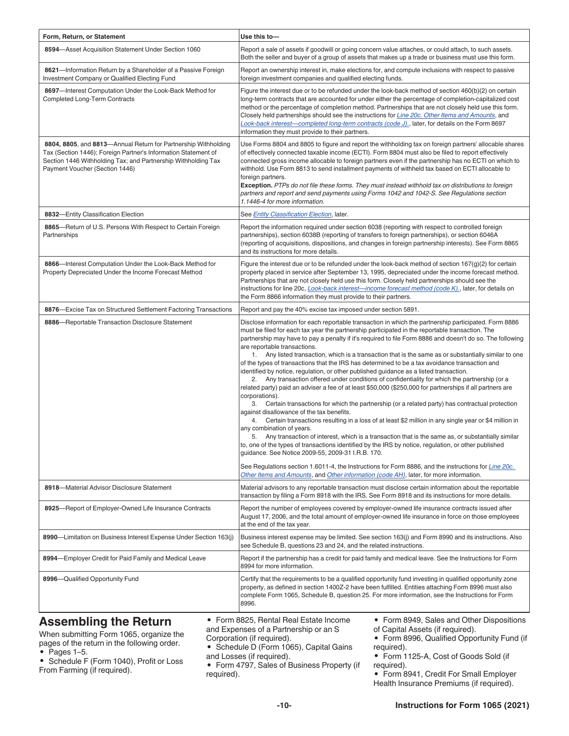| Form, Return, or Statement                                                                                                                                                                                                          | Use this to-                                                                                                                                                                                                                                                                                                                                                                                                                                                                                                                                                                                                                                                                                                                                                                                                                                                                                                                                                                                                                                                                                                                                                                                                                                                                                                                                                                                                                                                                                                                                                                                                                                                               |
|-------------------------------------------------------------------------------------------------------------------------------------------------------------------------------------------------------------------------------------|----------------------------------------------------------------------------------------------------------------------------------------------------------------------------------------------------------------------------------------------------------------------------------------------------------------------------------------------------------------------------------------------------------------------------------------------------------------------------------------------------------------------------------------------------------------------------------------------------------------------------------------------------------------------------------------------------------------------------------------------------------------------------------------------------------------------------------------------------------------------------------------------------------------------------------------------------------------------------------------------------------------------------------------------------------------------------------------------------------------------------------------------------------------------------------------------------------------------------------------------------------------------------------------------------------------------------------------------------------------------------------------------------------------------------------------------------------------------------------------------------------------------------------------------------------------------------------------------------------------------------------------------------------------------------|
| 8594-Asset Acquisition Statement Under Section 1060                                                                                                                                                                                 | Report a sale of assets if goodwill or going concern value attaches, or could attach, to such assets.<br>Both the seller and buyer of a group of assets that makes up a trade or business must use this form.                                                                                                                                                                                                                                                                                                                                                                                                                                                                                                                                                                                                                                                                                                                                                                                                                                                                                                                                                                                                                                                                                                                                                                                                                                                                                                                                                                                                                                                              |
| 8621-Information Return by a Shareholder of a Passive Foreign<br><b>Investment Company or Qualified Electing Fund</b>                                                                                                               | Report an ownership interest in, make elections for, and compute inclusions with respect to passive<br>foreign investment companies and qualified electing funds.                                                                                                                                                                                                                                                                                                                                                                                                                                                                                                                                                                                                                                                                                                                                                                                                                                                                                                                                                                                                                                                                                                                                                                                                                                                                                                                                                                                                                                                                                                          |
| 8697-Interest Computation Under the Look-Back Method for<br><b>Completed Long-Term Contracts</b>                                                                                                                                    | Figure the interest due or to be refunded under the look-back method of section 460(b)(2) on certain<br>long-term contracts that are accounted for under either the percentage of completion-capitalized cost<br>method or the percentage of completion method. Partnerships that are not closely held use this form.<br>Closely held partnerships should see the instructions for <i>Line 20c. Other Items and Amounts</i> , and<br>Look-back interest—completed long-term contracts (code J)., later, for details on the Form 8697<br>information they must provide to their partners.                                                                                                                                                                                                                                                                                                                                                                                                                                                                                                                                                                                                                                                                                                                                                                                                                                                                                                                                                                                                                                                                                   |
| 8804, 8805, and 8813-Annual Return for Partnership Withholding<br>Tax (Section 1446); Foreign Partner's Information Statement of<br>Section 1446 Withholding Tax; and Partnership Withholding Tax<br>Payment Voucher (Section 1446) | Use Forms 8804 and 8805 to figure and report the withholding tax on foreign partners' allocable shares<br>of effectively connected taxable income (ECTI). Form 8804 must also be filed to report effectively<br>connected gross income allocable to foreign partners even if the partnership has no ECTI on which to<br>withhold. Use Form 8813 to send installment payments of withheld tax based on ECTI allocable to<br>foreign partners.<br><b>Exception.</b> PTPs do not file these forms. They must instead withhold tax on distributions to foreign<br>partners and report and send payments using Forms 1042 and 1042-S. See Regulations section<br>1.1446-4 for more information.                                                                                                                                                                                                                                                                                                                                                                                                                                                                                                                                                                                                                                                                                                                                                                                                                                                                                                                                                                                 |
| 8832-Entity Classification Election                                                                                                                                                                                                 | See Entity Classification Election, later.                                                                                                                                                                                                                                                                                                                                                                                                                                                                                                                                                                                                                                                                                                                                                                                                                                                                                                                                                                                                                                                                                                                                                                                                                                                                                                                                                                                                                                                                                                                                                                                                                                 |
| 8865-Return of U.S. Persons With Respect to Certain Foreign<br>Partnerships                                                                                                                                                         | Report the information required under section 6038 (reporting with respect to controlled foreign<br>partnerships), section 6038B (reporting of transfers to foreign partnerships), or section 6046A<br>(reporting of acquisitions, dispositions, and changes in foreign partnership interests). See Form 8865<br>and its instructions for more details.                                                                                                                                                                                                                                                                                                                                                                                                                                                                                                                                                                                                                                                                                                                                                                                                                                                                                                                                                                                                                                                                                                                                                                                                                                                                                                                    |
| 8866-Interest Computation Under the Look-Back Method for<br>Property Depreciated Under the Income Forecast Method                                                                                                                   | Figure the interest due or to be refunded under the look-back method of section $167(g)(2)$ for certain<br>property placed in service after September 13, 1995, depreciated under the income forecast method.<br>Partnerships that are not closely held use this form. Closely held partnerships should see the<br>instructions for line 20c, <i>Look-back interest—income forecast method (code K)</i> ., later, for details on<br>the Form 8866 information they must provide to their partners.                                                                                                                                                                                                                                                                                                                                                                                                                                                                                                                                                                                                                                                                                                                                                                                                                                                                                                                                                                                                                                                                                                                                                                         |
| 8876-Excise Tax on Structured Settlement Factoring Transactions                                                                                                                                                                     | Report and pay the 40% excise tax imposed under section 5891.                                                                                                                                                                                                                                                                                                                                                                                                                                                                                                                                                                                                                                                                                                                                                                                                                                                                                                                                                                                                                                                                                                                                                                                                                                                                                                                                                                                                                                                                                                                                                                                                              |
| 8886-Reportable Transaction Disclosure Statement                                                                                                                                                                                    | Disclose information for each reportable transaction in which the partnership participated. Form 8886<br>must be filed for each tax year the partnership participated in the reportable transaction. The<br>partnership may have to pay a penalty if it's required to file Form 8886 and doesn't do so. The following<br>are reportable transactions.<br>1. Any listed transaction, which is a transaction that is the same as or substantially similar to one<br>of the types of transactions that the IRS has determined to be a tax avoidance transaction and<br>identified by notice, regulation, or other published guidance as a listed transaction.<br>Any transaction offered under conditions of confidentiality for which the partnership (or a<br>2.<br>related party) paid an adviser a fee of at least \$50,000 (\$250,000 for partnerships if all partners are<br>corporations).<br>3. Certain transactions for which the partnership (or a related party) has contractual protection<br>against disallowance of the tax benefits.<br>4. Certain transactions resulting in a loss of at least \$2 million in any single year or \$4 million in<br>any combination of years.<br>Any transaction of interest, which is a transaction that is the same as, or substantially similar<br>5.<br>to, one of the types of transactions identified by the IRS by notice, regulation, or other published<br>quidance. See Notice 2009-55, 2009-31 I.R.B. 170.<br>See Regulations section 1.6011-4, the Instructions for Form 8886, and the instructions for <i>Line 20c.</i><br>Other Items and Amounts, and Other information (code AH), later, for more information. |
| 8918-Material Advisor Disclosure Statement                                                                                                                                                                                          | Material advisors to any reportable transaction must disclose certain information about the reportable<br>transaction by filing a Form 8918 with the IRS. See Form 8918 and its instructions for more details.                                                                                                                                                                                                                                                                                                                                                                                                                                                                                                                                                                                                                                                                                                                                                                                                                                                                                                                                                                                                                                                                                                                                                                                                                                                                                                                                                                                                                                                             |
| 8925-Report of Employer-Owned Life Insurance Contracts                                                                                                                                                                              | Report the number of employees covered by employer-owned life insurance contracts issued after<br>August 17, 2006, and the total amount of employer-owned life insurance in force on those employees<br>at the end of the tax year.                                                                                                                                                                                                                                                                                                                                                                                                                                                                                                                                                                                                                                                                                                                                                                                                                                                                                                                                                                                                                                                                                                                                                                                                                                                                                                                                                                                                                                        |
| 8990-Limitation on Business Interest Expense Under Section 163(j)                                                                                                                                                                   | Business interest expense may be limited. See section 163(j) and Form 8990 and its instructions. Also<br>see Schedule B, questions 23 and 24, and the related instructions.                                                                                                                                                                                                                                                                                                                                                                                                                                                                                                                                                                                                                                                                                                                                                                                                                                                                                                                                                                                                                                                                                                                                                                                                                                                                                                                                                                                                                                                                                                |
| 8994-Employer Credit for Paid Family and Medical Leave                                                                                                                                                                              | Report if the partnership has a credit for paid family and medical leave. See the Instructions for Form<br>8994 for more information.                                                                                                                                                                                                                                                                                                                                                                                                                                                                                                                                                                                                                                                                                                                                                                                                                                                                                                                                                                                                                                                                                                                                                                                                                                                                                                                                                                                                                                                                                                                                      |
| 8996-Qualified Opportunity Fund                                                                                                                                                                                                     | Certify that the requirements to be a qualified opportunity fund investing in qualified opportunity zone<br>property, as defined in section 1400Z-2 have been fulfilled. Entities attaching Form 8996 must also<br>complete Form 1065, Schedule B, question 25. For more information, see the Instructions for Form<br>8996.<br>• Form 8825, Rental Real Estate Income                                                                                                                                                                                                                                                                                                                                                                                                                                                                                                                                                                                                                                                                                                                                                                                                                                                                                                                                                                                                                                                                                                                                                                                                                                                                                                     |
| <b>Assembling the Return</b>                                                                                                                                                                                                        | • Form 8949, Sales and Other Dispositions                                                                                                                                                                                                                                                                                                                                                                                                                                                                                                                                                                                                                                                                                                                                                                                                                                                                                                                                                                                                                                                                                                                                                                                                                                                                                                                                                                                                                                                                                                                                                                                                                                  |

### **Assembling the Return**

When submitting Form 1065, organize the pages of the return in the following order. • Pages 1–5.

• Schedule F (Form 1040), Profit or Loss From Farming (if required).

and Expenses of a Partnership or an S Corporation (if required).

• Schedule D (Form 1065), Capital Gains and Losses (if required).

• Form 4797, Sales of Business Property (if required).

of Capital Assets (if required).

• Form 8996, Qualified Opportunity Fund (if required).

• Form 1125-A, Cost of Goods Sold (if required).

• Form 8941, Credit For Small Employer Health Insurance Premiums (if required).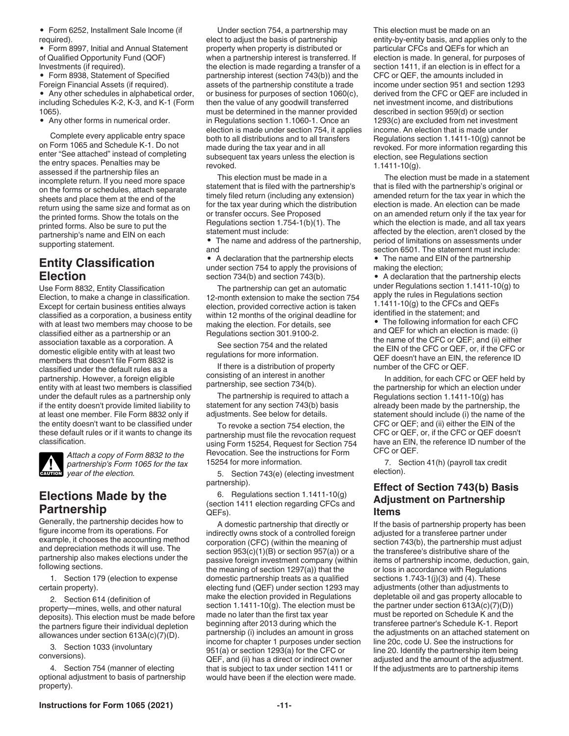• Form 6252, Installment Sale Income (if required).

• Form 8997, Initial and Annual Statement of Qualified Opportunity Fund (QOF) Investments (if required).

• Form 8938, Statement of Specified Foreign Financial Assets (if required). • Any other schedules in alphabetical order, including Schedules K-2, K-3, and K-1 (Form 1065).

• Any other forms in numerical order.

Complete every applicable entry space on Form 1065 and Schedule K-1. Do not enter "See attached" instead of completing the entry spaces. Penalties may be assessed if the partnership files an incomplete return. If you need more space on the forms or schedules, attach separate sheets and place them at the end of the return using the same size and format as on the printed forms. Show the totals on the printed forms. Also be sure to put the partnership's name and EIN on each supporting statement.

### **Entity Classification Election**

Use Form 8832, Entity Classification Election, to make a change in classification. Except for certain business entities always classified as a corporation, a business entity with at least two members may choose to be classified either as a partnership or an association taxable as a corporation. A domestic eligible entity with at least two members that doesn't file Form 8832 is classified under the default rules as a partnership. However, a foreign eligible entity with at least two members is classified under the default rules as a partnership only if the entity doesn't provide limited liability to at least one member. File Form 8832 only if the entity doesn't want to be classified under these default rules or if it wants to change its classification.



*Attach a copy of Form 8832 to the partnership's Form 1065 for the tax*  **caution** year of the election.

### **Elections Made by the Partnership**

Generally, the partnership decides how to figure income from its operations. For example, it chooses the accounting method and depreciation methods it will use. The partnership also makes elections under the following sections.

1. Section 179 (election to expense certain property).

2. Section 614 (definition of property—mines, wells, and other natural deposits). This election must be made before the partners figure their individual depletion allowances under section 613A(c)(7)(D).

3. Section 1033 (involuntary conversions).

4. Section 754 (manner of electing optional adjustment to basis of partnership property).

Under section 754, a partnership may elect to adjust the basis of partnership property when property is distributed or when a partnership interest is transferred. If the election is made regarding a transfer of a partnership interest (section 743(b)) and the assets of the partnership constitute a trade or business for purposes of section 1060(c), then the value of any goodwill transferred must be determined in the manner provided in Regulations section 1.1060-1. Once an election is made under section 754, it applies both to all distributions and to all transfers made during the tax year and in all subsequent tax years unless the election is revoked.

This election must be made in a statement that is filed with the partnership's timely filed return (including any extension) for the tax year during which the distribution or transfer occurs. See Proposed Regulations section 1.754-1(b)(1). The statement must include:

• The name and address of the partnership, and

• A declaration that the partnership elects under section 754 to apply the provisions of section 734(b) and section 743(b).

The partnership can get an automatic 12-month extension to make the section 754 election, provided corrective action is taken within 12 months of the original deadline for making the election. For details, see Regulations section 301.9100-2.

See section 754 and the related regulations for more information.

If there is a distribution of property consisting of an interest in another partnership, see section 734(b).

The partnership is required to attach a statement for any section 743(b) basis adjustments. See below for details.

To revoke a section 754 election, the partnership must file the revocation request using Form 15254, Request for Section 754 Revocation. See the instructions for Form 15254 for more information.

5. Section 743(e) (electing investment partnership).

6. Regulations section 1.1411-10(g) (section 1411 election regarding CFCs and QEFs).

A domestic partnership that directly or indirectly owns stock of a controlled foreign corporation (CFC) (within the meaning of section  $953(c)(1)(B)$  or section  $957(a)$ ) or a passive foreign investment company (within the meaning of section 1297(a)) that the domestic partnership treats as a qualified electing fund (QEF) under section 1293 may make the election provided in Regulations section 1.1411-10(g). The election must be made no later than the first tax year beginning after 2013 during which the partnership (i) includes an amount in gross income for chapter 1 purposes under section 951(a) or section 1293(a) for the CFC or QEF, and (ii) has a direct or indirect owner that is subject to tax under section 1411 or would have been if the election were made.

This election must be made on an entity-by-entity basis, and applies only to the particular CFCs and QEFs for which an election is made. In general, for purposes of section 1411, if an election is in effect for a CFC or QEF, the amounts included in income under section 951 and section 1293 derived from the CFC or QEF are included in net investment income, and distributions described in section 959(d) or section 1293(c) are excluded from net investment income. An election that is made under Regulations section 1.1411-10(g) cannot be revoked. For more information regarding this election, see Regulations section 1.1411-10(g).

The election must be made in a statement that is filed with the partnership's original or amended return for the tax year in which the election is made. An election can be made on an amended return only if the tax year for which the election is made, and all tax years affected by the election, aren't closed by the period of limitations on assessments under section 6501. The statement must include:

• The name and EIN of the partnership making the election;

• A declaration that the partnership elects under Regulations section 1.1411-10(g) to apply the rules in Regulations section  $1.1411-10(q)$  to the CFCs and QEFs identified in the statement; and

• The following information for each CFC and QEF for which an election is made: (i) the name of the CFC or QEF; and (ii) either the EIN of the CFC or QEF, or, if the CFC or QEF doesn't have an EIN, the reference ID number of the CFC or QEF.

In addition, for each CFC or QEF held by the partnership for which an election under Regulations section 1.1411-10(g) has already been made by the partnership, the statement should include (i) the name of the CFC or QEF; and (ii) either the EIN of the CFC or QEF, or, if the CFC or QEF doesn't have an EIN, the reference ID number of the CFC or QEF.

7. Section 41(h) (payroll tax credit election).

#### **Effect of Section 743(b) Basis Adjustment on Partnership Items**

If the basis of partnership property has been adjusted for a transferee partner under section 743(b), the partnership must adjust the transferee's distributive share of the items of partnership income, deduction, gain, or loss in accordance with Regulations sections  $1.743-1(j)(3)$  and  $(4)$ . These adjustments (other than adjustments to depletable oil and gas property allocable to the partner under section 613A(c)(7)(D)) must be reported on Schedule K and the transferee partner's Schedule K-1. Report the adjustments on an attached statement on line 20c, code U. See the instructions for line 20. Identify the partnership item being adjusted and the amount of the adjustment. If the adjustments are to partnership items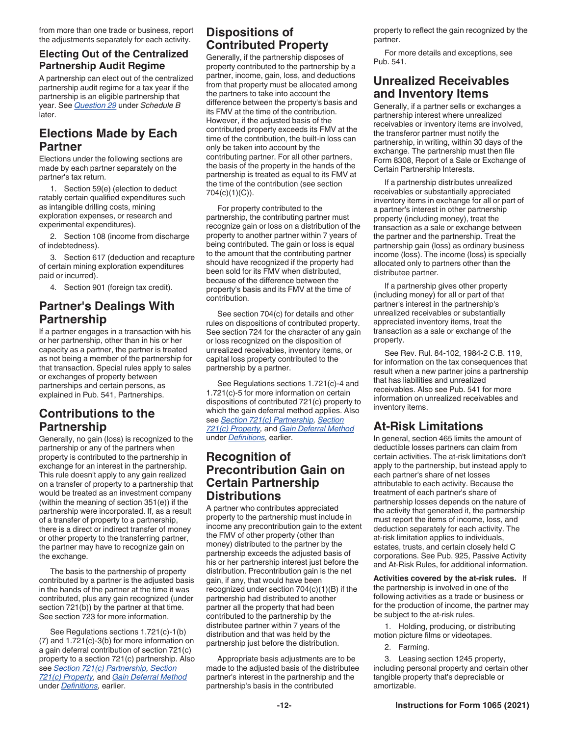from more than one trade or business, report the adjustments separately for each activity.

#### **Electing Out of the Centralized Partnership Audit Regime**

A partnership can elect out of the centralized partnership audit regime for a tax year if the partnership is an eligible partnership that year. See *Question 29* under *Schedule B*  later.

### **Elections Made by Each Partner**

Elections under the following sections are made by each partner separately on the partner's tax return.

1. Section 59(e) (election to deduct ratably certain qualified expenditures such as intangible drilling costs, mining exploration expenses, or research and experimental expenditures).

2. Section 108 (income from discharge of indebtedness).

3. Section 617 (deduction and recapture of certain mining exploration expenditures paid or incurred).

4. Section 901 (foreign tax credit).

### **Partner's Dealings With Partnership**

If a partner engages in a transaction with his or her partnership, other than in his or her capacity as a partner, the partner is treated as not being a member of the partnership for that transaction. Special rules apply to sales or exchanges of property between partnerships and certain persons, as explained in Pub. 541, Partnerships.

### **Contributions to the Partnership**

Generally, no gain (loss) is recognized to the partnership or any of the partners when property is contributed to the partnership in exchange for an interest in the partnership. This rule doesn't apply to any gain realized on a transfer of property to a partnership that would be treated as an investment company (within the meaning of section 351(e)) if the partnership were incorporated. If, as a result of a transfer of property to a partnership, there is a direct or indirect transfer of money or other property to the transferring partner, the partner may have to recognize gain on the exchange.

The basis to the partnership of property contributed by a partner is the adjusted basis in the hands of the partner at the time it was contributed, plus any gain recognized (under section 721(b)) by the partner at that time. See section 723 for more information.

See Regulations sections 1.721(c)-1(b) (7) and 1.721(c)-3(b) for more information on a gain deferral contribution of section 721(c) property to a section 721(c) partnership. Also see *Section 721(c) Partnership, Section 721(c) Property,* and *Gain Deferral Method*  under *Definitions,* earlier.

### **Dispositions of Contributed Property**

Generally, if the partnership disposes of property contributed to the partnership by a partner, income, gain, loss, and deductions from that property must be allocated among the partners to take into account the difference between the property's basis and its FMV at the time of the contribution. However, if the adjusted basis of the contributed property exceeds its FMV at the time of the contribution, the built-in loss can only be taken into account by the contributing partner. For all other partners, the basis of the property in the hands of the partnership is treated as equal to its FMV at the time of the contribution (see section 704(c)(1)(C)).

For property contributed to the partnership, the contributing partner must recognize gain or loss on a distribution of the property to another partner within 7 years of being contributed. The gain or loss is equal to the amount that the contributing partner should have recognized if the property had been sold for its FMV when distributed, because of the difference between the property's basis and its FMV at the time of contribution.

See section 704(c) for details and other rules on dispositions of contributed property. See section 724 for the character of any gain or loss recognized on the disposition of unrealized receivables, inventory items, or capital loss property contributed to the partnership by a partner.

See Regulations sections 1.721(c)-4 and 1.721(c)-5 for more information on certain dispositions of contributed 721(c) property to which the gain deferral method applies. Also see *Section 721(c) Partnership, Section 721(c) Property,* and *Gain Deferral Method*  under *Definitions,* earlier.

### **Recognition of Precontribution Gain on Certain Partnership Distributions**

A partner who contributes appreciated property to the partnership must include in income any precontribution gain to the extent the FMV of other property (other than money) distributed to the partner by the partnership exceeds the adjusted basis of his or her partnership interest just before the distribution. Precontribution gain is the net gain, if any, that would have been recognized under section 704(c)(1)(B) if the partnership had distributed to another partner all the property that had been contributed to the partnership by the distributee partner within 7 years of the distribution and that was held by the partnership just before the distribution.

Appropriate basis adjustments are to be made to the adjusted basis of the distributee partner's interest in the partnership and the partnership's basis in the contributed

property to reflect the gain recognized by the partner.

For more details and exceptions, see Pub. 541.

### **Unrealized Receivables and Inventory Items**

Generally, if a partner sells or exchanges a partnership interest where unrealized receivables or inventory items are involved, the transferor partner must notify the partnership, in writing, within 30 days of the exchange. The partnership must then file Form 8308, Report of a Sale or Exchange of Certain Partnership Interests.

If a partnership distributes unrealized receivables or substantially appreciated inventory items in exchange for all or part of a partner's interest in other partnership property (including money), treat the transaction as a sale or exchange between the partner and the partnership. Treat the partnership gain (loss) as ordinary business income (loss). The income (loss) is specially allocated only to partners other than the distributee partner.

If a partnership gives other property (including money) for all or part of that partner's interest in the partnership's unrealized receivables or substantially appreciated inventory items, treat the transaction as a sale or exchange of the property.

See Rev. Rul. 84-102, 1984-2 C.B. 119, for information on the tax consequences that result when a new partner joins a partnership that has liabilities and unrealized receivables. Also see Pub. 541 for more information on unrealized receivables and inventory items.

### **At-Risk Limitations**

In general, section 465 limits the amount of deductible losses partners can claim from certain activities. The at-risk limitations don't apply to the partnership, but instead apply to each partner's share of net losses attributable to each activity. Because the treatment of each partner's share of partnership losses depends on the nature of the activity that generated it, the partnership must report the items of income, loss, and deduction separately for each activity. The at-risk limitation applies to individuals, estates, trusts, and certain closely held C corporations. See Pub. 925, Passive Activity and At-Risk Rules, for additional information.

**Activities covered by the at-risk rules.** If the partnership is involved in one of the following activities as a trade or business or for the production of income, the partner may be subject to the at-risk rules.

1. Holding, producing, or distributing motion picture films or videotapes.

2. Farming.

3. Leasing section 1245 property, including personal property and certain other tangible property that's depreciable or amortizable.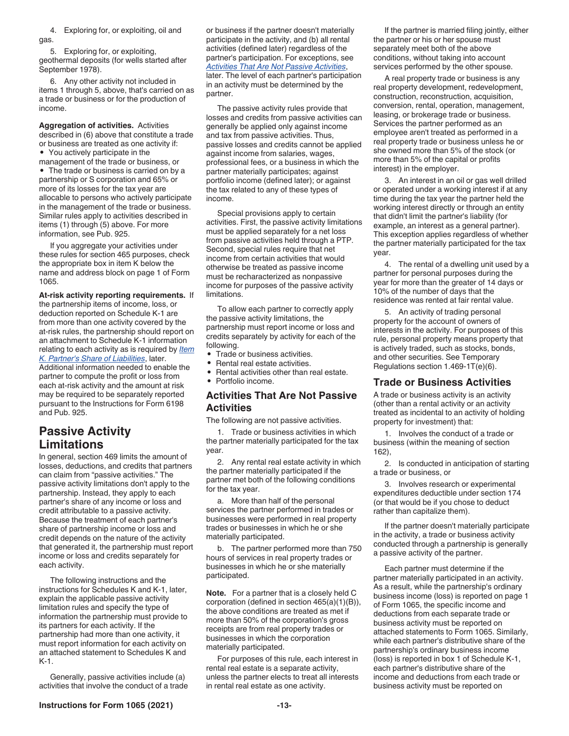4. Exploring for, or exploiting, oil and gas.

5. Exploring for, or exploiting, geothermal deposits (for wells started after September 1978).

6. Any other activity not included in items 1 through 5, above, that's carried on as a trade or business or for the production of income.

**Aggregation of activities.** Activities described in (6) above that constitute a trade or business are treated as one activity if: • You actively participate in the management of the trade or business, or • The trade or business is carried on by a partnership or S corporation and 65% or more of its losses for the tax year are allocable to persons who actively participate in the management of the trade or business. Similar rules apply to activities described in items (1) through (5) above. For more information, see Pub. 925.

If you aggregate your activities under these rules for section 465 purposes, check the appropriate box in item K below the name and address block on page 1 of Form 1065.

**At-risk activity reporting requirements.** If the partnership items of income, loss, or deduction reported on Schedule K-1 are from more than one activity covered by the at-risk rules, the partnership should report on an attachment to Schedule K-1 information relating to each activity as is required by *Item K. Partner's Share of Liabilities*, later. Additional information needed to enable the partner to compute the profit or loss from each at-risk activity and the amount at risk may be required to be separately reported pursuant to the Instructions for Form 6198 and Pub. 925.

### **Passive Activity Limitations**

In general, section 469 limits the amount of losses, deductions, and credits that partners can claim from "passive activities." The passive activity limitations don't apply to the partnership. Instead, they apply to each partner's share of any income or loss and credit attributable to a passive activity. Because the treatment of each partner's share of partnership income or loss and credit depends on the nature of the activity that generated it, the partnership must report income or loss and credits separately for each activity.

The following instructions and the instructions for Schedules K and K-1, later, explain the applicable passive activity limitation rules and specify the type of information the partnership must provide to its partners for each activity. If the partnership had more than one activity, it must report information for each activity on an attached statement to Schedules K and K-1.

Generally, passive activities include (a) activities that involve the conduct of a trade

or business if the partner doesn't materially participate in the activity, and (b) all rental activities (defined later) regardless of the partner's participation. For exceptions, see *Activities That Are Not Passive Activities*, later. The level of each partner's participation in an activity must be determined by the partner.

The passive activity rules provide that losses and credits from passive activities can generally be applied only against income and tax from passive activities. Thus, passive losses and credits cannot be applied against income from salaries, wages, professional fees, or a business in which the partner materially participates; against portfolio income (defined later); or against the tax related to any of these types of income.

Special provisions apply to certain activities. First, the passive activity limitations must be applied separately for a net loss from passive activities held through a PTP. Second, special rules require that net income from certain activities that would otherwise be treated as passive income must be recharacterized as nonpassive income for purposes of the passive activity limitations.

To allow each partner to correctly apply the passive activity limitations, the partnership must report income or loss and credits separately by activity for each of the following.

- Trade or business activities.
- Rental real estate activities.
- Rental activities other than real estate.
- Portfolio income.

#### **Activities That Are Not Passive Activities**

The following are not passive activities.

1. Trade or business activities in which the partner materially participated for the tax year.

2. Any rental real estate activity in which the partner materially participated if the partner met both of the following conditions for the tax year.

a. More than half of the personal services the partner performed in trades or businesses were performed in real property trades or businesses in which he or she materially participated.

b. The partner performed more than 750 hours of services in real property trades or businesses in which he or she materially participated.

**Note.** For a partner that is a closely held C corporation (defined in section 465(a)(1)(B)), the above conditions are treated as met if more than 50% of the corporation's gross receipts are from real property trades or businesses in which the corporation materially participated.

For purposes of this rule, each interest in rental real estate is a separate activity, unless the partner elects to treat all interests in rental real estate as one activity.

If the partner is married filing jointly, either the partner or his or her spouse must separately meet both of the above conditions, without taking into account services performed by the other spouse.

A real property trade or business is any real property development, redevelopment, construction, reconstruction, acquisition, conversion, rental, operation, management, leasing, or brokerage trade or business. Services the partner performed as an employee aren't treated as performed in a real property trade or business unless he or she owned more than 5% of the stock (or more than 5% of the capital or profits interest) in the employer.

3. An interest in an oil or gas well drilled or operated under a working interest if at any time during the tax year the partner held the working interest directly or through an entity that didn't limit the partner's liability (for example, an interest as a general partner). This exception applies regardless of whether the partner materially participated for the tax year.

4. The rental of a dwelling unit used by a partner for personal purposes during the year for more than the greater of 14 days or 10% of the number of days that the residence was rented at fair rental value.

5. An activity of trading personal property for the account of owners of interests in the activity. For purposes of this rule, personal property means property that is actively traded, such as stocks, bonds, and other securities. See Temporary Regulations section 1.469-1T(e)(6).

#### **Trade or Business Activities**

A trade or business activity is an activity (other than a rental activity or an activity treated as incidental to an activity of holding property for investment) that:

1. Involves the conduct of a trade or business (within the meaning of section 162),

2. Is conducted in anticipation of starting a trade or business, or

3. Involves research or experimental expenditures deductible under section 174 (or that would be if you chose to deduct rather than capitalize them).

If the partner doesn't materially participate in the activity, a trade or business activity conducted through a partnership is generally a passive activity of the partner.

Each partner must determine if the partner materially participated in an activity. As a result, while the partnership's ordinary business income (loss) is reported on page 1 of Form 1065, the specific income and deductions from each separate trade or business activity must be reported on attached statements to Form 1065. Similarly, while each partner's distributive share of the partnership's ordinary business income (loss) is reported in box 1 of Schedule K-1, each partner's distributive share of the income and deductions from each trade or business activity must be reported on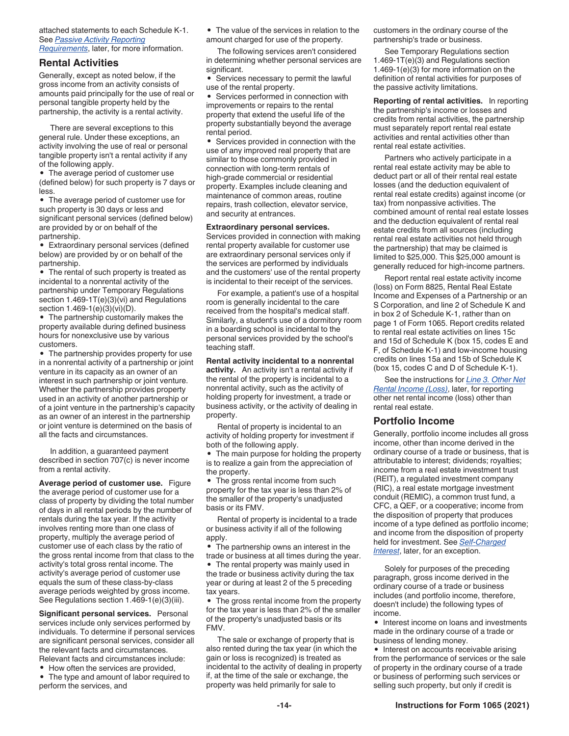attached statements to each Schedule K-1. See *Passive Activity Reporting Requirements*, later, for more information.

#### **Rental Activities**

Generally, except as noted below, if the gross income from an activity consists of amounts paid principally for the use of real or personal tangible property held by the partnership, the activity is a rental activity.

There are several exceptions to this general rule. Under these exceptions, an activity involving the use of real or personal tangible property isn't a rental activity if any of the following apply.

• The average period of customer use (defined below) for such property is 7 days or less.

• The average period of customer use for such property is 30 days or less and significant personal services (defined below) are provided by or on behalf of the partnership.

• Extraordinary personal services (defined below) are provided by or on behalf of the partnership.

• The rental of such property is treated as incidental to a nonrental activity of the partnership under Temporary Regulations section 1.469-1T(e)(3)(vi) and Regulations section 1.469-1(e)(3)(vi)(D).

• The partnership customarily makes the property available during defined business hours for nonexclusive use by various customers.

• The partnership provides property for use in a nonrental activity of a partnership or joint venture in its capacity as an owner of an interest in such partnership or joint venture. Whether the partnership provides property used in an activity of another partnership or of a joint venture in the partnership's capacity as an owner of an interest in the partnership or joint venture is determined on the basis of all the facts and circumstances.

In addition, a guaranteed payment described in section 707(c) is never income from a rental activity.

**Average period of customer use.** Figure the average period of customer use for a class of property by dividing the total number of days in all rental periods by the number of rentals during the tax year. If the activity involves renting more than one class of property, multiply the average period of customer use of each class by the ratio of the gross rental income from that class to the activity's total gross rental income. The activity's average period of customer use equals the sum of these class-by-class average periods weighted by gross income. See Regulations section 1.469-1(e)(3)(iii).

**Significant personal services.** Personal services include only services performed by individuals. To determine if personal services are significant personal services, consider all the relevant facts and circumstances. Relevant facts and circumstances include:

• How often the services are provided,

• The type and amount of labor required to perform the services, and

• The value of the services in relation to the amount charged for use of the property.

The following services aren't considered in determining whether personal services are significant.

• Services necessary to permit the lawful use of the rental property.

• Services performed in connection with improvements or repairs to the rental property that extend the useful life of the property substantially beyond the average rental period.

• Services provided in connection with the use of any improved real property that are similar to those commonly provided in connection with long-term rentals of high-grade commercial or residential property. Examples include cleaning and maintenance of common areas, routine repairs, trash collection, elevator service, and security at entrances.

**Extraordinary personal services.**  Services provided in connection with making rental property available for customer use are extraordinary personal services only if the services are performed by individuals and the customers' use of the rental property

is incidental to their receipt of the services. For example, a patient's use of a hospital room is generally incidental to the care received from the hospital's medical staff. Similarly, a student's use of a dormitory room in a boarding school is incidental to the personal services provided by the school's teaching staff.

**Rental activity incidental to a nonrental activity.** An activity isn't a rental activity if the rental of the property is incidental to a nonrental activity, such as the activity of holding property for investment, a trade or business activity, or the activity of dealing in property.

Rental of property is incidental to an activity of holding property for investment if both of the following apply.

• The main purpose for holding the property is to realize a gain from the appreciation of the property.

• The gross rental income from such property for the tax year is less than 2% of the smaller of the property's unadjusted basis or its FMV.

Rental of property is incidental to a trade or business activity if all of the following apply.

• The partnership owns an interest in the trade or business at all times during the year. • The rental property was mainly used in

the trade or business activity during the tax year or during at least 2 of the 5 preceding tax years.

• The gross rental income from the property for the tax year is less than 2% of the smaller of the property's unadjusted basis or its FMV.

The sale or exchange of property that is also rented during the tax year (in which the gain or loss is recognized) is treated as incidental to the activity of dealing in property if, at the time of the sale or exchange, the property was held primarily for sale to

customers in the ordinary course of the partnership's trade or business.

See Temporary Regulations section 1.469-1T(e)(3) and Regulations section 1.469-1(e)(3) for more information on the definition of rental activities for purposes of the passive activity limitations.

**Reporting of rental activities.** In reporting the partnership's income or losses and credits from rental activities, the partnership must separately report rental real estate activities and rental activities other than rental real estate activities.

Partners who actively participate in a rental real estate activity may be able to deduct part or all of their rental real estate losses (and the deduction equivalent of rental real estate credits) against income (or tax) from nonpassive activities. The combined amount of rental real estate losses and the deduction equivalent of rental real estate credits from all sources (including rental real estate activities not held through the partnership) that may be claimed is limited to \$25,000. This \$25,000 amount is generally reduced for high-income partners.

Report rental real estate activity income (loss) on Form 8825, Rental Real Estate Income and Expenses of a Partnership or an S Corporation, and line 2 of Schedule K and in box 2 of Schedule K-1, rather than on page 1 of Form 1065. Report credits related to rental real estate activities on lines 15c and 15d of Schedule K (box 15, codes E and F, of Schedule K-1) and low-income housing credits on lines 15a and 15b of Schedule K (box 15, codes C and D of Schedule K-1).

See the instructions for *Line 3. Other Net Rental Income (Loss)*, later, for reporting other net rental income (loss) other than rental real estate.

#### **Portfolio Income**

Generally, portfolio income includes all gross income, other than income derived in the ordinary course of a trade or business, that is attributable to interest; dividends; royalties; income from a real estate investment trust (REIT), a regulated investment company (RIC), a real estate mortgage investment conduit (REMIC), a common trust fund, a CFC, a QEF, or a cooperative; income from the disposition of property that produces income of a type defined as portfolio income; and income from the disposition of property held for investment. See *Self-Charged Interest*, later, for an exception.

Solely for purposes of the preceding paragraph, gross income derived in the ordinary course of a trade or business includes (and portfolio income, therefore, doesn't include) the following types of income.

• Interest income on loans and investments made in the ordinary course of a trade or business of lending money.

• Interest on accounts receivable arising from the performance of services or the sale of property in the ordinary course of a trade or business of performing such services or selling such property, but only if credit is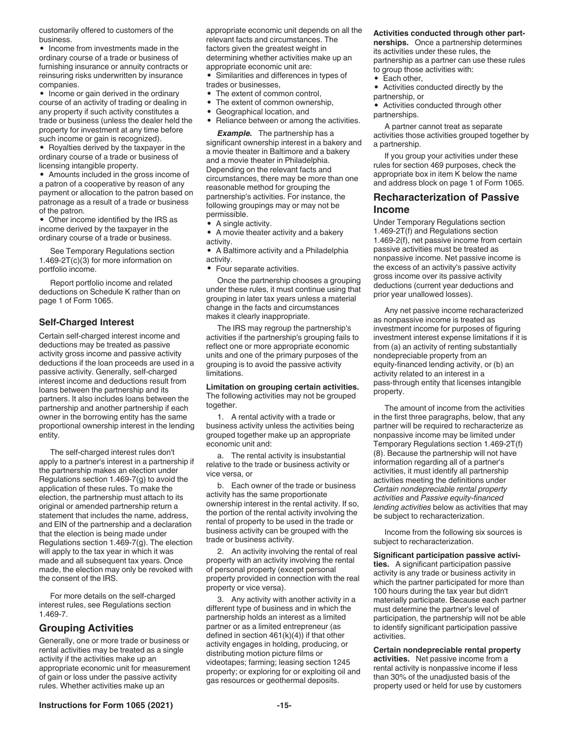customarily offered to customers of the business.

• Income from investments made in the ordinary course of a trade or business of furnishing insurance or annuity contracts or reinsuring risks underwritten by insurance companies.

• Income or gain derived in the ordinary course of an activity of trading or dealing in any property if such activity constitutes a trade or business (unless the dealer held the property for investment at any time before such income or gain is recognized).

• Royalties derived by the taxpayer in the ordinary course of a trade or business of licensing intangible property.

• Amounts included in the gross income of a patron of a cooperative by reason of any payment or allocation to the patron based on patronage as a result of a trade or business of the patron.

• Other income identified by the IRS as income derived by the taxpayer in the ordinary course of a trade or business.

See Temporary Regulations section 1.469-2T(c)(3) for more information on portfolio income.

Report portfolio income and related deductions on Schedule K rather than on page 1 of Form 1065.

#### **Self-Charged Interest**

Certain self-charged interest income and deductions may be treated as passive activity gross income and passive activity deductions if the loan proceeds are used in a passive activity. Generally, self-charged interest income and deductions result from loans between the partnership and its partners. It also includes loans between the partnership and another partnership if each owner in the borrowing entity has the same proportional ownership interest in the lending entity.

The self-charged interest rules don't apply to a partner's interest in a partnership if the partnership makes an election under Regulations section 1.469-7(g) to avoid the application of these rules. To make the election, the partnership must attach to its original or amended partnership return a statement that includes the name, address, and EIN of the partnership and a declaration that the election is being made under Regulations section 1.469-7(g). The election will apply to the tax year in which it was made and all subsequent tax years. Once made, the election may only be revoked with the consent of the IRS.

For more details on the self-charged interest rules, see Regulations section 1.469-7.

#### **Grouping Activities**

Generally, one or more trade or business or rental activities may be treated as a single activity if the activities make up an appropriate economic unit for measurement of gain or loss under the passive activity rules. Whether activities make up an

appropriate economic unit depends on all the relevant facts and circumstances. The factors given the greatest weight in determining whether activities make up an appropriate economic unit are:

• Similarities and differences in types of trades or businesses,

- The extent of common control,
- The extent of common ownership,
- Geographical location, and
- Reliance between or among the activities.

*Example.* The partnership has a significant ownership interest in a bakery and a movie theater in Baltimore and a bakery and a movie theater in Philadelphia. Depending on the relevant facts and circumstances, there may be more than one reasonable method for grouping the partnership's activities. For instance, the following groupings may or may not be permissible.

• A single activity.

• A movie theater activity and a bakery activity.

• A Baltimore activity and a Philadelphia activity.

• Four separate activities.

Once the partnership chooses a grouping under these rules, it must continue using that grouping in later tax years unless a material change in the facts and circumstances makes it clearly inappropriate.

The IRS may regroup the partnership's activities if the partnership's grouping fails to reflect one or more appropriate economic units and one of the primary purposes of the grouping is to avoid the passive activity limitations.

**Limitation on grouping certain activities.**  The following activities may not be grouped together.

1. A rental activity with a trade or business activity unless the activities being grouped together make up an appropriate economic unit and:

a. The rental activity is insubstantial relative to the trade or business activity or vice versa, or

b. Each owner of the trade or business activity has the same proportionate ownership interest in the rental activity. If so, the portion of the rental activity involving the rental of property to be used in the trade or business activity can be grouped with the trade or business activity.

2. An activity involving the rental of real property with an activity involving the rental of personal property (except personal property provided in connection with the real property or vice versa).

3. Any activity with another activity in a different type of business and in which the partnership holds an interest as a limited partner or as a limited entrepreneur (as defined in section  $461(k)(4)$ ) if that other activity engages in holding, producing, or distributing motion picture films or videotapes; farming; leasing section 1245 property; or exploring for or exploiting oil and gas resources or geothermal deposits.

#### **Activities conducted through other part-**

**nerships.** Once a partnership determines its activities under these rules, the partnership as a partner can use these rules to group those activities with:

- Each other,
- Activities conducted directly by the partnership, or
- Activities conducted through other partnerships.

A partner cannot treat as separate activities those activities grouped together by a partnership.

If you group your activities under these rules for section 469 purposes, check the appropriate box in item K below the name and address block on page 1 of Form 1065.

#### **Recharacterization of Passive Income**

Under Temporary Regulations section 1.469-2T(f) and Regulations section 1.469-2(f), net passive income from certain passive activities must be treated as nonpassive income. Net passive income is the excess of an activity's passive activity gross income over its passive activity deductions (current year deductions and prior year unallowed losses).

Any net passive income recharacterized as nonpassive income is treated as investment income for purposes of figuring investment interest expense limitations if it is from (a) an activity of renting substantially nondepreciable property from an equity-financed lending activity, or (b) an activity related to an interest in a pass-through entity that licenses intangible property.

The amount of income from the activities in the first three paragraphs, below, that any partner will be required to recharacterize as nonpassive income may be limited under Temporary Regulations section 1.469-2T(f) (8). Because the partnership will not have information regarding all of a partner's activities, it must identify all partnership activities meeting the definitions under *Certain nondepreciable rental property activities* and *Passive equity-financed lending activities* below as activities that may be subject to recharacterization.

Income from the following six sources is subject to recharacterization.

**Significant participation passive activities.** A significant participation passive activity is any trade or business activity in which the partner participated for more than 100 hours during the tax year but didn't materially participate. Because each partner must determine the partner's level of participation, the partnership will not be able to identify significant participation passive activities.

**Certain nondepreciable rental property activities.** Net passive income from a rental activity is nonpassive income if less than 30% of the unadjusted basis of the property used or held for use by customers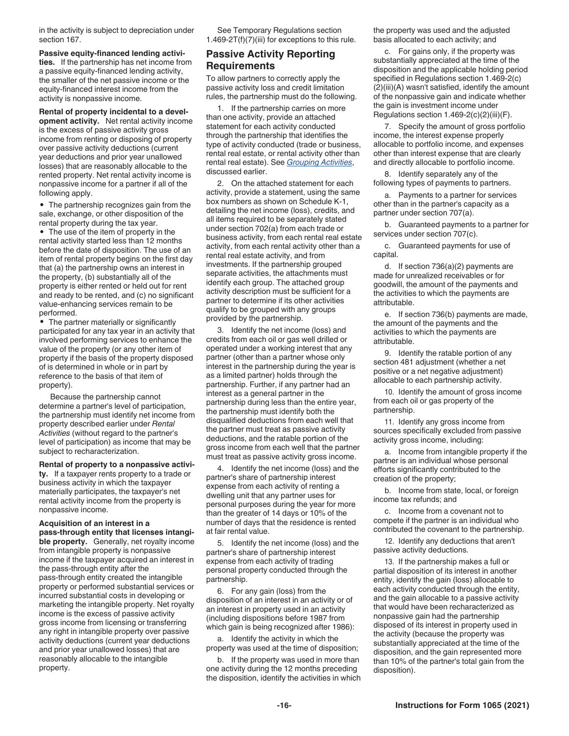in the activity is subject to depreciation under section 167.

**Passive equity-financed lending activities.** If the partnership has net income from a passive equity-financed lending activity, the smaller of the net passive income or the equity-financed interest income from the activity is nonpassive income.

**Rental of property incidental to a development activity.** Net rental activity income is the excess of passive activity gross income from renting or disposing of property over passive activity deductions (current year deductions and prior year unallowed losses) that are reasonably allocable to the rented property. Net rental activity income is nonpassive income for a partner if all of the following apply.

• The partnership recognizes gain from the sale, exchange, or other disposition of the rental property during the tax year.

• The use of the item of property in the rental activity started less than 12 months before the date of disposition. The use of an item of rental property begins on the first day that (a) the partnership owns an interest in the property, (b) substantially all of the property is either rented or held out for rent and ready to be rented, and (c) no significant value-enhancing services remain to be performed.

• The partner materially or significantly participated for any tax year in an activity that involved performing services to enhance the value of the property (or any other item of property if the basis of the property disposed of is determined in whole or in part by reference to the basis of that item of property).

Because the partnership cannot determine a partner's level of participation, the partnership must identify net income from property described earlier under *Rental Activities* (without regard to the partner's level of participation) as income that may be subject to recharacterization.

**Rental of property to a nonpassive activity.** If a taxpayer rents property to a trade or business activity in which the taxpayer materially participates, the taxpayer's net rental activity income from the property is nonpassive income.

**Acquisition of an interest in a pass-through entity that licenses intangible property.** Generally, net royalty income from intangible property is nonpassive income if the taxpayer acquired an interest in the pass-through entity after the pass-through entity created the intangible property or performed substantial services or incurred substantial costs in developing or marketing the intangible property. Net royalty income is the excess of passive activity gross income from licensing or transferring any right in intangible property over passive activity deductions (current year deductions and prior year unallowed losses) that are reasonably allocable to the intangible property.

See Temporary Regulations section 1.469-2T(f) $(7)(iii)$  for exceptions to this rule.

#### **Passive Activity Reporting Requirements**

To allow partners to correctly apply the passive activity loss and credit limitation rules, the partnership must do the following.

1. If the partnership carries on more than one activity, provide an attached statement for each activity conducted through the partnership that identifies the type of activity conducted (trade or business, rental real estate, or rental activity other than rental real estate). See *Grouping Activities*, discussed earlier.

2. On the attached statement for each activity, provide a statement, using the same box numbers as shown on Schedule K-1, detailing the net income (loss), credits, and all items required to be separately stated under section 702(a) from each trade or business activity, from each rental real estate activity, from each rental activity other than a rental real estate activity, and from investments. If the partnership grouped separate activities, the attachments must identify each group. The attached group activity description must be sufficient for a partner to determine if its other activities qualify to be grouped with any groups provided by the partnership.

3. Identify the net income (loss) and credits from each oil or gas well drilled or operated under a working interest that any partner (other than a partner whose only interest in the partnership during the year is as a limited partner) holds through the partnership. Further, if any partner had an interest as a general partner in the partnership during less than the entire year, the partnership must identify both the disqualified deductions from each well that the partner must treat as passive activity deductions, and the ratable portion of the gross income from each well that the partner must treat as passive activity gross income.

4. Identify the net income (loss) and the partner's share of partnership interest expense from each activity of renting a dwelling unit that any partner uses for personal purposes during the year for more than the greater of 14 days or 10% of the number of days that the residence is rented at fair rental value.

5. Identify the net income (loss) and the partner's share of partnership interest expense from each activity of trading personal property conducted through the partnership.

6. For any gain (loss) from the disposition of an interest in an activity or of an interest in property used in an activity (including dispositions before 1987 from which gain is being recognized after 1986):

a. Identify the activity in which the property was used at the time of disposition;

b. If the property was used in more than one activity during the 12 months preceding the disposition, identify the activities in which the property was used and the adjusted basis allocated to each activity; and

c. For gains only, if the property was substantially appreciated at the time of the disposition and the applicable holding period specified in Regulations section 1.469-2(c) (2)(iii)(A) wasn't satisfied, identify the amount of the nonpassive gain and indicate whether the gain is investment income under Regulations section 1.469-2(c)(2)(iii)(F).

7. Specify the amount of gross portfolio income, the interest expense properly allocable to portfolio income, and expenses other than interest expense that are clearly and directly allocable to portfolio income.

8. Identify separately any of the following types of payments to partners.

a. Payments to a partner for services other than in the partner's capacity as a partner under section 707(a).

b. Guaranteed payments to a partner for services under section 707(c).

c. Guaranteed payments for use of capital.

d. If section 736(a)(2) payments are made for unrealized receivables or for goodwill, the amount of the payments and the activities to which the payments are attributable.

e. If section 736(b) payments are made, the amount of the payments and the activities to which the payments are attributable.

9. Identify the ratable portion of any section 481 adjustment (whether a net positive or a net negative adjustment) allocable to each partnership activity.

10. Identify the amount of gross income from each oil or gas property of the partnership.

11. Identify any gross income from sources specifically excluded from passive activity gross income, including:

a. Income from intangible property if the partner is an individual whose personal efforts significantly contributed to the creation of the property;

b. Income from state, local, or foreign income tax refunds; and

c. Income from a covenant not to compete if the partner is an individual who contributed the covenant to the partnership.

12. Identify any deductions that aren't passive activity deductions.

13. If the partnership makes a full or partial disposition of its interest in another entity, identify the gain (loss) allocable to each activity conducted through the entity, and the gain allocable to a passive activity that would have been recharacterized as nonpassive gain had the partnership disposed of its interest in property used in the activity (because the property was substantially appreciated at the time of the disposition, and the gain represented more than 10% of the partner's total gain from the disposition).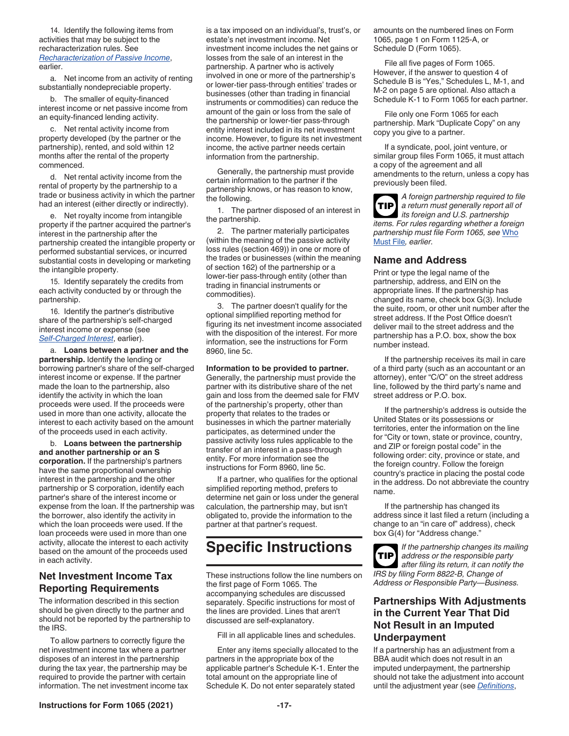14. Identify the following items from activities that may be subject to the recharacterization rules. See *Recharacterization of Passive Income*, earlier.

a. Net income from an activity of renting substantially nondepreciable property.

b. The smaller of equity-financed interest income or net passive income from an equity-financed lending activity.

c. Net rental activity income from property developed (by the partner or the partnership), rented, and sold within 12 months after the rental of the property commenced.

d. Net rental activity income from the rental of property by the partnership to a trade or business activity in which the partner had an interest (either directly or indirectly).

e. Net royalty income from intangible property if the partner acquired the partner's interest in the partnership after the partnership created the intangible property or performed substantial services, or incurred substantial costs in developing or marketing the intangible property.

15. Identify separately the credits from each activity conducted by or through the partnership.

16. Identify the partner's distributive share of the partnership's self-charged interest income or expense (see *Self-Charged Interest*, earlier).

a. **Loans between a partner and the partnership.** Identify the lending or borrowing partner's share of the self-charged interest income or expense. If the partner made the loan to the partnership, also identify the activity in which the loan proceeds were used. If the proceeds were used in more than one activity, allocate the interest to each activity based on the amount of the proceeds used in each activity.

b. **Loans between the partnership and another partnership or an S corporation.** If the partnership's partners have the same proportional ownership interest in the partnership and the other partnership or S corporation, identify each partner's share of the interest income or expense from the loan. If the partnership was the borrower, also identify the activity in which the loan proceeds were used. If the loan proceeds were used in more than one activity, allocate the interest to each activity based on the amount of the proceeds used in each activity.

#### **Net Investment Income Tax Reporting Requirements**

The information described in this section should be given directly to the partner and should not be reported by the partnership to the IRS.

To allow partners to correctly figure the net investment income tax where a partner disposes of an interest in the partnership during the tax year, the partnership may be required to provide the partner with certain information. The net investment income tax is a tax imposed on an individual's, trust's, or estate's net investment income. Net investment income includes the net gains or losses from the sale of an interest in the partnership. A partner who is actively involved in one or more of the partnership's or lower-tier pass-through entities' trades or businesses (other than trading in financial instruments or commodities) can reduce the amount of the gain or loss from the sale of the partnership or lower-tier pass-through entity interest included in its net investment income. However, to figure its net investment income, the active partner needs certain information from the partnership.

Generally, the partnership must provide certain information to the partner if the partnership knows, or has reason to know, the following.

1. The partner disposed of an interest in the partnership.

2. The partner materially participates (within the meaning of the passive activity loss rules (section 469)) in one or more of the trades or businesses (within the meaning of section 162) of the partnership or a lower-tier pass-through entity (other than trading in financial instruments or commodities).

3. The partner doesn't qualify for the optional simplified reporting method for figuring its net investment income associated with the disposition of the interest. For more information, see the instructions for Form 8960, line 5c.

**Information to be provided to partner.**  Generally, the partnership must provide the partner with its distributive share of the net gain and loss from the deemed sale for FMV of the partnership's property, other than property that relates to the trades or businesses in which the partner materially participates, as determined under the passive activity loss rules applicable to the transfer of an interest in a pass-through entity. For more information see the instructions for Form 8960, line 5c.

If a partner, who qualifies for the optional simplified reporting method, prefers to determine net gain or loss under the general calculation, the partnership may, but isn't obligated to, provide the information to the partner at that partner's request.

### **Specific Instructions**

These instructions follow the line numbers on the first page of Form 1065. The accompanying schedules are discussed separately. Specific instructions for most of the lines are provided. Lines that aren't discussed are self-explanatory.

Fill in all applicable lines and schedules.

Enter any items specially allocated to the partners in the appropriate box of the applicable partner's Schedule K-1. Enter the total amount on the appropriate line of Schedule K. Do not enter separately stated

amounts on the numbered lines on Form 1065, page 1 on Form 1125-A, or Schedule D (Form 1065).

File all five pages of Form 1065. However, if the answer to question 4 of Schedule B is "Yes," Schedules L, M-1, and M-2 on page 5 are optional. Also attach a Schedule K-1 to Form 1065 for each partner.

File only one Form 1065 for each partnership. Mark "Duplicate Copy" on any copy you give to a partner.

If a syndicate, pool, joint venture, or similar group files Form 1065, it must attach a copy of the agreement and all amendments to the return, unless a copy has previously been filed.

*A foreign partnership required to file a return must generally report all of its foreign and U.S. partnership items. For rules regarding whether a foreign partnership must file Form 1065, see* Who Must File*, earlier.* **TIP**

#### **Name and Address**

Print or type the legal name of the partnership, address, and EIN on the appropriate lines. If the partnership has changed its name, check box G(3). Include the suite, room, or other unit number after the street address. If the Post Office doesn't deliver mail to the street address and the partnership has a P.O. box, show the box number instead.

If the partnership receives its mail in care of a third party (such as an accountant or an attorney), enter "C/O" on the street address line, followed by the third party's name and street address or P.O. box.

If the partnership's address is outside the United States or its possessions or territories, enter the information on the line for "City or town, state or province, country, and ZIP or foreign postal code" in the following order: city, province or state, and the foreign country. Follow the foreign country's practice in placing the postal code in the address. Do not abbreviate the country name.

If the partnership has changed its address since it last filed a return (including a change to an "in care of" address), check box G(4) for "Address change."

*If the partnership changes its mailing address or the responsible party after filing its return, it can notify the IRS by filing Form 8822-B, Change of Address or Responsible Party—Business.* **TIP**

#### **Partnerships With Adjustments in the Current Year That Did Not Result in an Imputed Underpayment**

If a partnership has an adjustment from a BBA audit which does not result in an imputed underpayment, the partnership should not take the adjustment into account until the adjustment year (see *Definitions*,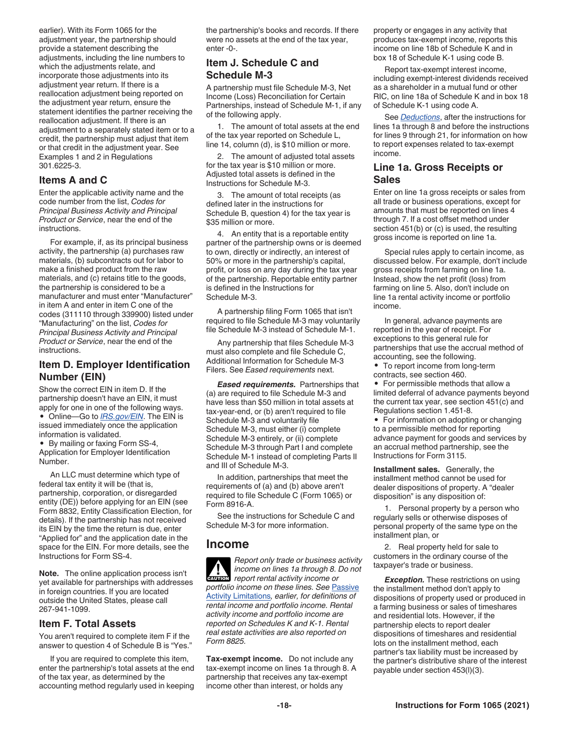earlier). With its Form 1065 for the adjustment year, the partnership should provide a statement describing the adjustments, including the line numbers to which the adjustments relate, and incorporate those adjustments into its adjustment year return. If there is a reallocation adjustment being reported on the adjustment year return, ensure the statement identifies the partner receiving the reallocation adjustment. If there is an adjustment to a separately stated item or to a credit, the partnership must adjust that item or that credit in the adjustment year. See Examples 1 and 2 in Regulations 301.6225-3.

#### **Items A and C**

Enter the applicable activity name and the code number from the list, *Codes for Principal Business Activity and Principal Product or Service*, near the end of the instructions.

For example, if, as its principal business activity, the partnership (a) purchases raw materials, (b) subcontracts out for labor to make a finished product from the raw materials, and (c) retains title to the goods, the partnership is considered to be a manufacturer and must enter "Manufacturer" in item A and enter in item C one of the codes (311110 through 339900) listed under "Manufacturing" on the list, *Codes for Principal Business Activity and Principal Product or Service*, near the end of the instructions.

#### **Item D. Employer Identification Number (EIN)**

Show the correct EIN in item D. If the partnership doesn't have an EIN, it must apply for one in one of the following ways. • Online—Go to *[IRS.gov/EIN](https://www.irs.gov/businesses/small-businesses-self-employed/apply-for-an-employer-identification-number-ein-online)*. The EIN is issued immediately once the application information is validated.

• By mailing or faxing Form SS-4, Application for Employer Identification Number.

An LLC must determine which type of federal tax entity it will be (that is, partnership, corporation, or disregarded entity (DE)) before applying for an EIN (see Form 8832, Entity Classification Election, for details). If the partnership has not received its EIN by the time the return is due, enter "Applied for" and the application date in the space for the EIN. For more details, see the Instructions for Form SS-4.

**Note.** The online application process isn't yet available for partnerships with addresses in foreign countries. If you are located outside the United States, please call 267-941-1099.

#### **Item F. Total Assets**

You aren't required to complete item F if the answer to question 4 of Schedule B is "Yes."

If you are required to complete this item, enter the partnership's total assets at the end of the tax year, as determined by the accounting method regularly used in keeping the partnership's books and records. If there were no assets at the end of the tax year, enter -0-.

#### **Item J. Schedule C and Schedule M-3**

A partnership must file Schedule M-3, Net Income (Loss) Reconciliation for Certain Partnerships, instead of Schedule M-1, if any of the following apply.

1. The amount of total assets at the end of the tax year reported on Schedule L, line 14, column (d), is \$10 million or more.

2. The amount of adjusted total assets for the tax year is \$10 million or more. Adjusted total assets is defined in the Instructions for Schedule M-3.

3. The amount of total receipts (as defined later in the instructions for Schedule B, question 4) for the tax year is \$35 million or more.

4. An entity that is a reportable entity partner of the partnership owns or is deemed to own, directly or indirectly, an interest of 50% or more in the partnership's capital, profit, or loss on any day during the tax year of the partnership. Reportable entity partner is defined in the Instructions for Schedule M-3.

A partnership filing Form 1065 that isn't required to file Schedule M-3 may voluntarily file Schedule M-3 instead of Schedule M-1.

Any partnership that files Schedule M-3 must also complete and file Schedule C, Additional Information for Schedule M-3 Filers. See *Eased requirements* next.

*Eased requirements.* Partnerships that (a) are required to file Schedule M-3 and have less than \$50 million in total assets at tax-year-end, or (b) aren't required to file Schedule M-3 and voluntarily file Schedule M-3, must either (i) complete Schedule M-3 entirely, or (ii) complete Schedule M-3 through Part I and complete Schedule M-1 instead of completing Parts II and III of Schedule M-3.

In addition, partnerships that meet the requirements of (a) and (b) above aren't required to file Schedule C (Form 1065) or Form 8916-A.

See the instructions for Schedule C and Schedule M-3 for more information.

### **Income**

*Report only trade or business activity income on lines 1a through 8. Do not report rental activity income or portfolio income on these lines. See* Passive Activity Limitations*, earlier, for definitions of rental income and portfolio income. Rental activity income and portfolio income are reported on Schedules K and K-1. Rental real estate activities are also reported on Form 8825.* **CAUTION !**

**Tax-exempt income.** Do not include any tax-exempt income on lines 1a through 8. A partnership that receives any tax-exempt income other than interest, or holds any

property or engages in any activity that produces tax-exempt income, reports this income on line 18b of Schedule K and in box 18 of Schedule K-1 using code B.

Report tax-exempt interest income, including exempt-interest dividends received as a shareholder in a mutual fund or other RIC, on line 18a of Schedule K and in box 18 of Schedule K-1 using code A.

See *Deductions*, after the instructions for lines 1a through 8 and before the instructions for lines 9 through 21, for information on how to report expenses related to tax-exempt income.

#### **Line 1a. Gross Receipts or Sales**

Enter on line 1a gross receipts or sales from all trade or business operations, except for amounts that must be reported on lines 4 through 7. If a cost offset method under section 451(b) or (c) is used, the resulting gross income is reported on line 1a.

Special rules apply to certain income, as discussed below. For example, don't include gross receipts from farming on line 1a. Instead, show the net profit (loss) from farming on line 5. Also, don't include on line 1a rental activity income or portfolio income.

In general, advance payments are reported in the year of receipt. For exceptions to this general rule for partnerships that use the accrual method of accounting, see the following.

• To report income from long-term contracts, see section 460.

• For permissible methods that allow a limited deferral of advance payments beyond the current tax year, see section 451(c) and Regulations section 1.451-8.

• For information on adopting or changing to a permissible method for reporting advance payment for goods and services by an accrual method partnership, see the Instructions for Form 3115.

**Installment sales.** Generally, the installment method cannot be used for dealer dispositions of property. A "dealer disposition" is any disposition of:

1. Personal property by a person who regularly sells or otherwise disposes of personal property of the same type on the installment plan, or

2. Real property held for sale to customers in the ordinary course of the taxpayer's trade or business.

**Exception.** These restrictions on using the installment method don't apply to dispositions of property used or produced in a farming business or sales of timeshares and residential lots. However, if the partnership elects to report dealer dispositions of timeshares and residential lots on the installment method, each partner's tax liability must be increased by the partner's distributive share of the interest payable under section 453(l)(3).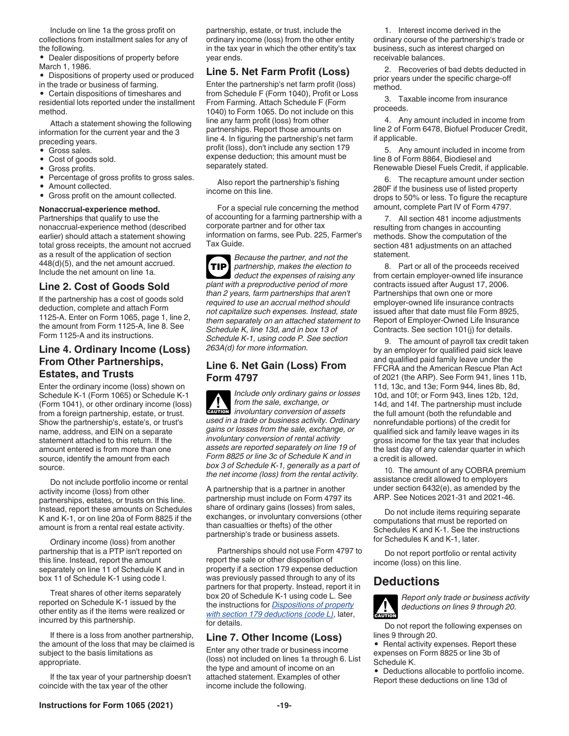Include on line 1a the gross profit on collections from installment sales for any of the following.

• Dealer dispositions of property before March 1, 1986.

• Dispositions of property used or produced in the trade or business of farming.

• Certain dispositions of timeshares and residential lots reported under the installment method.

Attach a statement showing the following information for the current year and the 3 preceding years.

- Gross sales.
- Cost of goods sold.
- Gross profits.
- Percentage of gross profits to gross sales.
- Amount collected.
- Gross profit on the amount collected.

#### **Nonaccrual-experience method.**

Partnerships that qualify to use the nonaccrual-experience method (described earlier) should attach a statement showing total gross receipts, the amount not accrued as a result of the application of section 448(d)(5), and the net amount accrued. Include the net amount on line 1a.

### **Line 2. Cost of Goods Sold**

If the partnership has a cost of goods sold deduction, complete and attach Form 1125-A. Enter on Form 1065, page 1, line 2, the amount from Form 1125-A, line 8. See Form 1125-A and its instructions.

#### **Line 4. Ordinary Income (Loss) From Other Partnerships, Estates, and Trusts**

Enter the ordinary income (loss) shown on Schedule K-1 (Form 1065) or Schedule K-1 (Form 1041), or other ordinary income (loss) from a foreign partnership, estate, or trust. Show the partnership's, estate's, or trust's name, address, and EIN on a separate statement attached to this return. If the amount entered is from more than one source, identify the amount from each source.

Do not include portfolio income or rental activity income (loss) from other partnerships, estates, or trusts on this line. Instead, report these amounts on Schedules K and K-1, or on line 20a of Form 8825 if the amount is from a rental real estate activity.

Ordinary income (loss) from another partnership that is a PTP isn't reported on this line. Instead, report the amount separately on line 11 of Schedule K and in box 11 of Schedule K-1 using code I.

Treat shares of other items separately reported on Schedule K-1 issued by the other entity as if the items were realized or incurred by this partnership.

If there is a loss from another partnership, the amount of the loss that may be claimed is subject to the basis limitations as appropriate.

If the tax year of your partnership doesn't coincide with the tax year of the other

partnership, estate, or trust, include the ordinary income (loss) from the other entity in the tax year in which the other entity's tax year ends.

### **Line 5. Net Farm Profit (Loss)**

Enter the partnership's net farm profit (loss) from Schedule F (Form 1040), Profit or Loss From Farming. Attach Schedule F (Form 1040) to Form 1065. Do not include on this line any farm profit (loss) from other partnerships. Report those amounts on line 4. In figuring the partnership's net farm profit (loss), don't include any section 179 expense deduction; this amount must be separately stated.

Also report the partnership's fishing income on this line.

For a special rule concerning the method of accounting for a farming partnership with a corporate partner and for other tax information on farms, see Pub. 225, Farmer's Tax Guide.

*Because the partner, and not the partnership, makes the election to deduct the expenses of raising any plant with a preproductive period of more than 2 years, farm partnerships that aren't required to use an accrual method should not capitalize such expenses. Instead, state them separately on an attached statement to Schedule K, line 13d, and in box 13 of Schedule K-1, using code P. See section 263A(d) for more information.* **TIP**

#### **Line 6. Net Gain (Loss) From Form 4797**

*Include only ordinary gains or losses from the sale, exchange, or If the sale, exchange, or caution involuntary conversion of assets used in a trade or business activity. Ordinary gains or losses from the sale, exchange, or involuntary conversion of rental activity assets are reported separately on line 19 of Form 8825 or line 3c of Schedule K and in box 3 of Schedule K-1, generally as a part of the net income (loss) from the rental activity.*

A partnership that is a partner in another partnership must include on Form 4797 its share of ordinary gains (losses) from sales, exchanges, or involuntary conversions (other than casualties or thefts) of the other partnership's trade or business assets.

Partnerships should not use Form 4797 to report the sale or other disposition of property if a section 179 expense deduction was previously passed through to any of its partners for that property. Instead, report it in box 20 of Schedule K-1 using code L. See the instructions for *Dispositions of property with section 179 deductions (code L)*, later, for details.

### **Line 7. Other Income (Loss)**

Enter any other trade or business income (loss) not included on lines 1a through 6. List the type and amount of income on an attached statement. Examples of other income include the following.

1. Interest income derived in the ordinary course of the partnership's trade or business, such as interest charged on receivable balances.

2. Recoveries of bad debts deducted in prior years under the specific charge-off method.

3. Taxable income from insurance proceeds.

4. Any amount included in income from line 2 of Form 6478, Biofuel Producer Credit, if applicable.

5. Any amount included in income from line 8 of Form 8864, Biodiesel and Renewable Diesel Fuels Credit, if applicable.

6. The recapture amount under section 280F if the business use of listed property drops to 50% or less. To figure the recapture amount, complete Part IV of Form 4797.

7. All section 481 income adjustments resulting from changes in accounting methods. Show the computation of the section 481 adjustments on an attached statement.

8. Part or all of the proceeds received from certain employer-owned life insurance contracts issued after August 17, 2006. Partnerships that own one or more employer-owned life insurance contracts issued after that date must file Form 8925, Report of Employer-Owned Life Insurance Contracts. See section 101(j) for details.

9. The amount of payroll tax credit taken by an employer for qualified paid sick leave and qualified paid family leave under the FFCRA and the American Rescue Plan Act of 2021 (the ARP). See Form 941, lines 11b, 11d, 13c, and 13e; Form 944, lines 8b, 8d, 10d, and 10f; or Form 943, lines 12b, 12d, 14d, and 14f. The partnership must include the full amount (both the refundable and nonrefundable portions) of the credit for qualified sick and family leave wages in its gross income for the tax year that includes the last day of any calendar quarter in which a credit is allowed.

10. The amount of any COBRA premium assistance credit allowed to employers under section 6432(e), as amended by the ARP. See Notices 2021-31 and 2021-46.

Do not include items requiring separate computations that must be reported on Schedules K and K-1. See the instructions for Schedules K and K-1, later.

Do not report portfolio or rental activity income (loss) on this line.

### **Deductions**



*Report only trade or business activity deductions on lines 9 through 20.*

Do not report the following expenses on lines 9 through 20.

• Rental activity expenses. Report these expenses on Form 8825 or line 3b of Schedule K.

• Deductions allocable to portfolio income. Report these deductions on line 13d of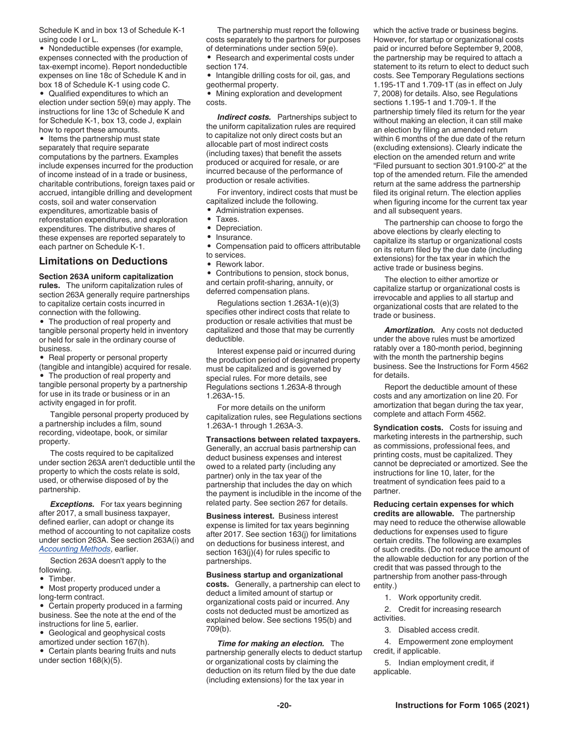Schedule K and in box 13 of Schedule K-1 using code I or L.

• Nondeductible expenses (for example, expenses connected with the production of tax-exempt income). Report nondeductible expenses on line 18c of Schedule K and in box 18 of Schedule K-1 using code C.

• Qualified expenditures to which an election under section 59(e) may apply. The instructions for line 13c of Schedule K and for Schedule K-1, box 13, code J, explain how to report these amounts.

• Items the partnership must state separately that require separate computations by the partners. Examples include expenses incurred for the production of income instead of in a trade or business, charitable contributions, foreign taxes paid or accrued, intangible drilling and development costs, soil and water conservation expenditures, amortizable basis of reforestation expenditures, and exploration expenditures. The distributive shares of these expenses are reported separately to each partner on Schedule K-1.

#### **Limitations on Deductions**

#### **Section 263A uniform capitalization**

**rules.** The uniform capitalization rules of section 263A generally require partnerships to capitalize certain costs incurred in connection with the following.

• The production of real property and tangible personal property held in inventory or held for sale in the ordinary course of business.

• Real property or personal property (tangible and intangible) acquired for resale. • The production of real property and tangible personal property by a partnership for use in its trade or business or in an activity engaged in for profit.

Tangible personal property produced by a partnership includes a film, sound recording, videotape, book, or similar property.

The costs required to be capitalized under section 263A aren't deductible until the property to which the costs relate is sold, used, or otherwise disposed of by the partnership.

**Exceptions.** For tax years beginning after 2017, a small business taxpayer, defined earlier, can adopt or change its method of accounting to not capitalize costs under section 263A. See section 263A(i) and *Accounting Methods*, earlier.

Section 263A doesn't apply to the following.

• Timber.

• Most property produced under a long-term contract.

• Certain property produced in a farming business. See the note at the end of the instructions for line 5, earlier.

• Geological and geophysical costs amortized under section 167(h).

• Certain plants bearing fruits and nuts under section 168(k)(5).

The partnership must report the following costs separately to the partners for purposes of determinations under section 59(e).

• Research and experimental costs under section 174.

• Intangible drilling costs for oil, gas, and geothermal property.

• Mining exploration and development costs.

*Indirect costs.* Partnerships subject to the uniform capitalization rules are required to capitalize not only direct costs but an allocable part of most indirect costs (including taxes) that benefit the assets produced or acquired for resale, or are incurred because of the performance of production or resale activities.

For inventory, indirect costs that must be capitalized include the following.

- Administration expenses.
- Taxes.
- Depreciation.
- Insurance. • Compensation paid to officers attributable
- to services.
- Rework labor.

• Contributions to pension, stock bonus, and certain profit-sharing, annuity, or deferred compensation plans.

Regulations section 1.263A-1(e)(3) specifies other indirect costs that relate to production or resale activities that must be capitalized and those that may be currently deductible.

Interest expense paid or incurred during the production period of designated property must be capitalized and is governed by special rules. For more details, see Regulations sections 1.263A-8 through 1.263A-15.

For more details on the uniform capitalization rules, see Regulations sections 1.263A-1 through 1.263A-3.

**Transactions between related taxpayers.**  Generally, an accrual basis partnership can deduct business expenses and interest owed to a related party (including any partner) only in the tax year of the partnership that includes the day on which the payment is includible in the income of the related party. See section 267 for details.

**Business interest.** Business interest expense is limited for tax years beginning after 2017. See section 163(j) for limitations on deductions for business interest, and section 163(j)(4) for rules specific to partnerships.

#### **Business startup and organizational**

**costs.** Generally, a partnership can elect to deduct a limited amount of startup or organizational costs paid or incurred. Any costs not deducted must be amortized as explained below. See sections 195(b) and 709(b).

*Time for making an election.* The partnership generally elects to deduct startup or organizational costs by claiming the deduction on its return filed by the due date (including extensions) for the tax year in

which the active trade or business begins. However, for startup or organizational costs paid or incurred before September 9, 2008, the partnership may be required to attach a statement to its return to elect to deduct such costs. See Temporary Regulations sections 1.195-1T and 1.709-1T (as in effect on July 7, 2008) for details. Also, see Regulations sections 1.195-1 and 1.709-1. If the partnership timely filed its return for the year without making an election, it can still make an election by filing an amended return within 6 months of the due date of the return (excluding extensions). Clearly indicate the election on the amended return and write "Filed pursuant to section 301.9100-2" at the top of the amended return. File the amended return at the same address the partnership filed its original return. The election applies when figuring income for the current tax year and all subsequent years.

The partnership can choose to forgo the above elections by clearly electing to capitalize its startup or organizational costs on its return filed by the due date (including extensions) for the tax year in which the active trade or business begins.

The election to either amortize or capitalize startup or organizational costs is irrevocable and applies to all startup and organizational costs that are related to the trade or business.

*Amortization.* Any costs not deducted under the above rules must be amortized ratably over a 180-month period, beginning with the month the partnership begins business. See the Instructions for Form 4562 for details.

Report the deductible amount of these costs and any amortization on line 20. For amortization that began during the tax year, complete and attach Form 4562.

**Syndication costs.** Costs for issuing and marketing interests in the partnership, such as commissions, professional fees, and printing costs, must be capitalized. They cannot be depreciated or amortized. See the instructions for line 10, later, for the treatment of syndication fees paid to a partner.

**Reducing certain expenses for which credits are allowable.** The partnership may need to reduce the otherwise allowable deductions for expenses used to figure certain credits. The following are examples of such credits. (Do not reduce the amount of the allowable deduction for any portion of the credit that was passed through to the partnership from another pass-through entity.)

1. Work opportunity credit.

2. Credit for increasing research activities.

3. Disabled access credit.

4. Empowerment zone employment credit, if applicable.

5. Indian employment credit, if applicable.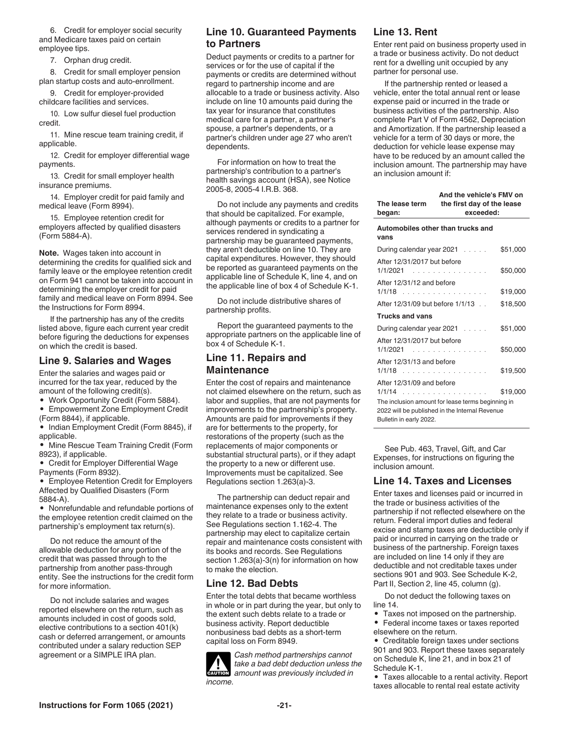6. Credit for employer social security and Medicare taxes paid on certain employee tips.

7. Orphan drug credit.

8. Credit for small employer pension plan startup costs and auto-enrollment.

9. Credit for employer-provided childcare facilities and services.

10. Low sulfur diesel fuel production credit.

11. Mine rescue team training credit, if applicable.

12. Credit for employer differential wage payments.

13. Credit for small employer health insurance premiums.

14. Employer credit for paid family and medical leave (Form 8994).

15. Employee retention credit for employers affected by qualified disasters (Form 5884-A).

**Note.** Wages taken into account in determining the credits for qualified sick and family leave or the employee retention credit on Form 941 cannot be taken into account in determining the employer credit for paid family and medical leave on Form 8994. See the Instructions for Form 8994.

If the partnership has any of the credits listed above, figure each current year credit before figuring the deductions for expenses on which the credit is based.

#### **Line 9. Salaries and Wages**

Enter the salaries and wages paid or incurred for the tax year, reduced by the amount of the following credit(s).

• Work Opportunity Credit (Form 5884).

• Empowerment Zone Employment Credit (Form 8844), if applicable.

• Indian Employment Credit (Form 8845), if applicable.

• Mine Rescue Team Training Credit (Form 8923), if applicable.

• Credit for Employer Differential Wage Payments (Form 8932).

• Employee Retention Credit for Employers Affected by Qualified Disasters (Form 5884-A).

• Nonrefundable and refundable portions of the employee retention credit claimed on the partnership's employment tax return(s).

Do not reduce the amount of the allowable deduction for any portion of the credit that was passed through to the partnership from another pass-through entity. See the instructions for the credit form for more information.

Do not include salaries and wages reported elsewhere on the return, such as amounts included in cost of goods sold, elective contributions to a section 401(k) cash or deferred arrangement, or amounts contributed under a salary reduction SEP agreement or a SIMPLE IRA plan.

#### **Line 10. Guaranteed Payments to Partners**

Deduct payments or credits to a partner for services or for the use of capital if the payments or credits are determined without regard to partnership income and are allocable to a trade or business activity. Also include on line 10 amounts paid during the tax year for insurance that constitutes medical care for a partner, a partner's spouse, a partner's dependents, or a partner's children under age 27 who aren't dependents.

For information on how to treat the partnership's contribution to a partner's health savings account (HSA), see Notice 2005-8, 2005-4 I.R.B. 368.

Do not include any payments and credits that should be capitalized. For example, although payments or credits to a partner for services rendered in syndicating a partnership may be guaranteed payments, they aren't deductible on line 10. They are capital expenditures. However, they should be reported as guaranteed payments on the applicable line of Schedule K, line 4, and on the applicable line of box 4 of Schedule K-1.

Do not include distributive shares of partnership profits.

Report the guaranteed payments to the appropriate partners on the applicable line of box 4 of Schedule K-1.

#### **Line 11. Repairs and Maintenance**

Enter the cost of repairs and maintenance not claimed elsewhere on the return, such as labor and supplies, that are not payments for improvements to the partnership's property. Amounts are paid for improvements if they are for betterments to the property, for restorations of the property (such as the replacements of major components or substantial structural parts), or if they adapt the property to a new or different use. Improvements must be capitalized. See Regulations section 1.263(a)-3.

The partnership can deduct repair and maintenance expenses only to the extent they relate to a trade or business activity. See Regulations section 1.162-4. The partnership may elect to capitalize certain repair and maintenance costs consistent with its books and records. See Regulations section 1.263(a)-3(n) for information on how to make the election.

### **Line 12. Bad Debts**

Enter the total debts that became worthless in whole or in part during the year, but only to the extent such debts relate to a trade or business activity. Report deductible nonbusiness bad debts as a short-term capital loss on Form 8949.

*Cash method partnerships cannot take a bad debt deduction unless the amount was previously included in income.* **CAUTION !**

#### **Line 13. Rent**

Enter rent paid on business property used in a trade or business activity. Do not deduct rent for a dwelling unit occupied by any partner for personal use.

If the partnership rented or leased a vehicle, enter the total annual rent or lease expense paid or incurred in the trade or business activities of the partnership. Also complete Part V of Form 4562, Depreciation and Amortization. If the partnership leased a vehicle for a term of 30 days or more, the deduction for vehicle lease expense may have to be reduced by an amount called the inclusion amount. The partnership may have an inclusion amount if:

| The lease term the first day of the lease<br>began:                                                                            | And the vehicle's FMV on<br>exceeded: |          |
|--------------------------------------------------------------------------------------------------------------------------------|---------------------------------------|----------|
| Automobiles other than trucks and<br>vans                                                                                      |                                       |          |
| During calendar year 2021                                                                                                      |                                       | \$51,000 |
| After 12/31/2017 but before<br>$1/1/2021$                                                                                      |                                       | \$50,000 |
| After 12/31/12 and before<br>1/1/18                                                                                            |                                       | \$19,000 |
| After 12/31/09 but before 1/1/13                                                                                               |                                       | \$18,500 |
| <b>Trucks and vans</b>                                                                                                         |                                       |          |
| During calendar year $2021$                                                                                                    |                                       | \$51,000 |
| After 12/31/2017 but before<br>$1/1/2021$                                                                                      |                                       | \$50,000 |
| After 12/31/13 and before<br>$1/1/18$                                                                                          |                                       | \$19,500 |
| After 12/31/09 and before<br>$1/1/14$                                                                                          |                                       | \$19.000 |
| The inclusion amount for lease terms beginning in<br>2022 will be published in the Internal Revenue<br>Bulletin in early 2022. |                                       |          |

See Pub. 463, Travel, Gift, and Car Expenses, for instructions on figuring the inclusion amount.

### **Line 14. Taxes and Licenses**

Enter taxes and licenses paid or incurred in the trade or business activities of the partnership if not reflected elsewhere on the return. Federal import duties and federal excise and stamp taxes are deductible only if paid or incurred in carrying on the trade or business of the partnership. Foreign taxes are included on line 14 only if they are deductible and not creditable taxes under sections 901 and 903. See Schedule K-2, Part II, Section 2, line 45, column (g).

Do not deduct the following taxes on line 14.

• Taxes not imposed on the partnership.

• Federal income taxes or taxes reported elsewhere on the return.

• Creditable foreign taxes under sections 901 and 903. Report these taxes separately on Schedule K, line 21, and in box 21 of Schedule K-1.

• Taxes allocable to a rental activity. Report taxes allocable to rental real estate activity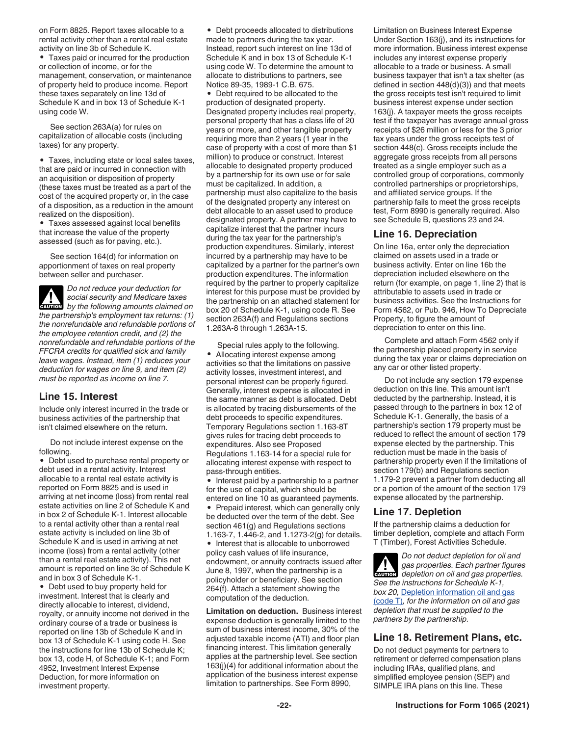on Form 8825. Report taxes allocable to a rental activity other than a rental real estate activity on line 3b of Schedule K.

• Taxes paid or incurred for the production or collection of income, or for the management, conservation, or maintenance of property held to produce income. Report these taxes separately on line 13d of Schedule K and in box 13 of Schedule K-1 using code W.

See section 263A(a) for rules on capitalization of allocable costs (including taxes) for any property.

• Taxes, including state or local sales taxes, that are paid or incurred in connection with an acquisition or disposition of property (these taxes must be treated as a part of the cost of the acquired property or, in the case of a disposition, as a reduction in the amount realized on the disposition).

• Taxes assessed against local benefits that increase the value of the property assessed (such as for paving, etc.).

See section 164(d) for information on apportionment of taxes on real property between seller and purchaser.

*Do not reduce your deduction for social security and Medicare taxes*  **by the following amounts claimed on** *the partnership's employment tax returns: (1) the nonrefundable and refundable portions of the employee retention credit, and (2) the nonrefundable and refundable portions of the FFCRA credits for qualified sick and family leave wages. Instead, item (1) reduces your deduction for wages on line 9, and item (2) must be reported as income on line 7.*

#### **Line 15. Interest**

Include only interest incurred in the trade or business activities of the partnership that isn't claimed elsewhere on the return.

Do not include interest expense on the following.

• Debt used to purchase rental property or debt used in a rental activity. Interest allocable to a rental real estate activity is reported on Form 8825 and is used in arriving at net income (loss) from rental real estate activities on line 2 of Schedule K and in box 2 of Schedule K-1. Interest allocable to a rental activity other than a rental real estate activity is included on line 3b of Schedule K and is used in arriving at net income (loss) from a rental activity (other than a rental real estate activity). This net amount is reported on line 3c of Schedule K and in box 3 of Schedule K-1.

• Debt used to buy property held for investment. Interest that is clearly and directly allocable to interest, dividend, royalty, or annuity income not derived in the ordinary course of a trade or business is reported on line 13b of Schedule K and in box 13 of Schedule K-1 using code H. See the instructions for line 13b of Schedule K; box 13, code H, of Schedule K-1; and Form 4952, Investment Interest Expense Deduction, for more information on investment property.

• Debt proceeds allocated to distributions made to partners during the tax year. Instead, report such interest on line 13d of Schedule K and in box 13 of Schedule K-1 using code W. To determine the amount to allocate to distributions to partners, see Notice 89-35, 1989-1 C.B. 675.

• Debt required to be allocated to the production of designated property. Designated property includes real property, personal property that has a class life of 20 years or more, and other tangible property requiring more than 2 years (1 year in the case of property with a cost of more than \$1 million) to produce or construct. Interest allocable to designated property produced by a partnership for its own use or for sale must be capitalized. In addition, a partnership must also capitalize to the basis of the designated property any interest on debt allocable to an asset used to produce designated property. A partner may have to capitalize interest that the partner incurs during the tax year for the partnership's production expenditures. Similarly, interest incurred by a partnership may have to be capitalized by a partner for the partner's own production expenditures. The information required by the partner to properly capitalize interest for this purpose must be provided by the partnership on an attached statement for box 20 of Schedule K-1, using code R. See section 263A(f) and Regulations sections 1.263A-8 through 1.263A-15.

Special rules apply to the following. • Allocating interest expense among activities so that the limitations on passive activity losses, investment interest, and personal interest can be properly figured. Generally, interest expense is allocated in the same manner as debt is allocated. Debt is allocated by tracing disbursements of the debt proceeds to specific expenditures. Temporary Regulations section 1.163-8T gives rules for tracing debt proceeds to expenditures. Also see Proposed Regulations 1.163-14 for a special rule for allocating interest expense with respect to pass-through entities.

• Interest paid by a partnership to a partner for the use of capital, which should be entered on line 10 as guaranteed payments. • Prepaid interest, which can generally only be deducted over the term of the debt. See section 461(g) and Regulations sections 1.163-7, 1.446-2, and 1.1273-2(g) for details. • Interest that is allocable to unborrowed policy cash values of life insurance, endowment, or annuity contracts issued after June 8, 1997, when the partnership is a policyholder or beneficiary. See section 264(f). Attach a statement showing the computation of the deduction.

**Limitation on deduction.** Business interest expense deduction is generally limited to the sum of business interest income, 30% of the adjusted taxable income (ATI) and floor plan financing interest. This limitation generally applies at the partnership level. See section 163(j)(4) for additional information about the application of the business interest expense limitation to partnerships. See Form 8990,

Limitation on Business Interest Expense Under Section 163(j), and its instructions for more information. Business interest expense includes any interest expense properly allocable to a trade or business. A small business taxpayer that isn't a tax shelter (as defined in section 448(d)(3)) and that meets the gross receipts test isn't required to limit business interest expense under section 163(j). A taxpayer meets the gross receipts test if the taxpayer has average annual gross receipts of \$26 million or less for the 3 prior tax years under the gross receipts test of section 448(c). Gross receipts include the aggregate gross receipts from all persons treated as a single employer such as a controlled group of corporations, commonly controlled partnerships or proprietorships, and affiliated service groups. If the partnership fails to meet the gross receipts test, Form 8990 is generally required. Also see Schedule B, questions 23 and 24.

#### **Line 16. Depreciation**

On line 16a, enter only the depreciation claimed on assets used in a trade or business activity. Enter on line 16b the depreciation included elsewhere on the return (for example, on page 1, line 2) that is attributable to assets used in trade or business activities. See the Instructions for Form 4562, or Pub. 946, How To Depreciate Property, to figure the amount of depreciation to enter on this line.

Complete and attach Form 4562 only if the partnership placed property in service during the tax year or claims depreciation on any car or other listed property.

Do not include any section 179 expense deduction on this line. This amount isn't deducted by the partnership. Instead, it is passed through to the partners in box 12 of Schedule K-1. Generally, the basis of a partnership's section 179 property must be reduced to reflect the amount of section 179 expense elected by the partnership. This reduction must be made in the basis of partnership property even if the limitations of section 179(b) and Regulations section 1.179-2 prevent a partner from deducting all or a portion of the amount of the section 179 expense allocated by the partnership.

#### **Line 17. Depletion**

If the partnership claims a deduction for timber depletion, complete and attach Form T (Timber), Forest Activities Schedule.

*Do not deduct depletion for oil and gas properties. Each partner figures*  gas properties. Each partner figures<br> **CAUTION** depletion on oil and gas properties. *See the instructions for Schedule K-1, box 20,* Depletion information oil and gas (code T)*, for the information on oil and gas depletion that must be supplied to the partners by the partnership.*

#### **Line 18. Retirement Plans, etc.**

Do not deduct payments for partners to retirement or deferred compensation plans including IRAs, qualified plans, and simplified employee pension (SEP) and SIMPLE IRA plans on this line. These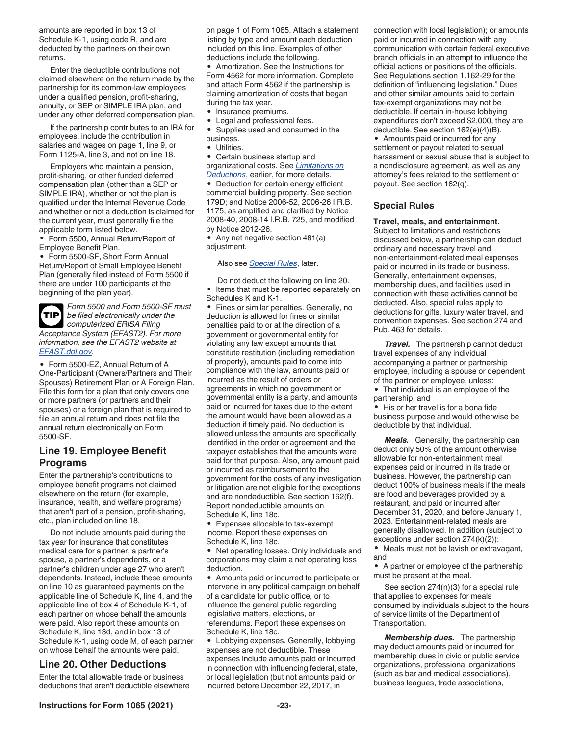amounts are reported in box 13 of Schedule K-1, using code R, and are deducted by the partners on their own returns.

Enter the deductible contributions not claimed elsewhere on the return made by the partnership for its common-law employees under a qualified pension, profit-sharing, annuity, or SEP or SIMPLE IRA plan, and under any other deferred compensation plan.

If the partnership contributes to an IRA for employees, include the contribution in salaries and wages on page 1, line 9, or Form 1125-A, line 3, and not on line 18.

Employers who maintain a pension, profit-sharing, or other funded deferred compensation plan (other than a SEP or SIMPLE IRA), whether or not the plan is qualified under the Internal Revenue Code and whether or not a deduction is claimed for the current year, must generally file the applicable form listed below.

• Form 5500, Annual Return/Report of Employee Benefit Plan.

• Form 5500-SF, Short Form Annual Return/Report of Small Employee Benefit Plan (generally filed instead of Form 5500 if there are under 100 participants at the beginning of the plan year).

*Form 5500 and Form 5500-SF must be filed electronically under the computerized ERISA Filing Acceptance System (EFAST2). For more information, see the EFAST2 website at [EFAST.dol.gov.](https://www.efast.dol.gov)* **TIP**

• Form 5500-EZ, Annual Return of A One-Participant (Owners/Partners and Their Spouses) Retirement Plan or A Foreign Plan. File this form for a plan that only covers one or more partners (or partners and their spouses) or a foreign plan that is required to file an annual return and does not file the annual return electronically on Form 5500-SF.

#### **Line 19. Employee Benefit Programs**

Enter the partnership's contributions to employee benefit programs not claimed elsewhere on the return (for example, insurance, health, and welfare programs) that aren't part of a pension, profit-sharing, etc., plan included on line 18.

Do not include amounts paid during the tax year for insurance that constitutes medical care for a partner, a partner's spouse, a partner's dependents, or a partner's children under age 27 who aren't dependents. Instead, include these amounts on line 10 as guaranteed payments on the applicable line of Schedule K, line 4, and the applicable line of box 4 of Schedule K-1, of each partner on whose behalf the amounts were paid. Also report these amounts on Schedule K, line 13d, and in box 13 of Schedule K-1, using code M, of each partner on whose behalf the amounts were paid.

#### **Line 20. Other Deductions**

Enter the total allowable trade or business deductions that aren't deductible elsewhere on page 1 of Form 1065. Attach a statement listing by type and amount each deduction included on this line. Examples of other deductions include the following.

• Amortization. See the Instructions for Form 4562 for more information. Complete and attach Form 4562 if the partnership is claiming amortization of costs that began during the tax year.

- Insurance premiums.
- Legal and professional fees.
- Supplies used and consumed in the business.
- Utilities.<br>• Certain

• Certain business startup and organizational costs. See *Limitations on* 

*Deductions*, earlier, for more details. • Deduction for certain energy efficient commercial building property. See section 179D; and Notice 2006-52, 2006-26 I.R.B. 1175, as amplified and clarified by Notice 2008-40, 2008-14 I.R.B. 725, and modified by Notice 2012-26.

• Any net negative section 481(a) adjustment.

#### Also see *Special Rules*, later.

Do not deduct the following on line 20. • Items that must be reported separately on Schedules K and K-1.

• Fines or similar penalties. Generally, no deduction is allowed for fines or similar penalties paid to or at the direction of a government or governmental entity for violating any law except amounts that constitute restitution (including remediation of property), amounts paid to come into compliance with the law, amounts paid or incurred as the result of orders or agreements in which no government or governmental entity is a party, and amounts paid or incurred for taxes due to the extent the amount would have been allowed as a deduction if timely paid. No deduction is allowed unless the amounts are specifically identified in the order or agreement and the taxpayer establishes that the amounts were paid for that purpose. Also, any amount paid or incurred as reimbursement to the government for the costs of any investigation or litigation are not eligible for the exceptions and are nondeductible. See section 162(f). Report nondeductible amounts on Schedule K, line 18c.

• Expenses allocable to tax-exempt income. Report these expenses on Schedule K, line 18c.

• Net operating losses. Only individuals and corporations may claim a net operating loss deduction.

• Amounts paid or incurred to participate or intervene in any political campaign on behalf of a candidate for public office, or to influence the general public regarding legislative matters, elections, or referendums. Report these expenses on Schedule K, line 18c.

• Lobbying expenses. Generally, lobbying expenses are not deductible. These expenses include amounts paid or incurred in connection with influencing federal, state, or local legislation (but not amounts paid or incurred before December 22, 2017, in

connection with local legislation); or amounts paid or incurred in connection with any communication with certain federal executive branch officials in an attempt to influence the official actions or positions of the officials. See Regulations section 1.162-29 for the definition of "influencing legislation." Dues and other similar amounts paid to certain tax-exempt organizations may not be deductible. If certain in-house lobbying expenditures don't exceed \$2,000, they are deductible. See section 162(e)(4)(B).

• Amounts paid or incurred for any settlement or payout related to sexual harassment or sexual abuse that is subject to a nondisclosure agreement, as well as any attorney's fees related to the settlement or payout. See section 162(q).

#### **Special Rules**

#### **Travel, meals, and entertainment.**

Subject to limitations and restrictions discussed below, a partnership can deduct ordinary and necessary travel and non-entertainment-related meal expenses paid or incurred in its trade or business. Generally, entertainment expenses, membership dues, and facilities used in connection with these activities cannot be deducted. Also, special rules apply to deductions for gifts, luxury water travel, and convention expenses. See section 274 and Pub. 463 for details.

*Travel.* The partnership cannot deduct travel expenses of any individual accompanying a partner or partnership employee, including a spouse or dependent of the partner or employee, unless:

• That individual is an employee of the partnership, and

• His or her travel is for a bona fide business purpose and would otherwise be deductible by that individual.

*Meals.* Generally, the partnership can deduct only 50% of the amount otherwise allowable for non-entertainment meal expenses paid or incurred in its trade or business. However, the partnership can deduct 100% of business meals if the meals are food and beverages provided by a restaurant, and paid or incurred after December 31, 2020, and before January 1, 2023. Entertainment-related meals are generally disallowed. In addition (subject to exceptions under section 274(k)(2)):

• Meals must not be lavish or extravagant, and

• A partner or employee of the partnership must be present at the meal.

See section 274(n)(3) for a special rule that applies to expenses for meals consumed by individuals subject to the hours of service limits of the Department of Transportation.

*Membership dues.* The partnership may deduct amounts paid or incurred for membership dues in civic or public service organizations, professional organizations (such as bar and medical associations), business leagues, trade associations,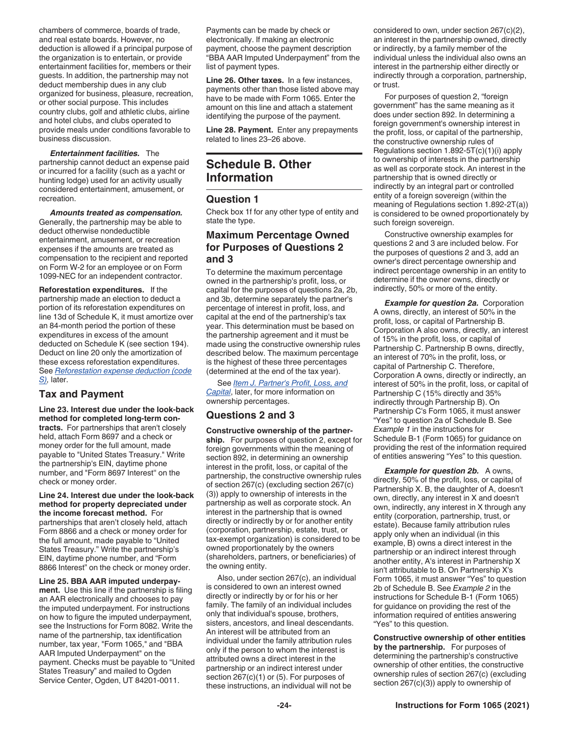chambers of commerce, boards of trade, and real estate boards. However, no deduction is allowed if a principal purpose of the organization is to entertain, or provide entertainment facilities for, members or their guests. In addition, the partnership may not deduct membership dues in any club organized for business, pleasure, recreation, or other social purpose. This includes country clubs, golf and athletic clubs, airline and hotel clubs, and clubs operated to provide meals under conditions favorable to business discussion.

*Entertainment facilities.* The partnership cannot deduct an expense paid or incurred for a facility (such as a yacht or hunting lodge) used for an activity usually considered entertainment, amusement, or recreation.

*Amounts treated as compensation.*  Generally, the partnership may be able to deduct otherwise nondeductible entertainment, amusement, or recreation expenses if the amounts are treated as compensation to the recipient and reported on Form W-2 for an employee or on Form 1099-NEC for an independent contractor.

**Reforestation expenditures.** If the partnership made an election to deduct a portion of its reforestation expenditures on line 13d of Schedule K, it must amortize over an 84-month period the portion of these expenditures in excess of the amount deducted on Schedule K (see section 194). Deduct on line 20 only the amortization of these excess reforestation expenditures. See *Reforestation expense deduction (code S),* later.

#### **Tax and Payment**

**Line 23. Interest due under the look-back method for completed long-term contracts.** For partnerships that aren't closely held, attach Form 8697 and a check or money order for the full amount, made payable to "United States Treasury." Write the partnership's EIN, daytime phone number, and "Form 8697 Interest'' on the check or money order.

**Line 24. Interest due under the look-back method for property depreciated under the income forecast method.** For partnerships that aren't closely held, attach Form 8866 and a check or money order for the full amount, made payable to "United States Treasury." Write the partnership's EIN, daytime phone number, and "Form 8866 Interest" on the check or money order.

#### **Line 25. BBA AAR imputed underpay-**

**ment.** Use this line if the partnership is filing an AAR electronically and chooses to pay the imputed underpayment. For instructions on how to figure the imputed underpayment, see the Instructions for Form 8082. Write the name of the partnership, tax identification number, tax year, "Form 1065," and "BBA AAR Imputed Underpayment" on the payment. Checks must be payable to "United States Treasury" and mailed to Ogden Service Center, Ogden, UT 84201-0011.

Payments can be made by check or electronically. If making an electronic payment, choose the payment description "BBA AAR Imputed Underpayment" from the list of payment types.

**Line 26. Other taxes.** In a few instances, payments other than those listed above may have to be made with Form 1065. Enter the amount on this line and attach a statement identifying the purpose of the payment.

**Line 28. Payment.** Enter any prepayments related to lines 23–26 above.

### **Schedule B. Other Information**

#### **Question 1**

Check box 1f for any other type of entity and state the type.

#### **Maximum Percentage Owned for Purposes of Questions 2 and 3**

To determine the maximum percentage owned in the partnership's profit, loss, or capital for the purposes of questions 2a, 2b, and 3b, determine separately the partner's percentage of interest in profit, loss, and capital at the end of the partnership's tax year. This determination must be based on the partnership agreement and it must be made using the constructive ownership rules described below. The maximum percentage is the highest of these three percentages (determined at the end of the tax year).

See *Item J. Partner's Profit, Loss, and Capital*, later, for more information on ownership percentages.

#### **Questions 2 and 3**

**Constructive ownership of the partnership.** For purposes of question 2, except for foreign governments within the meaning of section 892, in determining an ownership interest in the profit, loss, or capital of the partnership, the constructive ownership rules of section 267(c) (excluding section 267(c) (3)) apply to ownership of interests in the partnership as well as corporate stock. An interest in the partnership that is owned directly or indirectly by or for another entity (corporation, partnership, estate, trust, or tax-exempt organization) is considered to be owned proportionately by the owners (shareholders, partners, or beneficiaries) of the owning entity.

Also, under section 267(c), an individual is considered to own an interest owned directly or indirectly by or for his or her family. The family of an individual includes only that individual's spouse, brothers, sisters, ancestors, and lineal descendants. An interest will be attributed from an individual under the family attribution rules only if the person to whom the interest is attributed owns a direct interest in the partnership or an indirect interest under section 267(c)(1) or (5). For purposes of these instructions, an individual will not be

considered to own, under section 267(c)(2), an interest in the partnership owned, directly or indirectly, by a family member of the individual unless the individual also owns an interest in the partnership either directly or indirectly through a corporation, partnership, or trust.

For purposes of question 2, "foreign government" has the same meaning as it does under section 892. In determining a foreign government's ownership interest in the profit, loss, or capital of the partnership, the constructive ownership rules of Regulations section 1.892-5T(c)(1)(i) apply to ownership of interests in the partnership as well as corporate stock. An interest in the partnership that is owned directly or indirectly by an integral part or controlled entity of a foreign sovereign (within the meaning of Regulations section 1.892-2T(a)) is considered to be owned proportionately by such foreign sovereign.

Constructive ownership examples for questions 2 and 3 are included below. For the purposes of questions 2 and 3, add an owner's direct percentage ownership and indirect percentage ownership in an entity to determine if the owner owns, directly or indirectly, 50% or more of the entity.

*Example for question 2a. Corporation* A owns, directly, an interest of 50% in the profit, loss, or capital of Partnership B. Corporation A also owns, directly, an interest of 15% in the profit, loss, or capital of Partnership C. Partnership B owns, directly, an interest of 70% in the profit, loss, or capital of Partnership C. Therefore, Corporation A owns, directly or indirectly, an interest of 50% in the profit, loss, or capital of Partnership C (15% directly and 35% indirectly through Partnership B). On Partnership C's Form 1065, it must answer "Yes" to question 2a of Schedule B. See *Example 1* in the instructions for Schedule B-1 (Form 1065) for guidance on providing the rest of the information required of entities answering "Yes" to this question.

*Example for question 2b.* A owns, directly, 50% of the profit, loss, or capital of Partnership X. B, the daughter of A, doesn't own, directly, any interest in X and doesn't own, indirectly, any interest in X through any entity (corporation, partnership, trust, or estate). Because family attribution rules apply only when an individual (in this example, B) owns a direct interest in the partnership or an indirect interest through another entity, A's interest in Partnership X isn't attributable to B. On Partnership X's Form 1065, it must answer "Yes" to question 2b of Schedule B. See *Example 2* in the instructions for Schedule B-1 (Form 1065) for guidance on providing the rest of the information required of entities answering "Yes" to this question.

**Constructive ownership of other entities by the partnership.** For purposes of determining the partnership's constructive ownership of other entities, the constructive ownership rules of section 267(c) (excluding section 267(c)(3)) apply to ownership of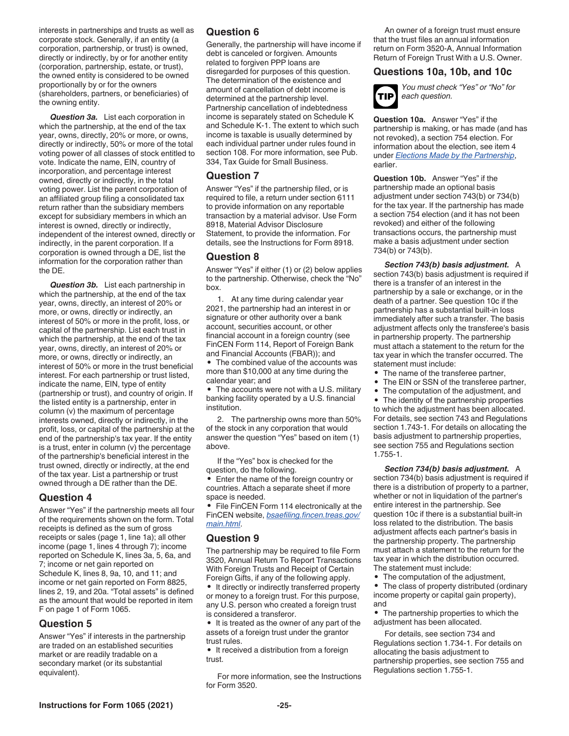interests in partnerships and trusts as well as corporate stock. Generally, if an entity (a corporation, partnership, or trust) is owned, directly or indirectly, by or for another entity (corporation, partnership, estate, or trust), the owned entity is considered to be owned proportionally by or for the owners (shareholders, partners, or beneficiaries) of the owning entity.

*Question 3a.* List each corporation in which the partnership, at the end of the tax year, owns, directly, 20% or more, or owns, directly or indirectly, 50% or more of the total voting power of all classes of stock entitled to vote. Indicate the name, EIN, country of incorporation, and percentage interest owned, directly or indirectly, in the total voting power. List the parent corporation of an affiliated group filing a consolidated tax return rather than the subsidiary members except for subsidiary members in which an interest is owned, directly or indirectly, independent of the interest owned, directly or indirectly, in the parent corporation. If a corporation is owned through a DE, list the information for the corporation rather than the DE.

*Question 3b.* List each partnership in which the partnership, at the end of the tax year, owns, directly, an interest of 20% or more, or owns, directly or indirectly, an interest of 50% or more in the profit, loss, or capital of the partnership. List each trust in which the partnership, at the end of the tax year, owns, directly, an interest of 20% or more, or owns, directly or indirectly, an interest of 50% or more in the trust beneficial interest. For each partnership or trust listed, indicate the name, EIN, type of entity (partnership or trust), and country of origin. If the listed entity is a partnership, enter in column (v) the maximum of percentage interests owned, directly or indirectly, in the profit, loss, or capital of the partnership at the end of the partnership's tax year. If the entity is a trust, enter in column (v) the percentage of the partnership's beneficial interest in the trust owned, directly or indirectly, at the end of the tax year. List a partnership or trust owned through a DE rather than the DE.

#### **Question 4**

Answer "Yes" if the partnership meets all four of the requirements shown on the form. Total receipts is defined as the sum of gross receipts or sales (page 1, line 1a); all other income (page 1, lines 4 through 7); income reported on Schedule K, lines 3a, 5, 6a, and 7; income or net gain reported on Schedule K, lines 8, 9a, 10, and 11; and income or net gain reported on Form 8825, lines 2, 19, and 20a. "Total assets" is defined as the amount that would be reported in item F on page 1 of Form 1065.

#### **Question 5**

Answer "Yes" if interests in the partnership are traded on an established securities market or are readily tradable on a secondary market (or its substantial equivalent).

#### **Question 6**

Generally, the partnership will have income if debt is canceled or forgiven. Amounts related to forgiven PPP loans are disregarded for purposes of this question. The determination of the existence and amount of cancellation of debt income is determined at the partnership level. Partnership cancellation of indebtedness income is separately stated on Schedule K and Schedule K-1. The extent to which such income is taxable is usually determined by each individual partner under rules found in section 108. For more information, see Pub. 334, Tax Guide for Small Business.

#### **Question 7**

Answer "Yes" if the partnership filed, or is required to file, a return under section 6111 to provide information on any reportable transaction by a material advisor. Use Form 8918, Material Advisor Disclosure Statement, to provide the information. For details, see the Instructions for Form 8918.

#### **Question 8**

Answer "Yes" if either (1) or (2) below applies to the partnership. Otherwise, check the "No" box.

1. At any time during calendar year 2021, the partnership had an interest in or signature or other authority over a bank account, securities account, or other financial account in a foreign country (see FinCEN Form 114, Report of Foreign Bank and Financial Accounts (FBAR)); and

• The combined value of the accounts was more than \$10,000 at any time during the calendar year; and

• The accounts were not with a U.S. military banking facility operated by a U.S. financial institution.

2. The partnership owns more than 50% of the stock in any corporation that would answer the question "Yes" based on item (1) above.

If the "Yes" box is checked for the question, do the following.

• Enter the name of the foreign country or countries. Attach a separate sheet if more space is needed.

• File FinCEN Form 114 electronically at the FinCEN website, *[bsaefiling.fincen.treas.gov/](https://bsaefiling.fincen.treas.gov/main.html) [main.html](https://bsaefiling.fincen.treas.gov/main.html)*.

#### **Question 9**

The partnership may be required to file Form 3520, Annual Return To Report Transactions With Foreign Trusts and Receipt of Certain Foreign Gifts, if any of the following apply.

• It directly or indirectly transferred property or money to a foreign trust. For this purpose, any U.S. person who created a foreign trust is considered a transferor.

• It is treated as the owner of any part of the assets of a foreign trust under the grantor trust rules.

• It received a distribution from a foreign trust.

For more information, see the Instructions for Form 3520.

An owner of a foreign trust must ensure that the trust files an annual information return on Form 3520-A, Annual Information Return of Foreign Trust With a U.S. Owner.

#### **Questions 10a, 10b, and 10c**



*You must check "Yes" or "No" for each question.*

**Question 10a.** Answer "Yes" if the partnership is making, or has made (and has not revoked), a section 754 election. For information about the election, see item 4 under *Elections Made by the Partnership*, earlier.

**Question 10b.** Answer "Yes" if the partnership made an optional basis adjustment under section 743(b) or 734(b) for the tax year. If the partnership has made a section 754 election (and it has not been revoked) and either of the following transactions occurs, the partnership must make a basis adjustment under section 734(b) or 743(b).

*Section 743(b) basis adjustment.* A section 743(b) basis adjustment is required if there is a transfer of an interest in the partnership by a sale or exchange, or in the death of a partner. See question 10c if the partnership has a substantial built-in loss immediately after such a transfer. The basis adjustment affects only the transferee's basis in partnership property. The partnership must attach a statement to the return for the tax year in which the transfer occurred. The statement must include:

- The name of the transferee partner,
- The EIN or SSN of the transferee partner,
- The computation of the adjustment, and

• The identity of the partnership properties to which the adjustment has been allocated. For details, see section 743 and Regulations section 1.743-1. For details on allocating the basis adjustment to partnership properties, see section 755 and Regulations section 1.755-1.

*Section 734(b) basis adjustment.* A section 734(b) basis adjustment is required if there is a distribution of property to a partner, whether or not in liquidation of the partner's entire interest in the partnership. See question 10c if there is a substantial built-in loss related to the distribution. The basis adjustment affects each partner's basis in the partnership property. The partnership must attach a statement to the return for the tax year in which the distribution occurred. The statement must include:

• The computation of the adjustment,

• The class of property distributed (ordinary income property or capital gain property), and

• The partnership properties to which the adjustment has been allocated.

For details, see section 734 and Regulations section 1.734-1. For details on allocating the basis adjustment to partnership properties, see section 755 and Regulations section 1.755-1.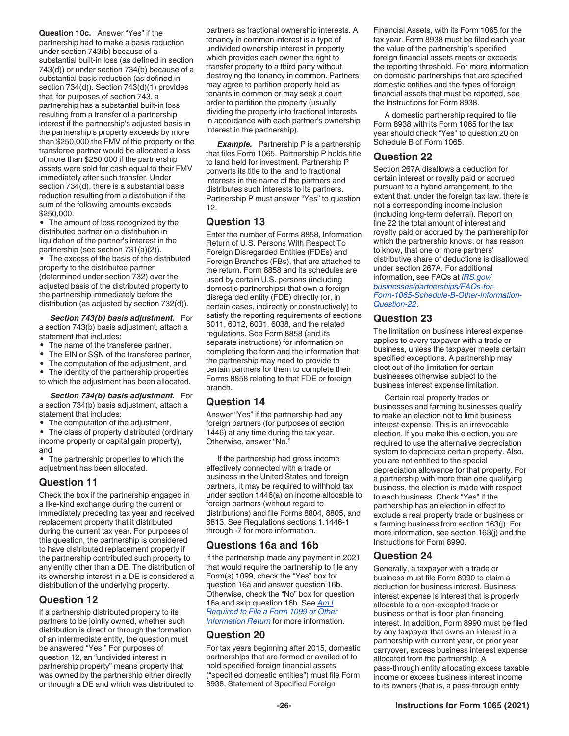**Question 10c.** Answer "Yes" if the partnership had to make a basis reduction under section 743(b) because of a substantial built-in loss (as defined in section 743(d)) or under section 734(b) because of a substantial basis reduction (as defined in section 734(d)). Section 743(d)(1) provides that, for purposes of section 743, a partnership has a substantial built-in loss resulting from a transfer of a partnership interest if the partnership's adjusted basis in the partnership's property exceeds by more than \$250,000 the FMV of the property or the transferee partner would be allocated a loss of more than \$250,000 if the partnership assets were sold for cash equal to their FMV immediately after such transfer. Under section 734(d), there is a substantial basis reduction resulting from a distribution if the sum of the following amounts exceeds \$250,000.

• The amount of loss recognized by the distributee partner on a distribution in liquidation of the partner's interest in the partnership (see section 731(a)(2)).

• The excess of the basis of the distributed property to the distributee partner (determined under section 732) over the adjusted basis of the distributed property to the partnership immediately before the distribution (as adjusted by section 732(d)).

*Section 743(b) basis adjustment.* For a section 743(b) basis adjustment, attach a statement that includes:

- The name of the transferee partner,
- The EIN or SSN of the transferee partner,
- The computation of the adjustment, and
- The identity of the partnership properties
- to which the adjustment has been allocated.

*Section 734(b) basis adjustment.* For a section 734(b) basis adjustment, attach a statement that includes:

• The computation of the adjustment,

• The class of property distributed (ordinary income property or capital gain property), and

• The partnership properties to which the adjustment has been allocated.

#### **Question 11**

Check the box if the partnership engaged in a like-kind exchange during the current or immediately preceding tax year and received replacement property that it distributed during the current tax year. For purposes of this question, the partnership is considered to have distributed replacement property if the partnership contributed such property to any entity other than a DE. The distribution of its ownership interest in a DE is considered a distribution of the underlying property.

#### **Question 12**

If a partnership distributed property to its partners to be jointly owned, whether such distribution is direct or through the formation of an intermediate entity, the question must be answered "Yes." For purposes of question 12, an "undivided interest in partnership property" means property that was owned by the partnership either directly or through a DE and which was distributed to

partners as fractional ownership interests. A tenancy in common interest is a type of undivided ownership interest in property which provides each owner the right to transfer property to a third party without destroying the tenancy in common. Partners may agree to partition property held as tenants in common or may seek a court order to partition the property (usually dividing the property into fractional interests in accordance with each partner's ownership interest in the partnership).

*Example.* Partnership P is a partnership that files Form 1065. Partnership P holds title to land held for investment. Partnership P converts its title to the land to fractional interests in the name of the partners and distributes such interests to its partners. Partnership P must answer "Yes" to question 12.

#### **Question 13**

Enter the number of Forms 8858, Information Return of U.S. Persons With Respect To Foreign Disregarded Entities (FDEs) and Foreign Branches (FBs), that are attached to the return. Form 8858 and its schedules are used by certain U.S. persons (including domestic partnerships) that own a foreign disregarded entity (FDE) directly (or, in certain cases, indirectly or constructively) to satisfy the reporting requirements of sections 6011, 6012, 6031, 6038, and the related regulations. See Form 8858 (and its separate instructions) for information on completing the form and the information that the partnership may need to provide to certain partners for them to complete their Forms 8858 relating to that FDE or foreign branch.

#### **Question 14**

Answer "Yes" if the partnership had any foreign partners (for purposes of section 1446) at any time during the tax year. Otherwise, answer "No."

If the partnership had gross income effectively connected with a trade or business in the United States and foreign partners, it may be required to withhold tax under section 1446(a) on income allocable to foreign partners (without regard to distributions) and file Forms 8804, 8805, and 8813. See Regulations sections 1.1446-1 through -7 for more information.

#### **Questions 16a and 16b**

If the partnership made any payment in 2021 that would require the partnership to file any Form(s) 1099, check the "Yes" box for question 16a and answer question 16b. Otherwise, check the "No" box for question 16a and skip question 16b. See *[Am I](https://www.irs.gov/Businesses/Small-Businesses-&-Self-Employed/Am-I-Required-to-File-a-Form-1099-or-Other-Information-Return)  [Required to File a Form 1099 or Other](https://www.irs.gov/Businesses/Small-Businesses-&-Self-Employed/Am-I-Required-to-File-a-Form-1099-or-Other-Information-Return) [Information Return](https://www.irs.gov/Businesses/Small-Businesses-&-Self-Employed/Am-I-Required-to-File-a-Form-1099-or-Other-Information-Return)* for more information.

#### **Question 20**

For tax years beginning after 2015, domestic partnerships that are formed or availed of to hold specified foreign financial assets ("specified domestic entities") must file Form 8938, Statement of Specified Foreign

Financial Assets, with its Form 1065 for the tax year. Form 8938 must be filed each year the value of the partnership's specified foreign financial assets meets or exceeds the reporting threshold. For more information on domestic partnerships that are specified domestic entities and the types of foreign financial assets that must be reported, see the Instructions for Form 8938.

A domestic partnership required to file Form 8938 with its Form 1065 for the tax year should check "Yes" to question 20 on Schedule B of Form 1065.

#### **Question 22**

Section 267A disallows a deduction for certain interest or royalty paid or accrued pursuant to a hybrid arrangement, to the extent that, under the foreign tax law, there is not a corresponding income inclusion (including long-term deferral). Report on line 22 the total amount of interest and royalty paid or accrued by the partnership for which the partnership knows, or has reason to know, that one or more partners' distributive share of deductions is disallowed under section 267A. For additional information, see FAQs at *[IRS.gov/](https://www.irs.gov/businesses/partnerships/faqs-for-form-1065-schedule-b-other-information-question-22) [businesses/partnerships/FAQs-for-](https://www.irs.gov/businesses/partnerships/faqs-for-form-1065-schedule-b-other-information-question-22)[Form-1065-Schedule-B-Other-Information-](https://www.irs.gov/businesses/partnerships/faqs-for-form-1065-schedule-b-other-information-question-22)[Question-22](https://www.irs.gov/businesses/partnerships/faqs-for-form-1065-schedule-b-other-information-question-22)*.

#### **Question 23**

The limitation on business interest expense applies to every taxpayer with a trade or business, unless the taxpayer meets certain specified exceptions. A partnership may elect out of the limitation for certain businesses otherwise subject to the business interest expense limitation.

Certain real property trades or businesses and farming businesses qualify to make an election not to limit business interest expense. This is an irrevocable election. If you make this election, you are required to use the alternative depreciation system to depreciate certain property. Also, you are not entitled to the special depreciation allowance for that property. For a partnership with more than one qualifying business, the election is made with respect to each business. Check "Yes" if the partnership has an election in effect to exclude a real property trade or business or a farming business from section 163(j). For more information, see section 163(j) and the Instructions for Form 8990.

#### **Question 24**

Generally, a taxpayer with a trade or business must file Form 8990 to claim a deduction for business interest. Business interest expense is interest that is properly allocable to a non-excepted trade or business or that is floor plan financing interest. In addition, Form 8990 must be filed by any taxpayer that owns an interest in a partnership with current year, or prior year carryover, excess business interest expense allocated from the partnership. A pass-through entity allocating excess taxable income or excess business interest income to its owners (that is, a pass-through entity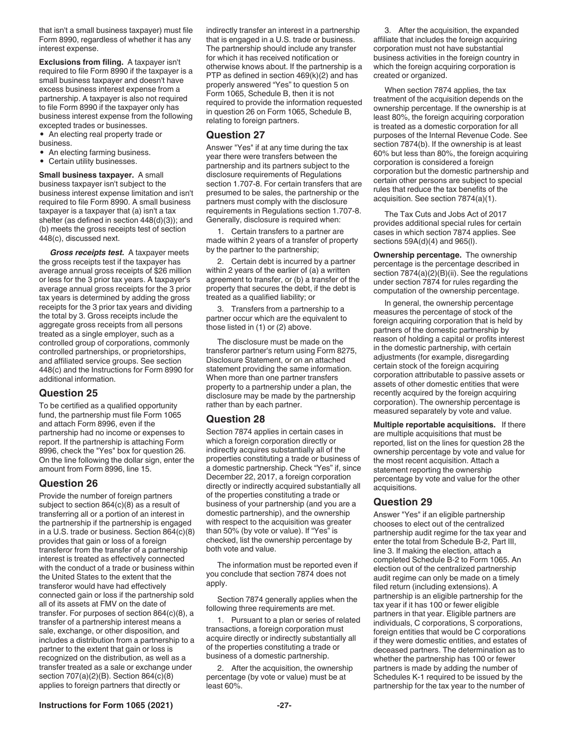that isn't a small business taxpayer) must file Form 8990, regardless of whether it has any interest expense.

**Exclusions from filing.** A taxpayer isn't required to file Form 8990 if the taxpayer is a small business taxpayer and doesn't have excess business interest expense from a partnership. A taxpayer is also not required to file Form 8990 if the taxpayer only has business interest expense from the following excepted trades or businesses.

• An electing real property trade or business.

- An electing farming business.
- Certain utility businesses.

**Small business taxpayer.** A small business taxpayer isn't subject to the business interest expense limitation and isn't required to file Form 8990. A small business taxpayer is a taxpayer that (a) isn't a tax shelter (as defined in section 448(d)(3)); and (b) meets the gross receipts test of section 448(c), discussed next.

*Gross receipts test.* A taxpayer meets the gross receipts test if the taxpayer has average annual gross receipts of \$26 million or less for the 3 prior tax years. A taxpayer's average annual gross receipts for the 3 prior tax years is determined by adding the gross receipts for the 3 prior tax years and dividing the total by 3. Gross receipts include the aggregate gross receipts from all persons treated as a single employer, such as a controlled group of corporations, commonly controlled partnerships, or proprietorships, and affiliated service groups. See section 448(c) and the Instructions for Form 8990 for additional information.

#### **Question 25**

To be certified as a qualified opportunity fund, the partnership must file Form 1065 and attach Form 8996, even if the partnership had no income or expenses to report. If the partnership is attaching Form 8996, check the "Yes" box for question 26. On the line following the dollar sign, enter the amount from Form 8996, line 15.

#### **Question 26**

Provide the number of foreign partners subject to section 864(c)(8) as a result of transferring all or a portion of an interest in the partnership if the partnership is engaged in a U.S. trade or business. Section 864(c)(8) provides that gain or loss of a foreign transferor from the transfer of a partnership interest is treated as effectively connected with the conduct of a trade or business within the United States to the extent that the transferor would have had effectively connected gain or loss if the partnership sold all of its assets at FMV on the date of transfer. For purposes of section 864(c)(8), a transfer of a partnership interest means a sale, exchange, or other disposition, and includes a distribution from a partnership to a partner to the extent that gain or loss is recognized on the distribution, as well as a transfer treated as a sale or exchange under section 707(a)(2)(B). Section 864(c)(8) applies to foreign partners that directly or

indirectly transfer an interest in a partnership that is engaged in a U.S. trade or business. The partnership should include any transfer for which it has received notification or otherwise knows about. If the partnership is a PTP as defined in section 469(k)(2) and has properly answered "Yes" to question 5 on Form 1065, Schedule B, then it is not required to provide the information requested in question 26 on Form 1065, Schedule B, relating to foreign partners.

#### **Question 27**

Answer "Yes" if at any time during the tax year there were transfers between the partnership and its partners subject to the disclosure requirements of Regulations section 1.707-8. For certain transfers that are presumed to be sales, the partnership or the partners must comply with the disclosure requirements in Regulations section 1.707-8. Generally, disclosure is required when:

1. Certain transfers to a partner are made within 2 years of a transfer of property by the partner to the partnership;

2. Certain debt is incurred by a partner within 2 years of the earlier of (a) a written agreement to transfer, or (b) a transfer of the property that secures the debt, if the debt is treated as a qualified liability; or

3. Transfers from a partnership to a partner occur which are the equivalent to those listed in (1) or (2) above.

The disclosure must be made on the transferor partner's return using Form 8275, Disclosure Statement, or on an attached statement providing the same information. When more than one partner transfers property to a partnership under a plan, the disclosure may be made by the partnership rather than by each partner.

#### **Question 28**

Section 7874 applies in certain cases in which a foreign corporation directly or indirectly acquires substantially all of the properties constituting a trade or business of a domestic partnership. Check "Yes" if, since December 22, 2017, a foreign corporation directly or indirectly acquired substantially all of the properties constituting a trade or business of your partnership (and you are a domestic partnership), and the ownership with respect to the acquisition was greater than 50% (by vote or value). If "Yes" is checked, list the ownership percentage by both vote and value.

The information must be reported even if you conclude that section 7874 does not apply.

Section 7874 generally applies when the following three requirements are met.

1. Pursuant to a plan or series of related transactions, a foreign corporation must acquire directly or indirectly substantially all of the properties constituting a trade or business of a domestic partnership.

2. After the acquisition, the ownership percentage (by vote or value) must be at least 60%.

3. After the acquisition, the expanded affiliate that includes the foreign acquiring corporation must not have substantial business activities in the foreign country in which the foreign acquiring corporation is created or organized.

When section 7874 applies, the tax treatment of the acquisition depends on the ownership percentage. If the ownership is at least 80%, the foreign acquiring corporation is treated as a domestic corporation for all purposes of the Internal Revenue Code. See section 7874(b). If the ownership is at least 60% but less than 80%, the foreign acquiring corporation is considered a foreign corporation but the domestic partnership and certain other persons are subject to special rules that reduce the tax benefits of the acquisition. See section 7874(a)(1).

The Tax Cuts and Jobs Act of 2017 provides additional special rules for certain cases in which section 7874 applies. See sections 59A(d)(4) and 965(l).

**Ownership percentage.** The ownership percentage is the percentage described in section 7874(a)(2)(B)(ii). See the regulations under section 7874 for rules regarding the computation of the ownership percentage.

In general, the ownership percentage measures the percentage of stock of the foreign acquiring corporation that is held by partners of the domestic partnership by reason of holding a capital or profits interest in the domestic partnership, with certain adjustments (for example, disregarding certain stock of the foreign acquiring corporation attributable to passive assets or assets of other domestic entities that were recently acquired by the foreign acquiring corporation). The ownership percentage is measured separately by vote and value.

**Multiple reportable acquisitions.** If there are multiple acquisitions that must be reported, list on the lines for question 28 the ownership percentage by vote and value for the most recent acquisition. Attach a statement reporting the ownership percentage by vote and value for the other acquisitions.

#### **Question 29**

Answer "Yes" if an eligible partnership chooses to elect out of the centralized partnership audit regime for the tax year and enter the total from Schedule B-2, Part III, line 3. If making the election, attach a completed Schedule B-2 to Form 1065. An election out of the centralized partnership audit regime can only be made on a timely filed return (including extensions). A partnership is an eligible partnership for the tax year if it has 100 or fewer eligible partners in that year. Eligible partners are individuals, C corporations, S corporations, foreign entities that would be C corporations if they were domestic entities, and estates of deceased partners. The determination as to whether the partnership has 100 or fewer partners is made by adding the number of Schedules K-1 required to be issued by the partnership for the tax year to the number of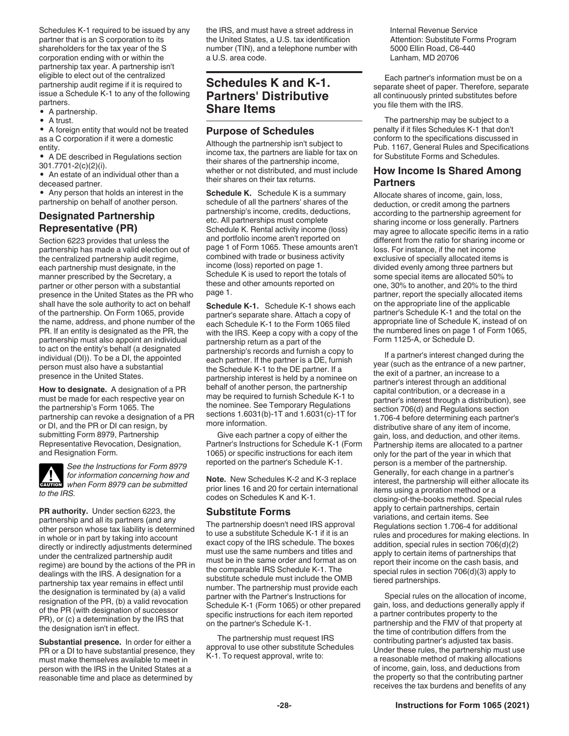Schedules K-1 required to be issued by any partner that is an S corporation to its shareholders for the tax year of the S corporation ending with or within the partnership tax year. A partnership isn't eligible to elect out of the centralized partnership audit regime if it is required to issue a Schedule K-1 to any of the following partners.

- A partnership.
- A trust.

• A foreign entity that would not be treated as a C corporation if it were a domestic entity.

• A DE described in Regulations section 301.7701-2(c)(2)(i).

• An estate of an individual other than a deceased partner.

• Any person that holds an interest in the partnership on behalf of another person.

### **Designated Partnership Representative (PR)**

Section 6223 provides that unless the partnership has made a valid election out of the centralized partnership audit regime, each partnership must designate, in the manner prescribed by the Secretary, a partner or other person with a substantial presence in the United States as the PR who shall have the sole authority to act on behalf of the partnership. On Form 1065, provide the name, address, and phone number of the PR. If an entity is designated as the PR, the partnership must also appoint an individual to act on the entity's behalf (a designated individual (DI)). To be a DI, the appointed person must also have a substantial presence in the United States.

**How to designate.** A designation of a PR must be made for each respective year on the partnership's Form 1065. The partnership can revoke a designation of a PR or DI, and the PR or DI can resign, by submitting Form 8979, Partnership Representative Revocation, Designation, and Resignation Form.



*See the Instructions for Form 8979 for information concerning how and*  **CAUTION** for information concerning how and<br>
when Form 8979 can be submitted

**PR authority.** Under section 6223, the partnership and all its partners (and any other person whose tax liability is determined in whole or in part by taking into account directly or indirectly adjustments determined under the centralized partnership audit regime) are bound by the actions of the PR in dealings with the IRS. A designation for a partnership tax year remains in effect until the designation is terminated by (a) a valid resignation of the PR, (b) a valid revocation of the PR (with designation of successor PR), or (c) a determination by the IRS that the designation isn't in effect.

**Substantial presence.** In order for either a PR or a DI to have substantial presence, they must make themselves available to meet in person with the IRS in the United States at a reasonable time and place as determined by

the IRS, and must have a street address in the United States, a U.S. tax identification number (TIN), and a telephone number with a U.S. area code.

### **Schedules K and K-1. Partners' Distributive Share Items**

#### **Purpose of Schedules**

Although the partnership isn't subject to income tax, the partners are liable for tax on their shares of the partnership income, whether or not distributed, and must include their shares on their tax returns.

**Schedule K.** Schedule K is a summary schedule of all the partners' shares of the partnership's income, credits, deductions, etc. All partnerships must complete Schedule K. Rental activity income (loss) and portfolio income aren't reported on page 1 of Form 1065. These amounts aren't combined with trade or business activity income (loss) reported on page 1. Schedule K is used to report the totals of these and other amounts reported on page 1.

**Schedule K-1.** Schedule K-1 shows each partner's separate share. Attach a copy of each Schedule K-1 to the Form 1065 filed with the IRS. Keep a copy with a copy of the partnership return as a part of the partnership's records and furnish a copy to each partner. If the partner is a DE, furnish the Schedule K-1 to the DE partner. If a partnership interest is held by a nominee on behalf of another person, the partnership may be required to furnish Schedule K-1 to the nominee. See Temporary Regulations sections 1.6031(b)-1T and 1.6031(c)-1T for more information.

Give each partner a copy of either the Partner's Instructions for Schedule K-1 (Form 1065) or specific instructions for each item reported on the partner's Schedule K-1.

**Note.** New Schedules K-2 and K-3 replace prior lines 16 and 20 for certain international codes on Schedules K and K-1.

#### **Substitute Forms**

The partnership doesn't need IRS approval to use a substitute Schedule K-1 if it is an exact copy of the IRS schedule. The boxes must use the same numbers and titles and must be in the same order and format as on the comparable IRS Schedule K-1. The substitute schedule must include the OMB number. The partnership must provide each partner with the Partner's Instructions for Schedule K-1 (Form 1065) or other prepared specific instructions for each item reported on the partner's Schedule K-1.

The partnership must request IRS approval to use other substitute Schedules K-1. To request approval, write to:

Internal Revenue Service Attention: Substitute Forms Program 5000 Ellin Road, C6-440 Lanham, MD 20706

Each partner's information must be on a separate sheet of paper. Therefore, separate all continuously printed substitutes before you file them with the IRS.

The partnership may be subject to a penalty if it files Schedules K-1 that don't conform to the specifications discussed in Pub. 1167, General Rules and Specifications for Substitute Forms and Schedules.

#### **How Income Is Shared Among Partners**

Allocate shares of income, gain, loss, deduction, or credit among the partners according to the partnership agreement for sharing income or loss generally. Partners may agree to allocate specific items in a ratio different from the ratio for sharing income or loss. For instance, if the net income exclusive of specially allocated items is divided evenly among three partners but some special items are allocated 50% to one, 30% to another, and 20% to the third partner, report the specially allocated items on the appropriate line of the applicable partner's Schedule K-1 and the total on the appropriate line of Schedule K, instead of on the numbered lines on page 1 of Form 1065, Form 1125-A, or Schedule D.

If a partner's interest changed during the year (such as the entrance of a new partner, the exit of a partner, an increase to a partner's interest through an additional capital contribution, or a decrease in a partner's interest through a distribution), see section 706(d) and Regulations section 1.706-4 before determining each partner's distributive share of any item of income, gain, loss, and deduction, and other items. Partnership items are allocated to a partner only for the part of the year in which that person is a member of the partnership. Generally, for each change in a partner's interest, the partnership will either allocate its items using a proration method or a closing-of-the-books method. Special rules apply to certain partnerships, certain variations, and certain items. See Regulations section 1.706-4 for additional rules and procedures for making elections. In addition, special rules in section 706(d)(2) apply to certain items of partnerships that report their income on the cash basis, and special rules in section 706(d)(3) apply to tiered partnerships.

Special rules on the allocation of income, gain, loss, and deductions generally apply if a partner contributes property to the partnership and the FMV of that property at the time of contribution differs from the contributing partner's adjusted tax basis. Under these rules, the partnership must use a reasonable method of making allocations of income, gain, loss, and deductions from the property so that the contributing partner receives the tax burdens and benefits of any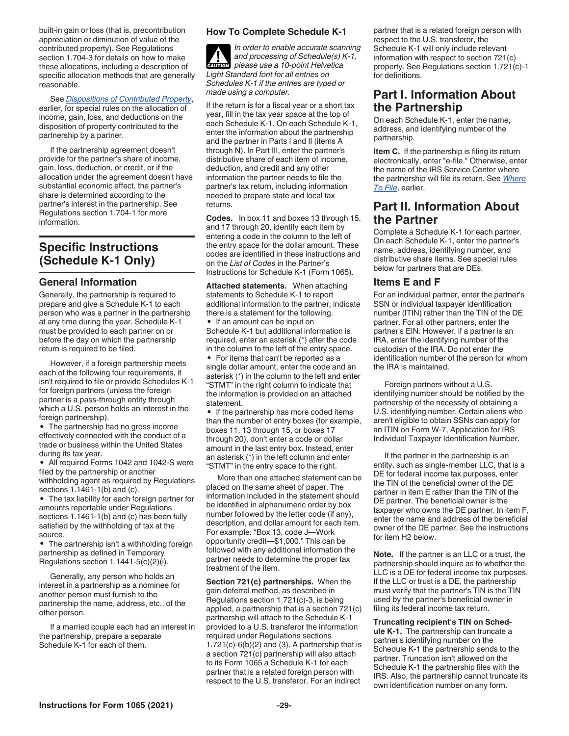built-in gain or loss (that is, precontribution appreciation or diminution of value of the contributed property). See Regulations section 1.704-3 for details on how to make these allocations, including a description of specific allocation methods that are generally reasonable.

See *Dispositions of Contributed Property*, earlier, for special rules on the allocation of income, gain, loss, and deductions on the disposition of property contributed to the partnership by a partner.

If the partnership agreement doesn't provide for the partner's share of income, gain, loss, deduction, or credit, or if the allocation under the agreement doesn't have substantial economic effect, the partner's share is determined according to the partner's interest in the partnership. See Regulations section 1.704-1 for more information.

### **Specific Instructions (Schedule K-1 Only)**

#### **General Information**

Generally, the partnership is required to prepare and give a Schedule K-1 to each person who was a partner in the partnership at any time during the year. Schedule K-1 must be provided to each partner on or before the day on which the partnership return is required to be filed.

However, if a foreign partnership meets each of the following four requirements, it isn't required to file or provide Schedules K-1 for foreign partners (unless the foreign partner is a pass-through entity through which a U.S. person holds an interest in the foreign partnership).

• The partnership had no gross income effectively connected with the conduct of a trade or business within the United States during its tax year.

• All required Forms 1042 and 1042-S were filed by the partnership or another withholding agent as required by Regulations sections 1.1461-1(b) and (c).

• The tax liability for each foreign partner for amounts reportable under Regulations sections 1.1461-1(b) and (c) has been fully satisfied by the withholding of tax at the source.

• The partnership isn't a withholding foreign partnership as defined in Temporary Regulations section 1.1441-5(c)(2)(i).

Generally, any person who holds an interest in a partnership as a nominee for another person must furnish to the partnership the name, address, etc., of the other person.

If a married couple each had an interest in the partnership, prepare a separate Schedule K-1 for each of them.

#### **How To Complete Schedule K-1**

*In order to enable accurate scanning and processing of Schedule(s) K-1, please use a 10-point Helvetica Light Standard font for all entries on Schedules K-1 if the entries are typed or made using a computer.*  $\frac{1}{2}$ 

If the return is for a fiscal year or a short tax year, fill in the tax year space at the top of each Schedule K-1. On each Schedule K-1, enter the information about the partnership and the partner in Parts I and II (items A through N). In Part III, enter the partner's distributive share of each item of income, deduction, and credit and any other information the partner needs to file the partner's tax return, including information needed to prepare state and local tax returns.

**Codes.** In box 11 and boxes 13 through 15, and 17 through 20, identify each item by entering a code in the column to the left of the entry space for the dollar amount. These codes are identified in these instructions and on the *List of Codes* in the Partner's Instructions for Schedule K-1 (Form 1065).

**Attached statements.** When attaching statements to Schedule K-1 to report additional information to the partner, indicate there is a statement for the following. • If an amount can be input on Schedule K-1 but additional information is required, enter an asterisk (\*) after the code in the column to the left of the entry space.

• For items that can't be reported as a single dollar amount, enter the code and an asterisk (\*) in the column to the left and enter "STMT" in the right column to indicate that the information is provided on an attached statement.

• If the partnership has more coded items than the number of entry boxes (for example, boxes 11, 13 through 15, or boxes 17 through 20), don't enter a code or dollar amount in the last entry box. Instead, enter an asterisk (\*) in the left column and enter "STMT" in the entry space to the right.

More than one attached statement can be placed on the same sheet of paper. The information included in the statement should be identified in alphanumeric order by box number followed by the letter code (if any), description, and dollar amount for each item. For example: "Box 13, code J—Work opportunity credit—\$1,000." This can be followed with any additional information the partner needs to determine the proper tax treatment of the item.

**Section 721(c) partnerships.** When the gain deferral method, as described in Regulations section 1.721(c)-3, is being applied, a partnership that is a section 721(c) partnership will attach to the Schedule K-1 provided to a U.S. transferor the information required under Regulations sections  $1.721(c)-6(b)(2)$  and (3). A partnership that is a section 721(c) partnership will also attach to its Form 1065 a Schedule K-1 for each partner that is a related foreign person with respect to the U.S. transferor. For an indirect

partner that is a related foreign person with respect to the U.S. transferor, the Schedule K-1 will only include relevant information with respect to section 721(c) property. See Regulations section 1.721(c)-1 for definitions.

### **Part I. Information About the Partnership**

On each Schedule K-1, enter the name, address, and identifying number of the partnership.

**Item C.** If the partnership is filing its return electronically, enter "e-file." Otherwise, enter the name of the IRS Service Center where the partnership will file its return. See *Where To File*, earlier.

### **Part II. Information About the Partner**

Complete a Schedule K-1 for each partner. On each Schedule K-1, enter the partner's name, address, identifying number, and distributive share items. See special rules below for partners that are DEs.

#### **Items E and F**

For an individual partner, enter the partner's SSN or individual taxpayer identification number (ITIN) rather than the TIN of the DE partner. For all other partners, enter the partner's EIN. However, if a partner is an IRA, enter the identifying number of the custodian of the IRA. Do not enter the identification number of the person for whom the IRA is maintained.

Foreign partners without a U.S. identifying number should be notified by the partnership of the necessity of obtaining a U.S. identifying number. Certain aliens who aren't eligible to obtain SSNs can apply for an ITIN on Form W-7, Application for IRS Individual Taxpayer Identification Number.

If the partner in the partnership is an entity, such as single-member LLC, that is a DE for federal income tax purposes, enter the TIN of the beneficial owner of the DE partner in item E rather than the TIN of the DE partner. The beneficial owner is the taxpayer who owns the DE partner. In item F, enter the name and address of the beneficial owner of the DE partner. See the instructions for item H2 below.

**Note.** If the partner is an LLC or a trust, the partnership should inquire as to whether the LLC is a DE for federal income tax purposes. If the LLC or trust is a DE, the partnership must verify that the partner's TIN is the TIN used by the partner's beneficial owner in filing its federal income tax return.

**Truncating recipient's TIN on Sched-**

**ule K-1.** The partnership can truncate a partner's identifying number on the Schedule K-1 the partnership sends to the partner. Truncation isn't allowed on the Schedule K-1 the partnership files with the IRS. Also, the partnership cannot truncate its own identification number on any form.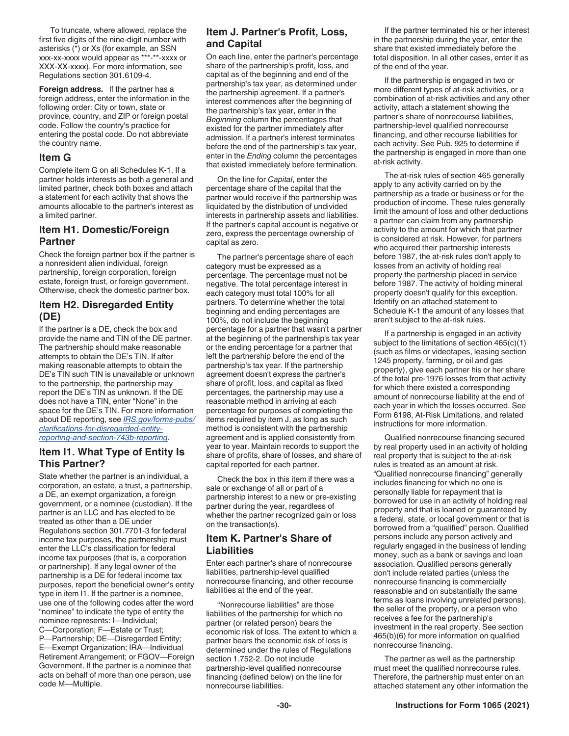To truncate, where allowed, replace the first five digits of the nine-digit number with asterisks (\*) or Xs (for example, an SSN xxx-xx-xxxx would appear as \*\*\*-\*\*-xxxx or XXX-XX-xxxx). For more information, see Regulations section 301.6109-4.

**Foreign address.** If the partner has a foreign address, enter the information in the following order: City or town, state or province, country, and ZIP or foreign postal code. Follow the country's practice for entering the postal code. Do not abbreviate the country name.

#### **Item G**

Complete item G on all Schedules K-1. If a partner holds interests as both a general and limited partner, check both boxes and attach a statement for each activity that shows the amounts allocable to the partner's interest as a limited partner.

### **Item H1. Domestic/Foreign Partner**

Check the foreign partner box if the partner is a nonresident alien individual, foreign partnership, foreign corporation, foreign estate, foreign trust, or foreign government. Otherwise, check the domestic partner box.

### **Item H2. Disregarded Entity (DE)**

If the partner is a DE, check the box and provide the name and TIN of the DE partner. The partnership should make reasonable attempts to obtain the DE's TIN. If after making reasonable attempts to obtain the DE's TIN such TIN is unavailable or unknown to the partnership, the partnership may report the DE's TIN as unknown. If the DE does not have a TIN, enter "None" in the space for the DE's TIN. For more information about DE reporting, see *[IRS.gov/forms-pubs/](https://www.irs.gov/forms-pubs/clarifications-for-disregarded-entity-reporting-and-section-743b-reporting) [clarifications-for-disregarded-entity](https://www.irs.gov/forms-pubs/clarifications-for-disregarded-entity-reporting-and-section-743b-reporting)[reporting-and-section-743b-reporting](https://www.irs.gov/forms-pubs/clarifications-for-disregarded-entity-reporting-and-section-743b-reporting)*.

### **Item I1. What Type of Entity Is This Partner?**

State whether the partner is an individual, a corporation, an estate, a trust, a partnership, a DE, an exempt organization, a foreign government, or a nominee (custodian). If the partner is an LLC and has elected to be treated as other than a DE under Regulations section 301.7701-3 for federal income tax purposes, the partnership must enter the LLC's classification for federal income tax purposes (that is, a corporation or partnership). If any legal owner of the partnership is a DE for federal income tax purposes, report the beneficial owner's entity type in item I1. If the partner is a nominee, use one of the following codes after the word "nominee" to indicate the type of entity the nominee represents: I—Individual; C—Corporation; F—Estate or Trust; P—Partnership; DE—Disregarded Entity; E—Exempt Organization; IRA—Individual Retirement Arrangement; or FGOV—Foreign Government. If the partner is a nominee that acts on behalf of more than one person, use code M—Multiple.

#### **Item J. Partner's Profit, Loss, and Capital**

On each line, enter the partner's percentage share of the partnership's profit, loss, and capital as of the beginning and end of the partnership's tax year, as determined under the partnership agreement. If a partner's interest commences after the beginning of the partnership's tax year, enter in the *Beginning* column the percentages that existed for the partner immediately after admission. If a partner's interest terminates before the end of the partnership's tax year, enter in the *Ending* column the percentages that existed immediately before termination.

On the line for *Capital*, enter the percentage share of the capital that the partner would receive if the partnership was liquidated by the distribution of undivided interests in partnership assets and liabilities. If the partner's capital account is negative or zero, express the percentage ownership of capital as zero.

The partner's percentage share of each category must be expressed as a percentage. The percentage must not be negative. The total percentage interest in each category must total 100% for all partners. To determine whether the total beginning and ending percentages are 100%, do not include the beginning percentage for a partner that wasn't a partner at the beginning of the partnership's tax year or the ending percentage for a partner that left the partnership before the end of the partnership's tax year. If the partnership agreement doesn't express the partner's share of profit, loss, and capital as fixed percentages, the partnership may use a reasonable method in arriving at each percentage for purposes of completing the items required by item J, as long as such method is consistent with the partnership agreement and is applied consistently from year to year. Maintain records to support the share of profits, share of losses, and share of capital reported for each partner.

Check the box in this item if there was a sale or exchange of all or part of a partnership interest to a new or pre-existing partner during the year, regardless of whether the partner recognized gain or loss on the transaction(s).

#### **Item K. Partner's Share of Liabilities**

Enter each partner's share of nonrecourse liabilities, partnership-level qualified nonrecourse financing, and other recourse liabilities at the end of the year.

"Nonrecourse liabilities" are those liabilities of the partnership for which no partner (or related person) bears the economic risk of loss. The extent to which a partner bears the economic risk of loss is determined under the rules of Regulations section 1.752-2. Do not include partnership-level qualified nonrecourse financing (defined below) on the line for nonrecourse liabilities.

If the partner terminated his or her interest in the partnership during the year, enter the share that existed immediately before the total disposition. In all other cases, enter it as of the end of the year.

If the partnership is engaged in two or more different types of at-risk activities, or a combination of at-risk activities and any other activity, attach a statement showing the partner's share of nonrecourse liabilities, partnership-level qualified nonrecourse financing, and other recourse liabilities for each activity. See Pub. 925 to determine if the partnership is engaged in more than one at-risk activity.

The at-risk rules of section 465 generally apply to any activity carried on by the partnership as a trade or business or for the production of income. These rules generally limit the amount of loss and other deductions a partner can claim from any partnership activity to the amount for which that partner is considered at risk. However, for partners who acquired their partnership interests before 1987, the at-risk rules don't apply to losses from an activity of holding real property the partnership placed in service before 1987. The activity of holding mineral property doesn't qualify for this exception. Identify on an attached statement to Schedule K-1 the amount of any losses that aren't subject to the at-risk rules.

If a partnership is engaged in an activity subject to the limitations of section 465(c)(1) (such as films or videotapes, leasing section 1245 property, farming, or oil and gas property), give each partner his or her share of the total pre-1976 losses from that activity for which there existed a corresponding amount of nonrecourse liability at the end of each year in which the losses occurred. See Form 6198, At-Risk Limitations, and related instructions for more information.

Qualified nonrecourse financing secured by real property used in an activity of holding real property that is subject to the at-risk rules is treated as an amount at risk. "Qualified nonrecourse financing" generally includes financing for which no one is personally liable for repayment that is borrowed for use in an activity of holding real property and that is loaned or guaranteed by a federal, state, or local government or that is borrowed from a "qualified" person. Qualified persons include any person actively and regularly engaged in the business of lending money, such as a bank or savings and loan association. Qualified persons generally don't include related parties (unless the nonrecourse financing is commercially reasonable and on substantially the same terms as loans involving unrelated persons), the seller of the property, or a person who receives a fee for the partnership's investment in the real property. See section 465(b)(6) for more information on qualified nonrecourse financing.

The partner as well as the partnership must meet the qualified nonrecourse rules. Therefore, the partnership must enter on an attached statement any other information the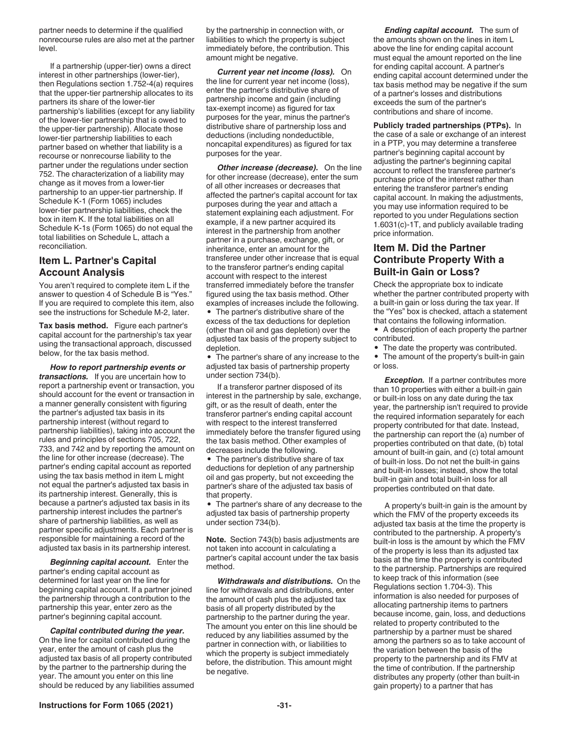partner needs to determine if the qualified nonrecourse rules are also met at the partner level.

If a partnership (upper-tier) owns a direct interest in other partnerships (lower-tier), then Regulations section 1.752-4(a) requires that the upper-tier partnership allocates to its partners its share of the lower-tier partnership's liabilities (except for any liability of the lower-tier partnership that is owed to the upper-tier partnership). Allocate those lower-tier partnership liabilities to each partner based on whether that liability is a recourse or nonrecourse liability to the partner under the regulations under section 752. The characterization of a liability may change as it moves from a lower-tier partnership to an upper-tier partnership. If Schedule K-1 (Form 1065) includes lower-tier partnership liabilities, check the box in item K. If the total liabilities on all Schedule K-1s (Form 1065) do not equal the total liabilities on Schedule L, attach a reconciliation.

#### **Item L. Partner's Capital Account Analysis**

You aren't required to complete item L if the answer to question 4 of Schedule B is "Yes." If you are required to complete this item, also see the instructions for Schedule M-2, later.

**Tax basis method.** Figure each partner's capital account for the partnership's tax year using the transactional approach, discussed below, for the tax basis method.

*How to report partnership events or transactions.* If you are uncertain how to report a partnership event or transaction, you should account for the event or transaction in a manner generally consistent with figuring the partner's adjusted tax basis in its partnership interest (without regard to partnership liabilities), taking into account the rules and principles of sections 705, 722, 733, and 742 and by reporting the amount on the line for other increase (decrease). The partner's ending capital account as reported using the tax basis method in item L might not equal the partner's adjusted tax basis in its partnership interest. Generally, this is because a partner's adjusted tax basis in its partnership interest includes the partner's share of partnership liabilities, as well as partner specific adjustments. Each partner is responsible for maintaining a record of the adjusted tax basis in its partnership interest.

*Beginning capital account.* Enter the partner's ending capital account as determined for last year on the line for beginning capital account. If a partner joined the partnership through a contribution to the partnership this year, enter zero as the partner's beginning capital account.

*Capital contributed during the year.*  On the line for capital contributed during the year, enter the amount of cash plus the adjusted tax basis of all property contributed by the partner to the partnership during the year. The amount you enter on this line should be reduced by any liabilities assumed by the partnership in connection with, or liabilities to which the property is subject immediately before, the contribution. This amount might be negative.

*Current year net income (loss).* On the line for current year net income (loss), enter the partner's distributive share of partnership income and gain (including tax-exempt income) as figured for tax purposes for the year, minus the partner's distributive share of partnership loss and deductions (including nondeductible, noncapital expenditures) as figured for tax purposes for the year.

*Other increase (decrease).* On the line for other increase (decrease), enter the sum of all other increases or decreases that affected the partner's capital account for tax purposes during the year and attach a statement explaining each adjustment. For example, if a new partner acquired its interest in the partnership from another partner in a purchase, exchange, gift, or inheritance, enter an amount for the transferee under other increase that is equal to the transferor partner's ending capital account with respect to the interest transferred immediately before the transfer figured using the tax basis method. Other examples of increases include the following. • The partner's distributive share of the excess of the tax deductions for depletion (other than oil and gas depletion) over the adjusted tax basis of the property subject to depletion.

• The partner's share of any increase to the adjusted tax basis of partnership property under section 734(b).

If a transferor partner disposed of its interest in the partnership by sale, exchange, gift, or as the result of death, enter the transferor partner's ending capital account with respect to the interest transferred immediately before the transfer figured using the tax basis method. Other examples of decreases include the following.

• The partner's distributive share of tax deductions for depletion of any partnership oil and gas property, but not exceeding the partner's share of the adjusted tax basis of that property.

• The partner's share of any decrease to the adjusted tax basis of partnership property under section 734(b).

**Note.** Section 743(b) basis adjustments are not taken into account in calculating a partner's capital account under the tax basis method.

*Withdrawals and distributions.* On the line for withdrawals and distributions, enter the amount of cash plus the adjusted tax basis of all property distributed by the partnership to the partner during the year. The amount you enter on this line should be reduced by any liabilities assumed by the partner in connection with, or liabilities to which the property is subject immediately before, the distribution. This amount might be negative.

*Ending capital account.* The sum of the amounts shown on the lines in item L above the line for ending capital account must equal the amount reported on the line for ending capital account. A partner's ending capital account determined under the tax basis method may be negative if the sum of a partner's losses and distributions exceeds the sum of the partner's contributions and share of income.

**Publicly traded partnerships (PTPs).** In the case of a sale or exchange of an interest in a PTP, you may determine a transferee partner's beginning capital account by adjusting the partner's beginning capital account to reflect the transferee partner's purchase price of the interest rather than entering the transferor partner's ending capital account. In making the adjustments, you may use information required to be reported to you under Regulations section 1.6031(c)-1T, and publicly available trading price information.

#### **Item M. Did the Partner Contribute Property With a Built-in Gain or Loss?**

Check the appropriate box to indicate whether the partner contributed property with a built-in gain or loss during the tax year. If the "Yes" box is checked, attach a statement that contains the following information.

- A description of each property the partner contributed.
- The date the property was contributed.
- The amount of the property's built-in gain or loss.

*Exception.* If a partner contributes more than 10 properties with either a built-in gain or built-in loss on any date during the tax year, the partnership isn't required to provide the required information separately for each property contributed for that date. Instead, the partnership can report the (a) number of properties contributed on that date, (b) total amount of built-in gain, and (c) total amount of built-in loss. Do not net the built-in gains and built-in losses; instead, show the total built-in gain and total built-in loss for all properties contributed on that date.

A property's built-in gain is the amount by which the FMV of the property exceeds its adjusted tax basis at the time the property is contributed to the partnership. A property's built-in loss is the amount by which the FMV of the property is less than its adjusted tax basis at the time the property is contributed to the partnership. Partnerships are required to keep track of this information (see Regulations section 1.704-3). This information is also needed for purposes of allocating partnership items to partners because income, gain, loss, and deductions related to property contributed to the partnership by a partner must be shared among the partners so as to take account of the variation between the basis of the property to the partnership and its FMV at the time of contribution. If the partnership distributes any property (other than built-in gain property) to a partner that has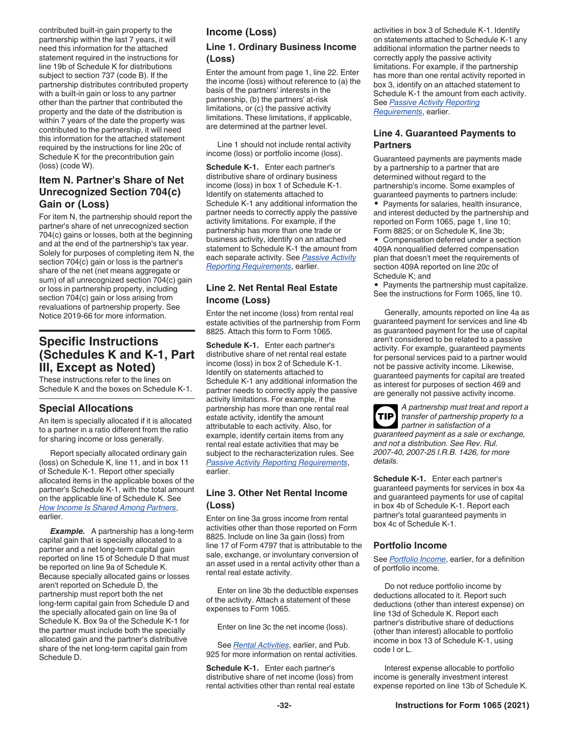contributed built-in gain property to the partnership within the last 7 years, it will need this information for the attached statement required in the instructions for line 19b of Schedule K for distributions subject to section 737 (code B). If the partnership distributes contributed property with a built-in gain or loss to any partner other than the partner that contributed the property and the date of the distribution is within 7 years of the date the property was contributed to the partnership, it will need this information for the attached statement required by the instructions for line 20c of Schedule K for the precontribution gain (loss) (code W).

### **Item N. Partner's Share of Net Unrecognized Section 704(c) Gain or (Loss)**

For item N, the partnership should report the partner's share of net unrecognized section 704(c) gains or losses, both at the beginning and at the end of the partnership's tax year. Solely for purposes of completing item N, the section 704(c) gain or loss is the partner's share of the net (net means aggregate or sum) of all unrecognized section 704(c) gain or loss in partnership property, including section 704(c) gain or loss arising from revaluations of partnership property. See Notice 2019-66 for more information.

### **Specific Instructions (Schedules K and K-1, Part III, Except as Noted)**

These instructions refer to the lines on Schedule K and the boxes on Schedule K-1.

### **Special Allocations**

An item is specially allocated if it is allocated to a partner in a ratio different from the ratio for sharing income or loss generally.

Report specially allocated ordinary gain (loss) on Schedule K, line 11, and in box 11 of Schedule K-1. Report other specially allocated items in the applicable boxes of the partner's Schedule K-1, with the total amount on the applicable line of Schedule K. See *How Income Is Shared Among Partners*, earlier.

*Example.* A partnership has a long-term capital gain that is specially allocated to a partner and a net long-term capital gain reported on line 15 of Schedule D that must be reported on line 9a of Schedule K. Because specially allocated gains or losses aren't reported on Schedule D, the partnership must report both the net long-term capital gain from Schedule D and the specially allocated gain on line 9a of Schedule K. Box 9a of the Schedule K-1 for the partner must include both the specially allocated gain and the partner's distributive share of the net long-term capital gain from Schedule D.

#### **Income (Loss)**

#### **Line 1. Ordinary Business Income (Loss)**

Enter the amount from page 1, line 22. Enter the income (loss) without reference to (a) the basis of the partners' interests in the partnership, (b) the partners' at-risk limitations, or (c) the passive activity limitations. These limitations, if applicable, are determined at the partner level.

Line 1 should not include rental activity income (loss) or portfolio income (loss).

**Schedule K-1.** Enter each partner's distributive share of ordinary business income (loss) in box 1 of Schedule K-1. Identify on statements attached to Schedule K-1 any additional information the partner needs to correctly apply the passive activity limitations. For example, if the partnership has more than one trade or business activity, identify on an attached statement to Schedule K-1 the amount from each separate activity. See *Passive Activity Reporting Requirements*, earlier.

#### **Line 2. Net Rental Real Estate Income (Loss)**

Enter the net income (loss) from rental real estate activities of the partnership from Form 8825. Attach this form to Form 1065.

**Schedule K-1.** Enter each partner's distributive share of net rental real estate income (loss) in box 2 of Schedule K-1. Identify on statements attached to Schedule K-1 any additional information the partner needs to correctly apply the passive activity limitations. For example, if the partnership has more than one rental real estate activity, identify the amount attributable to each activity. Also, for example, identify certain items from any rental real estate activities that may be subject to the recharacterization rules. See *Passive Activity Reporting Requirements*, earlier.

#### **Line 3. Other Net Rental Income (Loss)**

Enter on line 3a gross income from rental activities other than those reported on Form 8825. Include on line 3a gain (loss) from line 17 of Form 4797 that is attributable to the sale, exchange, or involuntary conversion of an asset used in a rental activity other than a rental real estate activity.

Enter on line 3b the deductible expenses of the activity. Attach a statement of these expenses to Form 1065.

Enter on line 3c the net income (loss).

See *Rental Activities*, earlier, and Pub. 925 for more information on rental activities.

**Schedule K-1.** Enter each partner's distributive share of net income (loss) from rental activities other than rental real estate activities in box 3 of Schedule K-1. Identify on statements attached to Schedule K-1 any additional information the partner needs to correctly apply the passive activity limitations. For example, if the partnership has more than one rental activity reported in box 3, identify on an attached statement to Schedule K-1 the amount from each activity. See *Passive Activity Reporting Requirements*, earlier.

#### **Line 4. Guaranteed Payments to Partners**

Guaranteed payments are payments made by a partnership to a partner that are determined without regard to the partnership's income. Some examples of guaranteed payments to partners include:

• Payments for salaries, health insurance, and interest deducted by the partnership and reported on Form 1065, page 1, line 10; Form 8825; or on Schedule K, line 3b;

• Compensation deferred under a section 409A nonqualified deferred compensation plan that doesn't meet the requirements of section 409A reported on line 20c of Schedule K; and

• Payments the partnership must capitalize. See the instructions for Form 1065, line 10.

Generally, amounts reported on line 4a as guaranteed payment for services and line 4b as guaranteed payment for the use of capital aren't considered to be related to a passive activity. For example, guaranteed payments for personal services paid to a partner would not be passive activity income. Likewise, guaranteed payments for capital are treated as interest for purposes of section 469 and are generally not passive activity income.

*A partnership must treat and report a transfer of partnership property to a partner in satisfaction of a guaranteed payment as a sale or exchange, and not a distribution. See Rev. Rul. 2007-40, 2007-25 I.R.B. 1426, for more details.* **TIP**

**Schedule K-1.** Enter each partner's guaranteed payments for services in box 4a and guaranteed payments for use of capital in box 4b of Schedule K-1. Report each partner's total guaranteed payments in box 4c of Schedule K-1.

#### **Portfolio Income**

See *Portfolio Income*, earlier, for a definition of portfolio income.

Do not reduce portfolio income by deductions allocated to it. Report such deductions (other than interest expense) on line 13d of Schedule K. Report each partner's distributive share of deductions (other than interest) allocable to portfolio income in box 13 of Schedule K-1, using code I or L.

Interest expense allocable to portfolio income is generally investment interest expense reported on line 13b of Schedule K.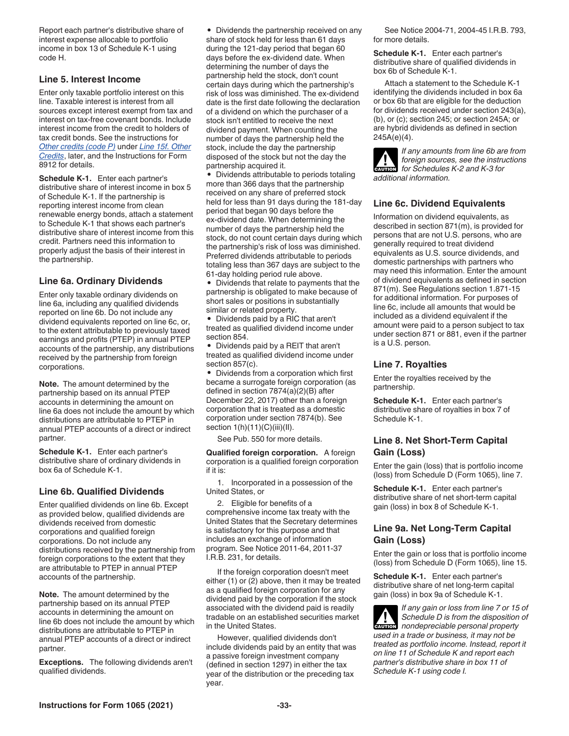Report each partner's distributive share of interest expense allocable to portfolio income in box 13 of Schedule K-1 using code H.

#### **Line 5. Interest Income**

Enter only taxable portfolio interest on this line. Taxable interest is interest from all sources except interest exempt from tax and interest on tax-free covenant bonds. Include interest income from the credit to holders of tax credit bonds. See the instructions for *Other credits (code P)* under *Line 15f. Other Credits*, later, and the Instructions for Form 8912 for details.

**Schedule K-1.** Enter each partner's distributive share of interest income in box 5 of Schedule K-1. If the partnership is reporting interest income from clean renewable energy bonds, attach a statement to Schedule K-1 that shows each partner's distributive share of interest income from this credit. Partners need this information to properly adjust the basis of their interest in the partnership.

#### **Line 6a. Ordinary Dividends**

Enter only taxable ordinary dividends on line 6a, including any qualified dividends reported on line 6b. Do not include any dividend equivalents reported on line 6c, or, to the extent attributable to previously taxed earnings and profits (PTEP) in annual PTEP accounts of the partnership, any distributions received by the partnership from foreign corporations.

**Note.** The amount determined by the partnership based on its annual PTEP accounts in determining the amount on line 6a does not include the amount by which distributions are attributable to PTEP in annual PTEP accounts of a direct or indirect partner.

**Schedule K-1.** Enter each partner's distributive share of ordinary dividends in box 6a of Schedule K-1.

#### **Line 6b. Qualified Dividends**

Enter qualified dividends on line 6b. Except as provided below, qualified dividends are dividends received from domestic corporations and qualified foreign corporations. Do not include any distributions received by the partnership from foreign corporations to the extent that they are attributable to PTEP in annual PTEP accounts of the partnership.

**Note.** The amount determined by the partnership based on its annual PTEP accounts in determining the amount on line 6b does not include the amount by which distributions are attributable to PTEP in annual PTEP accounts of a direct or indirect partner.

**Exceptions.** The following dividends aren't qualified dividends.

• Dividends the partnership received on any share of stock held for less than 61 days during the 121-day period that began 60 days before the ex-dividend date. When determining the number of days the partnership held the stock, don't count certain days during which the partnership's risk of loss was diminished. The ex-dividend date is the first date following the declaration of a dividend on which the purchaser of a stock isn't entitled to receive the next dividend payment. When counting the number of days the partnership held the stock, include the day the partnership disposed of the stock but not the day the partnership acquired it.

• Dividends attributable to periods totaling more than 366 days that the partnership received on any share of preferred stock held for less than 91 days during the 181-day period that began 90 days before the ex-dividend date. When determining the number of days the partnership held the stock, do not count certain days during which the partnership's risk of loss was diminished. Preferred dividends attributable to periods totaling less than 367 days are subject to the 61-day holding period rule above.

• Dividends that relate to payments that the partnership is obligated to make because of short sales or positions in substantially similar or related property.

• Dividends paid by a RIC that aren't treated as qualified dividend income under section 854.

• Dividends paid by a REIT that aren't treated as qualified dividend income under section 857(c).

• Dividends from a corporation which first became a surrogate foreign corporation (as defined in section 7874(a)(2)(B) after December 22, 2017) other than a foreign corporation that is treated as a domestic corporation under section 7874(b). See section 1(h)(11)(C)(iii)(II).

See Pub. 550 for more details.

**Qualified foreign corporation.** A foreign corporation is a qualified foreign corporation if it is:

1. Incorporated in a possession of the United States, or

2. Eligible for benefits of a comprehensive income tax treaty with the United States that the Secretary determines is satisfactory for this purpose and that includes an exchange of information program. See Notice 2011-64, 2011-37 I.R.B. 231, for details.

If the foreign corporation doesn't meet either (1) or (2) above, then it may be treated as a qualified foreign corporation for any dividend paid by the corporation if the stock associated with the dividend paid is readily tradable on an established securities market in the United States.

However, qualified dividends don't include dividends paid by an entity that was a passive foreign investment company (defined in section 1297) in either the tax year of the distribution or the preceding tax year.

See Notice 2004-71, 2004-45 I.R.B. 793, for more details.

**Schedule K-1.** Enter each partner's distributive share of qualified dividends in box 6b of Schedule K-1.

Attach a statement to the Schedule K-1 identifying the dividends included in box 6a or box 6b that are eligible for the deduction for dividends received under section 243(a), (b), or (c); section 245; or section 245A; or are hybrid dividends as defined in section 245A(e)(4).

*If any amounts from line 6b are from foreign sources, see the instructions for Schedules K-2 and K-3 for*  **CAUTION** *additional information.* **!**

#### **Line 6c. Dividend Equivalents**

Information on dividend equivalents, as described in section 871(m), is provided for persons that are not U.S. persons, who are generally required to treat dividend equivalents as U.S. source dividends, and domestic partnerships with partners who may need this information. Enter the amount of dividend equivalents as defined in section 871(m). See Regulations section 1.871-15 for additional information. For purposes of line 6c, include all amounts that would be included as a dividend equivalent if the amount were paid to a person subject to tax under section 871 or 881, even if the partner is a U.S. person.

#### **Line 7. Royalties**

Enter the royalties received by the partnership.

**Schedule K-1.** Enter each partner's distributive share of royalties in box 7 of Schedule K-1.

#### **Line 8. Net Short-Term Capital Gain (Loss)**

Enter the gain (loss) that is portfolio income (loss) from Schedule D (Form 1065), line 7.

**Schedule K-1.** Enter each partner's distributive share of net short-term capital gain (loss) in box 8 of Schedule K-1.

#### **Line 9a. Net Long-Term Capital Gain (Loss)**

Enter the gain or loss that is portfolio income (loss) from Schedule D (Form 1065), line 15.

**Schedule K-1.** Enter each partner's distributive share of net long-term capital gain (loss) in box 9a of Schedule K-1.

*If any gain or loss from line 7 or 15 of Schedule D is from the disposition of*  **Schedule D is from the disposition**<br> **ENDINENTED BY DEADLE PERSONAL PROPERTY** *used in a trade or business, it may not be treated as portfolio income. Instead, report it on line 11 of Schedule K and report each partner's distributive share in box 11 of Schedule K-1 using code I.*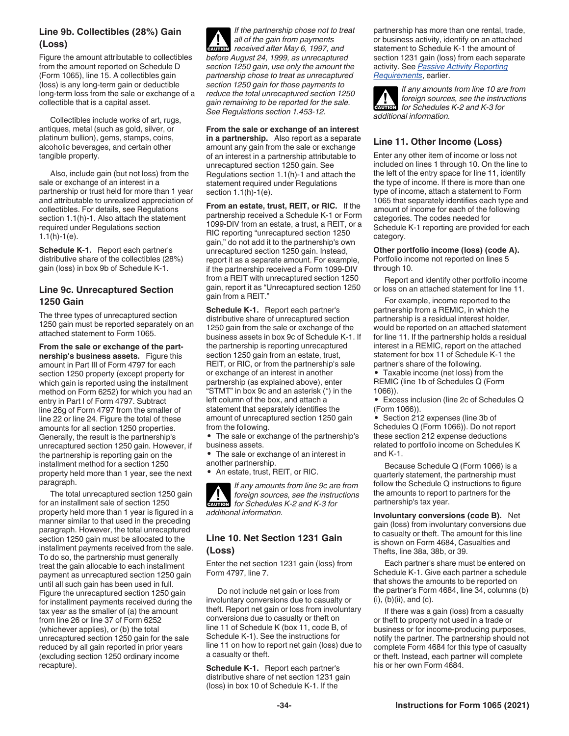#### **Line 9b. Collectibles (28%) Gain (Loss)**

Figure the amount attributable to collectibles from the amount reported on Schedule D (Form 1065), line 15. A collectibles gain (loss) is any long-term gain or deductible long-term loss from the sale or exchange of a collectible that is a capital asset.

Collectibles include works of art, rugs, antiques, metal (such as gold, silver, or platinum bullion), gems, stamps, coins, alcoholic beverages, and certain other tangible property.

Also, include gain (but not loss) from the sale or exchange of an interest in a partnership or trust held for more than 1 year and attributable to unrealized appreciation of collectibles. For details, see Regulations section 1.1(h)-1. Also attach the statement required under Regulations section 1.1(h)-1(e).

**Schedule K-1.** Report each partner's distributive share of the collectibles (28%) gain (loss) in box 9b of Schedule K-1.

#### **Line 9c. Unrecaptured Section 1250 Gain**

The three types of unrecaptured section 1250 gain must be reported separately on an attached statement to Form 1065.

**From the sale or exchange of the partnership's business assets.** Figure this amount in Part III of Form 4797 for each section 1250 property (except property for which gain is reported using the installment method on Form 6252) for which you had an entry in Part I of Form 4797. Subtract line 26g of Form 4797 from the smaller of line 22 or line 24. Figure the total of these amounts for all section 1250 properties. Generally, the result is the partnership's unrecaptured section 1250 gain. However, if the partnership is reporting gain on the installment method for a section 1250 property held more than 1 year, see the next paragraph.

The total unrecaptured section 1250 gain for an installment sale of section 1250 property held more than 1 year is figured in a manner similar to that used in the preceding paragraph. However, the total unrecaptured section 1250 gain must be allocated to the installment payments received from the sale. To do so, the partnership must generally treat the gain allocable to each installment payment as unrecaptured section 1250 gain until all such gain has been used in full. Figure the unrecaptured section 1250 gain for installment payments received during the tax year as the smaller of (a) the amount from line 26 or line 37 of Form 6252 (whichever applies), or (b) the total unrecaptured section 1250 gain for the sale reduced by all gain reported in prior years (excluding section 1250 ordinary income recapture).

*If the partnership chose not to treat all of the gain from payments received after May 6, 1997, and before August 24, 1999, as unrecaptured section 1250 gain, use only the amount the partnership chose to treat as unrecaptured section 1250 gain for those payments to reduce the total unrecaptured section 1250 gain remaining to be reported for the sale. See Regulations section 1.453-12.* **CAUTION !**

#### **From the sale or exchange of an interest**

**in a partnership.** Also report as a separate amount any gain from the sale or exchange of an interest in a partnership attributable to unrecaptured section 1250 gain. See Regulations section 1.1(h)-1 and attach the statement required under Regulations section 1.1(h)-1(e).

**From an estate, trust, REIT, or RIC.** If the partnership received a Schedule K-1 or Form 1099-DIV from an estate, a trust, a REIT, or a RIC reporting "unrecaptured section 1250 gain," do not add it to the partnership's own unrecaptured section 1250 gain. Instead, report it as a separate amount. For example, if the partnership received a Form 1099-DIV from a REIT with unrecaptured section 1250 gain, report it as "Unrecaptured section 1250 gain from a REIT."

**Schedule K-1.** Report each partner's distributive share of unrecaptured section 1250 gain from the sale or exchange of the business assets in box 9c of Schedule K-1. If the partnership is reporting unrecaptured section 1250 gain from an estate, trust, REIT, or RIC, or from the partnership's sale or exchange of an interest in another partnership (as explained above), enter "STMT" in box 9c and an asterisk (\*) in the left column of the box, and attach a statement that separately identifies the amount of unrecaptured section 1250 gain from the following.

• The sale or exchange of the partnership's business assets.

• The sale or exchange of an interest in another partnership.

• An estate, trust, REIT, or RIC.

*If any amounts from line 9c are from foreign sources, see the instructions for Schedules K-2 and K-3 for additional information.* **CAUTION !**

#### **Line 10. Net Section 1231 Gain (Loss)**

Enter the net section 1231 gain (loss) from Form 4797, line 7.

Do not include net gain or loss from involuntary conversions due to casualty or theft. Report net gain or loss from involuntary conversions due to casualty or theft on line 11 of Schedule K (box 11, code B, of Schedule K-1). See the instructions for line 11 on how to report net gain (loss) due to a casualty or theft.

**Schedule K-1.** Report each partner's distributive share of net section 1231 gain (loss) in box 10 of Schedule K-1. If the

partnership has more than one rental, trade, or business activity, identify on an attached statement to Schedule K-1 the amount of section 1231 gain (loss) from each separate activity. See *Passive Activity Reporting Requirements*, earlier.

*If any amounts from line 10 are from foreign sources, see the instructions for Schedules K-2 and K-3 for additional information.* **CAUTION !**

#### **Line 11. Other Income (Loss)**

Enter any other item of income or loss not included on lines 1 through 10. On the line to the left of the entry space for line 11, identify the type of income. If there is more than one type of income, attach a statement to Form 1065 that separately identifies each type and amount of income for each of the following categories. The codes needed for Schedule K-1 reporting are provided for each category.

#### **Other portfolio income (loss) (code A).**  Portfolio income not reported on lines 5

through 10.

Report and identify other portfolio income or loss on an attached statement for line 11.

For example, income reported to the partnership from a REMIC, in which the partnership is a residual interest holder, would be reported on an attached statement for line 11. If the partnership holds a residual interest in a REMIC, report on the attached statement for box 11 of Schedule K-1 the partner's share of the following.

• Taxable income (net loss) from the REMIC (line 1b of Schedules Q (Form 1066)).

• Excess inclusion (line 2c of Schedules Q (Form 1066)).

Section 212 expenses (line 3b of Schedules Q (Form 1066)). Do not report these section 212 expense deductions related to portfolio income on Schedules K and K-1.

Because Schedule Q (Form 1066) is a quarterly statement, the partnership must follow the Schedule Q instructions to figure the amounts to report to partners for the partnership's tax year.

**Involuntary conversions (code B).** Net gain (loss) from involuntary conversions due to casualty or theft. The amount for this line is shown on Form 4684, Casualties and Thefts, line 38a, 38b, or 39.

Each partner's share must be entered on Schedule K-1. Give each partner a schedule that shows the amounts to be reported on the partner's Form 4684, line 34, columns (b) (i), (b)(ii), and (c).

If there was a gain (loss) from a casualty or theft to property not used in a trade or business or for income-producing purposes, notify the partner. The partnership should not complete Form 4684 for this type of casualty or theft. Instead, each partner will complete his or her own Form 4684.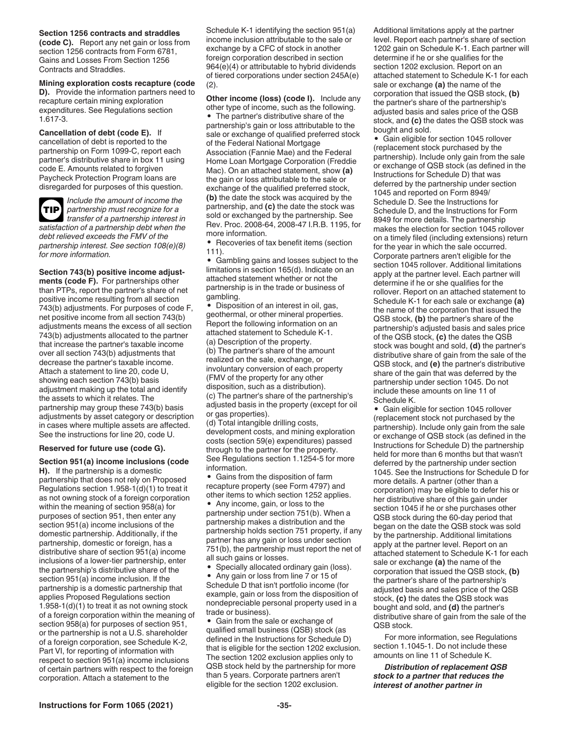#### **Section 1256 contracts and straddles**

**(code C).** Report any net gain or loss from section 1256 contracts from Form 6781, Gains and Losses From Section 1256 Contracts and Straddles.

#### **Mining exploration costs recapture (code**

**D).** Provide the information partners need to recapture certain mining exploration expenditures. See Regulations section 1.617-3.

#### **Cancellation of debt (code E).** If cancellation of debt is reported to the

partnership on Form 1099-C, report each partner's distributive share in box 11 using code E. Amounts related to forgiven Paycheck Protection Program loans are disregarded for purposes of this question.



**Section 743(b) positive income adjustments (code F).** For partnerships other than PTPs, report the partner's share of net positive income resulting from all section 743(b) adjustments. For purposes of code F, net positive income from all section 743(b) adjustments means the excess of all section 743(b) adjustments allocated to the partner that increase the partner's taxable income over all section 743(b) adjustments that decrease the partner's taxable income. Attach a statement to line 20, code U, showing each section 743(b) basis adjustment making up the total and identify the assets to which it relates. The partnership may group these 743(b) basis adjustments by asset category or description in cases where multiple assets are affected. See the instructions for line 20, code U.

#### **Reserved for future use (code G).**

#### **Section 951(a) income inclusions (code**

**H).** If the partnership is a domestic partnership that does not rely on Proposed Regulations section 1.958-1(d)(1) to treat it as not owning stock of a foreign corporation within the meaning of section 958(a) for purposes of section 951, then enter any section 951(a) income inclusions of the domestic partnership. Additionally, if the partnership, domestic or foreign, has a distributive share of section 951(a) income inclusions of a lower-tier partnership, enter the partnership's distributive share of the section 951(a) income inclusion. If the partnership is a domestic partnership that applies Proposed Regulations section 1.958-1(d)(1) to treat it as not owning stock of a foreign corporation within the meaning of section 958(a) for purposes of section 951, or the partnership is not a U.S. shareholder of a foreign corporation, see Schedule K-2, Part VI, for reporting of information with respect to section 951(a) income inclusions of certain partners with respect to the foreign corporation. Attach a statement to the

Schedule K-1 identifying the section 951(a) income inclusion attributable to the sale or exchange by a CFC of stock in another foreign corporation described in section 964(e)(4) or attributable to hybrid dividends of tiered corporations under section 245A(e)  $(2)$ .

**Other income (loss) (code I).** Include any other type of income, such as the following. • The partner's distributive share of the partnership's gain or loss attributable to the sale or exchange of qualified preferred stock of the Federal National Mortgage Association (Fannie Mae) and the Federal Home Loan Mortgage Corporation (Freddie Mac). On an attached statement, show **(a)**  the gain or loss attributable to the sale or exchange of the qualified preferred stock, **(b)** the date the stock was acquired by the partnership, and **(c)** the date the stock was sold or exchanged by the partnership. See Rev. Proc. 2008-64, 2008-47 I.R.B. 1195, for more information.

• Recoveries of tax benefit items (section 111).

• Gambling gains and losses subject to the limitations in section 165(d). Indicate on an attached statement whether or not the partnership is in the trade or business of gambling.

• Disposition of an interest in oil, gas, geothermal, or other mineral properties. Report the following information on an attached statement to Schedule K-1. (a) Description of the property. (b) The partner's share of the amount realized on the sale, exchange, or involuntary conversion of each property (FMV of the property for any other disposition, such as a distribution). (c) The partner's share of the partnership's adjusted basis in the property (except for oil or gas properties).

(d) Total intangible drilling costs, development costs, and mining exploration costs (section 59(e) expenditures) passed through to the partner for the property. See Regulations section 1.1254-5 for more information.

• Gains from the disposition of farm recapture property (see Form 4797) and other items to which section 1252 applies.

• Any income, gain, or loss to the partnership under section 751(b). When a partnership makes a distribution and the partnership holds section 751 property, if any partner has any gain or loss under section 751(b), the partnership must report the net of all such gains or losses.

• Specially allocated ordinary gain (loss).

• Any gain or loss from line 7 or 15 of Schedule D that isn't portfolio income (for example, gain or loss from the disposition of nondepreciable personal property used in a trade or business).

• Gain from the sale or exchange of qualified small business (QSB) stock (as defined in the Instructions for Schedule D) that is eligible for the section 1202 exclusion. The section 1202 exclusion applies only to QSB stock held by the partnership for more than 5 years. Corporate partners aren't eligible for the section 1202 exclusion.

Additional limitations apply at the partner level. Report each partner's share of section 1202 gain on Schedule K-1. Each partner will determine if he or she qualifies for the section 1202 exclusion. Report on an attached statement to Schedule K-1 for each sale or exchange **(a)** the name of the corporation that issued the QSB stock, **(b)**  the partner's share of the partnership's adjusted basis and sales price of the QSB stock, and **(c)** the dates the QSB stock was bought and sold.

• Gain eligible for section 1045 rollover (replacement stock purchased by the partnership). Include only gain from the sale or exchange of QSB stock (as defined in the Instructions for Schedule D) that was deferred by the partnership under section 1045 and reported on Form 8949/ Schedule D. See the Instructions for Schedule D, and the Instructions for Form 8949 for more details. The partnership makes the election for section 1045 rollover on a timely filed (including extensions) return for the year in which the sale occurred. Corporate partners aren't eligible for the section 1045 rollover. Additional limitations apply at the partner level. Each partner will determine if he or she qualifies for the rollover. Report on an attached statement to Schedule K-1 for each sale or exchange **(a)**  the name of the corporation that issued the QSB stock, **(b)** the partner's share of the partnership's adjusted basis and sales price of the QSB stock, **(c)** the dates the QSB stock was bought and sold, **(d)** the partner's distributive share of gain from the sale of the QSB stock, and **(e)** the partner's distributive share of the gain that was deferred by the partnership under section 1045. Do not include these amounts on line 11 of Schedule K.

• Gain eligible for section 1045 rollover (replacement stock not purchased by the partnership). Include only gain from the sale or exchange of QSB stock (as defined in the Instructions for Schedule D) the partnership held for more than 6 months but that wasn't deferred by the partnership under section 1045. See the Instructions for Schedule D for more details. A partner (other than a corporation) may be eligible to defer his or her distributive share of this gain under section 1045 if he or she purchases other QSB stock during the 60-day period that began on the date the QSB stock was sold by the partnership. Additional limitations apply at the partner level. Report on an attached statement to Schedule K-1 for each sale or exchange **(a)** the name of the corporation that issued the QSB stock, **(b)**  the partner's share of the partnership's adjusted basis and sales price of the QSB stock, **(c)** the dates the QSB stock was bought and sold, and **(d)** the partner's distributive share of gain from the sale of the QSB stock.

For more information, see Regulations section 1.1045-1. Do not include these amounts on line 11 of Schedule K.

*Distribution of replacement QSB stock to a partner that reduces the interest of another partner in*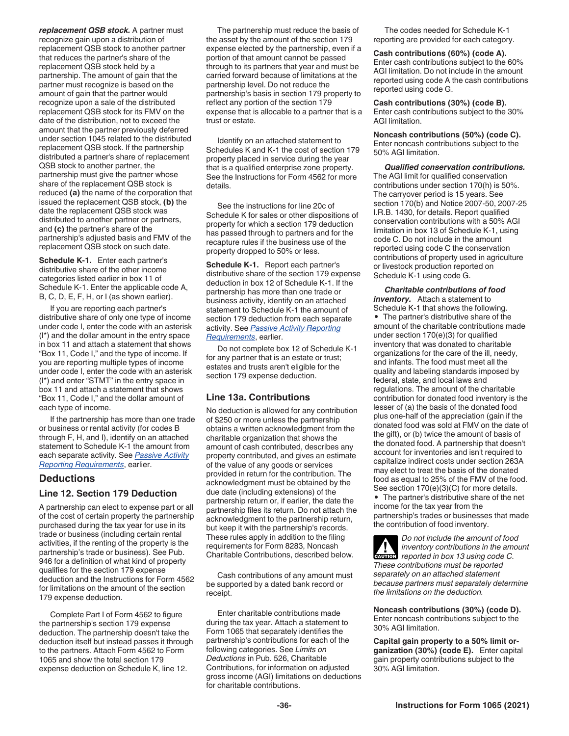*replacement QSB stock.* A partner must recognize gain upon a distribution of replacement QSB stock to another partner that reduces the partner's share of the replacement QSB stock held by a partnership. The amount of gain that the partner must recognize is based on the amount of gain that the partner would recognize upon a sale of the distributed replacement QSB stock for its FMV on the date of the distribution, not to exceed the amount that the partner previously deferred under section 1045 related to the distributed replacement QSB stock. If the partnership distributed a partner's share of replacement QSB stock to another partner, the partnership must give the partner whose share of the replacement QSB stock is reduced **(a)** the name of the corporation that issued the replacement QSB stock, **(b)** the date the replacement QSB stock was distributed to another partner or partners, and **(c)** the partner's share of the partnership's adjusted basis and FMV of the replacement QSB stock on such date.

**Schedule K-1.** Enter each partner's distributive share of the other income categories listed earlier in box 11 of Schedule K-1. Enter the applicable code A, B, C, D, E, F, H, or I (as shown earlier).

If you are reporting each partner's distributive share of only one type of income under code I, enter the code with an asterisk (I\*) and the dollar amount in the entry space in box 11 and attach a statement that shows "Box 11, Code I," and the type of income. If you are reporting multiple types of income under code I, enter the code with an asterisk (I\*) and enter "STMT" in the entry space in box 11 and attach a statement that shows "Box 11, Code I," and the dollar amount of each type of income.

If the partnership has more than one trade or business or rental activity (for codes B through F, H, and I), identify on an attached statement to Schedule K-1 the amount from each separate activity. See *Passive Activity Reporting Requirements*, earlier.

#### **Deductions**

#### **Line 12. Section 179 Deduction**

A partnership can elect to expense part or all of the cost of certain property the partnership purchased during the tax year for use in its trade or business (including certain rental activities, if the renting of the property is the partnership's trade or business). See Pub. 946 for a definition of what kind of property qualifies for the section 179 expense deduction and the Instructions for Form 4562 for limitations on the amount of the section 179 expense deduction.

Complete Part I of Form 4562 to figure the partnership's section 179 expense deduction. The partnership doesn't take the deduction itself but instead passes it through to the partners. Attach Form 4562 to Form 1065 and show the total section 179 expense deduction on Schedule K, line 12.

The partnership must reduce the basis of the asset by the amount of the section 179 expense elected by the partnership, even if a portion of that amount cannot be passed through to its partners that year and must be carried forward because of limitations at the partnership level. Do not reduce the partnership's basis in section 179 property to reflect any portion of the section 179 expense that is allocable to a partner that is a trust or estate.

Identify on an attached statement to Schedules K and K-1 the cost of section 179 property placed in service during the year that is a qualified enterprise zone property. See the Instructions for Form 4562 for more details.

See the instructions for line 20c of Schedule K for sales or other dispositions of property for which a section 179 deduction has passed through to partners and for the recapture rules if the business use of the property dropped to 50% or less.

**Schedule K-1.** Report each partner's distributive share of the section 179 expense deduction in box 12 of Schedule K-1. If the partnership has more than one trade or business activity, identify on an attached statement to Schedule K-1 the amount of section 179 deduction from each separate activity. See *Passive Activity Reporting Requirements*, earlier.

Do not complete box 12 of Schedule K-1 for any partner that is an estate or trust; estates and trusts aren't eligible for the section 179 expense deduction.

#### **Line 13a. Contributions**

No deduction is allowed for any contribution of \$250 or more unless the partnership obtains a written acknowledgment from the charitable organization that shows the amount of cash contributed, describes any property contributed, and gives an estimate of the value of any goods or services provided in return for the contribution. The acknowledgment must be obtained by the due date (including extensions) of the partnership return or, if earlier, the date the partnership files its return. Do not attach the acknowledgment to the partnership return, but keep it with the partnership's records. These rules apply in addition to the filing requirements for Form 8283, Noncash Charitable Contributions, described below.

Cash contributions of any amount must be supported by a dated bank record or receipt.

Enter charitable contributions made during the tax year. Attach a statement to Form 1065 that separately identifies the partnership's contributions for each of the following categories. See *Limits on Deductions* in Pub. 526, Charitable Contributions, for information on adjusted gross income (AGI) limitations on deductions for charitable contributions.

The codes needed for Schedule K-1 reporting are provided for each category.

#### **Cash contributions (60%) (code A).**

Enter cash contributions subject to the 60% AGI limitation. Do not include in the amount reported using code A the cash contributions reported using code G.

#### **Cash contributions (30%) (code B).**

Enter cash contributions subject to the 30% AGI limitation.

**Noncash contributions (50%) (code C).**  Enter noncash contributions subject to the 50% AGI limitation.

*Qualified conservation contributions.*  The AGI limit for qualified conservation contributions under section 170(h) is 50%. The carryover period is 15 years. See section 170(b) and Notice 2007-50, 2007-25 I.R.B. 1430, for details. Report qualified conservation contributions with a 50% AGI limitation in box 13 of Schedule K-1, using code C. Do not include in the amount reported using code C the conservation contributions of property used in agriculture or livestock production reported on Schedule K-1 using code G.

*Charitable contributions of food inventory.* Attach a statement to

Schedule K-1 that shows the following. • The partner's distributive share of the amount of the charitable contributions made under section 170(e)(3) for qualified inventory that was donated to charitable organizations for the care of the ill, needy, and infants. The food must meet all the quality and labeling standards imposed by federal, state, and local laws and regulations. The amount of the charitable contribution for donated food inventory is the lesser of (a) the basis of the donated food plus one-half of the appreciation (gain if the donated food was sold at FMV on the date of the gift), or (b) twice the amount of basis of the donated food. A partnership that doesn't account for inventories and isn't required to capitalize indirect costs under section 263A may elect to treat the basis of the donated food as equal to 25% of the FMV of the food. See section 170(e)(3)(C) for more details.

• The partner's distributive share of the net income for the tax year from the partnership's trades or businesses that made the contribution of food inventory.

*Do not include the amount of food inventory contributions in the amount reported in box 13 using code C. These contributions must be reported separately on an attached statement because partners must separately determine the limitations on the deduction.* **CAUTION !**

**Noncash contributions (30%) (code D).**  Enter noncash contributions subject to the 30% AGI limitation.

**Capital gain property to a 50% limit organization (30%) (code E).** Enter capital gain property contributions subject to the 30% AGI limitation.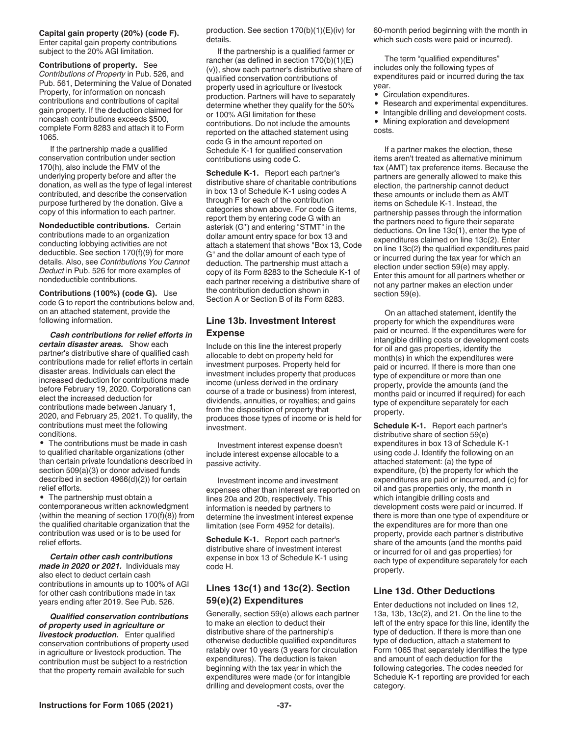### **Capital gain property (20%) (code F).**

Enter capital gain property contributions subject to the 20% AGI limitation.

**Contributions of property.** See *Contributions of Property* in Pub. 526, and Pub. 561, Determining the Value of Donated Property, for information on noncash contributions and contributions of capital gain property. If the deduction claimed for noncash contributions exceeds \$500, complete Form 8283 and attach it to Form 1065.

If the partnership made a qualified conservation contribution under section 170(h), also include the FMV of the underlying property before and after the donation, as well as the type of legal interest contributed, and describe the conservation purpose furthered by the donation. Give a copy of this information to each partner.

**Nondeductible contributions.** Certain contributions made to an organization conducting lobbying activities are not deductible. See section 170(f)(9) for more details. Also, see *Contributions You Cannot Deduct* in Pub. 526 for more examples of nondeductible contributions.

**Contributions (100%) (code G).** Use code G to report the contributions below and, on an attached statement, provide the following information.

*Cash contributions for relief efforts in certain disaster areas.* Show each partner's distributive share of qualified cash contributions made for relief efforts in certain disaster areas. Individuals can elect the increased deduction for contributions made before February 19, 2020. Corporations can elect the increased deduction for contributions made between January 1, 2020, and February 25, 2021. To qualify, the contributions must meet the following conditions.

• The contributions must be made in cash to qualified charitable organizations (other than certain private foundations described in section 509(a)(3) or donor advised funds described in section 4966(d)(2)) for certain relief efforts.

• The partnership must obtain a contemporaneous written acknowledgment (within the meaning of section 170(f)(8)) from the qualified charitable organization that the contribution was used or is to be used for relief efforts.

*Certain other cash contributions made in 2020 or 2021.* Individuals may also elect to deduct certain cash contributions in amounts up to 100% of AGI for other cash contributions made in tax years ending after 2019. See Pub. 526.

*Qualified conservation contributions of property used in agriculture or livestock production.* Enter qualified conservation contributions of property used in agriculture or livestock production. The contribution must be subject to a restriction that the property remain available for such

production. See section 170(b)(1)(E)(iv) for details.

If the partnership is a qualified farmer or rancher (as defined in section 170(b)(1)(E) (v)), show each partner's distributive share of qualified conservation contributions of property used in agriculture or livestock production. Partners will have to separately determine whether they qualify for the 50% or 100% AGI limitation for these contributions. Do not include the amounts reported on the attached statement using code G in the amount reported on Schedule K-1 for qualified conservation contributions using code C.

**Schedule K-1.** Report each partner's distributive share of charitable contributions in box 13 of Schedule K-1 using codes A through F for each of the contribution categories shown above. For code G items, report them by entering code G with an asterisk (G\*) and entering "STMT" in the dollar amount entry space for box 13 and attach a statement that shows "Box 13, Code G" and the dollar amount of each type of deduction. The partnership must attach a copy of its Form 8283 to the Schedule K-1 of each partner receiving a distributive share of the contribution deduction shown in Section A or Section B of its Form 8283.

#### **Line 13b. Investment Interest Expense**

Include on this line the interest properly allocable to debt on property held for investment purposes. Property held for investment includes property that produces income (unless derived in the ordinary course of a trade or business) from interest, dividends, annuities, or royalties; and gains from the disposition of property that produces those types of income or is held for investment.

Investment interest expense doesn't include interest expense allocable to a passive activity.

Investment income and investment expenses other than interest are reported on lines 20a and 20b, respectively. This information is needed by partners to determine the investment interest expense limitation (see Form 4952 for details).

**Schedule K-1.** Report each partner's distributive share of investment interest expense in box 13 of Schedule K-1 using code H.

### **Lines 13c(1) and 13c(2). Section 59(e)(2) Expenditures**

Generally, section 59(e) allows each partner to make an election to deduct their distributive share of the partnership's otherwise deductible qualified expenditures ratably over 10 years (3 years for circulation expenditures). The deduction is taken beginning with the tax year in which the expenditures were made (or for intangible drilling and development costs, over the

60-month period beginning with the month in which such costs were paid or incurred).

The term "qualified expenditures" includes only the following types of expenditures paid or incurred during the tax year.

- Circulation expenditures.<br>• Research and experimen
- Research and experimental expenditures.
- Intangible drilling and development costs.
- Mining exploration and development costs.

If a partner makes the election, these items aren't treated as alternative minimum tax (AMT) tax preference items. Because the partners are generally allowed to make this election, the partnership cannot deduct these amounts or include them as AMT items on Schedule K-1. Instead, the partnership passes through the information the partners need to figure their separate deductions. On line 13c(1), enter the type of expenditures claimed on line 13c(2). Enter on line 13c(2) the qualified expenditures paid or incurred during the tax year for which an election under section 59(e) may apply. Enter this amount for all partners whether or not any partner makes an election under section 59(e).

On an attached statement, identify the property for which the expenditures were paid or incurred. If the expenditures were for intangible drilling costs or development costs for oil and gas properties, identify the month(s) in which the expenditures were paid or incurred. If there is more than one type of expenditure or more than one property, provide the amounts (and the months paid or incurred if required) for each type of expenditure separately for each property.

**Schedule K-1.** Report each partner's distributive share of section 59(e) expenditures in box 13 of Schedule K-1 using code J. Identify the following on an attached statement: (a) the type of expenditure, (b) the property for which the expenditures are paid or incurred, and (c) for oil and gas properties only, the month in which intangible drilling costs and development costs were paid or incurred. If there is more than one type of expenditure or the expenditures are for more than one property, provide each partner's distributive share of the amounts (and the months paid or incurred for oil and gas properties) for each type of expenditure separately for each property.

#### **Line 13d. Other Deductions**

Enter deductions not included on lines 12, 13a, 13b, 13c(2), and 21. On the line to the left of the entry space for this line, identify the type of deduction. If there is more than one type of deduction, attach a statement to Form 1065 that separately identifies the type and amount of each deduction for the following categories. The codes needed for Schedule K-1 reporting are provided for each category.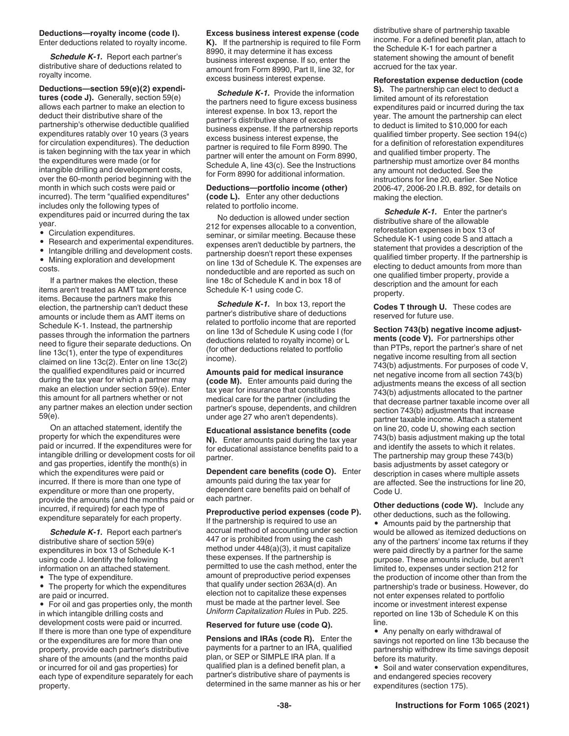#### **Deductions—royalty income (code I).**  Enter deductions related to royalty income.

*Schedule K-1.* Report each partner's distributive share of deductions related to royalty income.

**Deductions—section 59(e)(2) expenditures (code J).** Generally, section 59(e) allows each partner to make an election to deduct their distributive share of the partnership's otherwise deductible qualified expenditures ratably over 10 years (3 years for circulation expenditures). The deduction is taken beginning with the tax year in which the expenditures were made (or for intangible drilling and development costs, over the 60-month period beginning with the month in which such costs were paid or incurred). The term "qualified expenditures" includes only the following types of expenditures paid or incurred during the tax year.

- Circulation expenditures.
- Research and experimental expenditures.

• Intangible drilling and development costs.<br>• Mining exploration and development • Mining exploration and development costs.

If a partner makes the election, these items aren't treated as AMT tax preference items. Because the partners make this election, the partnership can't deduct these amounts or include them as AMT items on Schedule K-1. Instead, the partnership passes through the information the partners need to figure their separate deductions. On line 13c(1), enter the type of expenditures claimed on line 13c(2). Enter on line 13c(2) the qualified expenditures paid or incurred during the tax year for which a partner may make an election under section 59(e). Enter this amount for all partners whether or not any partner makes an election under section 59(e).

On an attached statement, identify the property for which the expenditures were paid or incurred. If the expenditures were for intangible drilling or development costs for oil and gas properties, identify the month(s) in which the expenditures were paid or incurred. If there is more than one type of expenditure or more than one property, provide the amounts (and the months paid or incurred, if required) for each type of expenditure separately for each property.

*Schedule K-1.* Report each partner's distributive share of section 59(e) expenditures in box 13 of Schedule K-1 using code J. Identify the following information on an attached statement.

• The type of expenditure.

• The property for which the expenditures are paid or incurred.

• For oil and gas properties only, the month in which intangible drilling costs and development costs were paid or incurred. If there is more than one type of expenditure or the expenditures are for more than one property, provide each partner's distributive share of the amounts (and the months paid or incurred for oil and gas properties) for each type of expenditure separately for each property.

#### **Excess business interest expense (code**

**K).** If the partnership is required to file Form 8990, it may determine it has excess business interest expense. If so, enter the amount from Form 8990, Part II, line 32, for excess business interest expense.

**Schedule K-1.** Provide the information the partners need to figure excess business interest expense. In box 13, report the partner's distributive share of excess business expense. If the partnership reports excess business interest expense, the partner is required to file Form 8990. The partner will enter the amount on Form 8990, Schedule A, line 43(c). See the Instructions for Form 8990 for additional information.

**Deductions—portfolio income (other) (code L).** Enter any other deductions related to portfolio income.

No deduction is allowed under section 212 for expenses allocable to a convention, seminar, or similar meeting. Because these expenses aren't deductible by partners, the partnership doesn't report these expenses on line 13d of Schedule K. The expenses are nondeductible and are reported as such on line 18c of Schedule K and in box 18 of Schedule K-1 using code C.

**Schedule K-1.** In box 13, report the partner's distributive share of deductions related to portfolio income that are reported on line 13d of Schedule K using code I (for deductions related to royalty income) or L (for other deductions related to portfolio income).

**Amounts paid for medical insurance (code M).** Enter amounts paid during the tax year for insurance that constitutes medical care for the partner (including the partner's spouse, dependents, and children under age 27 who aren't dependents).

**Educational assistance benefits (code N).** Enter amounts paid during the tax year for educational assistance benefits paid to a partner.

**Dependent care benefits (code O).** Enter amounts paid during the tax year for dependent care benefits paid on behalf of each partner.

**Preproductive period expenses (code P).**  If the partnership is required to use an accrual method of accounting under section 447 or is prohibited from using the cash method under 448(a)(3), it must capitalize these expenses. If the partnership is permitted to use the cash method, enter the amount of preproductive period expenses that qualify under section 263A(d). An election not to capitalize these expenses must be made at the partner level. See *Uniform Capitalization Rules* in Pub. 225.

#### **Reserved for future use (code Q).**

**Pensions and IRAs (code R).** Enter the payments for a partner to an IRA, qualified plan, or SEP or SIMPLE IRA plan. If a qualified plan is a defined benefit plan, a partner's distributive share of payments is determined in the same manner as his or her distributive share of partnership taxable income. For a defined benefit plan, attach to the Schedule K-1 for each partner a statement showing the amount of benefit accrued for the tax year.

**Reforestation expense deduction (code S).** The partnership can elect to deduct a limited amount of its reforestation expenditures paid or incurred during the tax year. The amount the partnership can elect to deduct is limited to \$10,000 for each qualified timber property. See section 194(c) for a definition of reforestation expenditures and qualified timber property. The partnership must amortize over 84 months any amount not deducted. See the instructions for line 20, earlier. See Notice 2006-47, 2006-20 I.R.B. 892, for details on making the election.

*Schedule K-1.* Enter the partner's distributive share of the allowable reforestation expenses in box 13 of Schedule K-1 using code S and attach a statement that provides a description of the qualified timber property. If the partnership is electing to deduct amounts from more than one qualified timber property, provide a description and the amount for each property.

**Codes T through U.** These codes are reserved for future use.

**Section 743(b) negative income adjustments (code V).** For partnerships other than PTPs, report the partner's share of net negative income resulting from all section 743(b) adjustments. For purposes of code V, net negative income from all section 743(b) adjustments means the excess of all section 743(b) adjustments allocated to the partner that decrease partner taxable income over all section 743(b) adjustments that increase partner taxable income. Attach a statement on line 20, code U, showing each section 743(b) basis adjustment making up the total and identify the assets to which it relates. The partnership may group these 743(b) basis adjustments by asset category or description in cases where multiple assets are affected. See the instructions for line 20, Code U.

**Other deductions (code W).** Include any other deductions, such as the following. • Amounts paid by the partnership that would be allowed as itemized deductions on any of the partners' income tax returns if they were paid directly by a partner for the same purpose. These amounts include, but aren't limited to, expenses under section 212 for the production of income other than from the partnership's trade or business. However, do not enter expenses related to portfolio income or investment interest expense reported on line 13b of Schedule K on this line.

• Any penalty on early withdrawal of savings not reported on line 13b because the partnership withdrew its time savings deposit before its maturity.

• Soil and water conservation expenditures, and endangered species recovery expenditures (section 175).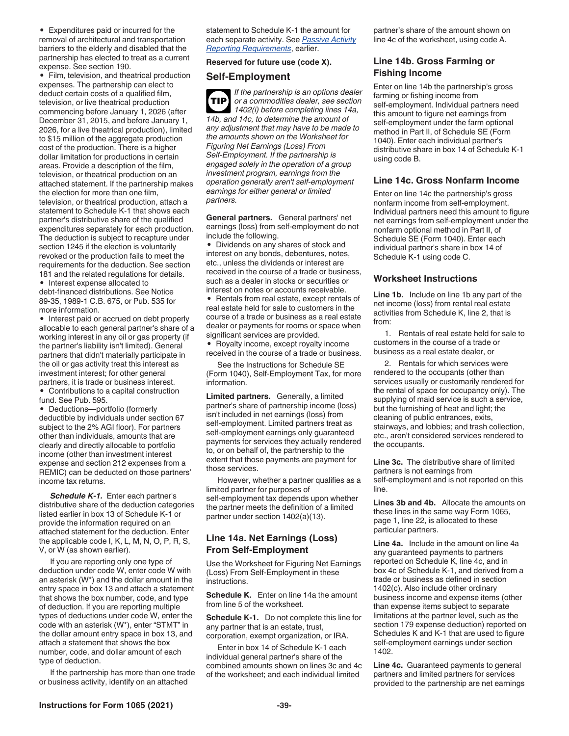• Expenditures paid or incurred for the removal of architectural and transportation barriers to the elderly and disabled that the partnership has elected to treat as a current expense. See section 190.

• Film, television, and theatrical production expenses. The partnership can elect to deduct certain costs of a qualified film, television, or live theatrical production commencing before January 1, 2026 (after December 31, 2015, and before January 1, 2026, for a live theatrical production), limited to \$15 million of the aggregate production cost of the production. There is a higher dollar limitation for productions in certain areas. Provide a description of the film, television, or theatrical production on an attached statement. If the partnership makes the election for more than one film, television, or theatrical production, attach a statement to Schedule K-1 that shows each partner's distributive share of the qualified expenditures separately for each production. The deduction is subject to recapture under section 1245 if the election is voluntarily revoked or the production fails to meet the requirements for the deduction. See section 181 and the related regulations for details. • Interest expense allocated to

debt-financed distributions. See Notice 89-35, 1989-1 C.B. 675, or Pub. 535 for more information.

• Interest paid or accrued on debt properly allocable to each general partner's share of a working interest in any oil or gas property (if the partner's liability isn't limited). General partners that didn't materially participate in the oil or gas activity treat this interest as investment interest; for other general partners, it is trade or business interest. • Contributions to a capital construction fund. See Pub. 595.

• Deductions—portfolio (formerly deductible by individuals under section 67 subject to the 2% AGI floor). For partners other than individuals, amounts that are clearly and directly allocable to portfolio income (other than investment interest expense and section 212 expenses from a REMIC) can be deducted on those partners' income tax returns.

**Schedule K-1.** Enter each partner's distributive share of the deduction categories listed earlier in box 13 of Schedule K-1 or provide the information required on an attached statement for the deduction. Enter the applicable code I, K, L, M, N, O, P, R, S, V, or W (as shown earlier).

If you are reporting only one type of deduction under code W, enter code W with an asterisk (W\*) and the dollar amount in the entry space in box 13 and attach a statement that shows the box number, code, and type of deduction. If you are reporting multiple types of deductions under code W, enter the code with an asterisk (W\*), enter "STMT" in the dollar amount entry space in box 13, and attach a statement that shows the box number, code, and dollar amount of each type of deduction.

If the partnership has more than one trade or business activity, identify on an attached

statement to Schedule K-1 the amount for each separate activity. See *Passive Activity Reporting Requirements*, earlier.

**Reserved for future use (code X).** 

#### **Self-Employment**

*If the partnership is an options dealer or a commodities dealer, see section 1402(i) before completing lines 14a, 14b, and 14c, to determine the amount of any adjustment that may have to be made to the amounts shown on the Worksheet for Figuring Net Earnings (Loss) From Self-Employment. If the partnership is engaged solely in the operation of a group investment program, earnings from the operation generally aren't self-employment earnings for either general or limited partners.* **TIP**

**General partners.** General partners' net earnings (loss) from self-employment do not include the following.

• Dividends on any shares of stock and interest on any bonds, debentures, notes, etc., unless the dividends or interest are received in the course of a trade or business, such as a dealer in stocks or securities or interest on notes or accounts receivable.

• Rentals from real estate, except rentals of real estate held for sale to customers in the course of a trade or business as a real estate dealer or payments for rooms or space when significant services are provided.

• Royalty income, except royalty income received in the course of a trade or business.

See the Instructions for Schedule SE (Form 1040), Self-Employment Tax, for more information.

**Limited partners.** Generally, a limited partner's share of partnership income (loss) isn't included in net earnings (loss) from self-employment. Limited partners treat as self-employment earnings only guaranteed payments for services they actually rendered to, or on behalf of, the partnership to the extent that those payments are payment for those services.

However, whether a partner qualifies as a limited partner for purposes of self-employment tax depends upon whether the partner meets the definition of a limited partner under section 1402(a)(13).

#### **Line 14a. Net Earnings (Loss) From Self-Employment**

Use the Worksheet for Figuring Net Earnings (Loss) From Self-Employment in these **instructions** 

**Schedule K.** Enter on line 14a the amount from line 5 of the worksheet.

**Schedule K-1.** Do not complete this line for any partner that is an estate, trust, corporation, exempt organization, or IRA.

Enter in box 14 of Schedule K-1 each individual general partner's share of the combined amounts shown on lines 3c and 4c of the worksheet; and each individual limited

partner's share of the amount shown on line 4c of the worksheet, using code A.

#### **Line 14b. Gross Farming or Fishing Income**

Enter on line 14b the partnership's gross farming or fishing income from self-employment. Individual partners need this amount to figure net earnings from self-employment under the farm optional method in Part II, of Schedule SE (Form 1040). Enter each individual partner's distributive share in box 14 of Schedule K-1 using code B.

#### **Line 14c. Gross Nonfarm Income**

Enter on line 14c the partnership's gross nonfarm income from self-employment. Individual partners need this amount to figure net earnings from self-employment under the nonfarm optional method in Part II, of Schedule SE (Form 1040). Enter each individual partner's share in box 14 of Schedule K-1 using code C.

#### **Worksheet Instructions**

**Line 1b.** Include on line 1b any part of the net income (loss) from rental real estate activities from Schedule K, line 2, that is from:

1. Rentals of real estate held for sale to customers in the course of a trade or business as a real estate dealer, or

2. Rentals for which services were rendered to the occupants (other than services usually or customarily rendered for the rental of space for occupancy only). The supplying of maid service is such a service, but the furnishing of heat and light; the cleaning of public entrances, exits, stairways, and lobbies; and trash collection, etc., aren't considered services rendered to the occupants.

**Line 3c.** The distributive share of limited partners is not earnings from self-employment and is not reported on this line.

**Lines 3b and 4b.** Allocate the amounts on these lines in the same way Form 1065, page 1, line 22, is allocated to these particular partners.

**Line 4a.** Include in the amount on line 4a any guaranteed payments to partners reported on Schedule K, line 4c, and in box 4c of Schedule K-1, and derived from a trade or business as defined in section 1402(c). Also include other ordinary business income and expense items (other than expense items subject to separate limitations at the partner level, such as the section 179 expense deduction) reported on Schedules K and K-1 that are used to figure self-employment earnings under section 1402.

**Line 4c.** Guaranteed payments to general partners and limited partners for services provided to the partnership are net earnings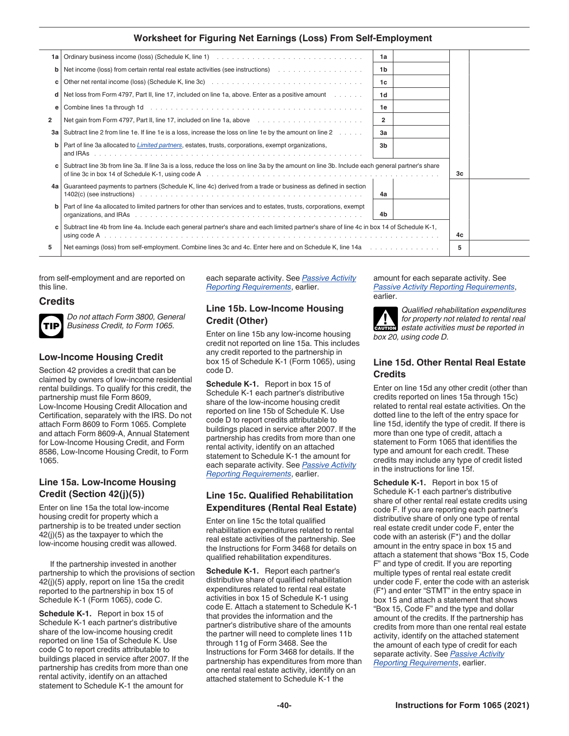#### **Worksheet for Figuring Net Earnings (Loss) From Self-Employment**

| 1a l           |                                                                                                                                                                                                                                     | 1a             |  |    |  |
|----------------|-------------------------------------------------------------------------------------------------------------------------------------------------------------------------------------------------------------------------------------|----------------|--|----|--|
| b              | Net income (loss) from certain rental real estate activities (see instructions)                                                                                                                                                     | 1b             |  |    |  |
| c              | Other net rental income (loss) (Schedule K, line 3c) (b) and the context of the context of the K, line 3c) and the context of the context of the context of the C and S of the C and S of the C and S of the C and S of the C<br>1c |                |  |    |  |
| d              | Net loss from Form 4797, Part II, line 17, included on line 1a, above. Enter as a positive amount and such a sub-                                                                                                                   | 1d             |  |    |  |
| е              | Combine lines 1a through 1d rundom by the state of the state of the state of the state of the state of the state of the state of the state of the state of the state of the state of the state of the state of the state of th      | 1e             |  |    |  |
| $\overline{2}$ |                                                                                                                                                                                                                                     | $\overline{2}$ |  |    |  |
| За             | Subtract line 2 from line 1e. If line 1e is a loss, increase the loss on line 1e by the amount on line 2<br>За                                                                                                                      |                |  |    |  |
| b              | Part of line 3a allocated to Limited partners, estates, trusts, corporations, exempt organizations,                                                                                                                                 | 3b             |  |    |  |
| c              | Subtract line 3b from line 3a. If line 3a is a loss, reduce the loss on line 3a by the amount on line 3b. Include each general partner's share                                                                                      |                |  | 3c |  |
| 4a l           | Guaranteed payments to partners (Schedule K, line 4c) derived from a trade or business as defined in section                                                                                                                        | 4а             |  |    |  |
| b              | Part of line 4a allocated to limited partners for other than services and to estates, trusts, corporations, exempt                                                                                                                  | 4b             |  |    |  |
| c              | Subtract line 4b from line 4a. Include each general partner's share and each limited partner's share of line 4c in box 14 of Schedule K-1,                                                                                          |                |  | 4c |  |
| 5              | Net earnings (loss) from self-employment. Combine lines 3c and 4c. Enter here and on Schedule K, line 14a                                                                                                                           |                |  | 5  |  |

from self-employment and are reported on this line.

#### **Credits**

*Do not attach Form 3800, General Business Credit, to Form 1065.*

#### **Low-Income Housing Credit**

Section 42 provides a credit that can be claimed by owners of low-income residential rental buildings. To qualify for this credit, the partnership must file Form 8609, Low-Income Housing Credit Allocation and Certification, separately with the IRS. Do not attach Form 8609 to Form 1065. Complete and attach Form 8609-A, Annual Statement for Low-Income Housing Credit, and Form 8586, Low-Income Housing Credit, to Form 1065.

#### **Line 15a. Low-Income Housing Credit (Section 42(j)(5))**

Enter on line 15a the total low-income housing credit for property which a partnership is to be treated under section 42(j)(5) as the taxpayer to which the low-income housing credit was allowed.

If the partnership invested in another partnership to which the provisions of section 42(j)(5) apply, report on line 15a the credit reported to the partnership in box 15 of Schedule K-1 (Form 1065), code C.

**Schedule K-1.** Report in box 15 of Schedule K-1 each partner's distributive share of the low-income housing credit reported on line 15a of Schedule K. Use code C to report credits attributable to buildings placed in service after 2007. If the partnership has credits from more than one rental activity, identify on an attached statement to Schedule K-1 the amount for

each separate activity. See *Passive Activity Reporting Requirements*, earlier.

#### **Line 15b. Low-Income Housing Credit (Other)**

Enter on line 15b any low-income housing credit not reported on line 15a. This includes any credit reported to the partnership in box 15 of Schedule K-1 (Form 1065), using code D.

**Schedule K-1.** Report in box 15 of Schedule K-1 each partner's distributive share of the low-income housing credit reported on line 15b of Schedule K. Use code D to report credits attributable to buildings placed in service after 2007. If the partnership has credits from more than one rental activity, identify on an attached statement to Schedule K-1 the amount for each separate activity. See *Passive Activity Reporting Requirements*, earlier.

#### **Line 15c. Qualified Rehabilitation Expenditures (Rental Real Estate)**

Enter on line 15c the total qualified rehabilitation expenditures related to rental real estate activities of the partnership. See the Instructions for Form 3468 for details on qualified rehabilitation expenditures.

**Schedule K-1.** Report each partner's distributive share of qualified rehabilitation expenditures related to rental real estate activities in box 15 of Schedule K-1 using code E. Attach a statement to Schedule K-1 that provides the information and the partner's distributive share of the amounts the partner will need to complete lines 11b through 11g of Form 3468. See the Instructions for Form 3468 for details. If the partnership has expenditures from more than one rental real estate activity, identify on an attached statement to Schedule K-1 the

amount for each separate activity. See *Passive Activity Reporting Requirements*, earlier.



*Qualified rehabilitation expenditures for property not related to rental real estate activities must be reported in box 20, using code D.*

#### **Line 15d. Other Rental Real Estate Credits**

Enter on line 15d any other credit (other than credits reported on lines 15a through 15c) related to rental real estate activities. On the dotted line to the left of the entry space for line 15d, identify the type of credit. If there is more than one type of credit, attach a statement to Form 1065 that identifies the type and amount for each credit. These credits may include any type of credit listed in the instructions for line 15f.

**Schedule K-1.** Report in box 15 of Schedule K-1 each partner's distributive share of other rental real estate credits using code F. If you are reporting each partner's distributive share of only one type of rental real estate credit under code F, enter the code with an asterisk (F\*) and the dollar amount in the entry space in box 15 and attach a statement that shows "Box 15, Code F" and type of credit. If you are reporting multiple types of rental real estate credit under code F, enter the code with an asterisk (F\*) and enter "STMT" in the entry space in box 15 and attach a statement that shows "Box 15, Code F" and the type and dollar amount of the credits. If the partnership has credits from more than one rental real estate activity, identify on the attached statement the amount of each type of credit for each separate activity. See *Passive Activity Reporting Requirements*, earlier.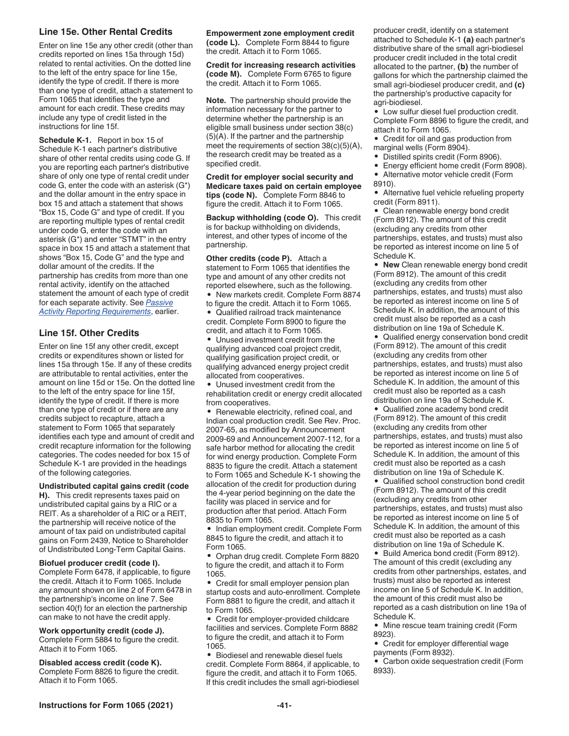#### **Line 15e. Other Rental Credits**

Enter on line 15e any other credit (other than credits reported on lines 15a through 15d) related to rental activities. On the dotted line to the left of the entry space for line 15e, identify the type of credit. If there is more than one type of credit, attach a statement to Form 1065 that identifies the type and amount for each credit. These credits may include any type of credit listed in the instructions for line 15f.

**Schedule K-1.** Report in box 15 of Schedule K-1 each partner's distributive share of other rental credits using code G. If you are reporting each partner's distributive share of only one type of rental credit under code G, enter the code with an asterisk (G\*) and the dollar amount in the entry space in box 15 and attach a statement that shows "Box 15, Code G" and type of credit. If you are reporting multiple types of rental credit under code G, enter the code with an asterisk (G\*) and enter "STMT" in the entry space in box 15 and attach a statement that shows "Box 15, Code G" and the type and dollar amount of the credits. If the partnership has credits from more than one rental activity, identify on the attached statement the amount of each type of credit for each separate activity. See *Passive Activity Reporting Requirements*, earlier.

#### **Line 15f. Other Credits**

Enter on line 15f any other credit, except credits or expenditures shown or listed for lines 15a through 15e. If any of these credits are attributable to rental activities, enter the amount on line 15d or 15e. On the dotted line to the left of the entry space for line 15f, identify the type of credit. If there is more than one type of credit or if there are any credits subject to recapture, attach a statement to Form 1065 that separately identifies each type and amount of credit and credit recapture information for the following categories. The codes needed for box 15 of Schedule K-1 are provided in the headings of the following categories.

#### **Undistributed capital gains credit (code**

**H).** This credit represents taxes paid on undistributed capital gains by a RIC or a REIT. As a shareholder of a RIC or a REIT, the partnership will receive notice of the amount of tax paid on undistributed capital gains on Form 2439, Notice to Shareholder of Undistributed Long-Term Capital Gains.

#### **Biofuel producer credit (code I).**

Complete Form 6478, if applicable, to figure the credit. Attach it to Form 1065. Include any amount shown on line 2 of Form 6478 in the partnership's income on line 7. See section 40(f) for an election the partnership can make to not have the credit apply.

#### **Work opportunity credit (code J).**

Complete Form 5884 to figure the credit. Attach it to Form 1065.

**Disabled access credit (code K).**  Complete Form 8826 to figure the credit. Attach it to Form 1065.

**Empowerment zone employment credit (code L).** Complete Form 8844 to figure the credit. Attach it to Form 1065.

**Credit for increasing research activities (code M).** Complete Form 6765 to figure the credit. Attach it to Form 1065.

**Note.** The partnership should provide the information necessary for the partner to determine whether the partnership is an eligible small business under section 38(c) (5)(A). If the partner and the partnership meet the requirements of section 38(c)(5)(A), the research credit may be treated as a specified credit.

**Credit for employer social security and Medicare taxes paid on certain employee tips (code N).** Complete Form 8846 to figure the credit. Attach it to Form 1065.

**Backup withholding (code O).** This credit is for backup withholding on dividends, interest, and other types of income of the partnership.

**Other credits (code P).** Attach a statement to Form 1065 that identifies the type and amount of any other credits not reported elsewhere, such as the following. • New markets credit. Complete Form 8874

to figure the credit. Attach it to Form 1065.

• Qualified railroad track maintenance credit. Complete Form 8900 to figure the credit, and attach it to Form 1065.

• Unused investment credit from the qualifying advanced coal project credit, qualifying gasification project credit, or qualifying advanced energy project credit allocated from cooperatives.

• Unused investment credit from the rehabilitation credit or energy credit allocated from cooperatives.

• Renewable electricity, refined coal, and Indian coal production credit. See Rev. Proc. 2007-65, as modified by Announcement 2009-69 and Announcement 2007-112, for a safe harbor method for allocating the credit for wind energy production. Complete Form 8835 to figure the credit. Attach a statement to Form 1065 and Schedule K-1 showing the allocation of the credit for production during the 4-year period beginning on the date the facility was placed in service and for production after that period. Attach Form 8835 to Form 1065.

• Indian employment credit. Complete Form 8845 to figure the credit, and attach it to Form 1065.

• Orphan drug credit. Complete Form 8820 to figure the credit, and attach it to Form 1065.

• Credit for small employer pension plan startup costs and auto-enrollment. Complete Form 8881 to figure the credit, and attach it to Form 1065.

• Credit for employer-provided childcare facilities and services. Complete Form 8882 to figure the credit, and attach it to Form 1065.

• Biodiesel and renewable diesel fuels credit. Complete Form 8864, if applicable, to figure the credit, and attach it to Form 1065. If this credit includes the small agri-biodiesel producer credit, identify on a statement attached to Schedule K-1 **(a)** each partner's distributive share of the small agri-biodiesel producer credit included in the total credit allocated to the partner, **(b)** the number of gallons for which the partnership claimed the small agri-biodiesel producer credit, and **(c)**  the partnership's productive capacity for agri-biodiesel.

• Low sulfur diesel fuel production credit. Complete Form 8896 to figure the credit, and attach it to Form 1065.

- Credit for oil and gas production from marginal wells (Form 8904).
- Distilled spirits credit (Form 8906).
- Energy efficient home credit (Form 8908).
- Alternative motor vehicle credit (Form
- 8910).

• Alternative fuel vehicle refueling property credit (Form 8911).

• Clean renewable energy bond credit (Form 8912). The amount of this credit (excluding any credits from other partnerships, estates, and trusts) must also be reported as interest income on line 5 of Schedule K.

• **New** Clean renewable energy bond credit (Form 8912). The amount of this credit (excluding any credits from other partnerships, estates, and trusts) must also be reported as interest income on line 5 of Schedule K. In addition, the amount of this credit must also be reported as a cash distribution on line 19a of Schedule K.

• Qualified energy conservation bond credit (Form 8912). The amount of this credit (excluding any credits from other partnerships, estates, and trusts) must also be reported as interest income on line 5 of Schedule K. In addition, the amount of this credit must also be reported as a cash distribution on line 19a of Schedule K.

• Qualified zone academy bond credit (Form 8912). The amount of this credit (excluding any credits from other partnerships, estates, and trusts) must also be reported as interest income on line 5 of Schedule K. In addition, the amount of this credit must also be reported as a cash distribution on line 19a of Schedule K.

• Qualified school construction bond credit (Form 8912). The amount of this credit (excluding any credits from other partnerships, estates, and trusts) must also be reported as interest income on line 5 of Schedule K. In addition, the amount of this credit must also be reported as a cash distribution on line 19a of Schedule K.

• Build America bond credit (Form 8912). The amount of this credit (excluding any credits from other partnerships, estates, and trusts) must also be reported as interest income on line 5 of Schedule K. In addition, the amount of this credit must also be reported as a cash distribution on line 19a of Schedule K.

• Mine rescue team training credit (Form 8923).

• Credit for employer differential wage payments (Form 8932).

• Carbon oxide sequestration credit (Form 8933).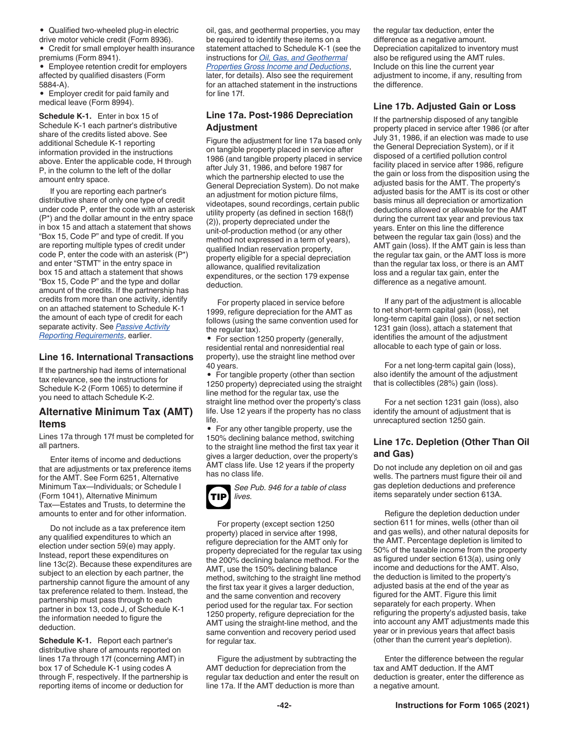- Qualified two-wheeled plug-in electric
- drive motor vehicle credit (Form 8936).
- Credit for small employer health insurance premiums (Form 8941).
- Employee retention credit for employers affected by qualified disasters (Form 5884-A).

• Employer credit for paid family and medical leave (Form 8994).

**Schedule K-1.** Enter in box 15 of Schedule K-1 each partner's distributive share of the credits listed above. See additional Schedule K-1 reporting information provided in the instructions above. Enter the applicable code, H through P, in the column to the left of the dollar amount entry space.

If you are reporting each partner's distributive share of only one type of credit under code P, enter the code with an asterisk (P\*) and the dollar amount in the entry space in box 15 and attach a statement that shows "Box 15, Code P" and type of credit. If you are reporting multiple types of credit under code P, enter the code with an asterisk (P\*) and enter "STMT" in the entry space in box 15 and attach a statement that shows "Box 15, Code P" and the type and dollar amount of the credits. If the partnership has credits from more than one activity, identify on an attached statement to Schedule K-1 the amount of each type of credit for each separate activity. See *Passive Activity Reporting Requirements*, earlier.

#### **Line 16. International Transactions**

If the partnership had items of international tax relevance, see the instructions for Schedule K-2 (Form 1065) to determine if you need to attach Schedule K-2.

#### **Alternative Minimum Tax (AMT) Items**

Lines 17a through 17f must be completed for all partners.

Enter items of income and deductions that are adjustments or tax preference items for the AMT. See Form 6251, Alternative Minimum Tax—Individuals; or Schedule I (Form 1041), Alternative Minimum Tax—Estates and Trusts, to determine the amounts to enter and for other information.

Do not include as a tax preference item any qualified expenditures to which an election under section 59(e) may apply. Instead, report these expenditures on line 13c(2). Because these expenditures are subject to an election by each partner, the partnership cannot figure the amount of any tax preference related to them. Instead, the partnership must pass through to each partner in box 13, code J, of Schedule K-1 the information needed to figure the deduction.

**Schedule K-1.** Report each partner's distributive share of amounts reported on lines 17a through 17f (concerning AMT) in box 17 of Schedule K-1 using codes A through F, respectively. If the partnership is reporting items of income or deduction for

oil, gas, and geothermal properties, you may be required to identify these items on a statement attached to Schedule K-1 (see the instructions for *Oil, Gas, and Geothermal Properties Gross Income and Deductions*, later, for details). Also see the requirement for an attached statement in the instructions for line 17f.

#### **Line 17a. Post-1986 Depreciation Adjustment**

Figure the adjustment for line 17a based only on tangible property placed in service after 1986 (and tangible property placed in service after July 31, 1986, and before 1987 for which the partnership elected to use the General Depreciation System). Do not make an adjustment for motion picture films, videotapes, sound recordings, certain public utility property (as defined in section 168(f) (2)), property depreciated under the unit-of-production method (or any other method not expressed in a term of years), qualified Indian reservation property, property eligible for a special depreciation allowance, qualified revitalization expenditures, or the section 179 expense deduction.

For property placed in service before 1999, refigure depreciation for the AMT as follows (using the same convention used for the regular tax).

• For section 1250 property (generally, residential rental and nonresidential real property), use the straight line method over 40 years.

• For tangible property (other than section 1250 property) depreciated using the straight line method for the regular tax, use the straight line method over the property's class life. Use 12 years if the property has no class life.

• For any other tangible property, use the 150% declining balance method, switching to the straight line method the first tax year it gives a larger deduction, over the property's AMT class life. Use 12 years if the property has no class life.



For property (except section 1250 property) placed in service after 1998, refigure depreciation for the AMT only for property depreciated for the regular tax using the 200% declining balance method. For the AMT, use the 150% declining balance method, switching to the straight line method the first tax year it gives a larger deduction, and the same convention and recovery period used for the regular tax. For section 1250 property, refigure depreciation for the AMT using the straight-line method, and the same convention and recovery period used for regular tax.

Figure the adjustment by subtracting the AMT deduction for depreciation from the regular tax deduction and enter the result on line 17a. If the AMT deduction is more than

the regular tax deduction, enter the difference as a negative amount. Depreciation capitalized to inventory must also be refigured using the AMT rules. Include on this line the current year adjustment to income, if any, resulting from the difference.

#### **Line 17b. Adjusted Gain or Loss**

If the partnership disposed of any tangible property placed in service after 1986 (or after July 31, 1986, if an election was made to use the General Depreciation System), or if it disposed of a certified pollution control facility placed in service after 1986, refigure the gain or loss from the disposition using the adjusted basis for the AMT. The property's adjusted basis for the AMT is its cost or other basis minus all depreciation or amortization deductions allowed or allowable for the AMT during the current tax year and previous tax years. Enter on this line the difference between the regular tax gain (loss) and the AMT gain (loss). If the AMT gain is less than the regular tax gain, or the AMT loss is more than the regular tax loss, or there is an AMT loss and a regular tax gain, enter the difference as a negative amount.

If any part of the adjustment is allocable to net short-term capital gain (loss), net long-term capital gain (loss), or net section 1231 gain (loss), attach a statement that identifies the amount of the adjustment allocable to each type of gain or loss.

For a net long-term capital gain (loss), also identify the amount of the adjustment that is collectibles (28%) gain (loss).

For a net section 1231 gain (loss), also identify the amount of adjustment that is unrecaptured section 1250 gain.

#### **Line 17c. Depletion (Other Than Oil and Gas)**

Do not include any depletion on oil and gas wells. The partners must figure their oil and gas depletion deductions and preference items separately under section 613A.

Refigure the depletion deduction under section 611 for mines, wells (other than oil and gas wells), and other natural deposits for the AMT. Percentage depletion is limited to 50% of the taxable income from the property as figured under section 613(a), using only income and deductions for the AMT. Also, the deduction is limited to the property's adjusted basis at the end of the year as figured for the AMT. Figure this limit separately for each property. When refiguring the property's adjusted basis, take into account any AMT adjustments made this year or in previous years that affect basis (other than the current year's depletion).

Enter the difference between the regular tax and AMT deduction. If the AMT deduction is greater, enter the difference as a negative amount.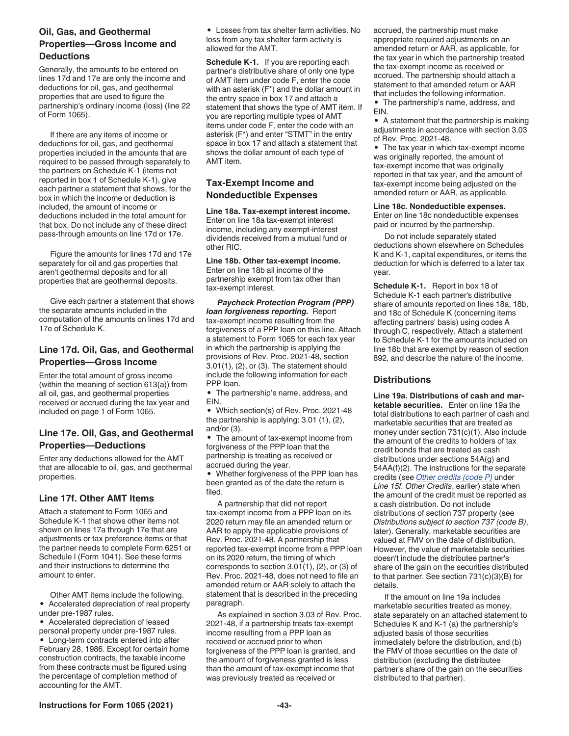#### **Oil, Gas, and Geothermal Properties—Gross Income and Deductions**

Generally, the amounts to be entered on lines 17d and 17e are only the income and deductions for oil, gas, and geothermal properties that are used to figure the partnership's ordinary income (loss) (line 22 of Form 1065).

If there are any items of income or deductions for oil, gas, and geothermal properties included in the amounts that are required to be passed through separately to the partners on Schedule K-1 (items not reported in box 1 of Schedule K-1), give each partner a statement that shows, for the box in which the income or deduction is included, the amount of income or deductions included in the total amount for that box. Do not include any of these direct pass-through amounts on line 17d or 17e.

Figure the amounts for lines 17d and 17e separately for oil and gas properties that aren't geothermal deposits and for all properties that are geothermal deposits.

Give each partner a statement that shows the separate amounts included in the computation of the amounts on lines 17d and 17e of Schedule K.

#### **Line 17d. Oil, Gas, and Geothermal Properties—Gross Income**

Enter the total amount of gross income (within the meaning of section 613(a)) from all oil, gas, and geothermal properties received or accrued during the tax year and included on page 1 of Form 1065.

#### **Line 17e. Oil, Gas, and Geothermal Properties—Deductions**

Enter any deductions allowed for the AMT that are allocable to oil, gas, and geothermal properties.

#### **Line 17f. Other AMT Items**

Attach a statement to Form 1065 and Schedule K-1 that shows other items not shown on lines 17a through 17e that are adjustments or tax preference items or that the partner needs to complete Form 6251 or Schedule I (Form 1041). See these forms and their instructions to determine the amount to enter.

Other AMT items include the following. • Accelerated depreciation of real property under pre-1987 rules.

• Accelerated depreciation of leased personal property under pre-1987 rules.

• Long-term contracts entered into after February 28, 1986. Except for certain home construction contracts, the taxable income from these contracts must be figured using the percentage of completion method of accounting for the AMT.

• Losses from tax shelter farm activities. No loss from any tax shelter farm activity is allowed for the AMT.

**Schedule K-1.** If you are reporting each partner's distributive share of only one type of AMT item under code F, enter the code with an asterisk (F\*) and the dollar amount in the entry space in box 17 and attach a statement that shows the type of AMT item. If you are reporting multiple types of AMT items under code F, enter the code with an asterisk (F\*) and enter "STMT" in the entry space in box 17 and attach a statement that shows the dollar amount of each type of AMT item.

### **Tax-Exempt Income and Nondeductible Expenses**

**Line 18a. Tax-exempt interest income.**  Enter on line 18a tax-exempt interest income, including any exempt-interest dividends received from a mutual fund or other RIC.

**Line 18b. Other tax-exempt income.**  Enter on line 18b all income of the partnership exempt from tax other than tax-exempt interest.

*Paycheck Protection Program (PPP) loan forgiveness reporting.* Report tax-exempt income resulting from the forgiveness of a PPP loan on this line. Attach a statement to Form 1065 for each tax year in which the partnership is applying the provisions of Rev. Proc. 2021-48, section 3.01(1), (2), or (3). The statement should include the following information for each PPP loan.

• The partnership's name, address, and EIN.

• Which section(s) of Rev. Proc. 2021-48 the partnership is applying: 3.01 (1), (2), and/or (3).

• The amount of tax-exempt income from forgiveness of the PPP loan that the partnership is treating as received or accrued during the year.

• Whether forgiveness of the PPP loan has been granted as of the date the return is filed.

A partnership that did not report tax-exempt income from a PPP loan on its 2020 return may file an amended return or AAR to apply the applicable provisions of Rev. Proc. 2021-48. A partnership that reported tax-exempt income from a PPP loan on its 2020 return, the timing of which corresponds to section 3.01(1), (2), or (3) of Rev. Proc. 2021-48, does not need to file an amended return or AAR solely to attach the statement that is described in the preceding paragraph.

As explained in section 3.03 of Rev. Proc. 2021-48, if a partnership treats tax-exempt income resulting from a PPP loan as received or accrued prior to when forgiveness of the PPP loan is granted, and the amount of forgiveness granted is less than the amount of tax-exempt income that was previously treated as received or

accrued, the partnership must make appropriate required adjustments on an amended return or AAR, as applicable, for the tax year in which the partnership treated the tax-exempt income as received or accrued. The partnership should attach a statement to that amended return or AAR that includes the following information.

• The partnership's name, address, and EIN.

• A statement that the partnership is making adjustments in accordance with section 3.03 of Rev. Proc. 2021-48.

• The tax year in which tax-exempt income was originally reported, the amount of tax-exempt income that was originally reported in that tax year, and the amount of tax-exempt income being adjusted on the amended return or AAR, as applicable.

#### **Line 18c. Nondeductible expenses.**

Enter on line 18c nondeductible expenses paid or incurred by the partnership.

Do not include separately stated deductions shown elsewhere on Schedules K and K-1, capital expenditures, or items the deduction for which is deferred to a later tax year.

**Schedule K-1.** Report in box 18 of Schedule K-1 each partner's distributive share of amounts reported on lines 18a, 18b, and 18c of Schedule K (concerning items affecting partners' basis) using codes A through C, respectively. Attach a statement to Schedule K-1 for the amounts included on line 18b that are exempt by reason of section 892, and describe the nature of the income.

#### **Distributions**

**Line 19a. Distributions of cash and marketable securities.** Enter on line 19a the total distributions to each partner of cash and marketable securities that are treated as money under section 731(c)(1). Also include the amount of the credits to holders of tax credit bonds that are treated as cash distributions under sections 54A(g) and 54AA(f)(2). The instructions for the separate credits (see *Other credits (code P)* under *Line 15f. Other Credits*, earlier) state when the amount of the credit must be reported as a cash distribution. Do not include distributions of section 737 property (see *Distributions subject to section 737 (code B)*, later). Generally, marketable securities are valued at FMV on the date of distribution. However, the value of marketable securities doesn't include the distributee partner's share of the gain on the securities distributed to that partner. See section 731(c)(3)(B) for details.

If the amount on line 19a includes marketable securities treated as money, state separately on an attached statement to Schedules K and K-1 (a) the partnership's adjusted basis of those securities immediately before the distribution, and (b) the FMV of those securities on the date of distribution (excluding the distributee partner's share of the gain on the securities distributed to that partner).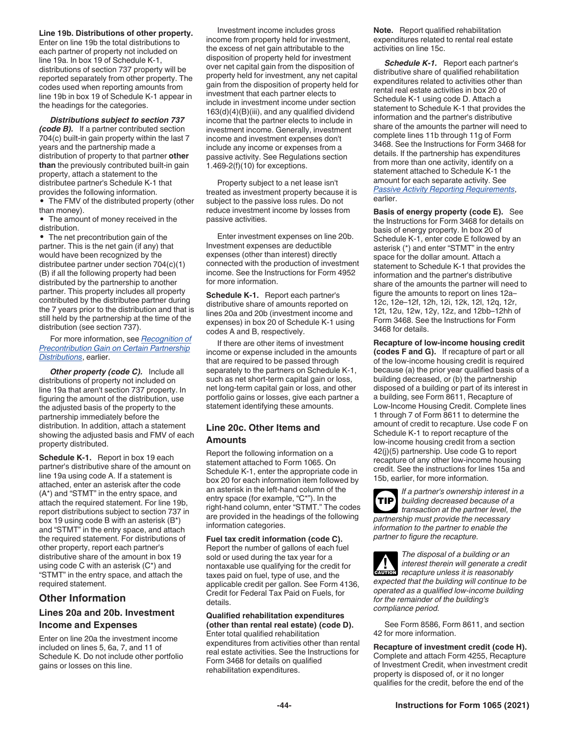#### **Line 19b. Distributions of other property.**

Enter on line 19b the total distributions to each partner of property not included on line 19a. In box 19 of Schedule K-1, distributions of section 737 property will be reported separately from other property. The codes used when reporting amounts from line 19b in box 19 of Schedule K-1 appear in the headings for the categories.

#### *Distributions subject to section 737*

*(code B).* If a partner contributed section 704(c) built-in gain property within the last 7 years and the partnership made a distribution of property to that partner **other than** the previously contributed built-in gain property, attach a statement to the distributee partner's Schedule K-1 that provides the following information.

The FMV of the distributed property (other than money).

• The amount of money received in the distribution.

• The net precontribution gain of the partner. This is the net gain (if any) that would have been recognized by the distributee partner under section 704(c)(1) (B) if all the following property had been distributed by the partnership to another partner. This property includes all property contributed by the distributee partner during the 7 years prior to the distribution and that is still held by the partnership at the time of the distribution (see section 737).

For more information, see *Recognition of Precontribution Gain on Certain Partnership Distributions*, earlier.

**Other property (code C).** Include all distributions of property not included on line 19a that aren't section 737 property. In figuring the amount of the distribution, use the adjusted basis of the property to the partnership immediately before the distribution. In addition, attach a statement showing the adjusted basis and FMV of each property distributed.

**Schedule K-1.** Report in box 19 each partner's distributive share of the amount on line 19a using code A. If a statement is attached, enter an asterisk after the code (A\*) and "STMT" in the entry space, and attach the required statement. For line 19b, report distributions subject to section 737 in box 19 using code B with an asterisk (B\*) and "STMT" in the entry space, and attach the required statement. For distributions of other property, report each partner's distributive share of the amount in box 19 using code C with an asterisk (C\*) and "STMT" in the entry space, and attach the required statement.

#### **Other Information**

#### **Lines 20a and 20b. Investment Income and Expenses**

Enter on line 20a the investment income included on lines 5, 6a, 7, and 11 of Schedule K. Do not include other portfolio gains or losses on this line.

Investment income includes gross income from property held for investment, the excess of net gain attributable to the disposition of property held for investment over net capital gain from the disposition of property held for investment, any net capital gain from the disposition of property held for investment that each partner elects to include in investment income under section 163(d)(4)(B)(iii), and any qualified dividend income that the partner elects to include in investment income. Generally, investment income and investment expenses don't include any income or expenses from a passive activity. See Regulations section 1.469-2(f)(10) for exceptions.

Property subject to a net lease isn't treated as investment property because it is subject to the passive loss rules. Do not reduce investment income by losses from passive activities.

Enter investment expenses on line 20b. Investment expenses are deductible expenses (other than interest) directly connected with the production of investment income. See the Instructions for Form 4952 for more information.

**Schedule K-1.** Report each partner's distributive share of amounts reported on lines 20a and 20b (investment income and expenses) in box 20 of Schedule K-1 using codes A and B, respectively.

If there are other items of investment income or expense included in the amounts that are required to be passed through separately to the partners on Schedule K-1, such as net short-term capital gain or loss, net long-term capital gain or loss, and other portfolio gains or losses, give each partner a statement identifying these amounts.

#### **Line 20c. Other Items and Amounts**

Report the following information on a statement attached to Form 1065. On Schedule K-1, enter the appropriate code in box 20 for each information item followed by an asterisk in the left-hand column of the entry space (for example, "C\*"). In the right-hand column, enter "STMT." The codes are provided in the headings of the following information categories.

**Fuel tax credit information (code C).**  Report the number of gallons of each fuel sold or used during the tax year for a nontaxable use qualifying for the credit for taxes paid on fuel, type of use, and the applicable credit per gallon. See Form 4136, Credit for Federal Tax Paid on Fuels, for details.

**Qualified rehabilitation expenditures (other than rental real estate) (code D).**  Enter total qualified rehabilitation expenditures from activities other than rental real estate activities. See the Instructions for Form 3468 for details on qualified rehabilitation expenditures.

**Note.** Report qualified rehabilitation expenditures related to rental real estate activities on line 15c.

*Schedule K-1.* Report each partner's distributive share of qualified rehabilitation expenditures related to activities other than rental real estate activities in box 20 of Schedule K-1 using code D. Attach a statement to Schedule K-1 that provides the information and the partner's distributive share of the amounts the partner will need to complete lines 11b through 11g of Form 3468. See the Instructions for Form 3468 for details. If the partnership has expenditures from more than one activity, identify on a statement attached to Schedule K-1 the amount for each separate activity. See *Passive Activity Reporting Requirements*, earlier.

**Basis of energy property (code E).** See the Instructions for Form 3468 for details on basis of energy property. In box 20 of Schedule K-1, enter code E followed by an asterisk (\*) and enter "STMT" in the entry space for the dollar amount. Attach a statement to Schedule K-1 that provides the information and the partner's distributive share of the amounts the partner will need to figure the amounts to report on lines 12a– 12c, 12e–12f, 12h, 12i, 12k, 12l, 12q, 12r, 12t, 12u, 12w, 12y, 12z, and 12bb–12hh of Form 3468. See the Instructions for Form 3468 for details.

**Recapture of low-income housing credit (codes F and G).** If recapture of part or all of the low-income housing credit is required because (a) the prior year qualified basis of a building decreased, or (b) the partnership disposed of a building or part of its interest in a building, see Form 8611, Recapture of Low-Income Housing Credit. Complete lines 1 through 7 of Form 8611 to determine the amount of credit to recapture. Use code F on Schedule K-1 to report recapture of the low-income housing credit from a section 42(j)(5) partnership. Use code G to report recapture of any other low-income housing credit. See the instructions for lines 15a and 15b, earlier, for more information.

*If a partner's ownership interest in a building decreased because of a transaction at the partner level, the partnership must provide the necessary information to the partner to enable the partner to figure the recapture.* **TIP**

*The disposal of a building or an interest therein will generate a credit recapture unless it is reasonably expected that the building will continue to be operated as a qualified low-income building for the remainder of the building's compliance period.*

See Form 8586, Form 8611, and section 42 for more information.

**Recapture of investment credit (code H).**  Complete and attach Form 4255, Recapture of Investment Credit, when investment credit property is disposed of, or it no longer qualifies for the credit, before the end of the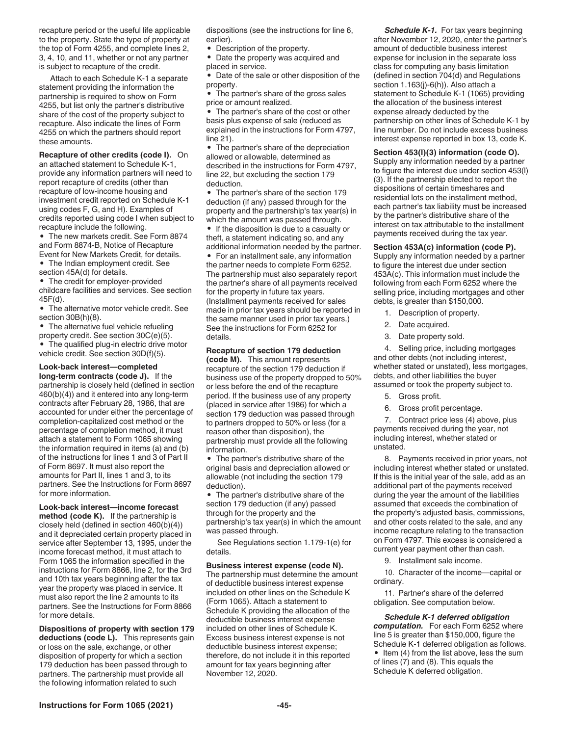recapture period or the useful life applicable to the property. State the type of property at the top of Form 4255, and complete lines 2, 3, 4, 10, and 11, whether or not any partner is subject to recapture of the credit.

Attach to each Schedule K-1 a separate statement providing the information the partnership is required to show on Form 4255, but list only the partner's distributive share of the cost of the property subject to recapture. Also indicate the lines of Form 4255 on which the partners should report these amounts.

**Recapture of other credits (code I).** On an attached statement to Schedule K-1, provide any information partners will need to report recapture of credits (other than recapture of low-income housing and investment credit reported on Schedule K-1 using codes F, G, and H). Examples of credits reported using code I when subject to recapture include the following.

• The new markets credit. See Form 8874 and Form 8874-B, Notice of Recapture Event for New Markets Credit, for details.

• The Indian employment credit. See section 45A(d) for details.

• The credit for employer-provided

childcare facilities and services. See section 45F(d).

• The alternative motor vehicle credit. See section 30B(h)(8).

• The alternative fuel vehicle refueling property credit. See section 30C(e)(5). • The qualified plug-in electric drive motor vehicle credit. See section 30D(f)(5).

**Look-back interest—completed long-term contracts (code J).** If the partnership is closely held (defined in section 460(b)(4)) and it entered into any long-term contracts after February 28, 1986, that are accounted for under either the percentage of completion-capitalized cost method or the percentage of completion method, it must attach a statement to Form 1065 showing the information required in items (a) and (b) of the instructions for lines 1 and 3 of Part II of Form 8697. It must also report the amounts for Part II, lines 1 and 3, to its partners. See the Instructions for Form 8697 for more information.

**Look-back interest—income forecast method (code K).** If the partnership is closely held (defined in section 460(b)(4)) and it depreciated certain property placed in service after September 13, 1995, under the income forecast method, it must attach to Form 1065 the information specified in the instructions for Form 8866, line 2, for the 3rd and 10th tax years beginning after the tax year the property was placed in service. It must also report the line 2 amounts to its partners. See the Instructions for Form 8866 for more details.

**Dispositions of property with section 179 deductions (code L).** This represents gain or loss on the sale, exchange, or other disposition of property for which a section 179 deduction has been passed through to partners. The partnership must provide all the following information related to such

dispositions (see the instructions for line 6, earlier).

• Description of the property.

• Date the property was acquired and placed in service.

• Date of the sale or other disposition of the property.

• The partner's share of the gross sales price or amount realized.

• The partner's share of the cost or other basis plus expense of sale (reduced as explained in the instructions for Form 4797, line 21).

• The partner's share of the depreciation allowed or allowable, determined as described in the instructions for Form 4797, line 22, but excluding the section 179 deduction.

• The partner's share of the section 179 deduction (if any) passed through for the property and the partnership's tax year(s) in which the amount was passed through.

• If the disposition is due to a casualty or theft, a statement indicating so, and any additional information needed by the partner.

• For an installment sale, any information the partner needs to complete Form 6252. The partnership must also separately report the partner's share of all payments received for the property in future tax years. (Installment payments received for sales made in prior tax years should be reported in the same manner used in prior tax years.) See the instructions for Form 6252 for details.

#### **Recapture of section 179 deduction**

**(code M).** This amount represents recapture of the section 179 deduction if business use of the property dropped to 50% or less before the end of the recapture period. If the business use of any property (placed in service after 1986) for which a section 179 deduction was passed through to partners dropped to 50% or less (for a reason other than disposition), the partnership must provide all the following information.

• The partner's distributive share of the original basis and depreciation allowed or allowable (not including the section 179 deduction).

• The partner's distributive share of the section 179 deduction (if any) passed through for the property and the partnership's tax year(s) in which the amount was passed through.

See Regulations section 1.179-1(e) for details.

**Business interest expense (code N).**  The partnership must determine the amount of deductible business interest expense included on other lines on the Schedule K (Form 1065). Attach a statement to Schedule K providing the allocation of the deductible business interest expense included on other lines of Schedule K. Excess business interest expense is not deductible business interest expense; therefore, do not include it in this reported amount for tax years beginning after November 12, 2020.

**Schedule K-1.** For tax years beginning after November 12, 2020, enter the partner's amount of deductible business interest expense for inclusion in the separate loss class for computing any basis limitation (defined in section 704(d) and Regulations section 1.163(j)-6(h)). Also attach a statement to Schedule K-1 (1065) providing the allocation of the business interest expense already deducted by the partnership on other lines of Schedule K-1 by line number. Do not include excess business interest expense reported in box 13, code K.

**Section 453(l)(3) information (code O).** 

Supply any information needed by a partner to figure the interest due under section 453(l) (3). If the partnership elected to report the dispositions of certain timeshares and residential lots on the installment method, each partner's tax liability must be increased by the partner's distributive share of the interest on tax attributable to the installment payments received during the tax year.

**Section 453A(c) information (code P).**  Supply any information needed by a partner to figure the interest due under section 453A(c). This information must include the following from each Form 6252 where the selling price, including mortgages and other debts, is greater than \$150,000.

- 1. Description of property.
- 2. Date acquired.
- 3. Date property sold.

4. Selling price, including mortgages and other debts (not including interest, whether stated or unstated), less mortgages, debts, and other liabilities the buyer assumed or took the property subject to.

- 5. Gross profit.
- 6. Gross profit percentage.

7. Contract price less (4) above, plus payments received during the year, not including interest, whether stated or unstated.

8. Payments received in prior years, not including interest whether stated or unstated. If this is the initial year of the sale, add as an additional part of the payments received during the year the amount of the liabilities assumed that exceeds the combination of the property's adjusted basis, commissions, and other costs related to the sale, and any income recapture relating to the transaction on Form 4797. This excess is considered a current year payment other than cash.

9. Installment sale income.

10. Character of the income—capital or ordinary.

11. Partner's share of the deferred obligation. See computation below.

*Schedule K-1 deferred obligation computation.* For each Form 6252 where line 5 is greater than \$150,000, figure the Schedule K-1 deferred obligation as follows. • Item (4) from the list above, less the sum of lines (7) and (8). This equals the Schedule K deferred obligation.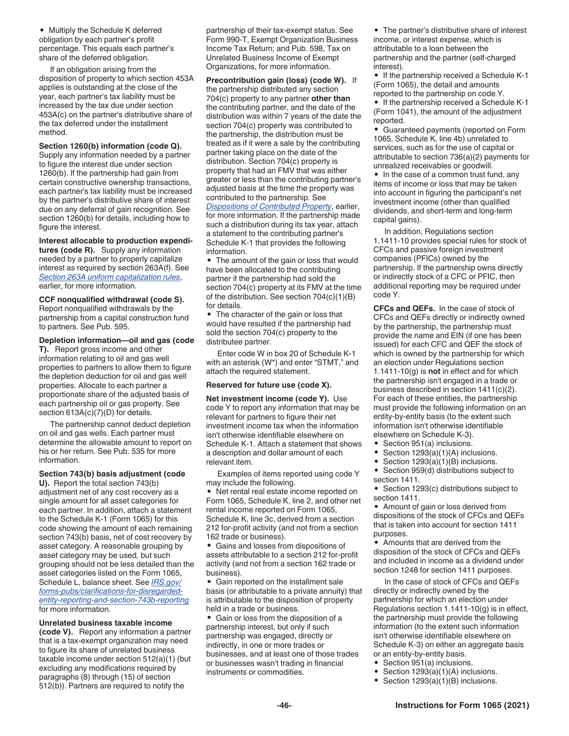• Multiply the Schedule K deferred obligation by each partner's profit percentage. This equals each partner's share of the deferred obligation.

If an obligation arising from the disposition of property to which section 453A applies is outstanding at the close of the year, each partner's tax liability must be increased by the tax due under section 453A(c) on the partner's distributive share of the tax deferred under the installment method.

#### **Section 1260(b) information (code Q).**

Supply any information needed by a partner to figure the interest due under section 1260(b). If the partnership had gain from certain constructive ownership transactions, each partner's tax liability must be increased by the partner's distributive share of interest due on any deferral of gain recognition. See section 1260(b) for details, including how to figure the interest.

**Interest allocable to production expenditures (code R).** Supply any information needed by a partner to properly capitalize interest as required by section 263A(f). See *Section 263A uniform capitalization rules*, earlier, for more information.

**CCF nonqualified withdrawal (code S).**  Report nonqualified withdrawals by the partnership from a capital construction fund to partners. See Pub. 595.

**Depletion information—oil and gas (code** 

**T).** Report gross income and other information relating to oil and gas well properties to partners to allow them to figure the depletion deduction for oil and gas well properties. Allocate to each partner a proportionate share of the adjusted basis of each partnership oil or gas property. See section 613A(c)(7)(D) for details.

The partnership cannot deduct depletion on oil and gas wells. Each partner must determine the allowable amount to report on his or her return. See Pub. 535 for more information.

#### **Section 743(b) basis adjustment (code**

**U).** Report the total section 743(b) adjustment net of any cost recovery as a single amount for all asset categories for each partner. In addition, attach a statement to the Schedule K-1 (Form 1065) for this code showing the amount of each remaining section 743(b) basis, net of cost recovery by asset category. A reasonable grouping by asset category may be used, but such grouping should not be less detailed than the asset categories listed on the Form 1065, Schedule L, balance sheet. See *[IRS.gov/](https://www.irs.gov/forms-pubs/clarifications-for-disregarded-entity-reporting-and-section-743b-reporting) [forms-pubs/clarifications-for-disregarded](https://www.irs.gov/forms-pubs/clarifications-for-disregarded-entity-reporting-and-section-743b-reporting)[entity-reporting-and-section-743b-reporting](https://www.irs.gov/forms-pubs/clarifications-for-disregarded-entity-reporting-and-section-743b-reporting)*  for more information.

#### **Unrelated business taxable income**

**(code V).** Report any information a partner that is a tax-exempt organization may need to figure its share of unrelated business taxable income under section 512(a)(1) (but excluding any modifications required by paragraphs (8) through (15) of section 512(b)). Partners are required to notify the

partnership of their tax-exempt status. See Form 990-T, Exempt Organization Business Income Tax Return; and Pub. 598, Tax on Unrelated Business Income of Exempt Organizations, for more information.

**Precontribution gain (loss) (code W).** If the partnership distributed any section 704(c) property to any partner **other than**  the contributing partner, and the date of the distribution was within 7 years of the date the section 704(c) property was contributed to the partnership, the distribution must be treated as if it were a sale by the contributing partner taking place on the date of the distribution. Section 704(c) property is property that had an FMV that was either greater or less than the contributing partner's adjusted basis at the time the property was contributed to the partnership. See *Dispositions of Contributed Property*, earlier, for more information. If the partnership made such a distribution during its tax year, attach a statement to the contributing partner's Schedule K-1 that provides the following information.

• The amount of the gain or loss that would have been allocated to the contributing partner if the partnership had sold the section 704(c) property at its FMV at the time of the distribution. See section 704(c)(1)(B) for details.

• The character of the gain or loss that would have resulted if the partnership had sold the section 704(c) property to the distributee partner.

Enter code W in box 20 of Schedule K-1 with an asterisk (W\*) and enter "STMT," and attach the required statement.

#### **Reserved for future use (code X).**

**Net investment income (code Y).** Use code Y to report any information that may be relevant for partners to figure their net investment income tax when the information isn't otherwise identifiable elsewhere on Schedule K-1. Attach a statement that shows a description and dollar amount of each relevant item.

Examples of items reported using code Y may include the following.

• Net rental real estate income reported on Form 1065, Schedule K, line 2, and other net rental income reported on Form 1065, Schedule K, line 3c, derived from a section 212 for-profit activity (and not from a section 162 trade or business).

• Gains and losses from dispositions of assets attributable to a section 212 for-profit activity (and not from a section 162 trade or business).

• Gain reported on the installment sale basis (or attributable to a private annuity) that is attributable to the disposition of property held in a trade or business.

• Gain or loss from the disposition of a partnership interest, but only if such partnership was engaged, directly or indirectly, in one or more trades or businesses, and at least one of those trades or businesses wasn't trading in financial instruments or commodities.

• The partner's distributive share of interest income, or interest expense, which is attributable to a loan between the partnership and the partner (self-charged interest).

• If the partnership received a Schedule K-1 (Form 1065), the detail and amounts reported to the partnership on code Y.

• If the partnership received a Schedule K-1 (Form 1041), the amount of the adjustment reported.

• Guaranteed payments (reported on Form 1065, Schedule K, line 4b) unrelated to services, such as for the use of capital or attributable to section 736(a)(2) payments for unrealized receivables or goodwill.

• In the case of a common trust fund, any items of income or loss that may be taken into account in figuring the participant's net investment income (other than qualified dividends, and short-term and long-term capital gains).

In addition, Regulations section 1.1411-10 provides special rules for stock of CFCs and passive foreign investment companies (PFICs) owned by the partnership. If the partnership owns directly or indirectly stock of a CFC or PFIC, then additional reporting may be required under code Y.

**CFCs and QEFs.** In the case of stock of CFCs and QEFs directly or indirectly owned by the partnership, the partnership must provide the name and EIN (if one has been issued) for each CFC and QEF the stock of which is owned by the partnership for which an election under Regulations section 1.1411-10(g) is **not** in effect and for which the partnership isn't engaged in a trade or business described in section 1411(c)(2). For each of these entities, the partnership must provide the following information on an entity-by-entity basis (to the extent such information isn't otherwise identifiable elsewhere on Schedule K-3).

- Section 951(a) inclusions.
- Section 1293(a)(1)(A) inclusions.
- Section 1293(a)(1)(B) inclusions.

• Section 959(d) distributions subject to section 1411.

• Section 1293(c) distributions subject to section 1411.

• Amount of gain or loss derived from dispositions of the stock of CFCs and QEFs that is taken into account for section 1411 purposes.

• Amounts that are derived from the disposition of the stock of CFCs and QEFs and included in income as a dividend under section 1248 for section 1411 purposes.

In the case of stock of CFCs and QEFs directly or indirectly owned by the partnership for which an election under Regulations section 1.1411-10(g) is in effect, the partnership must provide the following information (to the extent such information isn't otherwise identifiable elsewhere on Schedule K-3) on either an aggregate basis or an entity-by-entity basis.

- Section 951(a) inclusions.
- Section 1293(a)(1)(A) inclusions.
- Section 1293(a)(1)(B) inclusions.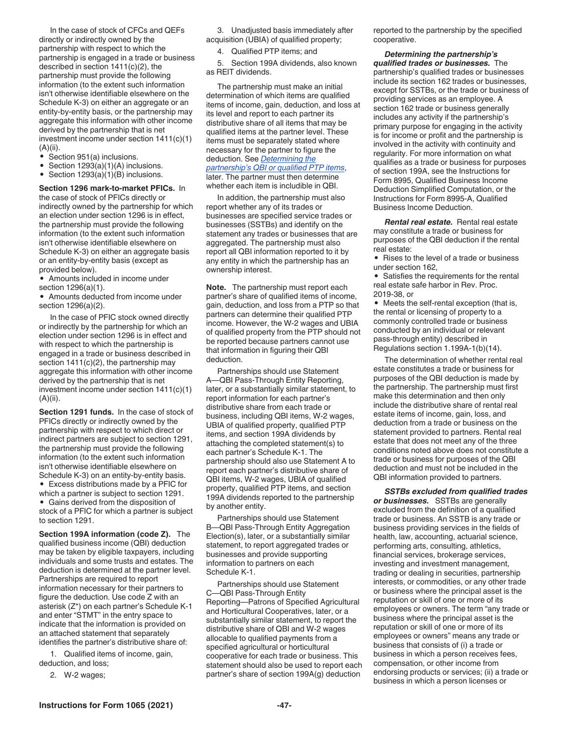In the case of stock of CFCs and QEFs directly or indirectly owned by the partnership with respect to which the partnership is engaged in a trade or business described in section 1411(c)(2), the partnership must provide the following information (to the extent such information isn't otherwise identifiable elsewhere on the Schedule K-3) on either an aggregate or an entity-by-entity basis, or the partnership may aggregate this information with other income derived by the partnership that is net investment income under section 1411(c)(1)  $(A)(ii)$ .

- Section 951(a) inclusions.
- Section 1293(a)(1)(A) inclusions.
- Section 1293(a)(1)(B) inclusions.

**Section 1296 mark-to-market PFICs.** In the case of stock of PFICs directly or indirectly owned by the partnership for which an election under section 1296 is in effect, the partnership must provide the following information (to the extent such information isn't otherwise identifiable elsewhere on Schedule K-3) on either an aggregate basis or an entity-by-entity basis (except as provided below).

• Amounts included in income under section 1296(a)(1).

• Amounts deducted from income under section 1296(a)(2).

In the case of PFIC stock owned directly or indirectly by the partnership for which an election under section 1296 is in effect and with respect to which the partnership is engaged in a trade or business described in section  $1411(c)(2)$ , the partnership may aggregate this information with other income derived by the partnership that is net investment income under section 1411(c)(1)  $(A)(ii)$ .

**Section 1291 funds.** In the case of stock of PFICs directly or indirectly owned by the partnership with respect to which direct or indirect partners are subject to section 1291, the partnership must provide the following information (to the extent such information isn't otherwise identifiable elsewhere on Schedule K-3) on an entity-by-entity basis.

• Excess distributions made by a PFIC for which a partner is subject to section 1291. • Gains derived from the disposition of stock of a PFIC for which a partner is subject

**Section 199A information (code Z).** The qualified business income (QBI) deduction may be taken by eligible taxpayers, including individuals and some trusts and estates. The deduction is determined at the partner level. Partnerships are required to report information necessary for their partners to figure the deduction. Use code Z with an asterisk (Z\*) on each partner's Schedule K-1 and enter "STMT" in the entry space to indicate that the information is provided on an attached statement that separately identifies the partner's distributive share of:

1. Qualified items of income, gain, deduction, and loss;

2. W-2 wages;

to section 1291.

3. Unadjusted basis immediately after acquisition (UBIA) of qualified property;

4. Qualified PTP items; and

5. Section 199A dividends, also known as REIT dividends.

The partnership must make an initial determination of which items are qualified items of income, gain, deduction, and loss at its level and report to each partner its distributive share of all items that may be qualified items at the partner level. These items must be separately stated where necessary for the partner to figure the deduction. See *Determining the partnership's QBI or qualified PTP items*, later. The partner must then determine whether each item is includible in QBI.

In addition, the partnership must also report whether any of its trades or businesses are specified service trades or businesses (SSTBs) and identify on the statement any trades or businesses that are aggregated. The partnership must also report all QBI information reported to it by any entity in which the partnership has an ownership interest.

**Note.** The partnership must report each partner's share of qualified items of income, gain, deduction, and loss from a PTP so that partners can determine their qualified PTP income. However, the W-2 wages and UBIA of qualified property from the PTP should not be reported because partners cannot use that information in figuring their QBI deduction.

Partnerships should use Statement A—QBI Pass-Through Entity Reporting, later, or a substantially similar statement, to report information for each partner's distributive share from each trade or business, including QBI items, W-2 wages, UBIA of qualified property, qualified PTP items, and section 199A dividends by attaching the completed statement(s) to each partner's Schedule K-1. The partnership should also use Statement A to report each partner's distributive share of QBI items, W-2 wages, UBIA of qualified property, qualified PTP items, and section 199A dividends reported to the partnership by another entity.

Partnerships should use Statement B—QBI Pass-Through Entity Aggregation Election(s), later, or a substantially similar statement, to report aggregated trades or businesses and provide supporting information to partners on each Schedule K-1.

Partnerships should use Statement C—QBI Pass-Through Entity Reporting—Patrons of Specified Agricultural and Horticultural Cooperatives, later, or a substantially similar statement, to report the distributive share of QBI and W-2 wages allocable to qualified payments from a specified agricultural or horticultural cooperative for each trade or business. This statement should also be used to report each partner's share of section 199A(g) deduction

reported to the partnership by the specified cooperative.

*Determining the partnership's qualified trades or businesses.* The partnership's qualified trades or businesses include its section 162 trades or businesses, except for SSTBs, or the trade or business of providing services as an employee. A section 162 trade or business generally includes any activity if the partnership's primary purpose for engaging in the activity is for income or profit and the partnership is involved in the activity with continuity and regularity. For more information on what qualifies as a trade or business for purposes of section 199A, see the Instructions for Form 8995, Qualified Business Income Deduction Simplified Computation, or the Instructions for Form 8995-A, Qualified Business Income Deduction.

*Rental real estate.* Rental real estate may constitute a trade or business for purposes of the QBI deduction if the rental real estate:

• Rises to the level of a trade or business under section 162,

• Satisfies the requirements for the rental real estate safe harbor in Rev. Proc. 2019-38, or

• Meets the self-rental exception (that is, the rental or licensing of property to a commonly controlled trade or business conducted by an individual or relevant pass-through entity) described in Regulations section 1.199A-1(b)(14).

The determination of whether rental real estate constitutes a trade or business for purposes of the QBI deduction is made by the partnership. The partnership must first make this determination and then only include the distributive share of rental real estate items of income, gain, loss, and deduction from a trade or business on the statement provided to partners. Rental real estate that does not meet any of the three conditions noted above does not constitute a trade or business for purposes of the QBI deduction and must not be included in the QBI information provided to partners.

*SSTBs excluded from qualified trades or businesses.* SSTBs are generally excluded from the definition of a qualified trade or business. An SSTB is any trade or business providing services in the fields of health, law, accounting, actuarial science, performing arts, consulting, athletics, financial services, brokerage services, investing and investment management, trading or dealing in securities, partnership interests, or commodities, or any other trade or business where the principal asset is the reputation or skill of one or more of its employees or owners. The term "any trade or business where the principal asset is the reputation or skill of one or more of its employees or owners" means any trade or business that consists of (i) a trade or business in which a person receives fees, compensation, or other income from endorsing products or services; (ii) a trade or business in which a person licenses or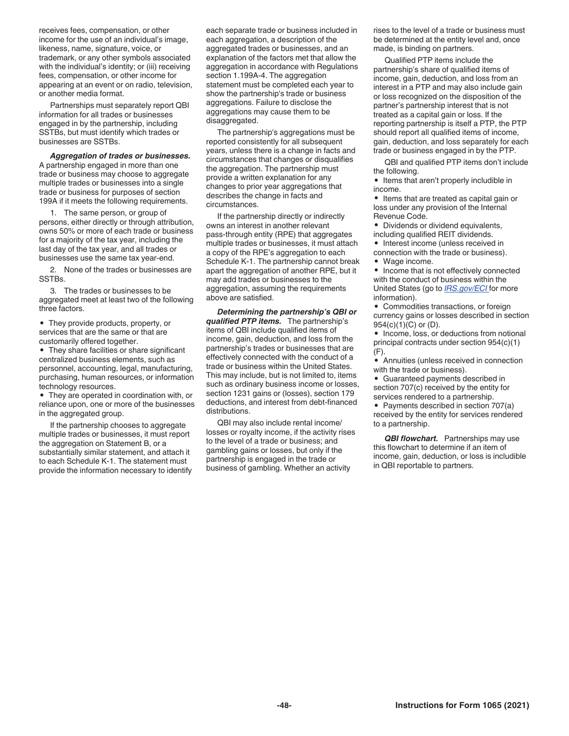receives fees, compensation, or other income for the use of an individual's image, likeness, name, signature, voice, or trademark, or any other symbols associated with the individual's identity; or (iii) receiving fees, compensation, or other income for appearing at an event or on radio, television, or another media format.

Partnerships must separately report QBI information for all trades or businesses engaged in by the partnership, including SSTBs, but must identify which trades or businesses are SSTBs.

*Aggregation of trades or businesses.*  A partnership engaged in more than one trade or business may choose to aggregate multiple trades or businesses into a single trade or business for purposes of section 199A if it meets the following requirements.

1. The same person, or group of persons, either directly or through attribution, owns 50% or more of each trade or business for a majority of the tax year, including the last day of the tax year, and all trades or businesses use the same tax year-end.

2. None of the trades or businesses are SSTBs.

3. The trades or businesses to be aggregated meet at least two of the following three factors.

• They provide products, property, or services that are the same or that are customarily offered together.

• They share facilities or share significant centralized business elements, such as personnel, accounting, legal, manufacturing, purchasing, human resources, or information technology resources.

• They are operated in coordination with, or reliance upon, one or more of the businesses in the aggregated group.

If the partnership chooses to aggregate multiple trades or businesses, it must report the aggregation on Statement B, or a substantially similar statement, and attach it to each Schedule K-1. The statement must provide the information necessary to identify each separate trade or business included in each aggregation, a description of the aggregated trades or businesses, and an explanation of the factors met that allow the aggregation in accordance with Regulations section 1.199A-4. The aggregation statement must be completed each year to show the partnership's trade or business aggregations. Failure to disclose the aggregations may cause them to be disaggregated.

The partnership's aggregations must be reported consistently for all subsequent years, unless there is a change in facts and circumstances that changes or disqualifies the aggregation. The partnership must provide a written explanation for any changes to prior year aggregations that describes the change in facts and circumstances.

If the partnership directly or indirectly owns an interest in another relevant pass-through entity (RPE) that aggregates multiple trades or businesses, it must attach a copy of the RPE's aggregation to each Schedule K-1. The partnership cannot break apart the aggregation of another RPE, but it may add trades or businesses to the aggregation, assuming the requirements above are satisfied.

*Determining the partnership's QBI or qualified PTP items.* The partnership's items of QBI include qualified items of income, gain, deduction, and loss from the partnership's trades or businesses that are effectively connected with the conduct of a trade or business within the United States. This may include, but is not limited to, items such as ordinary business income or losses, section 1231 gains or (losses), section 179 deductions, and interest from debt-financed distributions.

QBI may also include rental income/ losses or royalty income, if the activity rises to the level of a trade or business; and gambling gains or losses, but only if the partnership is engaged in the trade or business of gambling. Whether an activity

rises to the level of a trade or business must be determined at the entity level and, once made, is binding on partners.

Qualified PTP items include the partnership's share of qualified items of income, gain, deduction, and loss from an interest in a PTP and may also include gain or loss recognized on the disposition of the partner's partnership interest that is not treated as a capital gain or loss. If the reporting partnership is itself a PTP, the PTP should report all qualified items of income, gain, deduction, and loss separately for each trade or business engaged in by the PTP.

QBI and qualified PTP items don't include the following.

• Items that aren't properly includible in income.

• Items that are treated as capital gain or loss under any provision of the Internal Revenue Code.

• Dividends or dividend equivalents, including qualified REIT dividends.

• Interest income (unless received in

connection with the trade or business). • Wage income.

• Income that is not effectively connected with the conduct of business within the United States (go to *[IRS.gov/ECI](https://www.irs.gov/eci)* for more information).

• Commodities transactions, or foreign currency gains or losses described in section 954(c)(1)(C) or (D).

• Income, loss, or deductions from notional principal contracts under section 954(c)(1) (F).

• Annuities (unless received in connection with the trade or business).

• Guaranteed payments described in section 707(c) received by the entity for services rendered to a partnership.

• Payments described in section 707(a) received by the entity for services rendered to a partnership.

**QBI flowchart.** Partnerships may use this flowchart to determine if an item of income, gain, deduction, or loss is includible in QBI reportable to partners.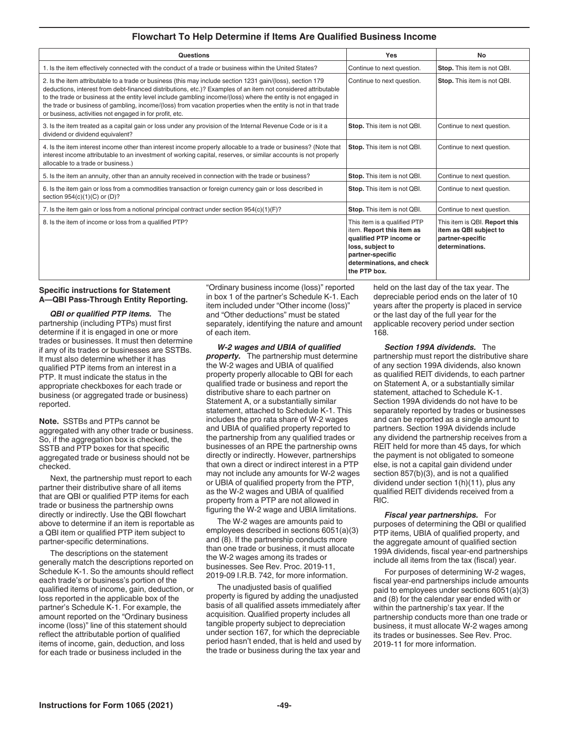#### **Flowchart To Help Determine if Items Are Qualified Business Income**

| Questions                                                                                                                                                                                                                                                                                                                                                                                                                                                                                                                  | Yes                                                                                                                                                                       | No                                                                                             |
|----------------------------------------------------------------------------------------------------------------------------------------------------------------------------------------------------------------------------------------------------------------------------------------------------------------------------------------------------------------------------------------------------------------------------------------------------------------------------------------------------------------------------|---------------------------------------------------------------------------------------------------------------------------------------------------------------------------|------------------------------------------------------------------------------------------------|
| 1. Is the item effectively connected with the conduct of a trade or business within the United States?                                                                                                                                                                                                                                                                                                                                                                                                                     | Continue to next question.                                                                                                                                                | Stop. This item is not QBI.                                                                    |
| 2. Is the item attributable to a trade or business (this may include section 1231 gain/(loss), section 179<br>deductions, interest from debt-financed distributions, etc.)? Examples of an item not considered attributable<br>to the trade or business at the entity level include gambling income/(loss) where the entity is not engaged in<br>the trade or business of gambling, income/(loss) from vacation properties when the entity is not in that trade<br>or business, activities not engaged in for profit, etc. | Continue to next question.                                                                                                                                                | Stop. This item is not QBI.                                                                    |
| 3. Is the item treated as a capital gain or loss under any provision of the Internal Revenue Code or is it a<br>dividend or dividend equivalent?                                                                                                                                                                                                                                                                                                                                                                           | Stop. This item is not QBI.                                                                                                                                               | Continue to next question.                                                                     |
| 4. Is the item interest income other than interest income properly allocable to a trade or business? (Note that<br>interest income attributable to an investment of working capital, reserves, or similar accounts is not properly<br>allocable to a trade or business.)                                                                                                                                                                                                                                                   | Stop. This item is not QBI.                                                                                                                                               | Continue to next question.                                                                     |
| 5. Is the item an annuity, other than an annuity received in connection with the trade or business?                                                                                                                                                                                                                                                                                                                                                                                                                        | Stop. This item is not QBI.                                                                                                                                               | Continue to next question.                                                                     |
| 6. Is the item gain or loss from a commodities transaction or foreign currency gain or loss described in<br>section 954(c)(1)(C) or (D)?                                                                                                                                                                                                                                                                                                                                                                                   | Stop. This item is not QBI.                                                                                                                                               | Continue to next question.                                                                     |
| 7. Is the item gain or loss from a notional principal contract under section $954(c)(1)(F)$ ?                                                                                                                                                                                                                                                                                                                                                                                                                              | Stop. This item is not QBI.                                                                                                                                               | Continue to next question.                                                                     |
| 8. Is the item of income or loss from a qualified PTP?                                                                                                                                                                                                                                                                                                                                                                                                                                                                     | This item is a qualified PTP<br>item. Report this item as<br>qualified PTP income or<br>loss, subject to<br>partner-specific<br>determinations, and check<br>the PTP box. | This item is QBI. Report this<br>item as QBI subject to<br>partner-specific<br>determinations. |

#### **Specific instructions for Statement A—QBI Pass-Through Entity Reporting.**

*QBI or qualified PTP items.* The partnership (including PTPs) must first determine if it is engaged in one or more trades or businesses. It must then determine if any of its trades or businesses are SSTBs. It must also determine whether it has qualified PTP items from an interest in a PTP. It must indicate the status in the appropriate checkboxes for each trade or business (or aggregated trade or business) reported.

**Note.** SSTBs and PTPs cannot be aggregated with any other trade or business. So, if the aggregation box is checked, the SSTB and PTP boxes for that specific aggregated trade or business should not be checked.

Next, the partnership must report to each partner their distributive share of all items that are QBI or qualified PTP items for each trade or business the partnership owns directly or indirectly. Use the QBI flowchart above to determine if an item is reportable as a QBI item or qualified PTP item subject to partner-specific determinations.

The descriptions on the statement generally match the descriptions reported on Schedule K-1. So the amounts should reflect each trade's or business's portion of the qualified items of income, gain, deduction, or loss reported in the applicable box of the partner's Schedule K-1. For example, the amount reported on the "Ordinary business income (loss)" line of this statement should reflect the attributable portion of qualified items of income, gain, deduction, and loss for each trade or business included in the

"Ordinary business income (loss)" reported in box 1 of the partner's Schedule K-1. Each item included under "Other income (loss)" and "Other deductions" must be stated separately, identifying the nature and amount of each item.

*W-2 wages and UBIA of qualified property.* The partnership must determine the W-2 wages and UBIA of qualified property properly allocable to QBI for each qualified trade or business and report the distributive share to each partner on Statement A, or a substantially similar statement, attached to Schedule K-1. This includes the pro rata share of W-2 wages and UBIA of qualified property reported to the partnership from any qualified trades or businesses of an RPE the partnership owns directly or indirectly. However, partnerships that own a direct or indirect interest in a PTP may not include any amounts for W-2 wages or UBIA of qualified property from the PTP, as the W-2 wages and UBIA of qualified property from a PTP are not allowed in figuring the W-2 wage and UBIA limitations.

The W-2 wages are amounts paid to employees described in sections 6051(a)(3) and (8). If the partnership conducts more than one trade or business, it must allocate the W-2 wages among its trades or businesses. See Rev. Proc. 2019-11, 2019-09 I.R.B. 742, for more information.

The unadjusted basis of qualified property is figured by adding the unadjusted basis of all qualified assets immediately after acquisition. Qualified property includes all tangible property subject to depreciation under section 167, for which the depreciable period hasn't ended, that is held and used by the trade or business during the tax year and

held on the last day of the tax year. The depreciable period ends on the later of 10 years after the property is placed in service or the last day of the full year for the applicable recovery period under section 168.

*Section 199A dividends.* The partnership must report the distributive share of any section 199A dividends, also known as qualified REIT dividends, to each partner on Statement A, or a substantially similar statement, attached to Schedule K-1. Section 199A dividends do not have to be separately reported by trades or businesses and can be reported as a single amount to partners. Section 199A dividends include any dividend the partnership receives from a REIT held for more than 45 days, for which the payment is not obligated to someone else, is not a capital gain dividend under section 857(b)(3), and is not a qualified dividend under section 1(h)(11), plus any qualified REIT dividends received from a RIC.

*Fiscal year partnerships.* For purposes of determining the QBI or qualified PTP items, UBIA of qualified property, and the aggregate amount of qualified section 199A dividends, fiscal year-end partnerships include all items from the tax (fiscal) year.

For purposes of determining W-2 wages, fiscal year-end partnerships include amounts paid to employees under sections 6051(a)(3) and (8) for the calendar year ended with or within the partnership's tax year. If the partnership conducts more than one trade or business, it must allocate W-2 wages among its trades or businesses. See Rev. Proc. 2019-11 for more information.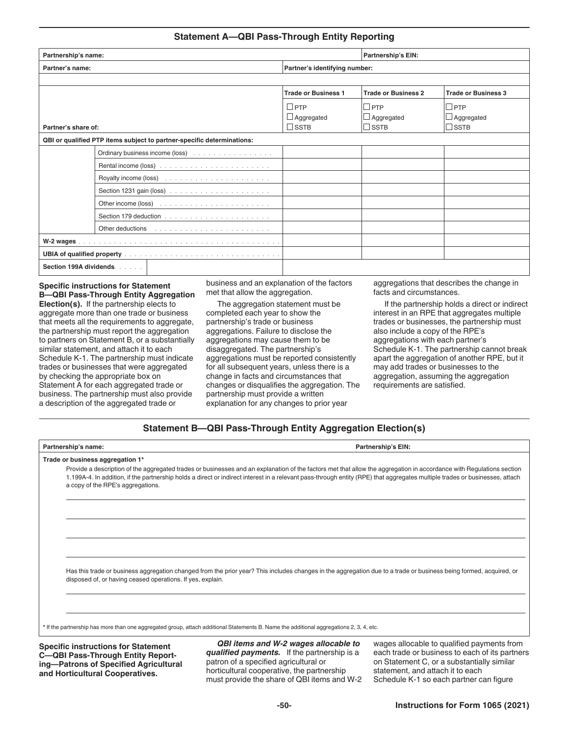| Partnership's name:                                                                                                                                                                                                                 |                               | Partnership's EIN:         |                            |  |
|-------------------------------------------------------------------------------------------------------------------------------------------------------------------------------------------------------------------------------------|-------------------------------|----------------------------|----------------------------|--|
| Partner's name:                                                                                                                                                                                                                     | Partner's identifying number: |                            |                            |  |
|                                                                                                                                                                                                                                     |                               |                            |                            |  |
|                                                                                                                                                                                                                                     | <b>Trade or Business 1</b>    | <b>Trade or Business 2</b> | <b>Trade or Business 3</b> |  |
|                                                                                                                                                                                                                                     | $\square$ PTP                 | $\square$ PTP              | $\square$ PTP              |  |
|                                                                                                                                                                                                                                     | $\Box$ Aggregated             | $\Box$ Aggregated          | $\Box$ Aggregated          |  |
| Partner's share of:                                                                                                                                                                                                                 | $\Box$ SSTB                   | $\Box$ sstb                | $\Box$ SSTB                |  |
| QBI or qualified PTP items subject to partner-specific determinations:                                                                                                                                                              |                               |                            |                            |  |
| Ordinary business income (loss)                                                                                                                                                                                                     |                               |                            |                            |  |
|                                                                                                                                                                                                                                     |                               |                            |                            |  |
| Royalty income (loss) $\ldots \ldots \ldots \ldots \ldots \ldots \ldots \ldots$                                                                                                                                                     |                               |                            |                            |  |
| Section 1231 gain (loss) $\ldots$ $\ldots$ $\ldots$ $\ldots$ $\ldots$ $\ldots$ $\ldots$ $\ldots$                                                                                                                                    |                               |                            |                            |  |
| Other income (loss) $\ldots \ldots \ldots \ldots \ldots \ldots \ldots \ldots \ldots$                                                                                                                                                |                               |                            |                            |  |
|                                                                                                                                                                                                                                     |                               |                            |                            |  |
| Other deductions <b>Container Act of Activity Acts</b> and Acts and Acts and Acts and Acts and Acts and Acts and Acts and Acts and Acts and Acts and Acts and Acts and Acts and Acts and Acts and Acts and Acts and Acts and Acts a |                               |                            |                            |  |
|                                                                                                                                                                                                                                     |                               |                            |                            |  |
|                                                                                                                                                                                                                                     |                               |                            |                            |  |
| Section 199A dividends.                                                                                                                                                                                                             |                               |                            |                            |  |

#### **Specific instructions for Statement B—QBI Pass-Through Entity Aggregation**

**Election(s).** If the partnership elects to aggregate more than one trade or business that meets all the requirements to aggregate, the partnership must report the aggregation to partners on Statement B, or a substantially similar statement, and attach it to each Schedule K-1. The partnership must indicate trades or businesses that were aggregated by checking the appropriate box on Statement A for each aggregated trade or business. The partnership must also provide a description of the aggregated trade or

business and an explanation of the factors met that allow the aggregation.

The aggregation statement must be completed each year to show the partnership's trade or business aggregations. Failure to disclose the aggregations may cause them to be disaggregated. The partnership's aggregations must be reported consistently for all subsequent years, unless there is a change in facts and circumstances that changes or disqualifies the aggregation. The partnership must provide a written explanation for any changes to prior year

aggregations that describes the change in facts and circumstances.

If the partnership holds a direct or indirect interest in an RPE that aggregates multiple trades or businesses, the partnership must also include a copy of the RPE's aggregations with each partner's Schedule K-1. The partnership cannot break apart the aggregation of another RPE, but it may add trades or businesses to the aggregation, assuming the aggregation requirements are satisfied.

#### **Statement B—QBI Pass-Through Entity Aggregation Election(s)**

| Partnership's name:                                                                                                                     | Partnership's EIN:                                                                                                                                                                                                                                                                                                                                  |
|-----------------------------------------------------------------------------------------------------------------------------------------|-----------------------------------------------------------------------------------------------------------------------------------------------------------------------------------------------------------------------------------------------------------------------------------------------------------------------------------------------------|
| Trade or business aggregation 1*                                                                                                        |                                                                                                                                                                                                                                                                                                                                                     |
| a copy of the RPE's aggregations.                                                                                                       | Provide a description of the aggregated trades or businesses and an explanation of the factors met that allow the aggregation in accordance with Regulations section<br>1.199A-4. In addition, if the partnership holds a direct or indirect interest in a relevant pass-through entity (RPE) that aggregates multiple trades or businesses, attach |
|                                                                                                                                         |                                                                                                                                                                                                                                                                                                                                                     |
|                                                                                                                                         |                                                                                                                                                                                                                                                                                                                                                     |
| disposed of, or having ceased operations. If yes, explain.                                                                              | Has this trade or business aggregation changed from the prior year? This includes changes in the aggregation due to a trade or business being formed, acquired, or                                                                                                                                                                                  |
|                                                                                                                                         |                                                                                                                                                                                                                                                                                                                                                     |
| * If the partnership has more than one aggregated group, attach additional Statements B. Name the additional aggregations 2, 3, 4, etc. |                                                                                                                                                                                                                                                                                                                                                     |
|                                                                                                                                         | $\mathbf{r}$ , $\mathbf{r}$ , $\mathbf{r}$ , $\mathbf{r}$ , $\mathbf{r}$ , $\mathbf{r}$ , $\mathbf{r}$ , $\mathbf{r}$ , $\mathbf{r}$ , $\mathbf{r}$ , $\mathbf{r}$ , $\mathbf{r}$ , $\mathbf{r}$ , $\mathbf{r}$ , $\mathbf{r}$ , $\mathbf{r}$ , $\mathbf{r}$ , $\mathbf{r}$ , $\mathbf{r}$ , $\mathbf{r}$ ,                                         |

**Specific instructions for Statement C—QBI Pass-Through Entity Reporting—Patrons of Specified Agricultural and Horticultural Cooperatives.** 

*QBI items and W-2 wages allocable to qualified payments.* If the partnership is a patron of a specified agricultural or horticultural cooperative, the partnership must provide the share of QBI items and W-2

wages allocable to qualified payments from each trade or business to each of its partners on Statement C, or a substantially similar statement, and attach it to each Schedule K-1 so each partner can figure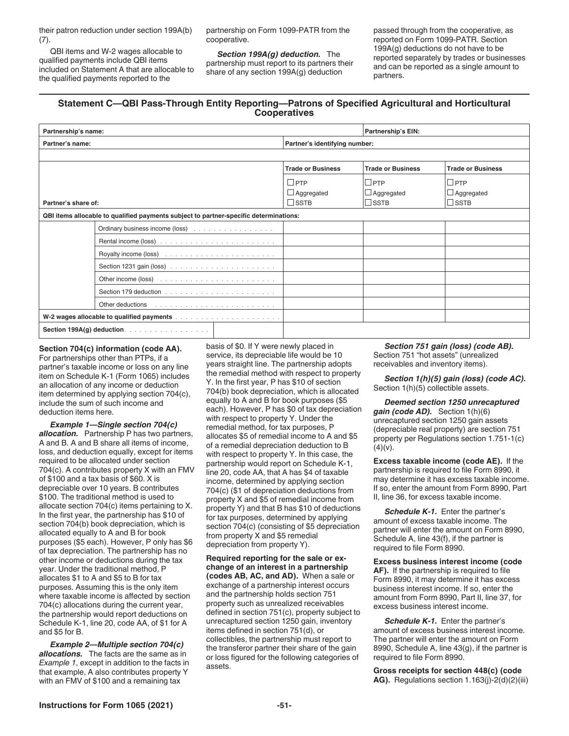their patron reduction under section 199A(b)  $(7).$ 

QBI items and W-2 wages allocable to qualified payments include QBI items included on Statement A that are allocable to the qualified payments reported to the

partnership on Form 1099-PATR from the cooperative.

*Section 199A(g) deduction.* The partnership must report to its partners their share of any section 199A(g) deduction

passed through from the cooperative, as reported on Form 1099-PATR. Section 199A(g) deductions do not have to be reported separately by trades or businesses and can be reported as a single amount to partners.

#### **Statement C—QBI Pass-Through Entity Reporting—Patrons of Specified Agricultural and Horticultural Cooperatives**

| Partnership's name:                                                                                                                                                                                                            |  | Partnership's EIN:            |                          |                          |  |
|--------------------------------------------------------------------------------------------------------------------------------------------------------------------------------------------------------------------------------|--|-------------------------------|--------------------------|--------------------------|--|
| Partner's name:                                                                                                                                                                                                                |  | Partner's identifying number: |                          |                          |  |
|                                                                                                                                                                                                                                |  |                               |                          |                          |  |
|                                                                                                                                                                                                                                |  | <b>Trade or Business</b>      | <b>Trade or Business</b> | <b>Trade or Business</b> |  |
|                                                                                                                                                                                                                                |  | $\square$ PTP                 | $\square$ PTP            | $\square$ PTP            |  |
|                                                                                                                                                                                                                                |  | $\Box$ Aggregated             | $\Box$ Aggregated        | $\Box$ Aggregated        |  |
| Partner's share of:                                                                                                                                                                                                            |  | $\Box$ SSTB                   | $\square$ sstb           | $\Box$ SSTB              |  |
| QBI items allocable to qualified payments subject to partner-specific determinations:                                                                                                                                          |  |                               |                          |                          |  |
| Ordinary business income (loss)                                                                                                                                                                                                |  |                               |                          |                          |  |
|                                                                                                                                                                                                                                |  |                               |                          |                          |  |
|                                                                                                                                                                                                                                |  |                               |                          |                          |  |
|                                                                                                                                                                                                                                |  |                               |                          |                          |  |
| Other income (loss) $\ldots \ldots \ldots \ldots \ldots \ldots \ldots \ldots \ldots$                                                                                                                                           |  |                               |                          |                          |  |
| Other deductions in the contract of the contract of the contract of the contract of the contract of the contract of the contract of the contract of the contract of the contract of the contract of the contract of the contra |  |                               |                          |                          |  |
|                                                                                                                                                                                                                                |  |                               |                          |                          |  |
| W-2 wages allocable to qualified payments with a subset of the set of the set of the set of the set of the set of the set of the set of the set of the set of the set of the set of the set of the set of the set of the set o |  |                               |                          |                          |  |
| Section 199A(g) deduction.                                                                                                                                                                                                     |  |                               |                          |                          |  |

**Section 704(c) information (code AA).**  For partnerships other than PTPs, if a partner's taxable income or loss on any line item on Schedule K-1 (Form 1065) includes an allocation of any income or deduction item determined by applying section 704(c), include the sum of such income and deduction items here.

*Example 1—Single section 704(c) allocation.* Partnership P has two partners, A and B. A and B share all items of income, loss, and deduction equally, except for items required to be allocated under section 704(c). A contributes property X with an FMV of \$100 and a tax basis of \$60. X is depreciable over 10 years. B contributes \$100. The traditional method is used to allocate section 704(c) items pertaining to X. In the first year, the partnership has \$10 of section 704(b) book depreciation, which is allocated equally to A and B for book purposes (\$5 each). However, P only has \$6 of tax depreciation. The partnership has no other income or deductions during the tax year. Under the traditional method, P allocates \$1 to A and \$5 to B for tax purposes. Assuming this is the only item where taxable income is affected by section 704(c) allocations during the current year, the partnership would report deductions on Schedule K-1, line 20, code AA, of \$1 for A and \$5 for B.

*Example 2—Multiple section 704(c) allocations.* The facts are the same as in *Example 1*, except in addition to the facts in that example, A also contributes property Y with an FMV of \$100 and a remaining tax

basis of \$0. If Y were newly placed in service, its depreciable life would be 10 years straight line. The partnership adopts the remedial method with respect to property Y. In the first year, P has \$10 of section 704(b) book depreciation, which is allocated equally to A and B for book purposes (\$5 each). However, P has \$0 of tax depreciation with respect to property Y. Under the remedial method, for tax purposes, P allocates \$5 of remedial income to A and \$5 of a remedial depreciation deduction to B with respect to property Y. In this case, the partnership would report on Schedule K-1, line 20, code AA, that A has \$4 of taxable income, determined by applying section 704(c) (\$1 of depreciation deductions from property X and \$5 of remedial income from property Y) and that B has \$10 of deductions for tax purposes, determined by applying section 704(c) (consisting of \$5 depreciation from property X and \$5 remedial depreciation from property Y).

**Required reporting for the sale or exchange of an interest in a partnership (codes AB, AC, and AD).** When a sale or exchange of a partnership interest occurs and the partnership holds section 751 property such as unrealized receivables defined in section 751(c), property subject to unrecaptured section 1250 gain, inventory items defined in section 751(d), or collectibles, the partnership must report to the transferor partner their share of the gain or loss figured for the following categories of assets.

*Section 751 gain (loss) (code AB).*  Section 751 "hot assets" (unrealized receivables and inventory items).

*Section 1(h)(5) gain (loss) (code AC).*  Section 1(h)(5) collectible assets.

*Deemed section 1250 unrecaptured gain (code AD).* Section 1(h)(6) unrecaptured section 1250 gain assets (depreciable real property) are section 751 property per Regulations section 1.751-1(c)  $(4)(v).$ 

**Excess taxable income (code AE).** If the partnership is required to file Form 8990, it may determine it has excess taxable income. If so, enter the amount from Form 8990, Part II, line 36, for excess taxable income.

**Schedule K-1.** Enter the partner's amount of excess taxable income. The partner will enter the amount on Form 8990, Schedule A, line 43(f), if the partner is required to file Form 8990.

**Excess business interest income (code AF).** If the partnership is required to file Form 8990, it may determine it has excess business interest income. If so, enter the amount from Form 8990, Part II, line 37, for excess business interest income.

*Schedule K-1.* Enter the partner's amount of excess business interest income. The partner will enter the amount on Form 8990, Schedule A, line 43(g), if the partner is required to file Form 8990.

**Gross receipts for section 448(c) (code AG).** Regulations section 1.163(j)-2(d)(2)(iii)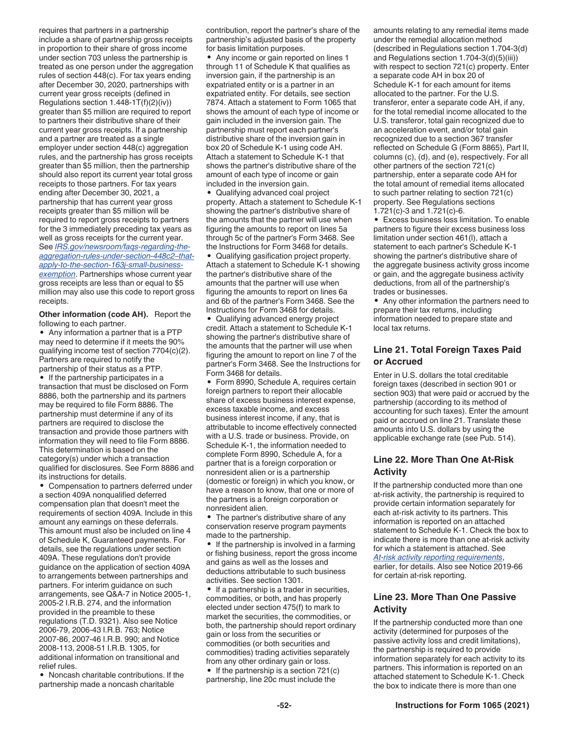requires that partners in a partnership include a share of partnership gross receipts in proportion to their share of gross income under section 703 unless the partnership is treated as one person under the aggregation rules of section 448(c). For tax years ending after December 30, 2020, partnerships with current year gross receipts (defined in Regulations section 1.448-1T(f)(2)(iv)) greater than \$5 million are required to report to partners their distributive share of their current year gross receipts. If a partnership and a partner are treated as a single employer under section 448(c) aggregation rules, and the partnership has gross receipts greater than \$5 million, then the partnership should also report its current year total gross receipts to those partners. For tax years ending after December 30, 2021, a partnership that has current year gross receipts greater than \$5 million will be required to report gross receipts to partners for the 3 immediately preceding tax years as well as gross receipts for the current year. See *[IRS.gov/newsroom/faqs-regarding-the](https://www.irs.gov/newsroom/faqs-regarding-the-aggregation-rules-under-section-448c2-that-apply-to-the-section-163j-small-business-exemption)[aggregation-rules-under-section-448c2–that](https://www.irs.gov/newsroom/faqs-regarding-the-aggregation-rules-under-section-448c2-that-apply-to-the-section-163j-small-business-exemption)[apply-to-the-section-163j-small-business](https://www.irs.gov/newsroom/faqs-regarding-the-aggregation-rules-under-section-448c2-that-apply-to-the-section-163j-small-business-exemption)[exemption](https://www.irs.gov/newsroom/faqs-regarding-the-aggregation-rules-under-section-448c2-that-apply-to-the-section-163j-small-business-exemption)*. Partnerships whose current year gross receipts are less than or equal to \$5 million may also use this code to report gross receipts.

**Other information (code AH).** Report the following to each partner.

• Any information a partner that is a PTP may need to determine if it meets the 90% qualifying income test of section 7704(c)(2). Partners are required to notify the partnership of their status as a PTP. • If the partnership participates in a transaction that must be disclosed on Form 8886, both the partnership and its partners may be required to file Form 8886. The partnership must determine if any of its partners are required to disclose the transaction and provide those partners with information they will need to file Form 8886. This determination is based on the category(s) under which a transaction qualified for disclosures. See Form 8886 and its instructions for details.

• Compensation to partners deferred under a section 409A nonqualified deferred compensation plan that doesn't meet the requirements of section 409A. Include in this amount any earnings on these deferrals. This amount must also be included on line 4 of Schedule K, Guaranteed payments. For details, see the regulations under section 409A. These regulations don't provide guidance on the application of section 409A to arrangements between partnerships and partners. For interim guidance on such arrangements, see Q&A-7 in Notice 2005-1, 2005-2 I.R.B. 274, and the information provided in the preamble to these regulations (T.D. 9321). Also see Notice 2006-79, 2006-43 I.R.B. 763; Notice 2007-86, 2007-46 I.R.B. 990; and Notice 2008-113, 2008-51 I.R.B. 1305, for additional information on transitional and relief rules.

• Noncash charitable contributions. If the partnership made a noncash charitable

contribution, report the partner's share of the partnership's adjusted basis of the property for basis limitation purposes.

• Any income or gain reported on lines 1 through 11 of Schedule K that qualifies as inversion gain, if the partnership is an expatriated entity or is a partner in an expatriated entity. For details, see section 7874. Attach a statement to Form 1065 that shows the amount of each type of income or gain included in the inversion gain. The partnership must report each partner's distributive share of the inversion gain in box 20 of Schedule K-1 using code AH. Attach a statement to Schedule K-1 that shows the partner's distributive share of the amount of each type of income or gain included in the inversion gain.

• Qualifying advanced coal project property. Attach a statement to Schedule K-1 showing the partner's distributive share of the amounts that the partner will use when figuring the amounts to report on lines 5a through 5c of the partner's Form 3468. See the Instructions for Form 3468 for details.

• Qualifying gasification project property. Attach a statement to Schedule K-1 showing the partner's distributive share of the amounts that the partner will use when figuring the amounts to report on lines 6a and 6b of the partner's Form 3468. See the Instructions for Form 3468 for details.

• Qualifying advanced energy project credit. Attach a statement to Schedule K-1 showing the partner's distributive share of the amounts that the partner will use when figuring the amount to report on line 7 of the partner's Form 3468. See the Instructions for Form 3468 for details.

• Form 8990, Schedule A, requires certain foreign partners to report their allocable share of excess business interest expense, excess taxable income, and excess business interest income, if any, that is attributable to income effectively connected with a U.S. trade or business. Provide, on Schedule K-1, the information needed to complete Form 8990, Schedule A, for a partner that is a foreign corporation or nonresident alien or is a partnership (domestic or foreign) in which you know, or have a reason to know, that one or more of the partners is a foreign corporation or nonresident alien.

• The partner's distributive share of any conservation reserve program payments made to the partnership.

• If the partnership is involved in a farming or fishing business, report the gross income and gains as well as the losses and deductions attributable to such business activities. See section 1301.

• If a partnership is a trader in securities, commodities, or both, and has properly elected under section 475(f) to mark to market the securities, the commodities, or both, the partnership should report ordinary gain or loss from the securities or commodities (or both securities and commodities) trading activities separately from any other ordinary gain or loss.

• If the partnership is a section 721(c) partnership, line 20c must include the

amounts relating to any remedial items made under the remedial allocation method (described in Regulations section 1.704-3(d) and Regulations section 1.704-3(d)(5)(iii)) with respect to section 721(c) property. Enter a separate code AH in box 20 of Schedule K-1 for each amount for items allocated to the partner. For the U.S. transferor, enter a separate code AH, if any, for the total remedial income allocated to the U.S. transferor, total gain recognized due to an acceleration event, and/or total gain recognized due to a section 367 transfer reflected on Schedule G (Form 8865), Part II, columns (c), (d), and (e), respectively. For all other partners of the section 721(c) partnership, enter a separate code AH for the total amount of remedial items allocated to such partner relating to section 721(c) property. See Regulations sections 1.721(c)-3 and 1.721(c)-6.

• Excess business loss limitation. To enable partners to figure their excess business loss limitation under section 461(l), attach a statement to each partner's Schedule K-1 showing the partner's distributive share of the aggregate business activity gross income or gain, and the aggregate business activity deductions, from all of the partnership's trades or businesses.

• Any other information the partners need to prepare their tax returns, including information needed to prepare state and local tax returns.

#### **Line 21. Total Foreign Taxes Paid or Accrued**

Enter in U.S. dollars the total creditable foreign taxes (described in section 901 or section 903) that were paid or accrued by the partnership (according to its method of accounting for such taxes). Enter the amount paid or accrued on line 21. Translate these amounts into U.S. dollars by using the applicable exchange rate (see Pub. 514).

#### **Line 22. More Than One At-Risk Activity**

If the partnership conducted more than one at-risk activity, the partnership is required to provide certain information separately for each at-risk activity to its partners. This information is reported on an attached statement to Schedule K-1. Check the box to indicate there is more than one at-risk activity for which a statement is attached. See *At-risk activity reporting requirements*,

earlier, for details. Also see Notice 2019-66 for certain at-risk reporting.

#### **Line 23. More Than One Passive Activity**

If the partnership conducted more than one activity (determined for purposes of the passive activity loss and credit limitations), the partnership is required to provide information separately for each activity to its partners. This information is reported on an attached statement to Schedule K-1. Check the box to indicate there is more than one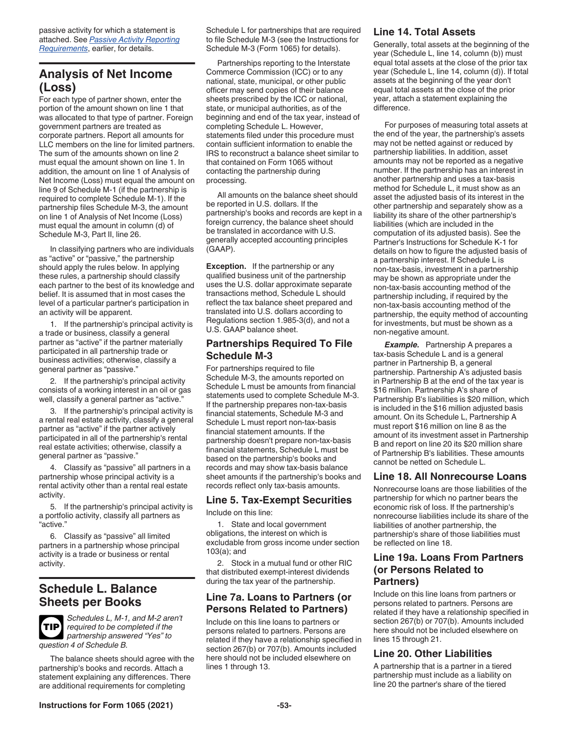passive activity for which a statement is attached. See *Passive Activity Reporting Requirements*, earlier, for details.

### **Analysis of Net Income (Loss)**

For each type of partner shown, enter the portion of the amount shown on line 1 that was allocated to that type of partner. Foreign government partners are treated as corporate partners. Report all amounts for LLC members on the line for limited partners. The sum of the amounts shown on line 2 must equal the amount shown on line 1. In addition, the amount on line 1 of Analysis of Net Income (Loss) must equal the amount on line 9 of Schedule M-1 (if the partnership is required to complete Schedule M-1). If the partnership files Schedule M-3, the amount on line 1 of Analysis of Net Income (Loss) must equal the amount in column (d) of Schedule M-3, Part II, line 26.

In classifying partners who are individuals as "active" or "passive," the partnership should apply the rules below. In applying these rules, a partnership should classify each partner to the best of its knowledge and belief. It is assumed that in most cases the level of a particular partner's participation in an activity will be apparent.

1. If the partnership's principal activity is a trade or business, classify a general partner as "active" if the partner materially participated in all partnership trade or business activities; otherwise, classify a general partner as "passive."

2. If the partnership's principal activity consists of a working interest in an oil or gas well, classify a general partner as "active.'

3. If the partnership's principal activity is a rental real estate activity, classify a general partner as "active" if the partner actively participated in all of the partnership's rental real estate activities; otherwise, classify a general partner as "passive."

4. Classify as "passive" all partners in a partnership whose principal activity is a rental activity other than a rental real estate activity.

5. If the partnership's principal activity is a portfolio activity, classify all partners as "active."

6. Classify as "passive" all limited partners in a partnership whose principal activity is a trade or business or rental activity.

### **Schedule L. Balance Sheets per Books**



*Schedules L, M-1, and M-2 aren't required to be completed if the partnership answered "Yes" to question 4 of Schedule B.*

The balance sheets should agree with the partnership's books and records. Attach a statement explaining any differences. There are additional requirements for completing

Schedule L for partnerships that are required to file Schedule M-3 (see the Instructions for Schedule M-3 (Form 1065) for details).

Partnerships reporting to the Interstate Commerce Commission (ICC) or to any national, state, municipal, or other public officer may send copies of their balance sheets prescribed by the ICC or national, state, or municipal authorities, as of the beginning and end of the tax year, instead of completing Schedule L. However, statements filed under this procedure must contain sufficient information to enable the IRS to reconstruct a balance sheet similar to that contained on Form 1065 without contacting the partnership during processing.

All amounts on the balance sheet should be reported in U.S. dollars. If the partnership's books and records are kept in a foreign currency, the balance sheet should be translated in accordance with U.S. generally accepted accounting principles (GAAP).

**Exception.** If the partnership or any qualified business unit of the partnership uses the U.S. dollar approximate separate transactions method, Schedule L should reflect the tax balance sheet prepared and translated into U.S. dollars according to Regulations section 1.985-3(d), and not a U.S. GAAP balance sheet.

#### **Partnerships Required To File Schedule M-3**

For partnerships required to file Schedule M-3, the amounts reported on Schedule L must be amounts from financial statements used to complete Schedule M-3. If the partnership prepares non-tax-basis financial statements, Schedule M-3 and Schedule L must report non-tax-basis financial statement amounts. If the partnership doesn't prepare non-tax-basis financial statements, Schedule L must be based on the partnership's books and records and may show tax-basis balance sheet amounts if the partnership's books and records reflect only tax-basis amounts.

#### **Line 5. Tax-Exempt Securities**

Include on this line:

1. State and local government obligations, the interest on which is excludable from gross income under section 103(a); and

2. Stock in a mutual fund or other RIC that distributed exempt-interest dividends during the tax year of the partnership.

#### **Line 7a. Loans to Partners (or Persons Related to Partners)**

Include on this line loans to partners or persons related to partners. Persons are related if they have a relationship specified in section 267(b) or 707(b). Amounts included here should not be included elsewhere on lines 1 through 13.

#### **Line 14. Total Assets**

Generally, total assets at the beginning of the year (Schedule L, line 14, column (b)) must equal total assets at the close of the prior tax year (Schedule L, line 14, column (d)). If total assets at the beginning of the year don't equal total assets at the close of the prior year, attach a statement explaining the difference.

For purposes of measuring total assets at the end of the year, the partnership's assets may not be netted against or reduced by partnership liabilities. In addition, asset amounts may not be reported as a negative number. If the partnership has an interest in another partnership and uses a tax-basis method for Schedule L, it must show as an asset the adjusted basis of its interest in the other partnership and separately show as a liability its share of the other partnership's liabilities (which are included in the computation of its adjusted basis). See the Partner's Instructions for Schedule K-1 for details on how to figure the adjusted basis of a partnership interest. If Schedule L is non-tax-basis, investment in a partnership may be shown as appropriate under the non-tax-basis accounting method of the partnership including, if required by the non-tax-basis accounting method of the partnership, the equity method of accounting for investments, but must be shown as a non-negative amount.

*Example.* Partnership A prepares a tax-basis Schedule L and is a general partner in Partnership B, a general partnership. Partnership A's adjusted basis in Partnership B at the end of the tax year is \$16 million. Partnership A's share of Partnership B's liabilities is \$20 million, which is included in the \$16 million adjusted basis amount. On its Schedule L, Partnership A must report \$16 million on line 8 as the amount of its investment asset in Partnership B and report on line 20 its \$20 million share of Partnership B's liabilities. These amounts cannot be netted on Schedule L.

#### **Line 18. All Nonrecourse Loans**

Nonrecourse loans are those liabilities of the partnership for which no partner bears the economic risk of loss. If the partnership's nonrecourse liabilities include its share of the liabilities of another partnership, the partnership's share of those liabilities must be reflected on line 18.

### **Line 19a. Loans From Partners (or Persons Related to Partners)**

Include on this line loans from partners or persons related to partners. Persons are related if they have a relationship specified in section 267(b) or 707(b). Amounts included here should not be included elsewhere on lines 15 through 21.

### **Line 20. Other Liabilities**

A partnership that is a partner in a tiered partnership must include as a liability on line 20 the partner's share of the tiered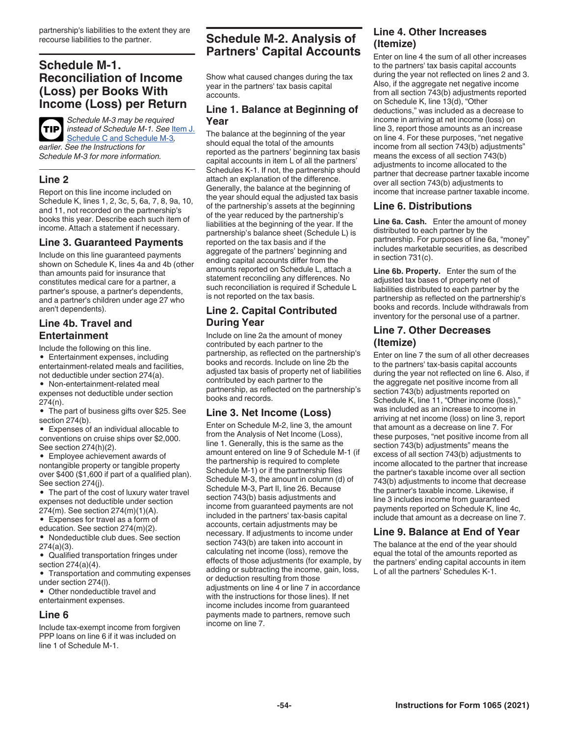### **Schedule M-1. Reconciliation of Income (Loss) per Books With Income (Loss) per Return**

*Schedule M-3 may be required instead of Schedule M-1. See* Item J. Schedule C and Schedule M-3*, earlier. See the Instructions for*  **TIP**

*Schedule M-3 for more information.*

#### **Line 2**

Report on this line income included on Schedule K, lines 1, 2, 3c, 5, 6a, 7, 8, 9a, 10, and 11, not recorded on the partnership's books this year. Describe each such item of income. Attach a statement if necessary.

#### **Line 3. Guaranteed Payments**

Include on this line guaranteed payments shown on Schedule K, lines 4a and 4b (other than amounts paid for insurance that constitutes medical care for a partner, a partner's spouse, a partner's dependents, and a partner's children under age 27 who aren't dependents).

#### **Line 4b. Travel and Entertainment**

Include the following on this line.

• Entertainment expenses, including entertainment-related meals and facilities, not deductible under section 274(a).

• Non-entertainment-related meal

expenses not deductible under section 274(n).

• The part of business gifts over \$25. See section 274(b).

• Expenses of an individual allocable to conventions on cruise ships over \$2,000. See section 274(h)(2).

• Employee achievement awards of nontangible property or tangible property over \$400 (\$1,600 if part of a qualified plan). See section 274(j).

• The part of the cost of luxury water travel expenses not deductible under section 274(m). See section 274(m)(1)(A).

- Expenses for travel as a form of
- education. See section 274(m)(2).

• Nondeductible club dues. See section 274(a)(3).

• Qualified transportation fringes under section 274(a)(4).

• Transportation and commuting expenses under section 274(l).

• Other nondeductible travel and entertainment expenses.

#### **Line 6**

Include tax-exempt income from forgiven PPP loans on line 6 if it was included on line 1 of Schedule M-1.

### **Schedule M-2. Analysis of Partners' Capital Accounts**

Show what caused changes during the tax year in the partners' tax basis capital accounts.

#### **Line 1. Balance at Beginning of Year**

The balance at the beginning of the year should equal the total of the amounts reported as the partners' beginning tax basis capital accounts in item L of all the partners' Schedules K-1. If not, the partnership should attach an explanation of the difference. Generally, the balance at the beginning of the year should equal the adjusted tax basis of the partnership's assets at the beginning of the year reduced by the partnership's liabilities at the beginning of the year. If the partnership's balance sheet (Schedule L) is reported on the tax basis and if the aggregate of the partners' beginning and ending capital accounts differ from the amounts reported on Schedule L, attach a statement reconciling any differences. No such reconciliation is required if Schedule L is not reported on the tax basis.

### **Line 2. Capital Contributed During Year**

Include on line 2a the amount of money contributed by each partner to the partnership, as reflected on the partnership's books and records. Include on line 2b the adjusted tax basis of property net of liabilities contributed by each partner to the partnership, as reflected on the partnership's books and records.

### **Line 3. Net Income (Loss)**

Enter on Schedule M-2, line 3, the amount from the Analysis of Net Income (Loss), line 1. Generally, this is the same as the amount entered on line 9 of Schedule M-1 (if the partnership is required to complete Schedule M-1) or if the partnership files Schedule M-3, the amount in column (d) of Schedule M-3, Part II, line 26. Because section 743(b) basis adjustments and income from guaranteed payments are not included in the partners' tax-basis capital accounts, certain adjustments may be necessary. If adjustments to income under section 743(b) are taken into account in calculating net income (loss), remove the effects of those adjustments (for example, by adding or subtracting the income, gain, loss, or deduction resulting from those adjustments on line 4 or line 7 in accordance with the instructions for those lines). If net income includes income from guaranteed payments made to partners, remove such income on line 7.

#### **Line 4. Other Increases (Itemize)**

Enter on line 4 the sum of all other increases to the partners' tax basis capital accounts during the year not reflected on lines 2 and 3. Also, if the aggregate net negative income from all section 743(b) adjustments reported on Schedule K, line 13(d), "Other deductions," was included as a decrease to income in arriving at net income (loss) on line 3, report those amounts as an increase on line 4. For these purposes, "net negative income from all section 743(b) adjustments" means the excess of all section 743(b) adjustments to income allocated to the partner that decrease partner taxable income over all section 743(b) adjustments to income that increase partner taxable income.

### **Line 6. Distributions**

**Line 6a. Cash.** Enter the amount of money distributed to each partner by the partnership. For purposes of line 6a, "money" includes marketable securities, as described in section 731(c).

**Line 6b. Property.** Enter the sum of the adjusted tax bases of property net of liabilities distributed to each partner by the partnership as reflected on the partnership's books and records. Include withdrawals from inventory for the personal use of a partner.

### **Line 7. Other Decreases (Itemize)**

Enter on line 7 the sum of all other decreases to the partners' tax-basis capital accounts during the year not reflected on line 6. Also, if the aggregate net positive income from all section 743(b) adjustments reported on Schedule K, line 11, "Other income (loss)," was included as an increase to income in arriving at net income (loss) on line 3, report that amount as a decrease on line 7. For these purposes, "net positive income from all section 743(b) adjustments" means the excess of all section 743(b) adjustments to income allocated to the partner that increase the partner's taxable income over all section 743(b) adjustments to income that decrease the partner's taxable income. Likewise, if line 3 includes income from guaranteed payments reported on Schedule K, line 4c, include that amount as a decrease on line 7.

### **Line 9. Balance at End of Year**

The balance at the end of the year should equal the total of the amounts reported as the partners' ending capital accounts in item L of all the partners' Schedules K-1.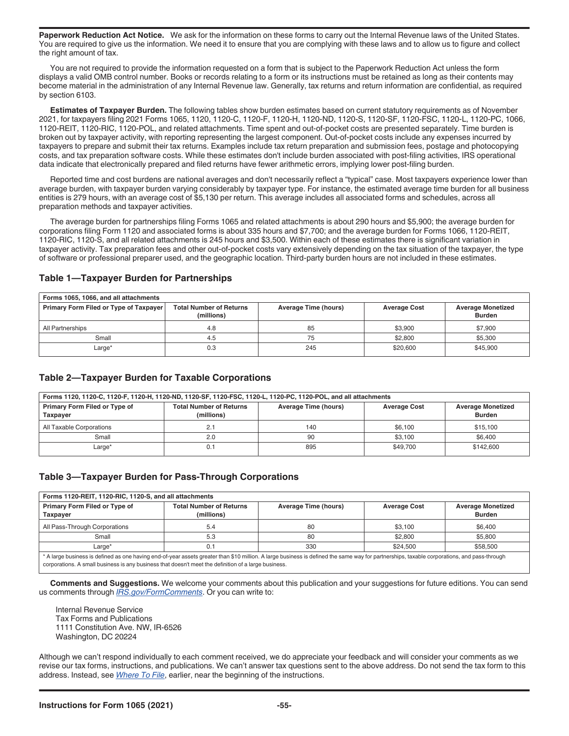**Paperwork Reduction Act Notice.** We ask for the information on these forms to carry out the Internal Revenue laws of the United States. You are required to give us the information. We need it to ensure that you are complying with these laws and to allow us to figure and collect the right amount of tax.

You are not required to provide the information requested on a form that is subject to the Paperwork Reduction Act unless the form displays a valid OMB control number. Books or records relating to a form or its instructions must be retained as long as their contents may become material in the administration of any Internal Revenue law. Generally, tax returns and return information are confidential, as required by section 6103.

**Estimates of Taxpayer Burden.** The following tables show burden estimates based on current statutory requirements as of November 2021, for taxpayers filing 2021 Forms 1065, 1120, 1120-C, 1120-F, 1120-H, 1120-ND, 1120-S, 1120-SF, 1120-FSC, 1120-L, 1120-PC, 1066, 1120-REIT, 1120-RIC, 1120-POL, and related attachments. Time spent and out-of-pocket costs are presented separately. Time burden is broken out by taxpayer activity, with reporting representing the largest component. Out-of-pocket costs include any expenses incurred by taxpayers to prepare and submit their tax returns. Examples include tax return preparation and submission fees, postage and photocopying costs, and tax preparation software costs. While these estimates don't include burden associated with post-filing activities, IRS operational data indicate that electronically prepared and filed returns have fewer arithmetic errors, implying lower post-filing burden.

Reported time and cost burdens are national averages and don't necessarily reflect a "typical" case. Most taxpayers experience lower than average burden, with taxpayer burden varying considerably by taxpayer type. For instance, the estimated average time burden for all business entities is 279 hours, with an average cost of \$5,130 per return. This average includes all associated forms and schedules, across all preparation methods and taxpayer activities.

The average burden for partnerships filing Forms 1065 and related attachments is about 290 hours and \$5,900; the average burden for corporations filing Form 1120 and associated forms is about 335 hours and \$7,700; and the average burden for Forms 1066, 1120-REIT, 1120-RIC, 1120-S, and all related attachments is 245 hours and \$3,500. Within each of these estimates there is significant variation in taxpayer activity. Tax preparation fees and other out-of-pocket costs vary extensively depending on the tax situation of the taxpayer, the type of software or professional preparer used, and the geographic location. Third-party burden hours are not included in these estimates.

| Forms 1065, 1066, and all attachments  |                                              |                      |                     |                                           |  |
|----------------------------------------|----------------------------------------------|----------------------|---------------------|-------------------------------------------|--|
| Primary Form Filed or Type of Taxpayer | <b>Total Number of Returns</b><br>(millions) | Average Time (hours) | <b>Average Cost</b> | <b>Average Monetized</b><br><b>Burden</b> |  |
| All Partnerships                       | 4.8                                          | 85                   | \$3,900             | \$7.900                                   |  |
| Small                                  | 4.5                                          | 75                   | \$2,800             | \$5,300                                   |  |
| $Large*$                               | 0.3                                          | 245                  | \$20,600            | \$45,900                                  |  |

#### **Table 1—Taxpayer Burden for Partnerships**

#### **Table 2—Taxpayer Burden for Taxable Corporations**

| Forms 1120, 1120-C, 1120-F, 1120-H, 1120-ND, 1120-SF, 1120-FSC, 1120-L, 1120-PC, 1120-POL, and all attachments |                                              |                      |                     |                                           |  |  |
|----------------------------------------------------------------------------------------------------------------|----------------------------------------------|----------------------|---------------------|-------------------------------------------|--|--|
| Primary Form Filed or Type of<br>Taxpayer                                                                      | <b>Total Number of Returns</b><br>(millions) | Average Time (hours) | <b>Average Cost</b> | <b>Average Monetized</b><br><b>Burden</b> |  |  |
| All Taxable Corporations                                                                                       | 2.1                                          | 140                  | \$6.100             | \$15,100                                  |  |  |
| Small                                                                                                          | 2.0                                          | 90                   | \$3.100             | \$6.400                                   |  |  |
| Large*                                                                                                         | 0.1                                          | 895                  | \$49,700            | \$142,600                                 |  |  |

#### **Table 3—Taxpayer Burden for Pass-Through Corporations**

| Forms 1120-REIT, 1120-RIC, 1120-S, and all attachments |                                              |                      |                     |                                           |  |  |
|--------------------------------------------------------|----------------------------------------------|----------------------|---------------------|-------------------------------------------|--|--|
| Primary Form Filed or Type of<br>Taxpayer              | <b>Total Number of Returns</b><br>(millions) | Average Time (hours) | <b>Average Cost</b> | <b>Average Monetized</b><br><b>Burden</b> |  |  |
| All Pass-Through Corporations                          | 5.4                                          | 80                   | \$3.100             | \$6,400                                   |  |  |
| Small                                                  | 5.3                                          | 80                   | \$2,800             | \$5,800                                   |  |  |
| $Large*$                                               | 0.1                                          | 330                  | \$24,500            | \$58,500                                  |  |  |
|                                                        |                                              |                      |                     |                                           |  |  |

A large business is defined as one having end-of-year assets greater than \$10 million. A large business is defined the same way for partnerships, taxable corporations, and pass-through corporations. A small business is any business that doesn't meet the definition of a large business.

**Comments and Suggestions.** We welcome your comments about this publication and your suggestions for future editions. You can send us comments through *[IRS.gov/FormComments](https://www.irs.gov/formcomments)*. Or you can write to:

Internal Revenue Service Tax Forms and Publications 1111 Constitution Ave. NW, IR-6526 Washington, DC 20224

Although we can't respond individually to each comment received, we do appreciate your feedback and will consider your comments as we revise our tax forms, instructions, and publications. We can't answer tax questions sent to the above address. Do not send the tax form to this address. Instead, see *Where To File*, earlier, near the beginning of the instructions.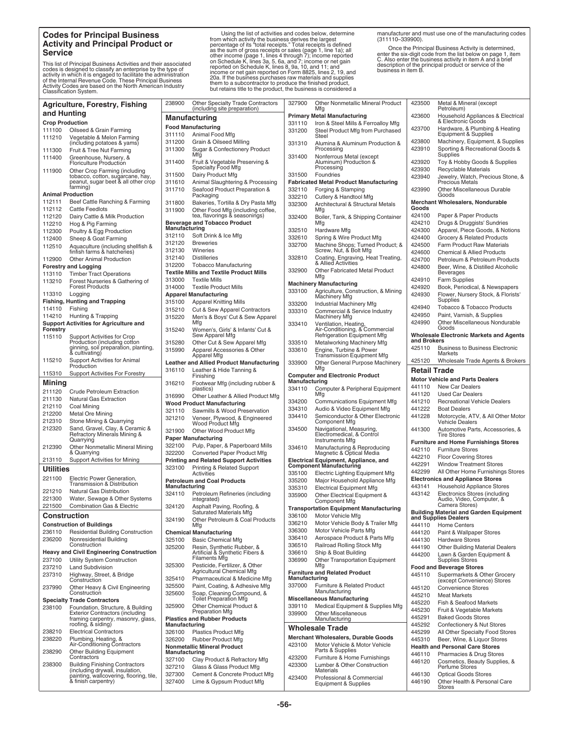#### **Codes for Principal Business Activity and Principal Product or Service**

This list of Principal Business Activities and their associated codes is designed to classify an enterprise by the type of<br>activity in which it is engaged to facilitate the administration<br>of the Internal Revenue Code. These Principal Business<br>Activity Codes are based on the North Ameri

Using the list of activities and codes below, determine<br>from which activity the business derives the largest<br>percentage of its "total receipts." Total receipts is defined<br>as the sum of gross receipts or sales (page 1, line

manufacturer and must use one of the manufacturing codes (311110–339900).

Once the Principal Business Activity is determined,<br>enter the six-digit code from the list below on page 1, item<br>C. Also enter the business activity in item A and a brief<br>description of the principal product or service of

|                        | <b>Agriculture, Forestry, Fishing</b>                             | 238900        | <b>Other Specialty Trade Contractors</b>                   | 327900        | <b>Other Nonmet</b><br>Mfg                 |
|------------------------|-------------------------------------------------------------------|---------------|------------------------------------------------------------|---------------|--------------------------------------------|
| and Hunting            |                                                                   |               | (including site preparation)                               |               | <b>Primary Metal Manufac</b>               |
| <b>Crop Production</b> |                                                                   |               | Manufacturing                                              | 331110        | Iron & Steel M                             |
| 111100                 | Oilseed & Grain Farming                                           |               | <b>Food Manufacturing</b>                                  | 331200        | <b>Steel Product</b>                       |
| 111210                 | Vegetable & Melon Farming                                         | 311110        | Animal Food Mfg                                            |               | Steel                                      |
|                        | (including potatoes & yams)                                       | 311200        | Grain & Oilseed Milling                                    | 331310        | Alumina & Alu                              |
| 111300                 | Fruit & Tree Nut Farming                                          | 311300        | Sugar & Confectionery Product                              |               | Processing                                 |
| 111400                 | Greenhouse, Nursery, &                                            | 311400        | Mfg                                                        | 331400        | Nonferrous Me                              |
|                        | Floriculture Production                                           |               | Fruit & Vegetable Preserving &<br>Specialty Food Mfg       |               | Aluminum) Pro<br>Processing                |
| 111900                 | Other Crop Farming (including<br>tobacco, cotton, sugarcane, hay, | 311500        | Dairy Product Mfg                                          | 331500        | Foundries                                  |
|                        | peanut, sugar beet & all other crop                               | 311610        | Animal Slaughtering & Processing                           |               | <b>Fabricated Metal Produ</b>              |
|                        | farming)                                                          | 311710        | Seafood Product Preparation &                              | 332110        | Forging & Star                             |
|                        | <b>Animal Production</b>                                          |               | Packaging                                                  | 332210        | Cutlery & Han                              |
| 112111                 | Beef Cattle Ranching & Farming                                    | 311800        | Bakeries, Tortilla & Dry Pasta Mfg                         | 332300        | Architectural 8                            |
| 112112                 | <b>Cattle Feedlots</b>                                            | 311900        | Other Food Mfg (including coffee,                          |               | Mfg                                        |
| 112120                 | Dairy Cattle & Milk Production                                    |               | tea, flavorings & seasonings)                              | 332400        | Boiler, Tank, 8                            |
| 112210                 | Hog & Pig Farming                                                 | Manufacturing | <b>Beverage and Tobacco Product</b>                        | 332510        | Mfg                                        |
| 112300                 | Poultry & Egg Production                                          | 312110        | Soft Drink & Ice Mfg                                       | 332610        | Hardware Mfg<br>Spring & Wire              |
| 112400                 | Sheep & Goat Farming                                              | 312120        | <b>Breweries</b>                                           | 332700        |                                            |
| 112510                 | Aquaculture (including shellfish &<br>finfish farms & hatcheries) | 312130        | Wineries                                                   |               | Machine Shop<br>Screw, Nut, &              |
| 112900                 | <b>Other Animal Production</b>                                    | 312140        | <b>Distilleries</b>                                        | 332810        | Coating, Engra                             |
|                        | <b>Forestry and Logging</b>                                       | 312200        | <b>Tobacco Manufacturing</b>                               |               | & Allied Activit                           |
| 113110                 | <b>Timber Tract Operations</b>                                    |               | <b>Textile Mills and Textile Product Mills</b>             | 332900        | <b>Other Fabricat</b>                      |
| 113210                 | Forest Nurseries & Gathering of                                   | 313000        | <b>Textile Mills</b>                                       |               | Mfg                                        |
|                        | <b>Forest Products</b>                                            | 314000        | <b>Textile Product Mills</b>                               |               | <b>Machinery Manufacturi</b>               |
| 113310                 | Logging                                                           |               | <b>Apparel Manufacturing</b>                               | 333100        | Agriculture, Co<br>Machinery Mfg           |
|                        | <b>Fishing, Hunting and Trapping</b>                              | 315100        | <b>Apparel Knitting Mills</b>                              | 333200        | <b>Industrial Mac</b>                      |
| 114110                 | Fishing                                                           | 315210        | Cut & Sew Apparel Contractors                              | 333310        | Commercial &                               |
| 114210                 | Hunting & Trapping                                                | 315220        | Men's & Boys' Cut & Sew Apparel                            |               | Machinery Mfg                              |
|                        | <b>Support Activities for Agriculture and</b>                     |               | Mfg                                                        | 333410        | Ventilation, He                            |
| Forestry               |                                                                   | 315240        | Women's, Girls' & Infants' Cut &<br>Sew Apparel Mfg        |               | Air-Conditionir<br><b>Refrigeration E</b>  |
| 115110                 | Support Activities for Crop<br>Production (including cotton       | 315280        | Other Cut & Sew Apparel Mfg                                | 333510        | Metalworking                               |
|                        | ginning, soil preparation, planting,                              | 315990        | Apparel Accessories & Other                                | 333610        | Engine, Turbir                             |
|                        | & cultivating)                                                    |               | Apparel Mfg                                                |               | Transmission                               |
| 115210                 | Support Activities for Animal                                     |               | <b>Leather and Allied Product Manufacturing</b>            | 333900        | <b>Other General</b>                       |
|                        | Production                                                        | 316110        | Leather & Hide Tanning &                                   |               | Mfg                                        |
| 115310                 | <b>Support Activities For Forestry</b>                            |               | Finishing                                                  |               | <b>Computer and Electron</b>               |
| Mining                 |                                                                   | 316210        | Footwear Mfg (including rubber &                           | Manufacturing |                                            |
| 211120                 | <b>Crude Petroleum Extraction</b>                                 |               | plastics)                                                  | 334110        | Computer & P<br>Mfg                        |
| 211130                 | <b>Natural Gas Extraction</b>                                     | 316990        | Other Leather & Allied Product Mfg                         | 334200        | Communicatic                               |
| 212110                 | Coal Mining                                                       |               | <b>Wood Product Manufacturing</b>                          | 334310        | Audio & Video                              |
| 212200                 | <b>Metal Ore Mining</b>                                           | 321110        | Sawmills & Wood Preservation                               | 334410        | Semiconducto                               |
| 212310                 | Stone Mining & Quarrying                                          | 321210        | Veneer, Plywood, & Engineered<br>Wood Product Mfg          |               | Component M                                |
| 212320                 | Sand, Gravel, Clay, & Ceramic &                                   | 321900        | Other Wood Product Mfg                                     | 334500        | Navigational, I                            |
|                        | Refractory Minerals Mining &                                      |               | <b>Paper Manufacturing</b>                                 |               | Electromedica                              |
| 212390                 | Quarrying<br><b>Other Nonmetallic Mineral Mining</b>              | 322100        | Pulp, Paper, & Paperboard Mills                            | 334610        | <b>Instruments M</b>                       |
|                        | & Quarrying                                                       | 322200        | Converted Paper Product Mfg                                |               | Manufacturing<br>Magnetic & Op             |
| 213110                 | <b>Support Activities for Mining</b>                              |               | <b>Printing and Related Support Activities</b>             |               | Electrical Equipment, A                    |
| <b>Utilities</b>       |                                                                   | 323100        | Printing & Related Support                                 |               | <b>Component Manufactu</b>                 |
|                        |                                                                   |               | Activities                                                 | 335100        | <b>Electric Lightir</b>                    |
| 221100                 | Electric Power Generation,<br>Transmission & Distribution         |               | <b>Petroleum and Coal Products</b>                         | 335200        | Major Househ                               |
| 221210                 | <b>Natural Gas Distribution</b>                                   | Manufacturing |                                                            | 335310        | <b>Electrical Equi</b>                     |
| 221300                 | Water, Sewage & Other Systems                                     | 324110        | Petroleum Refineries (including                            | 335900        | <b>Other Electrica</b>                     |
| 221500                 | <b>Combination Gas &amp; Electric</b>                             | 324120        | integrated)<br>Asphalt Paving, Roofing, &                  |               | Component M                                |
|                        |                                                                   |               | Saturated Materials Mfg                                    |               | <b>Transportation Equipm</b>               |
| Construction           |                                                                   | 324190        | Other Petroleum & Coal Products                            | 336100        | Motor Vehicle                              |
|                        | <b>Construction of Buildings</b>                                  |               | Mfg                                                        | 336210        | Motor Vehicle                              |
| 236110                 | <b>Residential Building Construction</b>                          |               | <b>Chemical Manufacturing</b>                              | 336300        | Motor Vehicle                              |
| 236200                 | Nonresidential Building                                           | 325100        | <b>Basic Chemical Mfg</b>                                  | 336410        | Aerospace Pro                              |
|                        | Construction                                                      | 325200        | Resin, Synthetic Rubber, &                                 | 336510        | <b>Railroad Rollir</b>                     |
|                        | <b>Heavy and Civil Engineering Construction</b>                   |               | Artificial & Synthetic Fibers &<br>Filaments Mfg           | 336610        | Ship & Boat B                              |
| 237100<br>237210       | Utility System Construction<br><b>Land Subdivision</b>            | 325300        | Pesticide, Fertilizer, & Other                             | 336990        | <b>Other Transpo</b><br>Mfg                |
| 237310                 |                                                                   |               | <b>Agricultural Chemical Mfg</b>                           |               | <b>Furniture and Related F</b>             |
|                        | Highway, Street, & Bridge<br>Construction                         | 325410        | Pharmaceutical & Medicine Mfg                              | Manufacturing |                                            |
| 237990                 | Other Heavy & Civil Engineering                                   | 325500        | Paint, Coating, & Adhesive Mfg                             | 337000        | Furniture & Re                             |
|                        | Construction                                                      | 325600        | Soap, Cleaning Compound, &                                 |               | Manufacturing                              |
|                        | <b>Specialty Trade Contractors</b>                                |               | <b>Toilet Preparation Mfg</b>                              |               | <b>Miscellaneous Manufad</b>               |
| 238100                 | Foundation, Structure, & Building                                 | 325900        | Other Chemical Product &                                   | 339110        | <b>Medical Equip</b>                       |
|                        | <b>Exterior Contractors (including</b>                            |               | Preparation Mfg                                            | 339900        | <b>Other Miscella</b>                      |
|                        | framing carpentry, masonry, glass,<br>roofing, & siding)          | Manufacturing | <b>Plastics and Rubber Products</b>                        |               | Manufacturing                              |
| 238210                 | <b>Electrical Contractors</b>                                     | 326100        | <b>Plastics Product Mfg</b>                                |               | <b>Wholesale Trade</b>                     |
| 238220                 | Plumbing, Heating, &                                              | 326200        | <b>Rubber Product Mfg</b>                                  |               | <b>Merchant Wholesalers,</b>               |
|                        | Air-Conditioning Contractors                                      |               | <b>Nonmetallic Mineral Product</b>                         | 423100        | Motor Vehicle                              |
|                        |                                                                   |               |                                                            |               | Parts & Suppli                             |
| 238290                 | <b>Other Building Equipment</b>                                   | Manufacturing |                                                            |               |                                            |
|                        | Contractors                                                       | 327100        |                                                            | 423200        | Furniture & Ho                             |
| 238300                 |                                                                   | 327210        | Clay Product & Refractory Mfg                              | 423300        | Lumber & Oth                               |
|                        | Building Finishing Contractors<br>(including drywall, insulation, | 327300        | Glass & Glass Product Mfg                                  |               | Materials                                  |
|                        | painting, wallcovering, flooring, tile,<br>& finish carpentry)    | 327400        | Cement & Concrete Product Mfg<br>Lime & Gypsum Product Mfg | 423400        | Professional &<br><b>Equipment &amp; S</b> |

| 327900        | <b>Other Nonmetallic Mineral Product</b>                  | 423500              | Metal & Mineral (except                                    |
|---------------|-----------------------------------------------------------|---------------------|------------------------------------------------------------|
|               | Mfg                                                       |                     | Petroleum)                                                 |
|               | <b>Primary Metal Manufacturing</b>                        | 423600              | Household Appliances & Electrical                          |
| 331110        | Iron & Steel Mills & Ferroalloy Mfg                       |                     | & Electronic Goods                                         |
| 331200        | Steel Product Mfg from Purchased                          | 423700              | Hardware, & Plumbing & Heating                             |
|               | Steel                                                     |                     | Equipment & Supplies                                       |
| 331310        | Alumina & Aluminum Production &                           | 423800              | Machinery, Equipment, & Supplies                           |
|               | Processing                                                | 423910              | Sporting & Recreational Goods &                            |
| 331400        | Nonferrous Metal (except                                  |                     | Supplies                                                   |
|               | Aluminum) Production &<br>Processing                      | 423920              | Toy & Hobby Goods & Supplies                               |
|               |                                                           | 423930              | Recyclable Materials                                       |
| 331500        | Foundries                                                 | 423940              | Jewelry, Watch, Precious Stone, &                          |
|               | <b>Fabricated Metal Product Manufacturing</b>             |                     | <b>Precious Metals</b>                                     |
| 332110        | Forging & Stamping                                        | 423990              | Other Miscellaneous Durable<br>Goods                       |
| 332210        | Cutlery & Handtool Mfg                                    |                     | Merchant Wholesalers, Nondurable                           |
| 332300        | Architectural & Structural Metals                         | Goods               |                                                            |
|               | Mfg                                                       | 424100              | Paper & Paper Products                                     |
| 332400        | Boiler, Tank, & Shipping Container<br>Mfg                 | 424210              | Drugs & Druggists' Sundries                                |
| 332510        |                                                           | 424300              |                                                            |
|               | Hardware Mfg                                              |                     | Apparel, Piece Goods, & Notions                            |
| 332610        | Spring & Wire Product Mfg                                 | 424400              | Grocery & Related Products                                 |
| 332700        | Machine Shops; Turned Product; &                          | 424500              | <b>Farm Product Raw Materials</b>                          |
|               | Screw, Nut, & Bolt Mfg                                    | 424600              | <b>Chemical &amp; Allied Products</b>                      |
| 332810        | Coating, Engraving, Heat Treating,<br>& Allied Activities | 424700              | Petroleum & Petroleum Products                             |
|               |                                                           | 424800              | Beer, Wine, & Distilled Alcoholic                          |
| 332900        | <b>Other Fabricated Metal Product</b><br>Mfg              |                     | Beverages                                                  |
|               | <b>Machinery Manufacturing</b>                            | 424910              | <b>Farm Supplies</b>                                       |
|               |                                                           | 424920              | Book, Periodical, & Newspapers                             |
| 333100        | Agriculture, Construction, & Mining<br>Machinery Mfg      | 424930              | Flower, Nursery Stock, & Florists'                         |
| 333200        | Industrial Machinery Mfg                                  |                     | Supplies                                                   |
|               |                                                           | 424940              | <b>Tobacco &amp; Tobacco Products</b>                      |
| 333310        | Commercial & Service Industry<br>Machinery Mfg            | 424950              | Paint, Varnish, & Supplies                                 |
| 333410        |                                                           | 424990              | Other Miscellaneous Nondurable                             |
|               | Ventilation, Heating,<br>Air-Conditioning, & Commercial   |                     | Goods                                                      |
|               | Refrigeration Equipment Mfg                               |                     | <b>Wholesale Electronic Markets and Agents</b>             |
| 333510        | Metalworking Machinery Mfg                                | and Brokers         |                                                            |
| 333610        | Engine, Turbine & Power                                   | 425110              | <b>Business to Business Electronic</b>                     |
|               | Transmission Equipment Mfg                                |                     | Markets                                                    |
| 333900        | Other General Purpose Machinery                           | 425120              | Wholesale Trade Agents & Brokers                           |
|               | Mfg                                                       | <b>Retail Trade</b> |                                                            |
|               | <b>Computer and Electronic Product</b>                    |                     |                                                            |
| Manufacturing |                                                           |                     | <b>Motor Vehicle and Parts Dealers</b>                     |
| 334110        | Computer & Peripheral Equipment                           | 441110              | New Car Dealers                                            |
|               | Mfg                                                       | 441120              | <b>Used Car Dealers</b>                                    |
| 334200        | Communications Equipment Mfg                              | 441210              | <b>Recreational Vehicle Dealers</b>                        |
|               |                                                           |                     |                                                            |
| 334310        | Audio & Video Equipment Mfg                               | 441222              | <b>Boat Dealers</b>                                        |
| 334410        | Semiconductor & Other Electronic                          | 441228              | Motorcycle, ATV, & All Other Motor                         |
|               | Component Mfg                                             |                     | <b>Vehicle Dealers</b>                                     |
| 334500        | Navigational, Measuring,                                  | 441300              | Automotive Parts, Accessories, &                           |
|               | Electromedical, & Control                                 |                     | <b>Tire Stores</b>                                         |
|               | Instruments Mfg                                           |                     | <b>Furniture and Home Furnishings Stores</b>               |
| 334610        | Manufacturing & Reproducing                               | 442110              | <b>Furniture Stores</b>                                    |
|               | Magnetic & Optical Media                                  | 442210              | <b>Floor Covering Stores</b>                               |
|               | Electrical Equipment, Appliance, and                      | 442291              | <b>Window Treatment Stores</b>                             |
|               | <b>Component Manufacturing</b>                            | 442299              | All Other Home Furnishings Stores                          |
| 335100        | Electric Lighting Equipment Mfg                           |                     | <b>Electronics and Appliance Stores</b>                    |
| 335200        | Major Household Appliance Mfg                             | 443141              |                                                            |
| 335310        | <b>Electrical Equipment Mfg</b>                           | 443142              | <b>Household Appliance Stores</b>                          |
| 335900        | Other Electrical Equipment &                              |                     | Electronics Stores (including<br>Audio, Video, Computer, & |
|               | Component Mfg                                             |                     | Camera Stores)                                             |
|               | <b>Transportation Equipment Manufacturing</b>             |                     | <b>Building Material and Garden Equipment</b>              |
| 336100        | Motor Vehicle Mfg                                         |                     | and Supplies Dealers                                       |
| 336210        | Motor Vehicle Body & Trailer Mfg                          | 444110              | Home Centers                                               |
| 336300        | Motor Vehicle Parts Mfg                                   | 444120              | Paint & Wallpaper Stores                                   |
| 336410        | Aerospace Product & Parts Mfg                             | 444130              | <b>Hardware Stores</b>                                     |
| 336510        | Railroad Rolling Stock Mfg                                | 444190              | <b>Other Building Material Dealers</b>                     |
| 336610        | Ship & Boat Building                                      | 444200              | Lawn & Garden Equipment &                                  |
| 336990        | Other Transportation Equipment                            |                     | <b>Supplies Stores</b>                                     |
|               | Mfg                                                       |                     | <b>Food and Beverage Stores</b>                            |
|               | <b>Furniture and Related Product</b>                      | 445110              | Supermarkets & Other Grocery                               |
| Manufacturing |                                                           |                     | (except Convenience) Stores                                |
| 337000        | Furniture & Related Product                               | 445120              | <b>Convenience Stores</b>                                  |
|               | Manufacturing                                             | 445210              | <b>Meat Markets</b>                                        |
|               | <b>Miscellaneous Manufacturing</b>                        | 445220              | Fish & Seafood Markets                                     |
| 339110        | Medical Equipment & Supplies Mfg                          | 445230              | Fruit & Vegetable Markets                                  |
| 339900        | <b>Other Miscellaneous</b>                                | 445291              | <b>Baked Goods Stores</b>                                  |
|               | Manufacturing                                             |                     |                                                            |
|               | <b>Wholesale Trade</b>                                    | 445292              | Confectionery & Nut Stores                                 |
|               |                                                           | 445299              | All Other Specialty Food Stores                            |
|               | Merchant Wholesalers, Durable Goods                       | 445310              | Beer, Wine, & Liquor Stores                                |
| 423100        | Motor Vehicle & Motor Vehicle<br>Parts & Supplies         |                     | <b>Health and Personal Care Stores</b>                     |
| 423200        | Furniture & Home Furnishings                              | 446110              | Pharmacies & Drug Stores                                   |
|               |                                                           | 446120              | Cosmetics, Beauty Supplies, &                              |
| 423300        | Lumber & Other Construction<br>Materials                  |                     | Perfume Stores                                             |
| 423400        | Professional & Commercial                                 | 446130              | <b>Optical Goods Stores</b>                                |
|               | Equipment & Supplies                                      | 446190              | Other Health & Personal Care<br>Stores                     |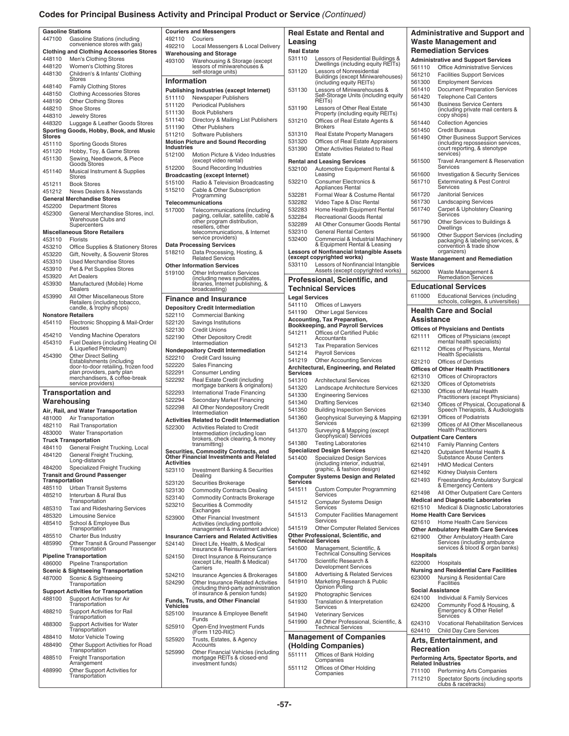### **Codes for Principal Business Activity and Principal Product or Service** *(Continued)*

| <b>Gasoline Stations</b> |                                                               |                    | <b>Couriers and Messengers</b>                                                  |                              | <b>Real Estate and Rental and</b>                                         |                 | <b>Administrative and Support and</b>                                 |
|--------------------------|---------------------------------------------------------------|--------------------|---------------------------------------------------------------------------------|------------------------------|---------------------------------------------------------------------------|-----------------|-----------------------------------------------------------------------|
| 447100                   | Gasoline Stations (including                                  | 492110             | Couriers                                                                        | Leasing                      |                                                                           |                 | <b>Waste Management and</b>                                           |
|                          | convenience stores with gas)                                  | 492210             | Local Messengers & Local Delivery                                               |                              |                                                                           |                 | <b>Remediation Services</b>                                           |
|                          | <b>Clothing and Clothing Accessories Stores</b>               |                    | <b>Warehousing and Storage</b>                                                  | <b>Real Estate</b><br>531110 |                                                                           |                 |                                                                       |
| 448110                   | Men's Clothing Stores                                         | 493100             | Warehousing & Storage (except<br>lessors of miniwarehouses &                    |                              | Lessors of Residential Buildings &<br>Dwellings (including equity REITs)  |                 | <b>Administrative and Support Services</b>                            |
| 448120                   | <b>Women's Clothing Stores</b>                                |                    | self-storage units)                                                             | 531120                       | Lessors of Nonresidential                                                 | 561110          | Office Administrative Services                                        |
| 448130                   | Children's & Infants' Clothing<br><b>Stores</b>               |                    |                                                                                 |                              | Buildings (except Miniwarehouses)                                         | 561210          | <b>Facilities Support Services</b>                                    |
| 448140                   | <b>Family Clothing Stores</b>                                 | <b>Information</b> |                                                                                 |                              | (including equity REITs)                                                  | 561300          | <b>Employment Services</b>                                            |
|                          |                                                               |                    | Publishing Industries (except Internet)                                         | 531130                       | Lessors of Miniwarehouses &                                               | 561410          | <b>Document Preparation Services</b>                                  |
| 448150                   | <b>Clothing Accessories Stores</b>                            | 511110             | Newspaper Publishers                                                            |                              | Self-Storage Units (including equity                                      | 561420          | <b>Telephone Call Centers</b>                                         |
| 448190                   | <b>Other Clothing Stores</b>                                  | 511120             | <b>Periodical Publishers</b>                                                    |                              | REIT <sub>S</sub> )                                                       | 561430          | <b>Business Service Centers</b>                                       |
| 448210                   | Shoe Stores                                                   | 511130             | <b>Book Publishers</b>                                                          | 531190                       | Lessors of Other Real Estate<br>Property (including equity REITs)         |                 | (including private mail centers &                                     |
| 448310                   | <b>Jewelry Stores</b>                                         | 511140             | Directory & Mailing List Publishers                                             | 531210                       | Offices of Real Estate Agents &                                           |                 | copy shops)                                                           |
| 448320                   | Luggage & Leather Goods Stores                                | 511190             | Other Publishers                                                                |                              | <b>Brokers</b>                                                            | 561440          | <b>Collection Agencies</b>                                            |
|                          | Sporting Goods, Hobby, Book, and Music                        | 511210             | Software Publishers                                                             | 531310                       | <b>Real Estate Property Managers</b>                                      | 561450          | <b>Credit Bureaus</b>                                                 |
| <b>Stores</b>            |                                                               |                    | <b>Motion Picture and Sound Recording</b>                                       | 531320                       | Offices of Real Estate Appraisers                                         | 561490          | <b>Other Business Support Services</b>                                |
| 451110                   | <b>Sporting Goods Stores</b>                                  | <b>Industries</b>  |                                                                                 | 531390                       | Other Activities Related to Real                                          |                 | (including repossession services,<br>court reporting, & stenotype     |
| 451120                   | Hobby, Toy, & Game Stores                                     | 512100             | Motion Picture & Video Industries                                               |                              | Estate                                                                    |                 | services)                                                             |
| 451130                   | Sewing, Needlework, & Piece                                   |                    | (except video rental)                                                           |                              | <b>Rental and Leasing Services</b>                                        | 561500          | Travel Arrangement & Reservation                                      |
|                          | Goods Stores                                                  | 512200             | Sound Recording Industries                                                      | 532100                       | Automotive Equipment Rental &                                             |                 | Services                                                              |
| 451140                   | Musical Instrument & Supplies                                 |                    | <b>Broadcasting (except Internet)</b>                                           |                              | Leasing                                                                   | 561600          | <b>Investigation &amp; Security Services</b>                          |
|                          | <b>Stores</b>                                                 | 515100             | Radio & Television Broadcasting                                                 | 532210                       | Consumer Electronics &                                                    | 561710          | <b>Exterminating &amp; Pest Control</b>                               |
| 451211                   | <b>Book Stores</b>                                            | 515210             | Cable & Other Subscription                                                      |                              | Appliances Rental                                                         |                 | Services                                                              |
| 451212                   | News Dealers & Newsstands                                     |                    | Programming                                                                     | 532281                       | Formal Wear & Costume Rental                                              | 561720          | <b>Janitorial Services</b>                                            |
|                          | <b>General Merchandise Stores</b>                             |                    | Telecommunications                                                              | 532282                       | Video Tape & Disc Rental                                                  | 561730          | <b>Landscaping Services</b>                                           |
| 452200                   | <b>Department Stores</b>                                      | 517000             | Telecommunications (including                                                   | 532283                       | Home Health Equipment Rental                                              | 561740          | Carpet & Upholstery Cleaning                                          |
| 452300                   | General Merchandise Stores, incl.                             |                    | paging, cellular, satellite, cable &                                            | 532284                       | <b>Recreational Goods Rental</b>                                          |                 | Services                                                              |
|                          | Warehouse Clubs and<br>Supercenters                           |                    | other program distribution,                                                     | 532289                       | All Other Consumer Goods Rental                                           | 561790          | Other Services to Buildings &                                         |
|                          | <b>Miscellaneous Store Retailers</b>                          |                    | resellers, other<br>telecommunications, & Internet                              | 532310                       | <b>General Rental Centers</b>                                             |                 | Dwellings                                                             |
|                          | <b>Florists</b>                                               |                    | service providers)                                                              | 532400                       | Commercial & Industrial Machinery                                         | 561900          | Other Support Services (including<br>packaging & labeling services, & |
| 453110                   |                                                               |                    | <b>Data Processing Services</b>                                                 |                              | & Equipment Rental & Leasing                                              |                 |                                                                       |
| 453210                   | Office Supplies & Stationery Stores                           | 518210             | Data Processing, Hosting, &                                                     |                              | Lessors of Nonfinancial Intangible Assets                                 |                 | convention & trade show<br>organizers)                                |
| 453220                   | Gift, Novelty, & Souvenir Stores                              |                    | Related Services                                                                |                              | (except copyrighted works)                                                |                 | <b>Waste Management and Remediation</b>                               |
| 453310                   | <b>Used Merchandise Stores</b>                                |                    | <b>Other Information Services</b>                                               | 533110                       | Lessors of Nonfinancial Intangible                                        | <b>Services</b> |                                                                       |
| 453910                   | Pet & Pet Supplies Stores                                     | 519100             | <b>Other Information Services</b>                                               |                              | Assets (except copyrighted works)                                         | 562000          | Waste Management &                                                    |
| 453920                   | <b>Art Dealers</b>                                            |                    | (including news syndicates,                                                     |                              | Professional, Scientific, and                                             |                 | <b>Remediation Services</b>                                           |
| 453930                   | Manufactured (Mobile) Home                                    |                    | libraries, Internet publishing, &                                               |                              |                                                                           |                 | <b>Educational Services</b>                                           |
|                          | Dealers                                                       |                    | broadcasting)                                                                   |                              | <b>Technical Services</b>                                                 |                 |                                                                       |
| 453990                   | All Other Miscellaneous Store                                 |                    | <b>Finance and Insurance</b>                                                    | <b>Legal Services</b>        |                                                                           | 611000          | <b>Educational Services (including</b>                                |
|                          | Retailers (including tobacco,<br>candle, & trophy shops)      |                    | <b>Depository Credit Intermediation</b>                                         |                              | 541110 Offices of Lawyers                                                 |                 | schools, colleges, & universities)                                    |
|                          | <b>Nonstore Retailers</b>                                     | 522110             |                                                                                 | 541190                       | <b>Other Legal Services</b>                                               |                 | <b>Health Care and Social</b>                                         |
|                          |                                                               |                    | <b>Commercial Banking</b>                                                       |                              |                                                                           | Assistance      |                                                                       |
| 454110                   | Electronic Shopping & Mail-Order<br>Houses                    | 522120             | Savings Institutions                                                            |                              | <b>Accounting, Tax Preparation,<br/>Bookkeeping, and Payroll Services</b> |                 | <b>Offices of Physicians and Dentists</b>                             |
| 454210                   | <b>Vending Machine Operators</b>                              | 522130             | <b>Credit Unions</b>                                                            | 541211                       | Offices of Certified Public                                               | 621111          |                                                                       |
|                          |                                                               | 522190             | Other Depository Credit                                                         |                              | Accountants                                                               |                 | Offices of Physicians (except<br>mental health specialists)           |
| 454310                   | Fuel Dealers (including Heating Oil<br>& Liquefied Petroleum) |                    | Intermediation                                                                  | 541213                       | <b>Tax Preparation Services</b>                                           | 621112          | Offices of Physicians, Mental                                         |
| 454390                   | <b>Other Direct Selling</b>                                   |                    | <b>Nondepository Credit Intermediation</b>                                      | 541214                       | <b>Payroll Services</b>                                                   |                 | <b>Health Specialists</b>                                             |
|                          | Establishments (including                                     | 522210             | <b>Credit Card Issuing</b>                                                      | 541219                       | <b>Other Accounting Services</b>                                          | 621210          | <b>Offices of Dentists</b>                                            |
|                          | door-to-door retailing, frozen food                           | 522220             | Sales Financing                                                                 |                              | Architectural, Engineering, and Related                                   |                 | <b>Offices of Other Health Practitioners</b>                          |
|                          | plan providers, party plan<br>merchandisers, & coffee-break   | 522291             | <b>Consumer Lending</b>                                                         | <b>Services</b>              |                                                                           | 621310          | Offices of Chiropractors                                              |
|                          | service providers)                                            | 522292             | Real Estate Credit (including                                                   | 541310                       | <b>Architectural Services</b>                                             | 621320          | Offices of Optometrists                                               |
|                          |                                                               |                    | mortgage bankers & originators)                                                 | 541320                       | Landscape Architecture Services                                           | 621330          | Offices of Mental Health                                              |
|                          | <b>Transportation and</b>                                     | 522293             | International Trade Financing                                                   | 541330                       | <b>Engineering Services</b>                                               |                 | Practitioners (except Physicians)                                     |
| Warehousing              |                                                               | 522294             | Secondary Market Financing                                                      | 541340                       | <b>Drafting Services</b>                                                  | 621340          | Offices of Physical, Occupational &                                   |
|                          | Air, Rail, and Water Transportation                           | 522298             | All Other Nondepository Credit<br>Intermediation                                | 541350                       | <b>Building Inspection Services</b>                                       |                 | Speech Therapists, & Audiologists                                     |
| 481000                   | Air Transportation                                            |                    | <b>Activities Related to Credit Intermediation</b>                              | 541360                       | Geophysical Surveying & Mapping                                           | 621391          | Offices of Podiatrists                                                |
| 482110                   | Rail Transportation                                           | 522300             |                                                                                 |                              | Services                                                                  | 621399          | Offices of All Other Miscellaneous                                    |
| 483000                   | <b>Water Transportation</b>                                   |                    | <b>Activities Related to Credit</b><br>Intermediation (including loan           | 541370                       | Surveying & Mapping (except                                               |                 | <b>Health Practitioners</b>                                           |
|                          | <b>Truck Transportation</b>                                   |                    | brokers, check clearing, & money                                                |                              | Geophysical) Services                                                     |                 | <b>Outpatient Care Centers</b>                                        |
| 484110                   | General Freight Trucking, Local                               |                    | transmitting)                                                                   | 541380                       | <b>Testing Laboratories</b>                                               | 621410          | <b>Family Planning Centers</b>                                        |
| 484120                   | General Freight Trucking,                                     |                    | Securities, Commodity Contracts, and<br>Other Financial Investments and Related |                              | <b>Specialized Design Services</b>                                        | 621420          | Outpatient Mental Health &                                            |
|                          | Long-distance                                                 |                    |                                                                                 | 541400                       | <b>Specialized Design Services</b>                                        |                 | Substance Abuse Centers                                               |
| 484200                   | <b>Specialized Freight Trucking</b>                           | <b>Activities</b>  |                                                                                 |                              | (including interior, industrial,                                          | 621491          | <b>HMO Medical Centers</b>                                            |
|                          | <b>Transit and Ground Passenger</b>                           | 523110             | <b>Investment Banking &amp; Securities</b><br>Dealing                           |                              | graphic, & fashion design)<br><b>Computer Systems Design and Related</b>  | 621492          | <b>Kidney Dialysis Centers</b>                                        |
| Transportation           |                                                               | 523120             | Securities Brokerage                                                            | Services                     |                                                                           | 621493          | Freestanding Ambulatory Surgical                                      |
| 485110                   | <b>Urban Transit Systems</b>                                  | 523130             |                                                                                 | 541511                       | <b>Custom Computer Programming</b>                                        |                 | & Emergency Centers                                                   |
| 485210                   | Interurban & Rural Bus                                        | 523140             | <b>Commodity Contracts Dealing</b>                                              |                              | Services                                                                  | 621498          | All Other Outpatient Care Centers                                     |
|                          | Transportation                                                |                    | <b>Commodity Contracts Brokerage</b>                                            | 541512                       | <b>Computer Systems Design</b>                                            |                 | <b>Medical and Diagnostic Laboratories</b>                            |
| 485310                   | Taxi and Ridesharing Services                                 | 523210             | Securities & Commodity<br>Exchanges                                             |                              | Services                                                                  | 621510          | Medical & Diagnostic Laboratories                                     |
| 485320                   | <b>Limousine Service</b>                                      | 523900             | Other Financial Investment                                                      | 541513                       | <b>Computer Facilities Management</b>                                     |                 | <b>Home Health Care Services</b>                                      |
| 485410                   | School & Employee Bus                                         |                    | Activities (including portfolio                                                 |                              | Services                                                                  | 621610          | Home Health Care Services                                             |
|                          | Transportation                                                |                    | management & investment advice)                                                 | 541519                       | <b>Other Computer Related Services</b>                                    |                 | <b>Other Ambulatory Health Care Services</b>                          |
| 485510                   | Charter Bus Industry                                          |                    | <b>Insurance Carriers and Related Activities</b>                                |                              | Other Professional, Scientific, and                                       | 621900          | Other Ambulatory Health Care                                          |
| 485990                   | Other Transit & Ground Passenger                              | 524140             | Direct Life, Health, & Medical                                                  |                              | <b>Technical Services</b>                                                 |                 | Services (including ambulance<br>services & blood & organ banks)      |
|                          | Transportation                                                |                    | Insurance & Reinsurance Carriers                                                | 541600                       | Management, Scientific, &<br><b>Technical Consulting Services</b>         |                 |                                                                       |
|                          | <b>Pipeline Transportation</b>                                | 524150             | Direct Insurance & Reinsurance                                                  |                              |                                                                           | Hospitals       |                                                                       |
| 486000                   | Pipeline Transportation                                       |                    | (except Life, Health & Medical)                                                 | 541700                       | Scientific Research &<br><b>Development Services</b>                      | 622000          | Hospitals                                                             |
|                          | <b>Scenic &amp; Sightseeing Transportation</b>                |                    | Carriers                                                                        | 541800                       | <b>Advertising &amp; Related Services</b>                                 |                 | <b>Nursing and Residential Care Facilities</b>                        |
| 487000                   | Scenic & Sightseeing                                          | 524210             | Insurance Agencies & Brokerages                                                 | 541910                       | Marketing Research & Public                                               | 623000          | Nursing & Residential Care                                            |
|                          | Transportation                                                | 524290             | Other Insurance Related Activities<br>(including third-party administration     |                              | Opinion Polling                                                           |                 | <b>Facilities</b>                                                     |
|                          | <b>Support Activities for Transportation</b>                  |                    | of insurance & pension funds)                                                   | 541920                       | <b>Photographic Services</b>                                              |                 | <b>Social Assistance</b>                                              |
| 488100                   | Support Activities for Air                                    |                    | Funds, Trusts, and Other Financial                                              | 541930                       | Translation & Interpretation                                              | 624100          | Individual & Family Services                                          |
|                          | Transportation                                                | Vehicles           |                                                                                 |                              | Services                                                                  | 624200          | Community Food & Housing, &                                           |
| 488210                   | Support Activities for Rail                                   | 525100             | Insurance & Employee Benefit                                                    | 541940                       | <b>Veterinary Services</b>                                                |                 | Emergency & Other Relief                                              |
|                          | Transportation                                                |                    | Funds                                                                           | 541990                       | All Other Professional, Scientific, &                                     |                 | Services                                                              |
| 488300                   | Support Activities for Water                                  | 525910             | Open-End Investment Funds                                                       |                              | <b>Technical Services</b>                                                 | 624310          | <b>Vocational Rehabilitation Services</b>                             |
|                          | Transportation                                                |                    | (Form 1120-RIC)                                                                 |                              |                                                                           | 624410          | Child Day Care Services                                               |
| 488410                   | Motor Vehicle Towing                                          | 525920             | Trusts, Estates, & Agency                                                       |                              | <b>Management of Companies</b>                                            |                 | Arts, Entertainment, and                                              |
| 488490                   | Other Support Activities for Road<br>Transportation           |                    | Accounts                                                                        |                              | (Holding Companies)                                                       | Recreation      |                                                                       |
| 488510                   | Freight Transportation                                        | 525990             | Other Financial Vehicles (including<br>mortgage REITs & closed-end              | 551111                       | Offices of Bank Holding                                                   |                 |                                                                       |
|                          | Arrangement                                                   |                    | investment funds)                                                               |                              | Companies                                                                 |                 | Performing Arts, Spectator Sports, and<br>Related Industries          |
| 488990                   | Other Support Activities for                                  |                    |                                                                                 | 551112                       | Offices of Other Holding                                                  | 711100          | Performing Arts Companies                                             |
|                          | Transportation                                                |                    |                                                                                 |                              | Companies                                                                 | 711210          | Spectator Sports (including sports                                    |
|                          |                                                               |                    |                                                                                 |                              |                                                                           |                 | clubs & racetracks)                                                   |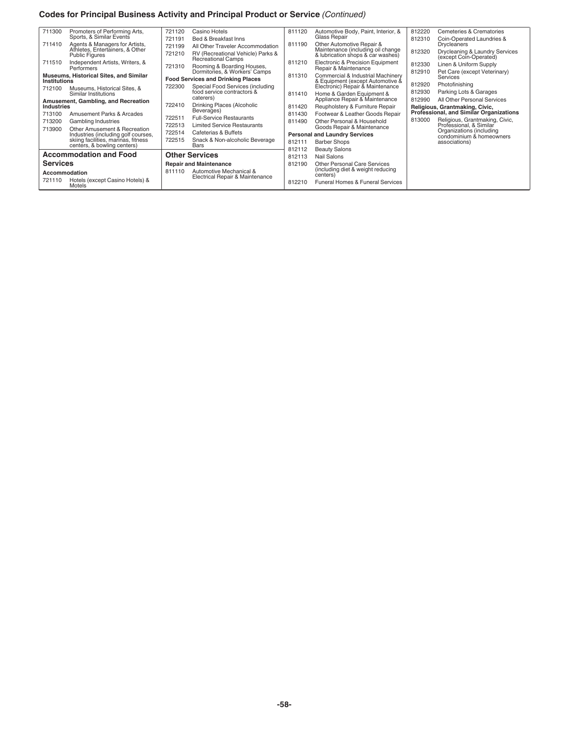### **Codes for Principal Business Activity and Principal Product or Service** *(Continued)*

| 711300                                                   | Promoters of Performing Arts,                            | 721120                                   | Casino Hotels                                                  | 811120                               | Automotive Body, Paint, Interior, &                                    | 812220 | Cemeteries & Crematories                                 |
|----------------------------------------------------------|----------------------------------------------------------|------------------------------------------|----------------------------------------------------------------|--------------------------------------|------------------------------------------------------------------------|--------|----------------------------------------------------------|
|                                                          | Sports, & Similar Events                                 | 721191                                   | Bed & Breakfast Inns                                           |                                      | Glass Repair                                                           | 812310 | Coin-Operated Laundries &                                |
| 711410                                                   | Agents & Managers for Artists,                           | 721199                                   | All Other Traveler Accommodation                               | 811190                               | Other Automotive Repair &                                              |        | Drycleaners                                              |
|                                                          | Athletes, Entertainers, & Other<br><b>Public Figures</b> | 721210                                   | RV (Recreational Vehicle) Parks &<br><b>Recreational Camps</b> |                                      | Maintenance (including oil change<br>& lubrication shops & car washes) | 812320 | Drycleaning & Laundry Services<br>(except Coin-Operated) |
| 711510                                                   | Independent Artists, Writers, &<br>Performers            | 721310                                   | Rooming & Boarding Houses,                                     | 811210                               | Electronic & Precision Equipment<br>Repair & Maintenance               | 812330 | Linen & Uniform Supply                                   |
|                                                          | Museums, Historical Sites, and Similar                   | Dormitories, & Workers' Camps            |                                                                | 811310                               | Commercial & Industrial Machinery<br>& Equipment (except Automotive &  | 812910 | Pet Care (except Veterinary)<br>Services                 |
| Institutions                                             |                                                          | <b>Food Services and Drinking Places</b> |                                                                |                                      |                                                                        |        |                                                          |
| 712100                                                   | Museums, Historical Sites, &                             | 722300                                   | Special Food Services (including                               |                                      | Electronic) Repair & Maintenance                                       | 812920 | Photofinishing                                           |
|                                                          | Similar Institutions                                     |                                          | food service contractors &                                     | 811410                               | Home & Garden Equipment &                                              | 812930 | Parking Lots & Garages                                   |
| Amusement, Gambling, and Recreation<br><b>Industries</b> |                                                          | caterers)                                |                                                                |                                      | Appliance Repair & Maintenance                                         | 812990 | All Other Personal Services                              |
|                                                          |                                                          | 722410                                   | Drinking Places (Alcoholic                                     | 811420                               | Reupholstery & Furniture Repair                                        |        | Religious, Grantmaking, Civic,                           |
| 713100                                                   | Amusement Parks & Arcades                                |                                          | Beverages)                                                     | 811430                               | Footwear & Leather Goods Repair                                        |        | Professional, and Similar Organizations                  |
| 713200                                                   | Gambling Industries                                      | 722511                                   | <b>Full-Service Restaurants</b>                                | 811490                               | Other Personal & Household                                             | 813000 | Religious, Grantmaking, Civic,                           |
| 713900                                                   | Other Amusement & Recreation                             | 722513                                   | <b>Limited Service Restaurants</b>                             |                                      | Goods Repair & Maintenance                                             |        | Professional, & Similar<br>Organizations (including      |
|                                                          | Industries (including golf courses,                      | 722514                                   | Cafeterias & Buffets                                           | <b>Personal and Laundry Services</b> |                                                                        |        | condominium & homeowners                                 |
|                                                          | skiing facilities, marinas, fitness                      | 722515                                   | Snack & Non-alcoholic Beverage                                 | 812111                               | <b>Barber Shops</b>                                                    |        | associations)                                            |
|                                                          | centers, & bowling centers)                              |                                          | Bars                                                           | 812112                               | <b>Beauty Salons</b>                                                   |        |                                                          |
| <b>Accommodation and Food</b>                            |                                                          | <b>Other Services</b>                    |                                                                | 812113                               | <b>Nail Salons</b>                                                     |        |                                                          |
| <b>Services</b>                                          |                                                          |                                          | <b>Repair and Maintenance</b>                                  | 812190                               | <b>Other Personal Care Services</b>                                    |        |                                                          |
| Accommodation                                            |                                                          | 811110                                   | Automotive Mechanical &                                        |                                      | (including diet & weight reducing<br>centers)                          |        |                                                          |
| 721110                                                   | Hotels (except Casino Hotels) &<br>Motels                |                                          | Electrical Repair & Maintenance                                | 812210                               | Funeral Homes & Funeral Services                                       |        |                                                          |